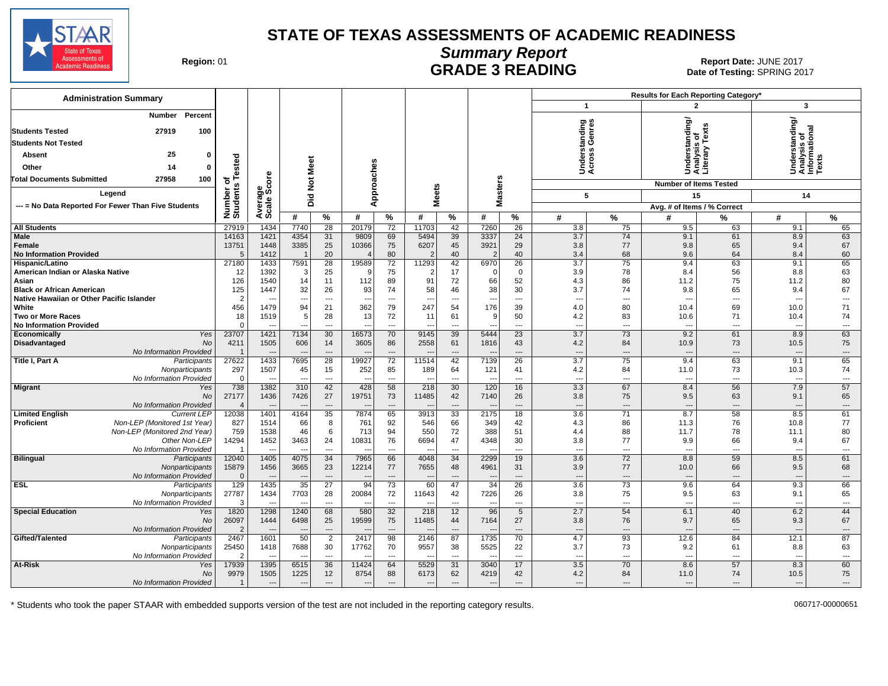

### **Summary Report** Region: 01 **Region: 01 CALL CONSISTS AND CONTROLL SECUTE 3 READING Report Date: JUNE 2017**<br>Date of Testing: SPRING 20

Date of Testing: SPRING 2017

| <b>Administration Summary</b>                                                             |                       |                          |                          |                              |                          |                                |                          |                          |                                 |                   |                                 |                          | Results for Each Reporting Category* |                                |                                                |                |
|-------------------------------------------------------------------------------------------|-----------------------|--------------------------|--------------------------|------------------------------|--------------------------|--------------------------------|--------------------------|--------------------------|---------------------------------|-------------------|---------------------------------|--------------------------|--------------------------------------|--------------------------------|------------------------------------------------|----------------|
|                                                                                           |                       |                          |                          |                              |                          |                                |                          |                          |                                 |                   | $\mathbf{1}$                    |                          | 2                                    |                                | 3                                              |                |
| Percent<br>Number<br>27919<br>100<br><b>Students Tested</b><br><b>Students Not Tested</b> |                       |                          |                          |                              |                          |                                |                          |                          |                                 |                   | tanding<br>Genres               |                          | iderstanding/<br>ialysis_of          | Tex                            | Understanding/<br>Analysis of<br>Informational |                |
| 25<br>$\Omega$                                                                            |                       |                          |                          |                              |                          |                                |                          |                          |                                 |                   |                                 |                          |                                      | ≧                              |                                                |                |
| Absent                                                                                    | Tested                |                          | <b>Meet</b>              |                              |                          |                                |                          |                          |                                 |                   | derst<br>:ross                  |                          | Under<br>Analys<br>Literar           |                                |                                                |                |
| 14<br>Other<br>$\Omega$                                                                   |                       |                          |                          |                              |                          |                                |                          |                          |                                 |                   | šğ                              |                          |                                      |                                |                                                |                |
| 27958<br>100<br><b>Total Documents Submitted</b>                                          | ৳                     | ge<br>Score              |                          |                              |                          |                                |                          |                          |                                 |                   |                                 |                          | <b>Number of Items Tested</b>        |                                |                                                |                |
| Legend                                                                                    | Number of<br>Students |                          | <b>Did Not</b>           |                              | Approaches               |                                | <b>Meets</b>             |                          | <b>Masters</b>                  |                   | 5                               |                          | 15                                   |                                | 14                                             |                |
| --- = No Data Reported For Fewer Than Five Students                                       |                       | cale;                    |                          |                              |                          |                                |                          |                          |                                 |                   |                                 |                          | Avg. # of Items / % Correct          |                                |                                                |                |
|                                                                                           |                       | ∢ທ                       | #                        | %                            | #                        | $\frac{9}{6}$                  | #                        | %                        | #                               | $\%$              | #                               | %                        | #                                    | %                              | #                                              | %              |
| <b>All Students</b>                                                                       | 27919                 | 1434                     | 7740                     | 28                           | 20179                    | 72                             | 11703                    | 42                       | 7260                            | 26                | 3.8                             | 75                       | 9.5                                  | 63                             | 9.1                                            | 65             |
| <b>Male</b>                                                                               | 14163                 | 1421                     | 4354                     | 31                           | 9809                     | 69                             | 5494                     | 39                       | 3337                            | 24                | 3.7                             | 74                       | 9.1                                  | 61                             | 8.9                                            | 63             |
| <b>Female</b>                                                                             | 13751                 | 1448                     | 3385                     | 25                           | 10366                    | 75                             | 6207                     | 45                       | 3921                            | 29                | 3.8                             | 77                       | 9.8                                  | 65                             | 9.4                                            | 67             |
| <b>No Information Provided</b>                                                            | 5                     | 1412                     | $\overline{1}$           | 20                           | $\overline{4}$           | 80                             | 2                        | 40                       | $\overline{2}$                  | 40                | 3.4                             | 68                       | 9.6                                  | 64                             | 8.4                                            | 60             |
| Hispanic/Latino                                                                           | 27180                 | 1433                     | 7591                     | 28                           | 19589                    | 72                             | 11293                    | 42                       | 6970                            | 26                | 3.7                             | 75                       | 9.4                                  | 63                             | 9.1                                            | 65             |
| American Indian or Alaska Native<br>Asian                                                 | 12<br>126             | 1392<br>1540             | 3<br>14                  | 25<br>11                     | - c<br>112               | 75<br>89                       | 91                       | 17<br>72                 | - 0<br>66                       | $\mathbf 0$<br>52 | 3.9<br>4.3                      | 78<br>86                 | 8.4<br>11.2                          | 56<br>75                       | 8.8<br>11.2                                    | 63<br>80       |
| <b>Black or African American</b>                                                          | 125                   | 1447                     | 32                       | 26                           | 93                       | 74                             | 58                       | 46                       | 38                              | 30                | 3.7                             | 74                       | 9.8                                  | 65                             | 9.4                                            | 67             |
| Native Hawaiian or Other Pacific Islander                                                 | $\overline{2}$        |                          | $\overline{\phantom{a}}$ | $\overline{\phantom{a}}$     | ---                      | $\overline{\phantom{a}}$       | ---                      | $\overline{\phantom{a}}$ | ---                             | ---               | $\overline{\phantom{a}}$        | $\overline{\phantom{a}}$ | $\overline{\phantom{a}}$             | $\overline{\phantom{a}}$       | $\overline{\phantom{a}}$                       | ---            |
| White                                                                                     | 456                   | 1479                     | 94                       | 21                           | 362                      | 79                             | 247                      | 54                       | 176                             | 39                | 4.0                             | 80                       | 10.4                                 | 69                             | 10.0                                           | 71             |
| Two or More Races                                                                         | 18                    | 1519                     | 5                        | 28                           | 13                       | 72                             | 11                       | 61                       | 9                               | 50                | 4.2                             | 83                       | 10.6                                 | 71                             | 10.4                                           | 74             |
| <b>No Information Provided</b>                                                            | $\mathbf 0$           |                          |                          | $\overline{a}$               |                          | $\overline{\phantom{a}}$       |                          | $\overline{\phantom{a}}$ |                                 | ---               | $\overline{\phantom{a}}$        | ---                      | $\overline{\phantom{a}}$             | ---                            | $\sim$                                         | ---            |
| Economically<br>Yes                                                                       | 23707                 | 1421                     | 7134                     | 30                           | 16573                    | 70                             | 9145                     | 39                       | 5444                            | 23                | 3.7                             | 73                       | 9.2                                  | 61                             | 8.9                                            | 63             |
| <b>Disadvantaged</b><br><b>No</b>                                                         | 4211                  | 1505                     | 606                      | 14                           | 3605                     | 86                             | 2558                     | 61                       | 1816                            | 43                | 4.2                             | 84                       | 10.9                                 | 73                             | 10.5                                           | 75             |
| No Information Provided                                                                   | $\overline{1}$        |                          |                          | $\overline{a}$               |                          | $\overline{\phantom{a}}$       |                          |                          |                                 | $\overline{a}$    | $\overline{\phantom{a}}$        | $\overline{a}$           |                                      | $\overline{\phantom{a}}$       |                                                | ---            |
| Title I, Part A<br>Participants                                                           | 27622                 | 1433                     | 7695                     | 28                           | 19927                    | 72                             | 11514                    | 42                       | 7139                            | 26                | $\overline{3.7}$                | 75                       | 9.4                                  | 63                             | 9.1                                            | 65             |
| Nonparticipants<br>No Information Provided                                                | 297<br>$\mathbf 0$    | 1507                     | 45                       | 15<br>$\qquad \qquad \cdots$ | 252<br>$\sim$            | 85<br>$\overline{\phantom{a}}$ | 189                      | 64<br>---                | 121<br>$\overline{\phantom{a}}$ | 41<br>---         | 4.2<br>$\overline{\phantom{a}}$ | 84<br>---                | 11.0<br>$\overline{\phantom{a}}$     | 73<br>$\hspace{0.05cm} \ldots$ | 10.3<br>$\overline{\phantom{a}}$               | 74<br>---      |
| <b>Migrant</b><br>Yes                                                                     | 738                   | 1382                     | 310                      | 42                           | 428                      | 58                             | 218                      | 30                       | 120                             | 16                | 3.3                             | 67                       | 8.4                                  | 56                             | 7.9                                            | 57             |
| No                                                                                        | 27177                 | 1436                     | 7426                     | 27                           | 19751                    | 73                             | 11485                    | 42                       | 7140                            | 26                | 3.8                             | 75                       | 9.5                                  | 63                             | 9.1                                            | 65             |
| No Information Provided                                                                   | $\overline{4}$        |                          |                          | $\sim$                       |                          | $\overline{a}$                 |                          | $\overline{a}$           |                                 | $\sim$            | $\overline{a}$                  | $\overline{a}$           | $\sim$                               | $\sim$                         | ---                                            | $---$          |
| <b>Limited English</b><br><b>Current LEP</b>                                              | 12038                 | 1401                     | 4164                     | 35                           | 7874                     | 65                             | 3913                     | 33                       | 2175                            | 18                | 3.6                             | 71                       | 8.7                                  | 58                             | 8.5                                            | 61             |
| <b>Proficient</b><br>Non-LEP (Monitored 1st Year)                                         | 827                   | 1514                     | 66                       | 8                            | 761                      | 92                             | 546                      | 66                       | 349                             | 42                | 4.3                             | 86                       | 11.3                                 | 76                             | 10.8                                           | 77             |
| Non-LEP (Monitored 2nd Year)                                                              | 759                   | 1538                     | 46                       | 6                            | 713                      | 94                             | 550                      | 72                       | 388                             | 51                | 4.4                             | 88                       | 11.7                                 | 78                             | 11.1                                           | 80             |
| Other Non-LEP                                                                             | 14294                 | 1452                     | 3463                     | 24                           | 10831                    | 76                             | 6694                     | 47                       | 4348                            | 30                | 3.8                             | 77                       | 9.9                                  | 66                             | 9.4                                            | 67             |
| No Information Provided                                                                   | -1                    | $\overline{\phantom{a}}$ | $\overline{\phantom{a}}$ | $\overline{\phantom{a}}$     | $\overline{\phantom{a}}$ | ---                            | --                       | ---                      | $\overline{\phantom{a}}$        | ---               | $\overline{a}$                  | $\cdots$                 | $\overline{\phantom{a}}$             | $\overline{\phantom{a}}$       | $\overline{\phantom{a}}$                       | $---$          |
| <b>Bilingual</b><br>Participants<br>Nonparticipants                                       | 12040<br>15879        | 1405<br>1456             | 4075<br>3665             | 34<br>23                     | 7965<br>12214            | 66<br>77                       | 4048<br>7655             | 34<br>48                 | 2299<br>4961                    | 19<br>31          | 3.6<br>3.9                      | 72<br>77                 | 8.8<br>10.0                          | 59<br>66                       | 8.5<br>9.5                                     | 61<br>68       |
| No Information Provided                                                                   | $\Omega$              | $\overline{\phantom{a}}$ | $\overline{\phantom{a}}$ | $\overline{\phantom{a}}$     | $\overline{\phantom{a}}$ | $\qquad \qquad \cdots$         | $\qquad \qquad -$        | $\overline{\phantom{a}}$ | $\overline{\phantom{a}}$        | $\overline{a}$    | $\overline{a}$                  | $\hspace{0.05cm} \ldots$ | $\overline{a}$                       | $\overline{\phantom{a}}$       | ---                                            | $\cdots$       |
| <b>ESL</b><br>Participants                                                                | 129                   | 1435                     | 35                       | $\overline{27}$              | 94                       | 73                             | 60                       | 47                       | 34                              | 26                | 3.6                             | 73                       | 9.6                                  | 64                             | 9.3                                            | 66             |
| Nonparticipants                                                                           | 27787                 | 1434                     | 7703                     | 28                           | 20084                    | 72                             | 11643                    | 42                       | 7226                            | 26                | 3.8                             | 75                       | 9.5                                  | 63                             | 9.1                                            | 65             |
| No Information Provided                                                                   | 3                     | --                       | $\sim$                   | $\overline{\phantom{a}}$     | $\overline{\phantom{a}}$ | ---                            | $\overline{\phantom{a}}$ | ---                      | $\overline{\phantom{a}}$        | ---               | $\overline{\phantom{a}}$        | $\overline{\phantom{a}}$ | $\overline{\phantom{a}}$             | $\overline{\phantom{a}}$       | $\overline{\phantom{a}}$                       | $---$          |
| <b>Special Education</b><br>Yes                                                           | 1820                  | 1298                     | 1240                     | 68                           | 580                      | 32                             | 218                      | 12                       | 96                              | 5                 | 2.7                             | 54                       | 6.1                                  | 40                             | 6.2                                            | 44             |
| No                                                                                        | 26097                 | 1444                     | 6498                     | 25                           | 19599                    | 75                             | 11485                    | 44                       | 7164                            | 27                | 3.8                             | 76                       | 9.7                                  | 65                             | 9.3                                            | 67             |
| No Information Provided                                                                   | $\overline{2}$        | $\overline{\phantom{a}}$ | $\overline{\phantom{a}}$ | $\overline{\phantom{a}}$     | $\overline{\phantom{a}}$ | $\overline{\phantom{a}}$       |                          | $\overline{\phantom{a}}$ | $\overline{\phantom{a}}$        | $\overline{a}$    | $---$                           | $\overline{a}$           |                                      | $\overline{\phantom{a}}$       | $\overline{a}$                                 | $\overline{a}$ |
| Gifted/Talented<br>Participants                                                           | 2467                  | 1601                     | 50                       | $\overline{2}$               | 2417                     | 98                             | 2146                     | 87                       | 1735                            | 70                | 4.7                             | 93                       | 12.6                                 | 84                             | 12.1                                           | 87             |
| Nonparticipants                                                                           | 25450                 | 1418                     | 7688                     | 30                           | 17762                    | 70                             | 9557                     | 38                       | 5525                            | 22                | 3.7                             | 73                       | 9.2                                  | 61                             | 8.8                                            | 63             |
| No Information Provided                                                                   | $\overline{2}$        |                          |                          | $\overline{\phantom{a}}$     |                          | $\overline{a}$                 |                          | $---$                    |                                 | ---               | $\overline{\phantom{a}}$        | $\overline{a}$           | $\overline{a}$                       | $\overline{a}$                 | $\overline{a}$                                 | ---            |
| At-Risk<br>Yes<br>No                                                                      | 17939<br>9979         | 1395<br>1505             | 6515<br>1225             | 36<br>12                     | 11424<br>8754            | 64<br>88                       | 5529<br>6173             | 31<br>62                 | 3040<br>4219                    | 17<br>42          | 3.5<br>4.2                      | 70<br>84                 | 8.6<br>11.0                          | 57<br>74                       | 8.3<br>10.5                                    | 60<br>75       |
| No Information Provided                                                                   | $\overline{1}$        | $\overline{\phantom{a}}$ | $\overline{\phantom{a}}$ | $\qquad \qquad \cdots$       | ---                      | $\qquad \qquad \cdots$         | $\overline{\phantom{a}}$ | ---                      | $\overline{\phantom{a}}$        | ---               | $\overline{a}$                  | $\overline{\phantom{a}}$ |                                      | $\overline{\phantom{a}}$       | $\overline{\phantom{a}}$                       | ---            |
|                                                                                           |                       |                          |                          |                              |                          |                                |                          |                          |                                 |                   |                                 |                          |                                      |                                |                                                |                |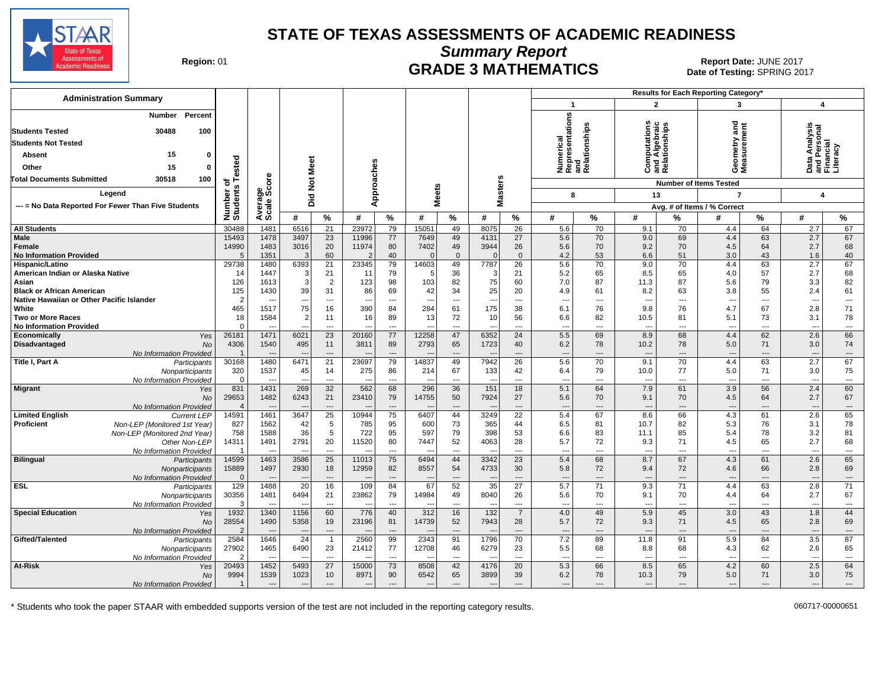

**Summary Report**

Region: 01 **Region: 01 CRADE 3 MATHEMATICS Date: JUNE 2017 Report Date: JUNE 2017** Date of Testing: SPRING 2017

| <b>Administration Summary</b>                                      |                                  |                          |                                  |                                |                          |           |                          |                                |                          |                                |                                                      |                          |                          |                      | Results for Each Reporting Category* |                |                                                        |                                |
|--------------------------------------------------------------------|----------------------------------|--------------------------|----------------------------------|--------------------------------|--------------------------|-----------|--------------------------|--------------------------------|--------------------------|--------------------------------|------------------------------------------------------|--------------------------|--------------------------|----------------------|--------------------------------------|----------------|--------------------------------------------------------|--------------------------------|
|                                                                    |                                  |                          |                                  |                                |                          |           |                          |                                |                          |                                | $\overline{1}$                                       |                          | $\mathbf{2}$             |                      | 3                                    |                | $\boldsymbol{4}$                                       |                                |
| Percent<br>Number<br>30488<br><b>Students Tested</b><br>100        |                                  |                          |                                  |                                |                          |           |                          |                                |                          |                                | Numerical<br>Representations<br>and<br>Relationships |                          | putation                 | 흚                    | ठ<br>ã ā                             |                | Data Analysis<br>and Personal<br>Financial<br>Literacy |                                |
| <b>Students Not Tested</b>                                         |                                  |                          |                                  |                                |                          |           |                          |                                |                          |                                |                                                      |                          | 용                        |                      |                                      |                |                                                        |                                |
| 15<br>$\Omega$<br>Absent                                           |                                  |                          |                                  |                                |                          |           |                          |                                |                          |                                |                                                      |                          | 흥                        | latio                | metry a<br>sureme                    |                |                                                        |                                |
| 15<br>Other<br>0                                                   |                                  |                          | Meet                             |                                |                          |           |                          |                                |                          |                                |                                                      |                          | 등<br>ত                   | ᠊ᠣ                   | Gea<br>Nea                           |                |                                                        |                                |
|                                                                    | ested                            |                          |                                  |                                |                          |           |                          |                                |                          |                                |                                                      |                          | ن                        | 商区                   |                                      |                |                                                        |                                |
| <b>Fotal Documents Submitted</b><br>30518<br>100                   | ځ ځ<br>S                         | õ                        | $\frac{5}{2}$                    |                                |                          |           |                          |                                |                          | sters                          |                                                      |                          |                          |                      | <b>Number of Items Tested</b>        |                |                                                        |                                |
| Legend                                                             | Number<br>Students               | န္တပ္ကိ                  | Did                              |                                | pproaches                |           | eets                     |                                | <b>r</b>                 |                                | 8                                                    |                          | 13                       |                      | $\overline{7}$                       |                | 4                                                      |                                |
| --- = No Data Reported For Fewer Than Five Students                |                                  | Average:                 |                                  |                                | ⋖                        |           | Σ                        |                                | Σ                        |                                |                                                      |                          |                          |                      | Avg. # of Items / % Correct          |                |                                                        |                                |
|                                                                    |                                  |                          | #                                | %                              | #                        | %         | #                        | $\%$                           | #                        | %                              | #                                                    | %                        | #                        | %                    | #                                    | %              | #                                                      | ℅                              |
| <b>All Students</b>                                                | 30488                            | 1481                     | 6516                             | $\overline{21}$                | 23972                    | 79        | 15051                    | 49                             | 8075                     | $\overline{26}$                | 5.6                                                  | 70                       | 9.1                      | 70                   | 4.4                                  | 64             | 2.7                                                    | 67                             |
| Male                                                               | 15493                            | 1478                     | 3497                             | 23                             | 11996                    | 77        | 7649                     | 49                             | 4131                     | 27                             | 5.6                                                  | 70                       | 9.0                      | 69                   | 4.4                                  | 63             | 2.7                                                    | 67                             |
| <b>Female</b>                                                      | 14990                            | 1483                     | 3016                             | 20                             | 11974                    | 80        | 7402                     | 49                             | 3944                     | 26                             | 5.6                                                  | 70                       | 9.2                      | 70                   | 4.5                                  | 64             | 2.7                                                    | 68                             |
| <b>No Information Provided</b>                                     | 5                                | 1351                     | 3                                | 60                             | $\overline{2}$           | 40        |                          | $\Omega$                       |                          | $\mathbf{0}$                   | 4.2                                                  | 53                       | 6.6                      | 51                   | 3.0                                  | 43             | 1.6                                                    | 40                             |
| Hispanic/Latino<br>American Indian or Alaska Native                | 29738<br>14                      | 1480<br>1447             | 6393<br>3                        | 21<br>21                       | 23345<br>11              | 79<br>79  | 14603<br>5               | 49<br>36                       | 7787<br>3                | 26<br>21                       | 5.6<br>5.2                                           | 70<br>65                 | 9.0<br>8.5               | 70<br>65             | 4.4<br>4.0                           | 63<br>57       | 2.7<br>2.7                                             | 67<br>68                       |
| Asian                                                              | 126                              | 1613                     | 3                                | 2                              | 123                      | 98        | 103                      | 82                             | 75                       | 60                             | 7.0                                                  | 87                       | 11.3                     | 87                   | 5.6                                  | 79             | 3.3                                                    | 82                             |
| <b>Black or African American</b>                                   | 125                              | 1430                     | 39                               | 31                             | 86                       | 69        | 42                       | 34                             | 25                       | 20                             | 4.9                                                  | 61                       | 8.2                      | 63                   | 3.8                                  | 55             | 2.4                                                    | 61                             |
| Native Hawaiian or Other Pacific Islander                          | $\overline{2}$                   |                          | $\overline{\phantom{a}}$         | $---$                          |                          | ---       | $\overline{\phantom{a}}$ | $---$                          | $\overline{\phantom{a}}$ | $---$                          | $\overline{\phantom{a}}$                             | ---                      | ---                      | $\overline{a}$       | $\overline{\phantom{a}}$             | ---            | $\overline{\phantom{a}}$                               | ---                            |
| White                                                              | 465                              | 1517                     | 75                               | 16                             | 390                      | 84        | 284                      | 61                             | 175                      | 38                             | 6.1                                                  | 76                       | 9.8                      | 76                   | 4.7                                  | 67             | 2.8                                                    | 71                             |
| <b>Two or More Races</b>                                           | 18                               | 1584                     | $\mathcal{P}$                    | 11                             | 16                       | 89        | 13                       | 72                             | 10                       | 56                             | 6.6                                                  | 82                       | 10.5                     | 81                   | 5.1                                  | 73             | 3.1                                                    | 78                             |
| <b>No Information Provided</b>                                     | $\Omega$                         |                          |                                  | $---$                          |                          | ---       |                          | $\overline{a}$                 |                          | ---                            | $\overline{a}$                                       | ---                      | $\overline{a}$           | $\overline{a}$       | $\overline{a}$                       | ---            | $\overline{\phantom{a}}$                               | $\overline{a}$                 |
| Economically<br>Yes                                                | 26181                            | 1471                     | 6021                             | 23                             | 20160                    | 77        | 12258                    | 47                             | 6352                     | 24                             | 5.5                                                  | 69                       | 8.9                      | 68                   | 4.4                                  | 62             | 2.6                                                    | 66                             |
| Disadvantaged<br><b>No</b>                                         | 4306                             | 1540                     | 495                              | 11                             | 3811                     | 89        | 2793                     | 65                             | 1723                     | 40                             | 6.2                                                  | 78                       | 10.2                     | 78                   | 5.0                                  | 71             | 3.0                                                    | 74                             |
| No Information Provided<br>Title I, Part A                         | $\overline{\mathbf{1}}$<br>30168 | 1480                     | $\overline{\phantom{a}}$<br>6471 | $\qquad \qquad -$<br>21        | 23697                    | ---<br>79 | 14837                    | $\overline{\phantom{a}}$<br>49 | 7942                     | ---<br>$\overline{26}$         | $\overline{\phantom{a}}$<br>5.6                      | ---<br>70                | ---<br>9.1               | ---<br>70            | $\overline{\phantom{a}}$<br>4.4      | ---<br>63      | $\overline{\phantom{a}}$<br>2.7                        | $\overline{\phantom{a}}$<br>67 |
| Participants<br>Nonparticipants                                    | 320                              | 1537                     | 45                               | 14                             | 275                      | 86        | 214                      | 67                             | 133                      | 42                             | 6.4                                                  | 79                       | 10.0                     | 77                   | 5.0                                  | 71             | 3.0                                                    | 75                             |
| No Information Provided                                            | $\mathbf 0$                      | $\overline{\phantom{a}}$ | $\overline{\phantom{a}}$         | $\overline{a}$                 | $\overline{\phantom{a}}$ | ---       | ٠.                       | $---$                          | $\overline{\phantom{a}}$ | $---$                          | $\overline{\phantom{a}}$                             | $\overline{a}$           | $\overline{\phantom{a}}$ | $\overline{a}$       | $\overline{\phantom{a}}$             | ---            | $\overline{\phantom{a}}$                               | $\overline{\phantom{a}}$       |
| Migrant<br>Yes                                                     | 831                              | 1431                     | 269                              | 32                             | 562                      | 68        | 296                      | 36                             | $\overline{151}$         | 18                             | 5.1                                                  | 64                       | 7.9                      | 61                   | 3.9                                  | 56             | 2.4                                                    | 60                             |
| No                                                                 | 29653                            | 1482                     | 6243                             | 21                             | 23410                    | 79        | 14755                    | 50                             | 7924                     | 27                             | 5.6                                                  | 70                       | 9.1                      | 70                   | 4.5                                  | 64             | 2.7                                                    | 67                             |
| No Information Provided                                            | $\overline{4}$                   |                          |                                  | $---$                          |                          | $---$     |                          | $\overline{a}$                 |                          | ---                            | $\overline{a}$                                       | ---                      | $\overline{\phantom{a}}$ | $---$                | $---$                                | ---            | $\overline{\phantom{a}}$                               | $---$                          |
| <b>Limited English</b><br><b>Current LEP</b>                       | 14591                            | 1461                     | 3647                             | 25                             | 10944                    | 75        | 6407                     | 44                             | 3249                     | $\overline{22}$                | 5.4                                                  | 67                       | 8.6                      | 66                   | 4.3                                  | 61             | 2.6                                                    | 65                             |
| Proficient<br>Non-LEP (Monitored 1st Year)                         | 827                              | 1562                     | 42                               | 5                              | 785                      | 95        | 600                      | 73                             | 365                      | 44                             | 6.5                                                  | 81                       | 10.7                     | 82                   | 5.3                                  | 76             | 3.1                                                    | 78                             |
| Non-LEP (Monitored 2nd Year)                                       | 758                              | 1588                     | 36                               | 5                              | 722                      | 95        | 597                      | 79                             | 398                      | 53                             | 6.6                                                  | 83                       | 11.1                     | 85                   | 5.4                                  | 78             | 3.2                                                    | 81                             |
| Other Non-LEP                                                      | 14311                            | 1491                     | 2791<br>$\overline{\phantom{a}}$ | 20<br>$\overline{\phantom{a}}$ | 11520                    | 80<br>--- | 7447<br>--               | 52<br>$\overline{a}$           | 4063                     | 28<br>$\overline{\phantom{a}}$ | 5.7<br>$\overline{a}$                                | 72<br>$\overline{a}$     | 9.3<br>---               | 71<br>$\overline{a}$ | 4.5<br>$---$                         | 65<br>---      | 2.7<br>$\overline{\phantom{a}}$                        | 68<br>$\overline{a}$           |
| No Information Provided<br><b>Bilingual</b><br><b>Participants</b> | 14599                            | 1463                     | 3586                             | 25                             | 11013                    | 75        | 6494                     | 44                             | 3342                     | 23                             | 5.4                                                  | 68                       | 8.7                      | 67                   | 4.3                                  | 61             | 2.6                                                    | 65                             |
| Nonparticipants                                                    | 15889                            | 1497                     | 2930                             | 18                             | 12959                    | 82        | 8557                     | 54                             | 4733                     | 30                             | 5.8                                                  | 72                       | 9.4                      | 72                   | 4.6                                  | 66             | 2.8                                                    | 69                             |
| No Information Provided                                            | $\Omega$                         | $\overline{\phantom{a}}$ | $\overline{\phantom{a}}$         | $\overline{a}$                 |                          | ---       | $\overline{\phantom{a}}$ | $\overline{a}$                 | $\overline{\phantom{a}}$ | $\overline{\phantom{a}}$       | ---                                                  | $---$                    | $\overline{\phantom{a}}$ | $\overline{a}$       | $\overline{a}$                       | $\overline{a}$ | $\overline{\phantom{a}}$                               | $\overline{\phantom{a}}$       |
| ESL<br>Participants                                                | 129                              | 1488                     | 20                               | 16                             | 109                      | 84        | 67                       | 52                             | 35                       | 27                             | 5.7                                                  | 71                       | 9.3                      | 71                   | 4.4                                  | 63             | 2.8                                                    | 71                             |
| Nonparticipants                                                    | 30356                            | 1481                     | 6494                             | 21                             | 23862                    | 79        | 14984                    | 49                             | 8040                     | 26                             | 5.6                                                  | 70                       | 9.1                      | 70                   | 4.4                                  | 64             | 2.7                                                    | 67                             |
| No Information Provided                                            | 3                                | $\overline{a}$           | $\sim$                           | $\overline{a}$                 | $\overline{\phantom{a}}$ | ---       | $\sim$                   | $\sim$                         |                          | $\overline{a}$                 | $\overline{a}$                                       | $\overline{a}$           | $\overline{a}$           | $\sim$               | $\overline{a}$                       | $\overline{a}$ | $\overline{\phantom{a}}$                               | $\overline{\phantom{a}}$       |
| <b>Special Education</b><br>Yes                                    | 1932                             | 1340                     | 1156                             | 60                             | 776                      | 40        | 312                      | 16                             | 132                      | $\overline{7}$                 | 4.0                                                  | 49                       | 5.9                      | 45                   | 3.0                                  | 43             | 1.8                                                    | 44                             |
| No                                                                 | 28554                            | 1490                     | 5358                             | 19                             | 23196                    | 81        | 14739                    | 52                             | 7943                     | 28                             | 5.7                                                  | 72                       | 9.3                      | 71                   | 4.5                                  | 65             | 2.8                                                    | 69                             |
| No Information Provided                                            | $\overline{2}$                   |                          | $\overline{\phantom{a}}$         | $---$                          |                          | ---       |                          | $\overline{a}$                 |                          | $---$                          | $\overline{\phantom{a}}$                             | $---$                    | $\overline{\phantom{a}}$ | $---$                | $\overline{\phantom{a}}$             | $\overline{a}$ | $\overline{\phantom{a}}$                               | $---$                          |
| Gifted/Talented<br>Participants<br>Nonparticipants                 | 2584<br>27902                    | 1646<br>1465             | 24<br>6490                       | $\overline{1}$<br>23           | 2560<br>21412            | 99<br>77  | 2343<br>12708            | 91<br>46                       | 1796<br>6279             | 70<br>23                       | 7.2<br>5.5                                           | 89<br>68                 | 11.8<br>8.8              | 91<br>68             | 5.9<br>4.3                           | 84<br>62       | 3.5<br>2.6                                             | 87<br>65                       |
| No Information Provided                                            | $\overline{2}$                   | $\overline{a}$           | $\sim$                           | $\overline{a}$                 | $\overline{\phantom{a}}$ | ---       | $\overline{\phantom{a}}$ | $\overline{a}$                 |                          | $\overline{\phantom{a}}$       | $\overline{a}$                                       | $\overline{\phantom{a}}$ | $\overline{a}$           | $\overline{a}$       | $---$                                | $\overline{a}$ | $---$                                                  | $\overline{\phantom{a}}$       |
| At-Risk<br>Yes                                                     | 20493                            | 1452                     | 5493                             | 27                             | 15000                    | 73        | 8508                     | 42                             | 4176                     | 20                             | 5.3                                                  | 66                       | 8.5                      | 65                   | 4.2                                  | 60             | 2.5                                                    | 64                             |
| No                                                                 | 9994                             | 1539                     | 1023                             | 10                             | 8971                     | 90        | 6542                     | 65                             | 3899                     | 39                             | 6.2                                                  | 78                       | 10.3                     | 79                   | 5.0                                  | 71             | 3.0                                                    | 75                             |
| No Information Provided                                            |                                  | $---$                    | $\sim$                           | $\overline{a}$                 | $--$                     | ---       | $\overline{\phantom{a}}$ | $\overline{a}$                 | $\sim$                   | ---                            | $\overline{a}$                                       | ---                      | $---$                    | ---                  | $---$                                | ---            | $---$                                                  | $---$                          |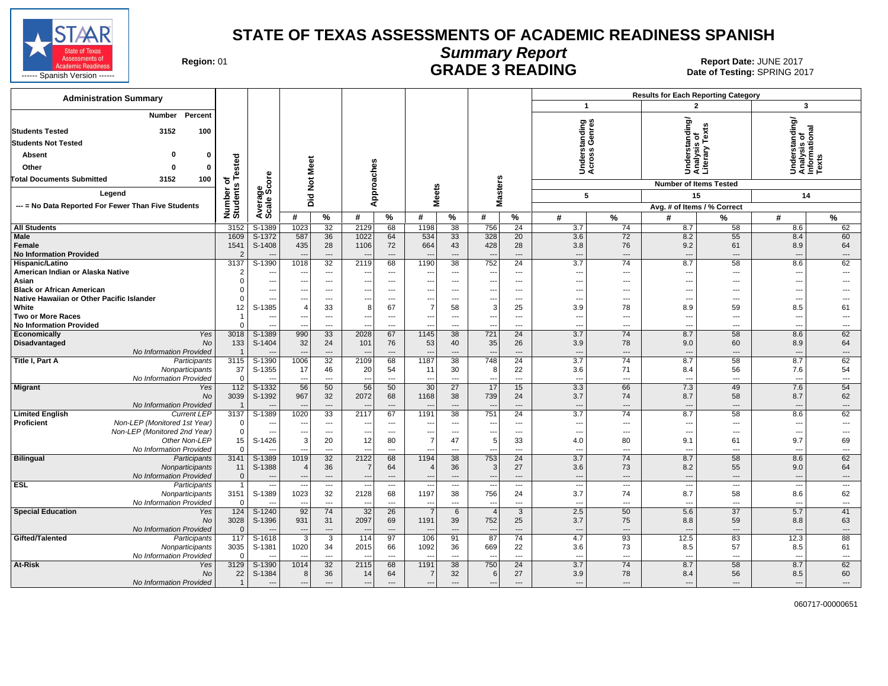

# **Summary Report**

Region: 01 **Region: 01 CALL CONSISTS AND CONTROLL SECUTE 3 READING Report Date: JUNE 2017**<br>Date of Testing: SPRING 20

| <b>Administration Summary</b>                                                 |                       |                                                      |                                 |                                |                                  |                                    |                               |                          |                               |                              |                                 |                               | <b>Results for Each Reporting Category</b> |                                  |                                                         |                          |
|-------------------------------------------------------------------------------|-----------------------|------------------------------------------------------|---------------------------------|--------------------------------|----------------------------------|------------------------------------|-------------------------------|--------------------------|-------------------------------|------------------------------|---------------------------------|-------------------------------|--------------------------------------------|----------------------------------|---------------------------------------------------------|--------------------------|
|                                                                               |                       |                                                      |                                 |                                |                                  |                                    |                               |                          |                               |                              | $\mathbf{1}$                    |                               | $\overline{2}$                             |                                  | $\overline{\mathbf{3}}$                                 |                          |
| <b>Number</b><br>Percent<br>3152<br>100<br><b>Students Tested</b>             |                       |                                                      |                                 |                                |                                  |                                    |                               |                          |                               |                              | derstanding<br>:ross Genres     |                               | standing/<br>৳                             | Ŷ,<br>Text                       | Understanding/<br>Analysis of<br>Informational<br>Texts |                          |
| <b>Students Not Tested</b>                                                    |                       |                                                      |                                 |                                |                                  |                                    |                               |                          |                               |                              |                                 |                               | sis                                        |                                  |                                                         |                          |
| 0<br><b>Absent</b><br>0                                                       |                       |                                                      |                                 |                                |                                  |                                    |                               |                          |                               |                              |                                 |                               |                                            | Understa<br>Analysis<br>Literary |                                                         |                          |
| Other<br>$\Omega$<br>$\mathbf{0}$                                             |                       |                                                      | Meet                            |                                |                                  |                                    |                               |                          |                               |                              | šë                              |                               |                                            |                                  |                                                         |                          |
| <b>Total Documents Submitted</b><br>3152<br>100                               | Tested<br>৳           | ore                                                  |                                 |                                |                                  |                                    |                               |                          |                               |                              |                                 |                               |                                            |                                  |                                                         |                          |
| Legend                                                                        | Number of<br>Students | မ္ဘီဖိ                                               | Did Not                         |                                | Approaches                       |                                    |                               | leets                    | <b>Masters</b>                |                              | 5                               |                               | <b>Number of Items Tested</b><br>15        |                                  | 14                                                      |                          |
| --- = No Data Reported For Fewer Than Five Students                           |                       | vera<br>cale                                         |                                 |                                |                                  |                                    |                               | Σ                        |                               |                              |                                 |                               |                                            |                                  |                                                         |                          |
|                                                                               |                       | ∢ທັ                                                  | #                               | %                              | #                                | $\%$                               | #                             | %                        | #                             | %                            | #                               | %                             | Avg. # of Items / % Correct<br>#           | $\%$                             | #                                                       | %                        |
| <b>All Students</b>                                                           | 3152                  | S-1389                                               | 1023                            | 32                             | 2129                             | 68                                 | 1198                          | 38                       | 756                           | 24                           | 3.7                             | 74                            | 8.7                                        | 58                               | 8.6                                                     | 62                       |
| <b>Male</b>                                                                   | 1609                  | $S-1372$                                             | 587                             | 36                             | 1022                             | 64                                 | 534                           | 33                       | 328                           | 20                           | 3.6                             | 72                            | 8.2                                        | 55                               | 8.4                                                     | 60                       |
| Female                                                                        | 1541                  | S-1408                                               | 435                             | 28                             | 1106                             | 72                                 | 664                           | 43                       | 428                           | 28                           | 3.8                             | 76                            | 9.2                                        | 61                               | 8.9                                                     | 64                       |
| <b>No Information Provided</b>                                                | 2                     |                                                      | $\overline{\phantom{a}}$        | $\sim$                         | $\overline{\phantom{a}}$         | $---$                              | $\overline{a}$                | $\overline{a}$           | $\overline{\phantom{a}}$      | $\overline{a}$               | $---$                           | $---$                         | $\overline{a}$                             | $\overline{\phantom{a}}$         | ---                                                     | $---$                    |
| Hispanic/Latino                                                               | 3137                  | $S-1390$                                             | 1018                            | $\overline{32}$                | 2119                             | 68                                 | 1190                          | 38                       | 752                           | $\overline{24}$              | 3.7                             | $\overline{74}$               | 8.7                                        | 58                               | 8.6                                                     | 62                       |
| American Indian or Alaska Native                                              | $\overline{2}$        | ---                                                  | ---                             | $\cdots$                       | ---                              | ---                                | $\overline{\phantom{a}}$      | ---                      | ---                           | ---                          | $\sim$                          | ---                           | ---                                        | ---                              | ---                                                     | $\overline{\phantom{a}}$ |
| Asian                                                                         | $\Omega$              | $\overline{\phantom{a}}$                             | $\overline{\phantom{a}}$        | $\cdots$                       | ---                              | $\overline{\phantom{a}}$           | ---                           | $---$                    | ---                           | $---$                        | $\sim$                          | $---$                         | ---                                        | $---$                            | ---                                                     | $---$                    |
| <b>Black or African American</b><br>Native Hawaiian or Other Pacific Islander | $\Omega$<br>$\Omega$  | $\overline{\phantom{a}}$<br>$\overline{\phantom{a}}$ | ---                             | $---$                          | ---<br>---                       | $\sim$<br>$\overline{\phantom{a}}$ | $\overline{\phantom{a}}$      | $---$<br>$\overline{a}$  | ---                           | $---$                        | $\overline{\phantom{a}}$        | $---$                         | $\overline{a}$                             | ---                              | ---                                                     | ---                      |
| White                                                                         | 12                    | S-1385                                               | ---<br>$\overline{4}$           | $\hspace{0.05cm} \ldots$<br>33 | 8                                | 67                                 | $\overline{\phantom{a}}$<br>7 | 58                       | $\overline{\phantom{a}}$<br>3 | $\qquad \qquad \cdots$<br>25 | $\overline{\phantom{a}}$<br>3.9 | $\qquad \qquad -\qquad$<br>78 | $\hspace{0.05cm} \ldots$<br>8.9            | ---<br>59                        | ---<br>8.5                                              | 61                       |
| <b>Two or More Races</b>                                                      | $\mathbf{1}$          | $\overline{\phantom{a}}$                             | ---                             | $\overline{\phantom{a}}$       | $\overline{\phantom{a}}$         | $\overline{a}$                     | ---                           | $\overline{\phantom{a}}$ | $\overline{\phantom{a}}$      | $---$                        | $\sim$                          | $---$                         | ---                                        | $---$                            | ---                                                     | $---$                    |
| <b>No Information Provided</b>                                                | $\Omega$              | $\overline{\phantom{a}}$                             |                                 | $\overline{\phantom{a}}$       | ---                              | $\overline{\phantom{a}}$           | $\overline{\phantom{a}}$      | $---$                    | $\overline{\phantom{a}}$      | $\overline{a}$               | $\sim$                          | ---                           | $\overline{a}$                             | ---                              | ---                                                     | $\hspace{0.05cm} \ldots$ |
| Economically<br>Yes                                                           | 3018                  | $S-1389$                                             | 990                             | 33                             | 2028                             | 67                                 | 1145                          | 38                       | 721                           | 24                           | 3.7                             | 74                            | 8.7                                        | 58                               | 8.6                                                     | 62                       |
| <b>Disadvantaged</b><br><b>No</b>                                             | 133                   | S-1404                                               | 32                              | 24                             | 101                              | 76                                 | 53                            | 40                       | 35                            | 26                           | 3.9                             | 78                            | 9.0                                        | 60                               | 8.9                                                     | 64                       |
| No Information Provided                                                       | $\overline{1}$        |                                                      |                                 | $\qquad \qquad \cdots$         |                                  |                                    | $\overline{a}$                | $\overline{a}$           | --                            | $---$                        | $\overline{\phantom{a}}$        | $\cdots$                      |                                            | ---                              | ---                                                     | $\hspace{1.5cm} \ldots$  |
| Title I, Part A<br>Participants                                               | 3115                  | S-1390                                               | 1006                            | 32                             | 2109                             | 68                                 | 1187                          | 38                       | 748                           | $\overline{24}$              | $\overline{3.7}$                | 74                            | 8.7                                        | 58                               | 8.7                                                     | 62                       |
| Nonparticipants<br>No Information Provided                                    | 37<br>$\Omega$        | S-1355                                               | 17                              | 46<br>$\overline{a}$           | 20<br>$\overline{\phantom{a}}$   | 54<br>$\overline{a}$               | 11<br>$\sim$                  | 30<br>$-$                | 8<br>$\sim$                   | 22<br>$-$                    | 3.6<br>$-$                      | 71<br>$-$                     | 8.4<br>$\sim$                              | 56<br>$\sim$                     | 7.6<br>$\sim$                                           | 54<br>$\overline{a}$     |
| <b>Migrant</b><br>Yes                                                         | 112                   | $S-1332$                                             | 56                              | 50                             | 56                               | 50                                 | 30                            | 27                       | 17                            | 15                           | 3.3                             | 66                            | 7.3                                        | 49                               | 7.6                                                     | 54                       |
| <b>No</b>                                                                     | 3039                  | S-1392                                               | 967                             | 32                             | 2072                             | 68                                 | 1168                          | 38                       | 739                           | 24                           | 3.7                             | 74                            | 8.7                                        | 58                               | 8.7                                                     | 62                       |
| No Information Provided                                                       |                       |                                                      |                                 | $---$                          |                                  | $\overline{\phantom{a}}$           |                               | $\overline{a}$           | $\overline{\phantom{a}}$      | $\overline{a}$               | $---$                           | $---$                         | $\overline{\phantom{a}}$                   | $\overline{\phantom{a}}$         | ---                                                     | $---$                    |
| <b>Limited English</b><br><b>Current LEP</b>                                  | 3137                  | $S-1389$                                             | 1020                            | 33                             | 2117                             | 67                                 | 1191                          | 38                       | 751                           | $\overline{24}$              | $\overline{3.7}$                | 74                            | 8.7                                        | 58                               | 8.6                                                     | 62                       |
| <b>Proficient</b><br>Non-LEP (Monitored 1st Year)                             | $\Omega$              | $\overline{\phantom{a}}$                             | $\overline{\phantom{a}}$        | $\cdots$                       | ---                              | $\overline{\phantom{a}}$           | $\overline{\phantom{a}}$      | ---                      | $\overline{\phantom{a}}$      | $\overline{a}$               | $\overline{\phantom{a}}$        | $---$                         | $\overline{\phantom{a}}$                   | ---                              | ---                                                     | $\overline{\phantom{a}}$ |
| Non-LEP (Monitored 2nd Year)                                                  | $\mathbf 0$           | $\sim$                                               | ---                             | $\cdots$                       | ---                              | $\overline{a}$                     | $\overline{\phantom{a}}$      | $---$                    | $\overline{\phantom{a}}$      | $---$                        | $\sim$                          | $---$                         | $\sim$                                     | ---                              | ---                                                     | $---$                    |
| Other Non-LEP                                                                 | 15                    | S-1426                                               | 3                               | 20                             | 12                               | 80                                 | 7                             | 47                       | 5                             | 33                           | 4.0                             | 80                            | 9.1                                        | 61                               | 9.7                                                     | 69                       |
| No Information Provided                                                       | $\Omega$              |                                                      |                                 | $\overline{\phantom{a}}$       | --                               | ---                                | $\overline{\phantom{a}}$      |                          | $\overline{\phantom{a}}$      | $\overline{a}$               | $\sim$                          | $\overline{\phantom{a}}$      | ---                                        | ---                              | ---                                                     | $\overline{\phantom{a}}$ |
| <b>Bilingual</b><br>Participants<br>Nonparticipants                           | 3141<br>11            | S-1389<br>S-1388                                     | 1019                            | 32<br>36                       | 2122<br>-7                       | 68<br>64                           | 1194                          | 38<br>36                 | 753<br>3                      | 24<br>27                     | 3.7<br>3.6                      | 74<br>73                      | 8.7<br>8.2                                 | 58<br>55                         | 8.6<br>9.0                                              | 62<br>64                 |
| No Information Provided                                                       | $\mathbf{0}$          |                                                      |                                 | $\qquad \qquad \cdots$         | $\overline{\phantom{a}}$         | $\overline{\phantom{a}}$           | $\overline{\phantom{a}}$      | $\cdots$                 | $\overline{\phantom{a}}$      | $---$                        | $\sim$                          | ---                           | $\overline{a}$                             | ---                              | ---                                                     | $\qquad \qquad \cdots$   |
| <b>ESL</b><br>Participants                                                    | $\mathbf{1}$          | $\overline{\phantom{a}}$                             | $\overline{\phantom{a}}$        | $\overline{\phantom{a}}$       | $\overline{\phantom{a}}$         | $\overline{\phantom{a}}$           | ---                           | $\overline{\phantom{a}}$ | $\overline{\phantom{a}}$      | ---                          | $\overline{\phantom{a}}$        | ---                           | $---$                                      | ---                              | ---                                                     | $\overline{\phantom{a}}$ |
| Nonparticipants                                                               | 3151                  | S-1389                                               | 1023                            | 32                             | 2128                             | 68                                 | 1197                          | 38                       | 756                           | 24                           | 3.7                             | 74                            | 8.7                                        | 58                               | 8.6                                                     | 62                       |
| No Information Provided                                                       | $\Omega$              |                                                      |                                 | $\overline{a}$                 |                                  | $\overline{a}$                     | $\overline{\phantom{a}}$      | ---                      | $\overline{\phantom{a}}$      | $\overline{a}$               | $\overline{\phantom{a}}$        | $---$                         | ---                                        | ---                              | ---                                                     | ---                      |
| <b>Special Education</b><br>Yes                                               | 124                   | S-1240                                               | 92                              | 74                             | 32                               | 26                                 | $\overline{7}$                | 6                        | $\overline{4}$                | 3                            | 2.5                             | 50                            | 5.6                                        | 37                               | 5.7                                                     | 41                       |
| No                                                                            | 3028                  | S-1396                                               | 931                             | 31                             | 2097                             | 69                                 | 1191                          | 39                       | 752                           | 25                           | 3.7                             | 75                            | 8.8                                        | 59                               | 8.8                                                     | 63                       |
| No Information Provided                                                       | $\Omega$              |                                                      | $\sim$                          | $\overline{\phantom{a}}$       | $\overline{\phantom{a}}$         | $\overline{\phantom{a}}$           | $\overline{\phantom{a}}$      | $---$                    | $\cdots$                      | $\overline{\phantom{a}}$     | $\overline{\phantom{a}}$        | $\overline{\phantom{a}}$      |                                            | ---                              | ---                                                     | $\overline{\phantom{a}}$ |
| Gifted/Talented<br>Participants                                               | 117<br>3035           | $S-1618$                                             | $\overline{\mathbf{3}}$<br>1020 | 3<br>34                        | 114                              | 97<br>66                           | 106<br>1092                   | 91                       | 87<br>669                     | $\overline{74}$<br>22        | 4.7<br>3.6                      | 93<br>73                      | 12.5<br>8.5                                | 83<br>57                         | 12.3                                                    | 88<br>61                 |
| Nonparticipants<br>No Information Provided                                    | $\Omega$              | S-1381                                               | $\sim$                          | $---$                          | 2015<br>$\overline{\phantom{a}}$ | $---$                              | $\overline{a}$                | 36<br>$\overline{a}$     | ---                           | $\overline{a}$               | $-$                             | $---$                         | $\sim$                                     | $\overline{a}$                   | 8.5<br>---                                              | $---$                    |
| At-Risk<br>Yes                                                                | 3129                  | S-1390                                               | 1014                            | 32                             | 2115                             | 68                                 | 1191                          | 38                       | 750                           | 24                           | 3.7                             | 74                            | 8.7                                        | 58                               | 8.7                                                     | 62                       |
| No                                                                            | 22                    | S-1384                                               | 8                               | 36                             | 14                               | 64                                 | 7                             | 32                       | 6                             | 27                           | 3.9                             | 78                            | 8.4                                        | 56                               | 8.5                                                     | 60                       |
| No Information Provided                                                       | $\mathbf{1}$          | $\overline{\phantom{a}}$                             | $\overline{a}$                  | $---$                          | $\overline{\phantom{a}}$         | $---$                              | $\overline{a}$                | $\overline{a}$           | $\overline{\phantom{a}}$      | $---$                        | $---$                           | $---$                         | $---$                                      | ---                              | $\overline{a}$                                          | $\hspace{0.05cm} \ldots$ |
|                                                                               |                       |                                                      |                                 |                                |                                  |                                    |                               |                          |                               |                              |                                 |                               |                                            |                                  |                                                         |                          |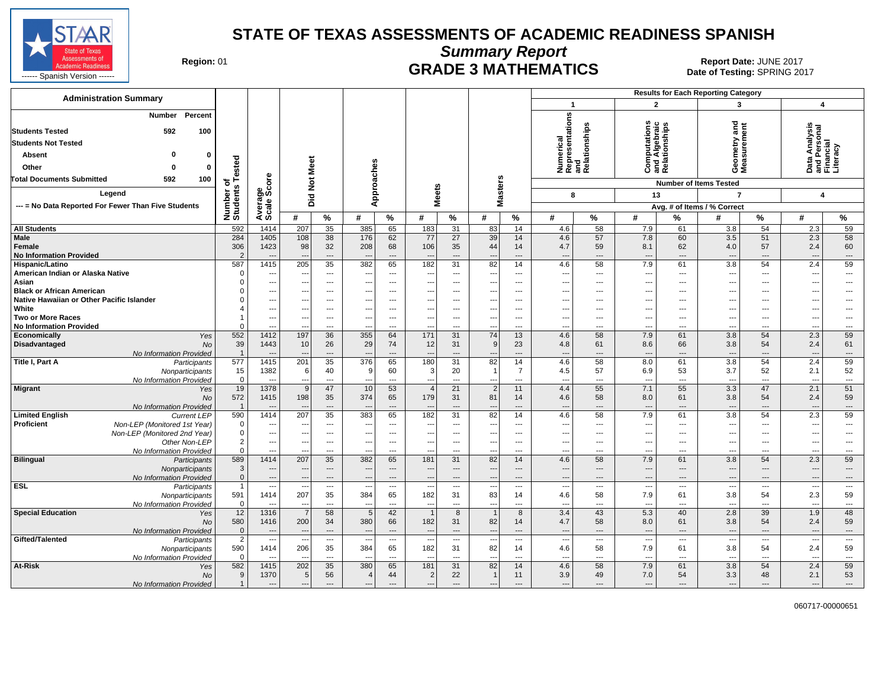

**Summary Report**

Region: 01 **Region: 01 CRADE 3 MATHEMATICS Date: JUNE 2017 Report Date: JUNE 2017** 

| <b>Administration Summary</b>                                                              |                        |                          |                                            |                                |                                            |                                |                                  |                        |                                            |                      |                                 |                                |                                                       |                                | <b>Results for Each Reporting Category</b> |                                |                                                        |                                |
|--------------------------------------------------------------------------------------------|------------------------|--------------------------|--------------------------------------------|--------------------------------|--------------------------------------------|--------------------------------|----------------------------------|------------------------|--------------------------------------------|----------------------|---------------------------------|--------------------------------|-------------------------------------------------------|--------------------------------|--------------------------------------------|--------------------------------|--------------------------------------------------------|--------------------------------|
|                                                                                            |                        |                          |                                            |                                |                                            |                                |                                  |                        |                                            |                      | $\mathbf{1}$                    |                                | $\overline{2}$                                        |                                | 3                                          |                                | $\overline{\mathbf{4}}$                                |                                |
| Percent<br><b>Number</b><br><b>Students Tested</b><br>592<br>100                           |                        |                          |                                            |                                |                                            |                                |                                  |                        |                                            |                      | Numerical<br>Representations    | and<br>Relationships           | <b>Computations</b><br>and Algebraic<br>Relationships |                                | Geometry and<br>Measurement                |                                | Data Analysis<br>and Personal<br>Financial<br>Literacy |                                |
| <b>Students Not Tested</b>                                                                 |                        |                          |                                            |                                |                                            |                                |                                  |                        |                                            |                      |                                 |                                |                                                       |                                |                                            |                                |                                                        |                                |
| o<br>0<br>Absent                                                                           |                        |                          |                                            |                                |                                            |                                |                                  |                        |                                            |                      |                                 |                                |                                                       |                                |                                            |                                |                                                        |                                |
| Other<br>$\Omega$<br>O                                                                     | ested                  |                          | Meet                                       |                                |                                            |                                |                                  |                        |                                            |                      |                                 |                                |                                                       |                                |                                            |                                |                                                        |                                |
| <b>Total Documents Submitted</b><br>592<br>100                                             |                        |                          |                                            |                                |                                            |                                |                                  |                        |                                            |                      |                                 |                                |                                                       |                                |                                            |                                |                                                        |                                |
| Legend                                                                                     | 능는<br>$\boldsymbol{a}$ | ge<br>Score              | $\frac{5}{2}$                              |                                | Approaches                                 |                                | <b>Meets</b>                     |                        | <b>Masters</b>                             |                      |                                 |                                |                                                       |                                | <b>Number of Items Tested</b>              |                                |                                                        |                                |
|                                                                                            |                        |                          | Did                                        |                                |                                            |                                |                                  |                        |                                            |                      | 8                               |                                | 13                                                    |                                | $\overline{7}$                             |                                | 4                                                      |                                |
| --- = No Data Reported For Fewer Than Five Students                                        | Number<br>Student:     | Average<br>Scale:        |                                            |                                |                                            |                                |                                  |                        |                                            |                      |                                 |                                |                                                       |                                | Avg. # of Items / % Correct                |                                |                                                        |                                |
|                                                                                            |                        |                          | #                                          | %                              | #                                          | %                              | #                                | $\%$                   | #                                          | $\%$                 | #                               | %                              | #                                                     | $\frac{9}{6}$                  | #                                          | $\%$                           | #                                                      | %                              |
| <b>All Students</b>                                                                        | 592                    | 1414                     | 207                                        | 35                             | 385                                        | 65                             | 183                              | 31                     | 83                                         | 14                   | 4.6                             | 58                             | 7.9                                                   | 61                             | 3.8                                        | 54                             | 2.3                                                    | 59                             |
| Male<br>Female                                                                             | 284<br>306             | 1405<br>1423             | 108<br>98                                  | 38<br>32                       | 176<br>208                                 | 62<br>68                       | 77<br>106                        | 27<br>35               | 39<br>44                                   | 14<br>14             | 4.6<br>4.7                      | 57<br>59                       | 7.8<br>8.1                                            | 60<br>62                       | 3.5<br>4.0                                 | 51<br>57                       | 2.3<br>2.4                                             | 58<br>60                       |
| <b>No Information Provided</b>                                                             | $\mathcal{P}$          |                          |                                            | $\cdots$                       | $\overline{\phantom{a}}$                   | $---$                          |                                  | ---                    | ---                                        | ---                  | $\overline{\phantom{a}}$        | $\overline{\phantom{a}}$       | $\overline{\phantom{a}}$                              | $---$                          | $\overline{\phantom{a}}$                   | $---$                          | $\overline{\phantom{a}}$                               | $\qquad \qquad \cdots$         |
| Hispanic/Latino<br>American Indian or Alaska Native                                        | 587<br>$\Omega$        | 1415<br>$\overline{a}$   | 205<br>$\sim$                              | 35<br>$\overline{a}$           | 382<br>$---$                               | 65<br>$\overline{\phantom{a}}$ | 182<br>$\overline{a}$            | 31<br>---              | 82<br>---                                  | 14<br>---            | 4.6<br>---                      | 58<br>$\overline{\phantom{a}}$ | 7.9<br>$\overline{\phantom{a}}$                       | 61<br>$---$                    | 3.8<br>---                                 | 54<br>$---$                    | 2.4<br>$\overline{\phantom{a}}$                        | 59<br>$\overline{\phantom{a}}$ |
| Asian                                                                                      |                        | $\qquad \qquad \cdots$   | ---                                        | $---$                          | $\sim$                                     | $-$                            |                                  | ---                    | ---                                        | ---                  | $\overline{\phantom{a}}$        | $---$                          | $\overline{\phantom{a}}$                              | $---$                          | ---                                        | $\overline{a}$                 | --                                                     | ---                            |
| <b>Black or African American</b>                                                           |                        | ---                      |                                            | ---                            |                                            |                                |                                  | ---                    |                                            | ---                  | $\sim$                          | ---                            | ---                                                   |                                |                                            |                                | --                                                     | ---                            |
| Native Hawaiian or Other Pacific Islander                                                  |                        | $---$                    | ---                                        | $---$                          | $---$                                      | $\overline{\phantom{a}}$       | ---                              | ---                    | ---                                        | ---                  | $\overline{\phantom{a}}$        | $\overline{\phantom{a}}$       | $\overline{\phantom{a}}$                              | $---$                          | ---                                        | $\overline{\phantom{a}}$       | ---                                                    | ---                            |
| White                                                                                      |                        | $\qquad \qquad \cdots$   | ---                                        | ---                            | ---                                        | ---                            |                                  | ---                    | ---                                        | ---                  | $\overline{\phantom{a}}$        | ---                            | ---                                                   | ---                            | ---                                        | $---$                          | $\sim$                                                 | ---                            |
| <b>Two or More Races</b>                                                                   |                        | $\overline{\phantom{a}}$ |                                            | ---                            | $\overline{\phantom{a}}$                   | $\overline{\phantom{a}}$       | ---                              | ---                    | ---                                        | ---                  | $\overline{\phantom{a}}$        | ---                            | $\overline{\phantom{a}}$                              | $\overline{\phantom{a}}$       |                                            | $\overline{a}$                 | --                                                     | ---                            |
| <b>No Information Provided</b>                                                             |                        | ---                      | $\overline{\phantom{a}}$                   | $---$                          | $\overline{\phantom{a}}$                   | ---                            | $\overline{\phantom{a}}$         | ---                    | $\overline{\phantom{a}}$                   | ---                  | $\overline{\phantom{a}}$        | ---                            | $\ddotsc$                                             | $---$                          | ---                                        | $\overline{\phantom{a}}$       | ---                                                    | $---$                          |
| Economically<br>Yes                                                                        | 552                    | 1412                     | 197                                        | 36                             | 355                                        | 64                             | 171                              | 31                     | 74                                         | 13                   | 4.6                             | 58                             | 7.9                                                   | 61                             | 3.8                                        | 54                             | 2.3                                                    | 59                             |
| <b>Disadvantaged</b><br><b>No</b><br>No Information Provided                               | 39<br>$\overline{1}$   | 1443<br>$---$            | 10<br>$\sim$                               | 26<br>$\overline{\phantom{a}}$ | 29<br>$\overline{\phantom{a}}$             | 74<br>$\overline{a}$           | 12                               | 31<br>---              | 9<br>---                                   | 23<br>---            | 4.8<br>$\overline{\phantom{a}}$ | 61<br>$\overline{\phantom{a}}$ | 8.6<br>$\overline{\phantom{a}}$                       | 66<br>$\overline{a}$           | 3.8<br>$\overline{\phantom{a}}$            | 54<br>$---$                    | 2.4<br>$\overline{\phantom{a}}$                        | 61<br>$\cdots$                 |
| Title I, Part A<br>Participants                                                            | 577                    | 1415                     | 201                                        | $\overline{35}$                | 376                                        | 65                             | 180                              | 31                     | 82                                         | 14                   | 4.6                             | 58                             | 8.0                                                   | 61                             | 3.8                                        | 54                             | 2.4                                                    | 59                             |
| Nonparticipants                                                                            | 15                     | 1382                     | 6                                          | 40                             | 9                                          | 60                             | 3                                | 20                     | $\overline{1}$                             | $\overline{7}$       | 4.5                             | 57                             | 6.9                                                   | 53                             | 3.7                                        | 52                             | 2.1                                                    | 52                             |
| No Information Provided                                                                    | $\mathbf 0$            | $\overline{a}$           | ---                                        | $\overline{\phantom{a}}$       |                                            | $\overline{a}$                 | ---                              | ---                    | $\overline{\phantom{a}}$                   | ---                  | ---                             | $\overline{\phantom{a}}$       | $\overline{\phantom{a}}$                              | $---$                          | ---                                        | $\overline{a}$                 | --                                                     | ---                            |
| <b>Migrant</b><br>Yes                                                                      | 19                     | 1378                     | 9                                          | 47                             | 10                                         | 53                             | $\overline{4}$                   | 21                     | $\overline{2}$                             | 11                   | 4.4                             | 55                             | 7.1                                                   | 55                             | 3.3                                        | 47                             | 2.1                                                    | 51                             |
| <b>No</b>                                                                                  | 572                    | 1415                     | 198                                        | 35                             | 374                                        | 65                             | 179                              | 31                     | 81                                         | 14                   | 4.6                             | 58                             | 8.0                                                   | 61                             | 3.8                                        | 54                             | 2.4                                                    | 59                             |
| No Information Provided                                                                    |                        | $---$                    | --                                         | ---                            | 383                                        | $\overline{a}$                 |                                  | ---                    | $\overline{\phantom{a}}$                   | ---                  | $\overline{\phantom{a}}$        | $\overline{\phantom{a}}$       | $\hspace{1.5cm} \cdots$                               | $\overline{\phantom{a}}$       | $\overline{\phantom{a}}$                   | $\overline{\phantom{a}}$       | ---                                                    | $\cdots$                       |
| <b>Limited English</b><br><b>Current LEP</b><br>Proficient<br>Non-LEP (Monitored 1st Year) | 590<br>$\Omega$        | 1414<br>---              | 207<br>--                                  | 35<br>$---$                    | $\sim$                                     | 65<br>$---$                    | 182<br>$- -$                     | 31<br>---              | 82<br>---                                  | 14<br>$\overline{a}$ | 4.6<br>$\ddotsc$                | 58<br>$\overline{\phantom{a}}$ | 7.9<br>$\ddotsc$                                      | 61<br>$---$                    | 3.8<br>---                                 | 54<br>$\overline{a}$           | 2.3<br>---                                             | 59<br>---                      |
| Non-LEP (Monitored 2nd Year)                                                               | $\Omega$               | $\overline{\phantom{a}}$ | $\overline{\phantom{a}}$                   | $\overline{\phantom{a}}$       | ---                                        | $\overline{\phantom{a}}$       | ---                              | ---                    | ---                                        | ---                  | $\overline{\phantom{a}}$        | ---                            | $\overline{\phantom{a}}$                              | $---$                          | ---                                        | $\overline{\phantom{a}}$       | --                                                     | ---                            |
| Other Non-LEP                                                                              | $\overline{2}$         | $---$                    | --                                         | $\overline{\phantom{a}}$       |                                            | $-$                            | $- -$                            | ---                    | ---                                        | ---                  | $\overline{\phantom{a}}$        | $\overline{\phantom{a}}$       | $\overline{\phantom{a}}$                              | $\overline{\phantom{a}}$       | $\overline{a}$                             | $\overline{a}$                 | --                                                     | ---                            |
| No Information Provided                                                                    | $\Omega$               | $---$                    | $\overline{\phantom{a}}$                   | $---$                          | $---$                                      | $---$                          | ---                              | $---$                  | $\overline{a}$                             | $\overline{a}$       | $\overline{a}$                  | $\sim$                         | $\overline{a}$                                        | $---$                          | $\sim$                                     | $---$                          | $\sim$                                                 | $---$                          |
| <b>Bilingual</b><br>Participants                                                           | 589                    | 1414                     | 207                                        | 35                             | 382                                        | 65                             | 181                              | 31                     | 82                                         | 14                   | 4.6                             | 58                             | 7.9                                                   | 61                             | 3.8                                        | 54                             | 2.3                                                    | 59                             |
| Nonparticipants                                                                            | 3                      | ---                      | --                                         | ---                            |                                            | $\overline{\phantom{a}}$       | --                               | ---                    | ---                                        | ---                  | $\overline{\phantom{a}}$        | $\overline{\phantom{a}}$       | ---                                                   | $\overline{\phantom{a}}$       | ---                                        | $\overline{\phantom{a}}$       | $\overline{\phantom{a}}$                               | $\cdots$                       |
| No Information Provided                                                                    | $\mathbf{0}$           | $---$                    | $\sim$                                     | $\cdots$                       | $\overline{\phantom{a}}$                   | $---$                          | $\overline{\phantom{a}}$         | $\hspace{1.5cm} \dots$ | $\overline{\phantom{a}}$                   | ---                  | $\overline{\phantom{a}}$        | $---$                          | $---$                                                 | $---$                          | $\overline{\phantom{a}}$                   | $\cdots$                       | $\overline{\phantom{a}}$                               | $\cdots$                       |
| <b>ESL</b><br>Participants                                                                 | $\mathbf{1}$           | $\qquad \qquad \cdots$   |                                            | $\qquad \qquad \cdots$         | $\overline{\phantom{a}}$<br>384            | $\overline{\phantom{a}}$       |                                  | ---<br>31              | ---<br>83                                  | ---                  | $\overline{\phantom{a}}$        | $\hspace{0.05cm} \ldots$<br>58 | $\overline{\phantom{a}}$<br>7.9                       | $\hspace{0.05cm} \ldots$       | $\overline{\phantom{a}}$                   | $\hspace{0.05cm} \ldots$<br>54 | --                                                     | $\ldots$<br>59                 |
| Nonparticipants<br>No Information Provided                                                 | 591<br>$\Omega$        | 1414<br>$\sim$           | 207<br>--                                  | 35<br>---                      | $\overline{\phantom{a}}$                   | 65<br>$\overline{\phantom{a}}$ | 182<br>$\overline{\phantom{a}}$  | ---                    | ---                                        | 14<br>---            | 4.6<br>$\ddotsc$                | ---                            | $\overline{\phantom{a}}$                              | 61<br>$\overline{\phantom{a}}$ | 3.8<br>---                                 | $---$                          | 2.3<br>$\overline{\phantom{a}}$                        | ---                            |
| <b>Special Education</b><br>Yes                                                            | 12                     | 1316                     |                                            | 58                             | $\overline{5}$                             | 42                             |                                  | $\overline{8}$         | $\overline{1}$                             | 8                    | 3.4                             | 43                             | 5.3                                                   | 40                             | 2.8                                        | 39                             | 1.9                                                    | 48                             |
| <b>No</b>                                                                                  | 580                    | 1416                     | 200                                        | 34                             | 380                                        | 66                             | 182                              | 31                     | 82                                         | 14                   | 4.7                             | 58                             | 8.0                                                   | 61                             | 3.8                                        | 54                             | 2.4                                                    | 59                             |
| No Information Provided                                                                    | $\mathbf{0}$           | $---$                    | $\sim$                                     | $\overline{\phantom{a}}$       | $\overline{\phantom{a}}$                   | $\overline{\phantom{a}}$       | $\overline{\phantom{a}}$         | $\overline{a}$         | $\overline{\phantom{a}}$                   | ---                  | $\overline{\phantom{a}}$        | $\overline{\phantom{a}}$       | $---$                                                 | $\overline{a}$                 | $---$                                      | $---$                          | $\overline{\phantom{a}}$                               | $\cdots$                       |
| Gifted/Talented<br>Participants                                                            | $\overline{2}$         | $\hspace{0.05cm} \ldots$ | --                                         | $\scriptstyle\cdots$           | ---                                        | $\overline{\phantom{a}}$       |                                  | ---                    | ---                                        | ---                  | $\overline{\phantom{a}}$        | ---                            | $\overline{\phantom{a}}$                              | ---                            | $\overline{\phantom{a}}$                   | $\overline{\phantom{a}}$       | --                                                     | $\overline{\phantom{a}}$       |
| Nonparticipants                                                                            | 590                    | 1414                     | 206                                        | 35                             | 384                                        | 65                             | 182                              | 31                     | 82                                         | 14                   | 4.6                             | 58                             | 7.9                                                   | 61                             | 3.8                                        | 54                             | 2.4                                                    | 59                             |
| No Information Provided                                                                    | $\Omega$               | $\sim$                   | --                                         | $\overline{\phantom{a}}$       | $\overline{\phantom{a}}$                   | $\overline{\phantom{a}}$       | $\overline{\phantom{a}}$         | ---                    | $\overline{\phantom{a}}$                   | ---                  | $\ddotsc$                       | ---                            | $\overline{\phantom{a}}$                              | $---$                          | $\overline{a}$                             | $\overline{\phantom{a}}$       | $\overline{\phantom{a}}$                               | ---                            |
| At-Risk<br>Yes                                                                             | 582                    | 1415                     | 202                                        | 35                             | 380                                        | 65                             | 181                              | 31                     | 82                                         | 14                   | 4.6                             | 58                             | 7.9                                                   | 61                             | 3.8                                        | 54                             | 2.4                                                    | $\overline{59}$                |
| No<br>No Information Provided                                                              | 9                      | 1370<br>$\overline{a}$   | 5 <sup>5</sup><br>$\overline{\phantom{a}}$ | 56<br>$\qquad \qquad \cdots$   | $\overline{4}$<br>$\overline{\phantom{a}}$ | 44<br>$\cdots$                 | $\overline{2}$<br>$\overline{a}$ | 22<br>---              | $\overline{1}$<br>$\overline{\phantom{a}}$ | 11<br>---            | 3.9<br>$\overline{\phantom{a}}$ | 49<br>$\overline{\phantom{a}}$ | 7.0<br>$\overline{\phantom{a}}$                       | 54<br>$\overline{\phantom{a}}$ | 3.3<br>$\overline{\phantom{a}}$            | 48<br>$\cdots$                 | 2.1<br>---                                             | 53<br>---                      |
|                                                                                            |                        |                          |                                            |                                |                                            |                                |                                  |                        |                                            |                      |                                 |                                |                                                       |                                |                                            |                                |                                                        |                                |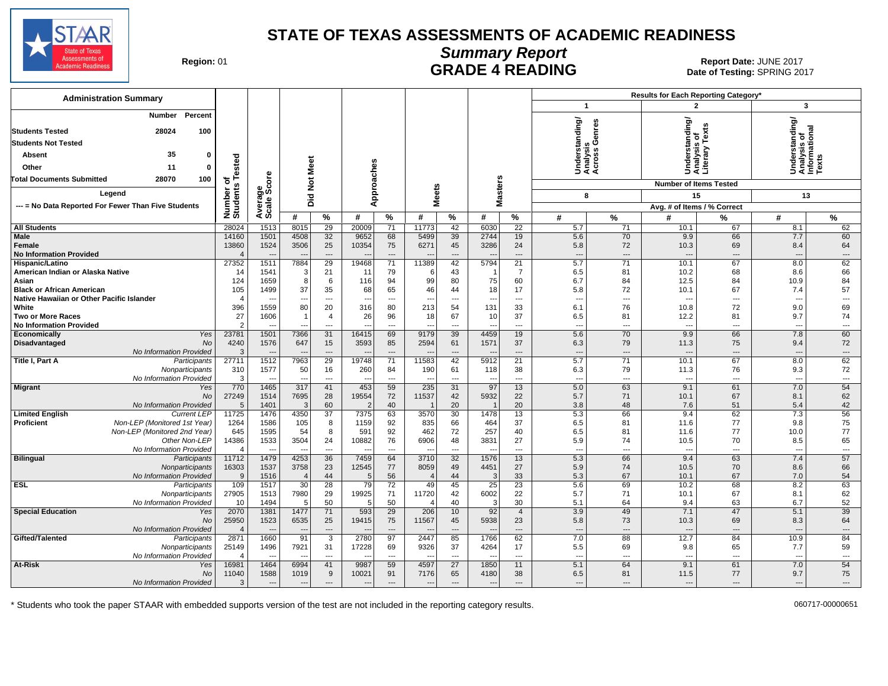

### **Summary Report** Region: 01 **Region: 01 CONTRIGGLATE 4 READING Report Date: JUNE 2017**<br>Date of Testing: SPRING 20

Date of Testing: SPRING 2017

| <b>Administration Summary</b>                                                                    |                        |                                  |                                   |                                          |                                  |                                |                          |                                |                                  |                          |                                 |                                             | Results for Each Reporting Category* |                                |                                                |                                |
|--------------------------------------------------------------------------------------------------|------------------------|----------------------------------|-----------------------------------|------------------------------------------|----------------------------------|--------------------------------|--------------------------|--------------------------------|----------------------------------|--------------------------|---------------------------------|---------------------------------------------|--------------------------------------|--------------------------------|------------------------------------------------|--------------------------------|
|                                                                                                  |                        |                                  |                                   |                                          |                                  |                                |                          |                                |                                  |                          | $\mathbf{1}$                    |                                             | 2                                    |                                | 3                                              |                                |
| Percent<br><b>Number</b><br>28024<br>100<br><b>Students Tested</b><br><b>Students Not Tested</b> |                        |                                  |                                   |                                          |                                  |                                |                          |                                |                                  |                          |                                 | Understanding/<br>Analysis<br>Across Genres | iderstanding/<br>ialysis of          | Text                           | Understanding/<br>Analysis of<br>Informational |                                |
| 35<br>$\mathbf{0}$<br>Absent                                                                     |                        |                                  |                                   |                                          |                                  |                                |                          |                                |                                  |                          |                                 |                                             |                                      | ≿                              |                                                |                                |
| Other<br>11<br>$\mathbf{0}$                                                                      | Tested                 |                                  | Meet                              |                                          |                                  |                                |                          |                                |                                  |                          |                                 |                                             | ă<br>Săi                             | 슬름                             |                                                |                                |
| 100<br><b>Total Documents Submitted</b><br>28070                                                 |                        | Φ                                |                                   |                                          |                                  |                                |                          |                                |                                  |                          |                                 |                                             |                                      |                                |                                                |                                |
|                                                                                                  | ৽                      |                                  | $\frac{5}{2}$                     |                                          |                                  | Approaches                     |                          |                                | Masters                          |                          |                                 |                                             | <b>Number of Items Tested</b>        |                                |                                                |                                |
| Legend                                                                                           |                        |                                  | id<br>O                           |                                          |                                  |                                | <b>Meets</b>             |                                |                                  |                          | 8                               |                                             | 15                                   |                                | 13                                             |                                |
| --- = No Data Reported For Fewer Than Five Students                                              | Number of<br>Students  | verage<br>cale Score             |                                   |                                          |                                  |                                |                          |                                |                                  |                          |                                 |                                             | Avg. # of Items / % Correct          |                                |                                                |                                |
|                                                                                                  |                        | ∢ທັ                              | #                                 | %                                        | #                                | %                              | #                        | $\%$                           | #                                | $\frac{9}{6}$            | #                               | $\frac{9}{6}$                               | #                                    | %                              | #                                              | %                              |
| <b>All Students</b><br>Male                                                                      | 28024<br>14160         | 1513<br>1501                     | 8015<br>4508                      | 29                                       | 20009<br>9652                    | 71<br>68                       | 11773<br>5499            | 42<br>39                       | 6030<br>2744                     | $\overline{22}$<br>19    | 5.7<br>5.6                      | 71<br>70                                    | 10.1<br>9.9                          | 67<br>66                       | 8.1<br>7.7                                     | 62<br>60                       |
| Female                                                                                           | 13860                  | 1524                             | 3506                              | 32<br>25                                 | 10354                            | 75                             | 6271                     | 45                             | 3286                             | 24                       | 5.8                             | 72                                          | 10.3                                 | 69                             | 8.4                                            | 64                             |
| <b>No Information Provided</b>                                                                   | $\Delta$               | $\overline{\phantom{a}}$         | $\overline{\phantom{a}}$          | $\overline{a}$                           | $\sim$                           | $---$                          |                          | $---$                          | $\overline{\phantom{a}}$         | $---$                    | $---$                           | $---$                                       | $\overline{\phantom{a}}$             | $---$                          | $\overline{\phantom{a}}$                       | $---$                          |
| Hispanic/Latino                                                                                  | 27352                  | 1511                             | 7884                              | 29                                       | 19468                            | $\overline{71}$                | 11389                    | 42                             | 5794                             | $\overline{21}$          | 5.7                             | $\overline{71}$                             | 10.1                                 | 67                             | 8.0                                            | 62                             |
| American Indian or Alaska Native                                                                 | 14                     | 1541                             | 3                                 | 21                                       | 11                               | 79                             | 6                        | 43                             | - 1                              | $\overline{7}$           | 6.5                             | 81                                          | 10.2                                 | 68                             | 8.6                                            | 66                             |
| Asian<br><b>Black or African American</b>                                                        | 124<br>105             | 1659<br>1499                     | 8<br>37                           | 6<br>35                                  | 116<br>68                        | 94<br>65                       | 99<br>46                 | 80<br>44                       | 75<br>18                         | 60<br>17                 | 6.7<br>5.8                      | 84<br>72                                    | 12.5<br>10.1                         | 84<br>67                       | 10.9<br>7.4                                    | 84<br>57                       |
| Native Hawaiian or Other Pacific Islander                                                        | $\overline{4}$         |                                  | $\qquad \qquad \cdots$            | $\overline{\phantom{a}}$                 | ---                              | $\overline{\phantom{a}}$       | ---                      | ---                            | $\overline{\phantom{a}}$         | ---                      | $---$                           | $\overline{\phantom{a}}$                    | $\overline{\phantom{a}}$             | ---                            | $\overline{\phantom{a}}$                       | $\hspace{0.05cm} \ldots$       |
| White                                                                                            | 396                    | 1559                             | 80                                | 20                                       | 316                              | 80                             | 213                      | 54                             | 131                              | 33                       | 6.1                             | 76                                          | 10.8                                 | 72                             | 9.0                                            | 69                             |
| <b>Two or More Races</b>                                                                         | 27                     | 1606                             | $\overline{1}$                    | $\overline{4}$                           | 26                               | 96                             | 18                       | 67                             | 10                               | 37                       | 6.5                             | 81                                          | 12.2                                 | 81                             | 9.7                                            | 74                             |
| <b>No Information Provided</b>                                                                   | $\mathcal{P}$          |                                  |                                   | $---$                                    | ---                              | $\overline{\phantom{a}}$       | ---                      | $\overline{\phantom{a}}$       | $\overline{a}$                   | ---                      | $---$                           | ---                                         | ---                                  | $\overline{\phantom{a}}$       | $\overline{\phantom{a}}$                       | $---$                          |
| Economically<br>Yes<br>Disadvantaged<br>No                                                       | 23781<br>4240          | 1501<br>1576                     | 7366<br>647                       | 31<br>15                                 | 16415<br>3593                    | 69<br>85                       | 9179<br>2594             | 39<br>61                       | 4459<br>1571                     | 19<br>37                 | 5.6<br>6.3                      | 70<br>79                                    | 9.9<br>11.3                          | 66<br>75                       | 7.8<br>9.4                                     | 60<br>72                       |
| No Information Provided                                                                          | 3                      |                                  | $\overline{\phantom{a}}$          | $\overline{\phantom{a}}$                 | $\overline{\phantom{a}}$         | $\overline{\phantom{a}}$       |                          | ---                            | $\overline{\phantom{a}}$         | ---                      | $\overline{a}$                  | $\overline{\phantom{a}}$                    |                                      | $\overline{\phantom{a}}$       | $\overline{\phantom{a}}$                       | ---                            |
| Title I, Part A<br>Participants                                                                  | 27711                  | 1512                             | 7963                              | 29                                       | 19748                            | 71                             | 11583                    | 42                             | 5912                             | 21                       | 5.7                             | 71                                          | 10.1                                 | 67                             | 8.0                                            | 62                             |
| Nonparticipants                                                                                  | 310                    | 1577                             | 50                                | 16                                       | 260                              | 84                             | 190                      | 61                             | 118                              | 38                       | 6.3                             | 79                                          | 11.3                                 | 76                             | 9.3                                            | 72                             |
| No Information Provided<br><b>Migrant</b><br>Yes                                                 | 3<br>770               | $\overline{\phantom{a}}$<br>1465 | $\overline{\phantom{a}}$<br>317   | $\overline{\phantom{a}}$<br>41           | $\overline{\phantom{a}}$<br>453  | $\overline{\phantom{a}}$<br>59 | ---<br>235               | $\overline{\phantom{a}}$<br>31 | $\overline{\phantom{a}}$<br>97   | ---<br>13                | $---$<br>5.0                    | $\overline{\phantom{a}}$<br>63              | 9.1                                  | $\overline{\phantom{a}}$<br>61 | $\overline{\phantom{a}}$<br>7.0                | ---<br>54                      |
| No                                                                                               | 27249                  | 1514                             | 7695                              | 28                                       | 19554                            | 72                             | 11537                    | 42                             | 5932                             | 22                       | 5.7                             | 71                                          | 10.1                                 | 67                             | 8.1                                            | 62                             |
| No Information Provided                                                                          | 5                      | 1401                             | 3                                 | 60                                       | -2                               | 40                             |                          | 20                             |                                  | 20                       | 3.8                             | 48                                          | 7.6                                  | 51                             | 5.4                                            | 42                             |
| <b>Limited English</b><br><b>Current LEP</b>                                                     | 11725                  | 1476                             | 4350                              | $\overline{37}$                          | 7375                             | 63                             | 3570                     | 30                             | 1478                             | 13                       | 5.3                             | 66                                          | 9.4                                  | 62                             | 7.3                                            | 56                             |
| Non-LEP (Monitored 1st Year)<br><b>Proficient</b>                                                | 1264                   | 1586                             | 105                               | 8                                        | 1159                             | 92                             | 835                      | 66                             | 464                              | 37                       | 6.5                             | 81                                          | 11.6                                 | 77                             | 9.8                                            | 75                             |
| Non-LEP (Monitored 2nd Year)<br>Other Non-LEP                                                    | 645<br>14386           | 1595<br>1533                     | 54<br>3504                        | 8<br>24                                  | 591<br>10882                     | 92<br>76                       | 462<br>6906              | 72<br>48                       | 257<br>3831                      | 40<br>27                 | 6.5<br>5.9                      | 81<br>74                                    | 11.6<br>10.5                         | 77<br>70                       | 10.0<br>8.5                                    | 77<br>65                       |
| No Information Provided                                                                          | $\overline{4}$         | $\overline{a}$                   | $\overline{\phantom{a}}$          | $\overline{a}$                           | $\overline{\phantom{a}}$         | $\overline{\phantom{a}}$       | ---                      | $\overline{\phantom{a}}$       | $\overline{a}$                   | $---$                    | $---$                           | $\sim$                                      | $\overline{a}$                       | $\sim$                         | $\sim$                                         | $\overline{a}$                 |
| <b>Bilingual</b><br>Participants                                                                 | 11712                  | 1479                             | 4253                              | 36                                       | 7459                             | 64                             | 3710                     | 32                             | 1576                             | 13                       | 5.3                             | 66                                          | 9.4                                  | 63                             | 7.4                                            | 57                             |
| Nonparticipants                                                                                  | 16303                  | 1537                             | 3758                              | 23                                       | 12545                            | 77                             | 8059                     | 49                             | 4451                             | 27                       | 5.9                             | 74                                          | 10.5                                 | 70                             | 8.6                                            | 66                             |
| No Information Provided<br><b>ESL</b><br>Participants                                            | 9<br>109               | 1516<br>1517                     | $\overline{4}$<br>$\overline{30}$ | 44<br>$\overline{28}$                    | -5<br>79                         | 56<br>$\overline{72}$          | $\overline{4}$<br>49     | 44<br>45                       | -3<br>$\overline{25}$            | 33<br>$\overline{23}$    | 5.3<br>5.6                      | 67<br>69                                    | 10.1<br>10.2                         | 67<br>68                       | 7.0<br>8.2                                     | 54<br>63                       |
| Nonparticipants                                                                                  | 27905                  | 1513                             | 7980                              | 29                                       | 19925                            | 71                             | 11720                    | 42                             | 6002                             | 22                       | 5.7                             | 71                                          | 10.1                                 | 67                             | 8.1                                            | 62                             |
| No Information Provided                                                                          | 10                     | 1494                             | 5                                 | 50                                       | $\epsilon$                       | 50                             |                          | 40                             | -3                               | 30                       | 5.1                             | 64                                          | 9.4                                  | 63                             | 6.7                                            | 52                             |
| <b>Special Education</b><br>Yes                                                                  | 2070                   | 1381                             | 1477                              | 71                                       | 593                              | 29                             | 206                      | 10                             | 92                               | $\overline{4}$           | 3.9                             | 49                                          | 7.1                                  | 47                             | 5.1                                            | 39                             |
| No                                                                                               | 25950                  | 1523                             | 6535                              | 25                                       | 19415                            | 75                             | 11567                    | 45                             | 5938                             | 23                       | 5.8                             | 73                                          | 10.3                                 | 69                             | 8.3                                            | 64                             |
| No Information Provided<br>Gifted/Talented                                                       | $\overline{4}$<br>2871 | $\overline{\phantom{a}}$<br>1660 | $\overline{\phantom{a}}$<br>91    | $\qquad \qquad \cdots$<br>$\overline{3}$ | $\overline{\phantom{a}}$<br>2780 | $\overline{\phantom{a}}$<br>97 | --<br>2447               | $\overline{\phantom{a}}$<br>85 | $\overline{\phantom{a}}$<br>1766 | ---<br>62                | $\overline{\phantom{a}}$<br>7.0 | $\cdots$<br>88                              | ---<br>12.7                          | $\overline{\phantom{a}}$<br>84 | $\overline{\phantom{a}}$<br>10.9               | $\overline{\phantom{a}}$<br>84 |
| Participants<br>Nonparticipants                                                                  | 25149                  | 1496                             | 7921                              | 31                                       | 17228                            | 69                             | 9326                     | 37                             | 4264                             | 17                       | 5.5                             | 69                                          | 9.8                                  | 65                             | 7.7                                            | 59                             |
| No Information Provided                                                                          |                        | $\overline{\phantom{a}}$         | $\overline{\phantom{a}}$          | $\overline{\phantom{a}}$                 | $\overline{\phantom{a}}$         | $\overline{\phantom{a}}$       | ---                      | $\overline{\phantom{a}}$       | $\overline{\phantom{a}}$         | ---                      | $---$                           | ---                                         | $\overline{a}$                       | ---                            | $\overline{\phantom{a}}$                       | ---                            |
| At-Risk<br>Yes                                                                                   | 16981                  | 1464                             | 6994                              | 41                                       | 9987                             | 59                             | 4597                     | 27                             | 1850                             | 11                       | 5.1                             | 64                                          | 9.1                                  | 61                             | 7.0                                            | 54                             |
| No                                                                                               | 11040                  | 1588                             | 1019                              | 9                                        | 10021                            | 91                             | 7176                     | 65                             | 4180                             | 38                       | 6.5                             | 81                                          | 11.5                                 | 77                             | 9.7                                            | 75                             |
| No Information Provided                                                                          | 3                      | $\overline{\phantom{a}}$         | $\cdots$                          | $\overline{\phantom{a}}$                 | $\overline{\phantom{a}}$         | $\overline{\phantom{a}}$       | $\overline{\phantom{a}}$ | ---                            | $\overline{\phantom{a}}$         | $\overline{\phantom{a}}$ | $\overline{\phantom{a}}$        | ---                                         | $\overline{\phantom{a}}$             | $\hspace{1.5cm} \textbf{---}$  | $\overline{\phantom{a}}$                       | $\hspace{0.05cm} \ldots$       |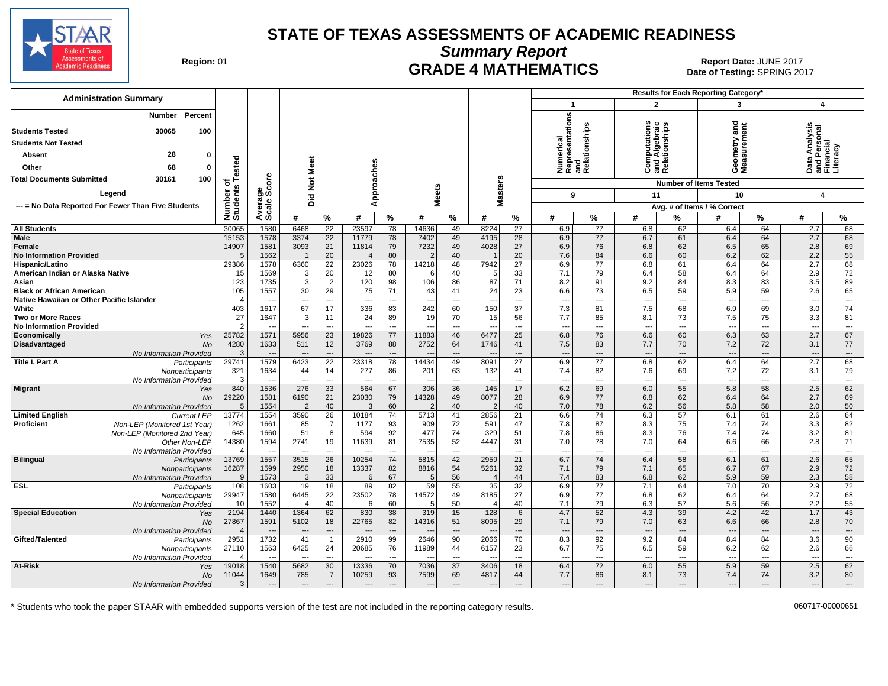

**Summary Report**

Region: 01 **Region: 01 CRADE 4 MATHEMATICS Date: JUNE 2017 Report Date: JUNE 2017** Date of Testing: SPRING 2017

| $\overline{2}$<br>$\overline{\mathbf{1}}$<br>3<br>$\overline{4}$<br>Numerical<br>Representations<br>and<br>Relationships<br>Percent<br>Number<br>ठ<br>Ē<br>outation<br>둡<br>Algebraid<br>tionships<br>nalysi<br><b>Students Tested</b><br>30065<br>100<br>Geometry<br>Measurem<br>nd Persc<br>inancial<br><b>Students Not Tested</b><br>racy<br>28<br>Absent<br>$\Omega$<br>ested<br>Meet<br>and<br>Relat<br>Approaches<br>짇<br>$\circ$<br>68<br>Other<br>O<br>ပ<br>ᅀᅙᄔ<br>ge<br>Score<br>lasters<br><b>Total Documents Submitted</b><br>30161<br>100<br>$\frac{5}{2}$<br>৳<br><b>Number of Items Tested</b><br>eets<br>S<br>Number<br>Students<br>Legend<br>9<br>11<br>10<br>4<br>Did<br>Avera<br>Scale<br>ź<br>ż<br>--- = No Data Reported For Fewer Than Five Students<br>Avg. # of Items / % Correct<br>%<br>#<br>$\%$<br>#<br>$\%$<br>#<br>$\%$<br>#<br>%<br>#<br>%<br>#<br>%<br>#<br>℅<br>#<br>30065<br>1580<br>6468<br>$\overline{22}$<br>23597<br>78<br>14636<br>49<br>8224<br>$\overline{27}$<br>77<br>62<br>64<br>2.7<br>68<br><b>All Students</b><br>6.9<br>6.8<br>6.4<br>1578<br>3374<br>22<br>49<br>28<br>77<br>64<br>68<br>Male<br>15153<br>11779<br>78<br>7402<br>4195<br>6.9<br>6.7<br>61<br>6.4<br>2.7<br>14907<br>1581<br>3093<br>21<br>79<br>7232<br>49<br>4028<br>27<br>76<br>65<br>2.8<br>69<br>Female<br>11814<br>6.9<br>6.8<br>62<br>6.5<br>55<br><b>No Information Provided</b><br>1562<br>20<br>80<br>$\mathfrak{p}$<br>40<br>20<br>7.6<br>84<br>6.6<br>60<br>6.2<br>62<br>2.2<br>$\sqrt{2}$<br>6360<br>$\overline{22}$<br>23026<br>48<br>7942<br>$\overline{27}$<br>6.9<br>$\overline{77}$<br>64<br>2.7<br>68<br>29386<br>1578<br>78<br>14218<br>6.8<br>61<br>6.4<br>Hispanic/Latino<br>64<br>2.9<br>72<br>American Indian or Alaska Native<br>15<br>1569<br>20<br>80<br>40<br>5<br>33<br>7.1<br>79<br>6.4<br>58<br>6.4<br>3<br>12<br>6<br>123<br>1735<br>3<br>2<br>120<br>98<br>106<br>86<br>87<br>71<br>8.2<br>91<br>9.2<br>84<br>8.3<br>83<br>3.5<br>89<br>Asian<br>29<br>24<br>73<br>5.9<br>59<br>2.6<br>65<br><b>Black or African American</b><br>105<br>1557<br>30<br>75<br>71<br>43<br>41<br>23<br>6.6<br>6.5<br>59<br>Native Hawaiian or Other Pacific Islander<br>$\angle$<br>$\overline{\phantom{a}}$<br>---<br>$\overline{\phantom{a}}$<br>---<br>$\cdots$<br>$\overline{\phantom{a}}$<br>---<br>---<br>$\overline{\phantom{a}}$<br>$\overline{\phantom{a}}$<br>$\overline{\phantom{a}}$<br>---<br>$\overline{\phantom{a}}$<br>$---$<br>$\overline{\phantom{a}}$<br>$\overline{\phantom{a}}$<br>$\sim$<br>White<br>403<br>1617<br>67<br>17<br>336<br>83<br>242<br>60<br>150<br>37<br>7.3<br>81<br>7.5<br>68<br>6.9<br>69<br>3.0<br>74<br>27<br>24<br>89<br>70<br>7.7<br>75<br>81<br><b>Two or More Races</b><br>1647<br>3<br>19<br>15<br>56<br>85<br>8.1<br>73<br>7.5<br>3.3<br>11<br><b>No Information Provided</b><br>$\mathcal{P}$<br>$\overline{a}$<br>$\overline{a}$<br>$\sim$<br>$---$<br>$\overline{a}$<br>---<br>$\overline{a}$<br>---<br>$\overline{a}$<br>---<br>$\sim$<br>$\overline{\phantom{a}}$<br>$\sim$<br>$---$<br>25782<br>23<br>19826<br>77<br>11883<br>46<br>6477<br>25<br>76<br>6.6<br>60<br>6.3<br>63<br>2.7<br>67<br>Economically<br>Yes<br>1571<br>5956<br>6.8<br>72<br>4280<br>1633<br>12<br>3769<br>88<br>2752<br>64<br>1746<br>7.5<br>83<br>7.7<br>70<br>7.2<br>3.1<br>77<br>Disadvantaged<br><b>No</b><br>511<br>41<br>No Information Provided<br>3<br>$\cdots$<br>$\overline{\phantom{a}}$<br>$\overline{\phantom{a}}$<br>$\overline{a}$<br>$\hspace{1.5cm} \textbf{---}$<br>$---$<br>---<br>$---$<br>$\overline{\phantom{a}}$<br>$---$<br>$\hspace{1.5cm} \dots$<br>$---$<br>$---$<br>$\sim$<br>49<br>64<br>Title I, Part A<br>29741<br>1579<br>6423<br>22<br>23318<br>78<br>14434<br>8091<br>27<br>6.9<br>77<br>6.8<br>62<br>6.4<br>2.7<br>68<br>Participants<br>321<br>1634<br>86<br>63<br>132<br>82<br>7.6<br>69<br>72<br>3.1<br>79<br>44<br>14<br>277<br>201<br>41<br>7.4<br>7.2<br>Nonparticipants<br>-3<br>No Information Provided<br>$\overline{\phantom{a}}$<br>---<br>---<br>$\overline{a}$<br>---<br>$\overline{\phantom{a}}$<br>---<br>$\overline{\phantom{a}}$<br>---<br>$\overline{\phantom{a}}$<br>$\cdots$<br>$\overline{\phantom{a}}$<br>$\overline{\phantom{a}}$<br>$\overline{\phantom{a}}$<br>$\overline{\phantom{a}}$<br>---<br>--<br>840<br>1536<br>276<br>33<br>564<br>67<br>306<br>36<br>145<br>17<br>6.2<br>69<br>6.0<br>55<br>5.8<br>58<br>2.5<br>62<br><b>Migrant</b><br>Yes<br>29220<br>77<br>69<br>1581<br>6190<br>21<br>23030<br>79<br>14328<br>49<br>8077<br>28<br>6.9<br>6.8<br>62<br>6.4<br>64<br>2.7<br><b>No</b><br>58<br>1554<br>40<br>60<br>$\overline{2}$<br>40<br>$\overline{2}$<br>40<br>78<br>6.2<br>56<br>5.8<br>2.0<br>50<br>No Information Provided<br>.5<br>$\overline{2}$<br>7.0<br><b>Limited English</b><br>13774<br>1554<br>3590<br>26<br>10184<br>74<br>5713<br>41<br>2856<br>21<br>6.6<br>74<br>6.3<br>57<br>6.1<br>61<br>2.6<br>64<br><b>Current LEP</b><br>1262<br>1661<br>85<br>$\overline{7}$<br>93<br>72<br>591<br>87<br>8.3<br>75<br>74<br>3.3<br>82<br><b>Proficient</b><br>Non-LEP (Monitored 1st Year)<br>1177<br>909<br>47<br>7.8<br>7.4<br>51<br>8<br>92<br>477<br>329<br>7.8<br>86<br>74<br>3.2<br>645<br>1660<br>594<br>74<br>51<br>8.3<br>76<br>7.4<br>81<br>Non-LEP (Monitored 2nd Year)<br>14380<br>1594<br>2741<br>19<br>11639<br>81<br>7535<br>52<br>4447<br>31<br>7.0<br>78<br>7.0<br>64<br>6.6<br>66<br>2.8<br>71<br>Other Non-LEP<br>No Information Provided<br>$\overline{\phantom{a}}$<br>$\cdots$<br>$---$<br>$---$<br>---<br>$\overline{\phantom{a}}$<br>---<br>---<br>$\overline{\phantom{a}}$<br>---<br>$\overline{\phantom{a}}$<br>$\overline{a}$<br>$\overline{\phantom{a}}$<br>--<br>--<br>1557<br>3515<br>10254<br>74<br>42<br>2959<br>21<br>6.7<br>74<br>6.4<br>2.6<br>65<br><b>Bilingual</b><br>13769<br>26<br>5815<br>58<br>6.1<br>61<br>Participants<br>16287<br>1599<br>82<br>54<br>5261<br>2.9<br>72<br>2950<br>18<br>13337<br>8816<br>32<br>7.1<br>79<br>7.1<br>65<br>6.7<br>67<br>Nonparticipants<br>58<br>1573<br>33<br>67<br>56<br>44<br>83<br>6.8<br>62<br>5.9<br>59<br>2.3<br>No Information Provided<br>-9<br>$\mathbf{3}$<br>5<br>7.4<br>6<br>Δ<br><b>ESL</b><br>108<br>1603<br>18<br>59<br>55<br>35<br>32<br>6.9<br>$\overline{77}$<br>7.1<br>64<br>7.0<br>$\overline{70}$<br>2.9<br>$\overline{72}$<br>19<br>89<br>82<br>Participants<br>29947<br>1580<br>6445<br>22<br>23502<br>78<br>14572<br>49<br>8185<br>27<br>6.9<br>77<br>6.8<br>62<br>6.4<br>64<br>2.7<br>68<br>Nonparticipants<br>1552<br>40<br>60<br>50<br>56<br>2.2<br>55<br>10<br>5<br>40<br>7.1<br>79<br>6.3<br>57<br>5.6<br>No Information Provideo<br>6<br>$\overline{4}$<br>$\Delta$<br>2194<br>1440<br>1364<br>62<br>830<br>38<br>319<br>15<br>128<br>6<br>4.7<br>52<br>4.3<br>39<br>4.2<br>42<br>1.7<br>43<br><b>Special Education</b><br>Yes<br>1591<br>18<br>22765<br>51<br>79<br>66<br>70<br>27867<br>5102<br>82<br>14316<br>8095<br>29<br>7.1<br>7.0<br>63<br>6.6<br>2.8<br>No<br>No Information Provided<br>$\angle$<br>$\cdots$<br>$\overline{\phantom{a}}$<br>$\overline{\phantom{a}}$<br>---<br>$\overline{\phantom{a}}$<br>$\overline{\phantom{a}}$<br>$\overline{a}$<br>$\overline{\phantom{a}}$<br>---<br>$\overline{\phantom{a}}$<br>---<br>$\overline{\phantom{a}}$<br>2951<br>1732<br>2910<br>99<br>2646<br>90<br>2066<br>70<br>8.3<br>92<br>9.2<br>8.4<br>84<br>3.6<br>90<br>Gifted/Talented<br>41<br>84<br>$\overline{1}$<br>Participants<br>75<br>66<br>27110<br>1563<br>6425<br>24<br>20685<br>76<br>11989<br>44<br>6157<br>23<br>6.7<br>6.5<br>59<br>6.2<br>62<br>2.6<br>Nonparticipants<br>No Information Provideo<br>$\overline{\phantom{a}}$<br>$\cdots$<br>$\sim$<br>$---$<br>$---$<br>---<br>$\overline{\phantom{a}}$<br>$\overline{a}$<br>$\sim$<br>---<br>$\overline{\phantom{a}}$<br>$---$<br>$\sim$<br>At-Risk<br>5682<br>30<br>13336<br>7036<br>37<br>6.4<br>72<br>6.0<br>5.9<br>59<br>2.5<br>62<br>19018<br>1540<br>70<br>3406<br>18<br>55<br>Yes<br>$\overline{7}$<br>80<br>785<br>69<br>4817<br>86<br>74<br>11044<br>1649<br>10259<br>93<br>7599<br>44<br>7.7<br>8.1<br>73<br>7.4<br>3.2<br>No<br>3<br>No Information Provided<br>$---$<br>$---$<br>---<br>$---$<br>$\overline{\phantom{a}}$<br>$\overline{\phantom{a}}$<br>---<br>---<br>$\overline{\phantom{a}}$<br>---<br>$\overline{\phantom{a}}$<br>$\overline{\phantom{a}}$<br>$---$<br>$---$<br>---<br>$\overline{\phantom{a}}$<br>$---$ | <b>Administration Summary</b> |  |  |  |  |  |  |  | Results for Each Reporting Category' |  |  |
|-----------------------------------------------------------------------------------------------------------------------------------------------------------------------------------------------------------------------------------------------------------------------------------------------------------------------------------------------------------------------------------------------------------------------------------------------------------------------------------------------------------------------------------------------------------------------------------------------------------------------------------------------------------------------------------------------------------------------------------------------------------------------------------------------------------------------------------------------------------------------------------------------------------------------------------------------------------------------------------------------------------------------------------------------------------------------------------------------------------------------------------------------------------------------------------------------------------------------------------------------------------------------------------------------------------------------------------------------------------------------------------------------------------------------------------------------------------------------------------------------------------------------------------------------------------------------------------------------------------------------------------------------------------------------------------------------------------------------------------------------------------------------------------------------------------------------------------------------------------------------------------------------------------------------------------------------------------------------------------------------------------------------------------------------------------------------------------------------------------------------------------------------------------------------------------------------------------------------------------------------------------------------------------------------------------------------------------------------------------------------------------------------------------------------------------------------------------------------------------------------------------------------------------------------------------------------------------------------------------------------------------------------------------------------------------------------------------------------------------------------------------------------------------------------------------------------------------------------------------------------------------------------------------------------------------------------------------------------------------------------------------------------------------------------------------------------------------------------------------------------------------------------------------------------------------------------------------------------------------------------------------------------------------------------------------------------------------------------------------------------------------------------------------------------------------------------------------------------------------------------------------------------------------------------------------------------------------------------------------------------------------------------------------------------------------------------------------------------------------------------------------------------------------------------------------------------------------------------------------------------------------------------------------------------------------------------------------------------------------------------------------------------------------------------------------------------------------------------------------------------------------------------------------------------------------------------------------------------------------------------------------------------------------------------------------------------------------------------------------------------------------------------------------------------------------------------------------------------------------------------------------------------------------------------------------------------------------------------------------------------------------------------------------------------------------------------------------------------------------------------------------------------------------------------------------------------------------------------------------------------------------------------------------------------------------------------------------------------------------------------------------------------------------------------------------------------------------------------------------------------------------------------------------------------------------------------------------------------------------------------------------------------------------------------------------------------------------------------------------------------------------------------------------------------------------------------------------------------------------------------------------------------------------------------------------------------------------------------------------------------------------------------------------------------------------------------------------------------------------------------------------------------------------------------------------------------------------------------------------------------------------------------------------------------------------------------------------------------------------------------------------------------------------------------------------------------------------------------------------------------------------------------------------------------------------------------------------------------------------------------------------------------------------------------------------------------------------------------------------------------------------------------------------------------------------------------------------------------------------------------------------------------------------------------------------------------------------------------------------------------------------------------------------------------------------------------------------------------------------------------------------------------------------------------------------------------------------------------------------------------------------------------------------------------------------------------------------------------------------------------------------------------------------------------------------------------------------------------------------------------------------------------------------------------------------------------------------------------------------------------------------------------------------------------------------------------------------------------------------------------------------------------------------------------------------------------------------------------------------------------------------------------------------------------------------------------------------------------------------------------------------------------------------------------------------------------------------------------------------------------------------------------------------------------------------------------------------------------------------------------------------------------------------------------------------------------------------------------------------------------------------------------------------------------------------------------------------------------------------------------------------------------------------------------------------------------------------------------------------------------------------------------------------------------------------------------------------------------------------------------------------------------------------------------------------------------------------------------|-------------------------------|--|--|--|--|--|--|--|--------------------------------------|--|--|
|                                                                                                                                                                                                                                                                                                                                                                                                                                                                                                                                                                                                                                                                                                                                                                                                                                                                                                                                                                                                                                                                                                                                                                                                                                                                                                                                                                                                                                                                                                                                                                                                                                                                                                                                                                                                                                                                                                                                                                                                                                                                                                                                                                                                                                                                                                                                                                                                                                                                                                                                                                                                                                                                                                                                                                                                                                                                                                                                                                                                                                                                                                                                                                                                                                                                                                                                                                                                                                                                                                                                                                                                                                                                                                                                                                                                                                                                                                                                                                                                                                                                                                                                                                                                                                                                                                                                                                                                                                                                                                                                                                                                                                                                                                                                                                                                                                                                                                                                                                                                                                                                                                                                                                                                                                                                                                                                                                                                                                                                                                                                                                                                                                                                                                                                                                                                                                                                                                                                                                                                                                                                                                                                                                                                                                                                                                                                                                                                                                                                                                                                                                                                                                                                                                                                                                                                                                                                                                                                                                                                                                                                                                                                                                                                                                                                                                                                                                                                                                                                                                                                                                                                                                                                                                                                                                                                                                                                                                                                                                                                                                                                                                                                                                                                                                                                                                                                                                                                                                                                       |                               |  |  |  |  |  |  |  |                                      |  |  |
|                                                                                                                                                                                                                                                                                                                                                                                                                                                                                                                                                                                                                                                                                                                                                                                                                                                                                                                                                                                                                                                                                                                                                                                                                                                                                                                                                                                                                                                                                                                                                                                                                                                                                                                                                                                                                                                                                                                                                                                                                                                                                                                                                                                                                                                                                                                                                                                                                                                                                                                                                                                                                                                                                                                                                                                                                                                                                                                                                                                                                                                                                                                                                                                                                                                                                                                                                                                                                                                                                                                                                                                                                                                                                                                                                                                                                                                                                                                                                                                                                                                                                                                                                                                                                                                                                                                                                                                                                                                                                                                                                                                                                                                                                                                                                                                                                                                                                                                                                                                                                                                                                                                                                                                                                                                                                                                                                                                                                                                                                                                                                                                                                                                                                                                                                                                                                                                                                                                                                                                                                                                                                                                                                                                                                                                                                                                                                                                                                                                                                                                                                                                                                                                                                                                                                                                                                                                                                                                                                                                                                                                                                                                                                                                                                                                                                                                                                                                                                                                                                                                                                                                                                                                                                                                                                                                                                                                                                                                                                                                                                                                                                                                                                                                                                                                                                                                                                                                                                                                                       |                               |  |  |  |  |  |  |  |                                      |  |  |
|                                                                                                                                                                                                                                                                                                                                                                                                                                                                                                                                                                                                                                                                                                                                                                                                                                                                                                                                                                                                                                                                                                                                                                                                                                                                                                                                                                                                                                                                                                                                                                                                                                                                                                                                                                                                                                                                                                                                                                                                                                                                                                                                                                                                                                                                                                                                                                                                                                                                                                                                                                                                                                                                                                                                                                                                                                                                                                                                                                                                                                                                                                                                                                                                                                                                                                                                                                                                                                                                                                                                                                                                                                                                                                                                                                                                                                                                                                                                                                                                                                                                                                                                                                                                                                                                                                                                                                                                                                                                                                                                                                                                                                                                                                                                                                                                                                                                                                                                                                                                                                                                                                                                                                                                                                                                                                                                                                                                                                                                                                                                                                                                                                                                                                                                                                                                                                                                                                                                                                                                                                                                                                                                                                                                                                                                                                                                                                                                                                                                                                                                                                                                                                                                                                                                                                                                                                                                                                                                                                                                                                                                                                                                                                                                                                                                                                                                                                                                                                                                                                                                                                                                                                                                                                                                                                                                                                                                                                                                                                                                                                                                                                                                                                                                                                                                                                                                                                                                                                                                       |                               |  |  |  |  |  |  |  |                                      |  |  |
|                                                                                                                                                                                                                                                                                                                                                                                                                                                                                                                                                                                                                                                                                                                                                                                                                                                                                                                                                                                                                                                                                                                                                                                                                                                                                                                                                                                                                                                                                                                                                                                                                                                                                                                                                                                                                                                                                                                                                                                                                                                                                                                                                                                                                                                                                                                                                                                                                                                                                                                                                                                                                                                                                                                                                                                                                                                                                                                                                                                                                                                                                                                                                                                                                                                                                                                                                                                                                                                                                                                                                                                                                                                                                                                                                                                                                                                                                                                                                                                                                                                                                                                                                                                                                                                                                                                                                                                                                                                                                                                                                                                                                                                                                                                                                                                                                                                                                                                                                                                                                                                                                                                                                                                                                                                                                                                                                                                                                                                                                                                                                                                                                                                                                                                                                                                                                                                                                                                                                                                                                                                                                                                                                                                                                                                                                                                                                                                                                                                                                                                                                                                                                                                                                                                                                                                                                                                                                                                                                                                                                                                                                                                                                                                                                                                                                                                                                                                                                                                                                                                                                                                                                                                                                                                                                                                                                                                                                                                                                                                                                                                                                                                                                                                                                                                                                                                                                                                                                                                                       |                               |  |  |  |  |  |  |  |                                      |  |  |
|                                                                                                                                                                                                                                                                                                                                                                                                                                                                                                                                                                                                                                                                                                                                                                                                                                                                                                                                                                                                                                                                                                                                                                                                                                                                                                                                                                                                                                                                                                                                                                                                                                                                                                                                                                                                                                                                                                                                                                                                                                                                                                                                                                                                                                                                                                                                                                                                                                                                                                                                                                                                                                                                                                                                                                                                                                                                                                                                                                                                                                                                                                                                                                                                                                                                                                                                                                                                                                                                                                                                                                                                                                                                                                                                                                                                                                                                                                                                                                                                                                                                                                                                                                                                                                                                                                                                                                                                                                                                                                                                                                                                                                                                                                                                                                                                                                                                                                                                                                                                                                                                                                                                                                                                                                                                                                                                                                                                                                                                                                                                                                                                                                                                                                                                                                                                                                                                                                                                                                                                                                                                                                                                                                                                                                                                                                                                                                                                                                                                                                                                                                                                                                                                                                                                                                                                                                                                                                                                                                                                                                                                                                                                                                                                                                                                                                                                                                                                                                                                                                                                                                                                                                                                                                                                                                                                                                                                                                                                                                                                                                                                                                                                                                                                                                                                                                                                                                                                                                                                       |                               |  |  |  |  |  |  |  |                                      |  |  |
|                                                                                                                                                                                                                                                                                                                                                                                                                                                                                                                                                                                                                                                                                                                                                                                                                                                                                                                                                                                                                                                                                                                                                                                                                                                                                                                                                                                                                                                                                                                                                                                                                                                                                                                                                                                                                                                                                                                                                                                                                                                                                                                                                                                                                                                                                                                                                                                                                                                                                                                                                                                                                                                                                                                                                                                                                                                                                                                                                                                                                                                                                                                                                                                                                                                                                                                                                                                                                                                                                                                                                                                                                                                                                                                                                                                                                                                                                                                                                                                                                                                                                                                                                                                                                                                                                                                                                                                                                                                                                                                                                                                                                                                                                                                                                                                                                                                                                                                                                                                                                                                                                                                                                                                                                                                                                                                                                                                                                                                                                                                                                                                                                                                                                                                                                                                                                                                                                                                                                                                                                                                                                                                                                                                                                                                                                                                                                                                                                                                                                                                                                                                                                                                                                                                                                                                                                                                                                                                                                                                                                                                                                                                                                                                                                                                                                                                                                                                                                                                                                                                                                                                                                                                                                                                                                                                                                                                                                                                                                                                                                                                                                                                                                                                                                                                                                                                                                                                                                                                                       |                               |  |  |  |  |  |  |  |                                      |  |  |
|                                                                                                                                                                                                                                                                                                                                                                                                                                                                                                                                                                                                                                                                                                                                                                                                                                                                                                                                                                                                                                                                                                                                                                                                                                                                                                                                                                                                                                                                                                                                                                                                                                                                                                                                                                                                                                                                                                                                                                                                                                                                                                                                                                                                                                                                                                                                                                                                                                                                                                                                                                                                                                                                                                                                                                                                                                                                                                                                                                                                                                                                                                                                                                                                                                                                                                                                                                                                                                                                                                                                                                                                                                                                                                                                                                                                                                                                                                                                                                                                                                                                                                                                                                                                                                                                                                                                                                                                                                                                                                                                                                                                                                                                                                                                                                                                                                                                                                                                                                                                                                                                                                                                                                                                                                                                                                                                                                                                                                                                                                                                                                                                                                                                                                                                                                                                                                                                                                                                                                                                                                                                                                                                                                                                                                                                                                                                                                                                                                                                                                                                                                                                                                                                                                                                                                                                                                                                                                                                                                                                                                                                                                                                                                                                                                                                                                                                                                                                                                                                                                                                                                                                                                                                                                                                                                                                                                                                                                                                                                                                                                                                                                                                                                                                                                                                                                                                                                                                                                                                       |                               |  |  |  |  |  |  |  |                                      |  |  |
|                                                                                                                                                                                                                                                                                                                                                                                                                                                                                                                                                                                                                                                                                                                                                                                                                                                                                                                                                                                                                                                                                                                                                                                                                                                                                                                                                                                                                                                                                                                                                                                                                                                                                                                                                                                                                                                                                                                                                                                                                                                                                                                                                                                                                                                                                                                                                                                                                                                                                                                                                                                                                                                                                                                                                                                                                                                                                                                                                                                                                                                                                                                                                                                                                                                                                                                                                                                                                                                                                                                                                                                                                                                                                                                                                                                                                                                                                                                                                                                                                                                                                                                                                                                                                                                                                                                                                                                                                                                                                                                                                                                                                                                                                                                                                                                                                                                                                                                                                                                                                                                                                                                                                                                                                                                                                                                                                                                                                                                                                                                                                                                                                                                                                                                                                                                                                                                                                                                                                                                                                                                                                                                                                                                                                                                                                                                                                                                                                                                                                                                                                                                                                                                                                                                                                                                                                                                                                                                                                                                                                                                                                                                                                                                                                                                                                                                                                                                                                                                                                                                                                                                                                                                                                                                                                                                                                                                                                                                                                                                                                                                                                                                                                                                                                                                                                                                                                                                                                                                                       |                               |  |  |  |  |  |  |  |                                      |  |  |
|                                                                                                                                                                                                                                                                                                                                                                                                                                                                                                                                                                                                                                                                                                                                                                                                                                                                                                                                                                                                                                                                                                                                                                                                                                                                                                                                                                                                                                                                                                                                                                                                                                                                                                                                                                                                                                                                                                                                                                                                                                                                                                                                                                                                                                                                                                                                                                                                                                                                                                                                                                                                                                                                                                                                                                                                                                                                                                                                                                                                                                                                                                                                                                                                                                                                                                                                                                                                                                                                                                                                                                                                                                                                                                                                                                                                                                                                                                                                                                                                                                                                                                                                                                                                                                                                                                                                                                                                                                                                                                                                                                                                                                                                                                                                                                                                                                                                                                                                                                                                                                                                                                                                                                                                                                                                                                                                                                                                                                                                                                                                                                                                                                                                                                                                                                                                                                                                                                                                                                                                                                                                                                                                                                                                                                                                                                                                                                                                                                                                                                                                                                                                                                                                                                                                                                                                                                                                                                                                                                                                                                                                                                                                                                                                                                                                                                                                                                                                                                                                                                                                                                                                                                                                                                                                                                                                                                                                                                                                                                                                                                                                                                                                                                                                                                                                                                                                                                                                                                                                       |                               |  |  |  |  |  |  |  |                                      |  |  |
|                                                                                                                                                                                                                                                                                                                                                                                                                                                                                                                                                                                                                                                                                                                                                                                                                                                                                                                                                                                                                                                                                                                                                                                                                                                                                                                                                                                                                                                                                                                                                                                                                                                                                                                                                                                                                                                                                                                                                                                                                                                                                                                                                                                                                                                                                                                                                                                                                                                                                                                                                                                                                                                                                                                                                                                                                                                                                                                                                                                                                                                                                                                                                                                                                                                                                                                                                                                                                                                                                                                                                                                                                                                                                                                                                                                                                                                                                                                                                                                                                                                                                                                                                                                                                                                                                                                                                                                                                                                                                                                                                                                                                                                                                                                                                                                                                                                                                                                                                                                                                                                                                                                                                                                                                                                                                                                                                                                                                                                                                                                                                                                                                                                                                                                                                                                                                                                                                                                                                                                                                                                                                                                                                                                                                                                                                                                                                                                                                                                                                                                                                                                                                                                                                                                                                                                                                                                                                                                                                                                                                                                                                                                                                                                                                                                                                                                                                                                                                                                                                                                                                                                                                                                                                                                                                                                                                                                                                                                                                                                                                                                                                                                                                                                                                                                                                                                                                                                                                                                                       |                               |  |  |  |  |  |  |  |                                      |  |  |
|                                                                                                                                                                                                                                                                                                                                                                                                                                                                                                                                                                                                                                                                                                                                                                                                                                                                                                                                                                                                                                                                                                                                                                                                                                                                                                                                                                                                                                                                                                                                                                                                                                                                                                                                                                                                                                                                                                                                                                                                                                                                                                                                                                                                                                                                                                                                                                                                                                                                                                                                                                                                                                                                                                                                                                                                                                                                                                                                                                                                                                                                                                                                                                                                                                                                                                                                                                                                                                                                                                                                                                                                                                                                                                                                                                                                                                                                                                                                                                                                                                                                                                                                                                                                                                                                                                                                                                                                                                                                                                                                                                                                                                                                                                                                                                                                                                                                                                                                                                                                                                                                                                                                                                                                                                                                                                                                                                                                                                                                                                                                                                                                                                                                                                                                                                                                                                                                                                                                                                                                                                                                                                                                                                                                                                                                                                                                                                                                                                                                                                                                                                                                                                                                                                                                                                                                                                                                                                                                                                                                                                                                                                                                                                                                                                                                                                                                                                                                                                                                                                                                                                                                                                                                                                                                                                                                                                                                                                                                                                                                                                                                                                                                                                                                                                                                                                                                                                                                                                                                       |                               |  |  |  |  |  |  |  |                                      |  |  |
|                                                                                                                                                                                                                                                                                                                                                                                                                                                                                                                                                                                                                                                                                                                                                                                                                                                                                                                                                                                                                                                                                                                                                                                                                                                                                                                                                                                                                                                                                                                                                                                                                                                                                                                                                                                                                                                                                                                                                                                                                                                                                                                                                                                                                                                                                                                                                                                                                                                                                                                                                                                                                                                                                                                                                                                                                                                                                                                                                                                                                                                                                                                                                                                                                                                                                                                                                                                                                                                                                                                                                                                                                                                                                                                                                                                                                                                                                                                                                                                                                                                                                                                                                                                                                                                                                                                                                                                                                                                                                                                                                                                                                                                                                                                                                                                                                                                                                                                                                                                                                                                                                                                                                                                                                                                                                                                                                                                                                                                                                                                                                                                                                                                                                                                                                                                                                                                                                                                                                                                                                                                                                                                                                                                                                                                                                                                                                                                                                                                                                                                                                                                                                                                                                                                                                                                                                                                                                                                                                                                                                                                                                                                                                                                                                                                                                                                                                                                                                                                                                                                                                                                                                                                                                                                                                                                                                                                                                                                                                                                                                                                                                                                                                                                                                                                                                                                                                                                                                                                                       |                               |  |  |  |  |  |  |  |                                      |  |  |
|                                                                                                                                                                                                                                                                                                                                                                                                                                                                                                                                                                                                                                                                                                                                                                                                                                                                                                                                                                                                                                                                                                                                                                                                                                                                                                                                                                                                                                                                                                                                                                                                                                                                                                                                                                                                                                                                                                                                                                                                                                                                                                                                                                                                                                                                                                                                                                                                                                                                                                                                                                                                                                                                                                                                                                                                                                                                                                                                                                                                                                                                                                                                                                                                                                                                                                                                                                                                                                                                                                                                                                                                                                                                                                                                                                                                                                                                                                                                                                                                                                                                                                                                                                                                                                                                                                                                                                                                                                                                                                                                                                                                                                                                                                                                                                                                                                                                                                                                                                                                                                                                                                                                                                                                                                                                                                                                                                                                                                                                                                                                                                                                                                                                                                                                                                                                                                                                                                                                                                                                                                                                                                                                                                                                                                                                                                                                                                                                                                                                                                                                                                                                                                                                                                                                                                                                                                                                                                                                                                                                                                                                                                                                                                                                                                                                                                                                                                                                                                                                                                                                                                                                                                                                                                                                                                                                                                                                                                                                                                                                                                                                                                                                                                                                                                                                                                                                                                                                                                                                       |                               |  |  |  |  |  |  |  |                                      |  |  |
|                                                                                                                                                                                                                                                                                                                                                                                                                                                                                                                                                                                                                                                                                                                                                                                                                                                                                                                                                                                                                                                                                                                                                                                                                                                                                                                                                                                                                                                                                                                                                                                                                                                                                                                                                                                                                                                                                                                                                                                                                                                                                                                                                                                                                                                                                                                                                                                                                                                                                                                                                                                                                                                                                                                                                                                                                                                                                                                                                                                                                                                                                                                                                                                                                                                                                                                                                                                                                                                                                                                                                                                                                                                                                                                                                                                                                                                                                                                                                                                                                                                                                                                                                                                                                                                                                                                                                                                                                                                                                                                                                                                                                                                                                                                                                                                                                                                                                                                                                                                                                                                                                                                                                                                                                                                                                                                                                                                                                                                                                                                                                                                                                                                                                                                                                                                                                                                                                                                                                                                                                                                                                                                                                                                                                                                                                                                                                                                                                                                                                                                                                                                                                                                                                                                                                                                                                                                                                                                                                                                                                                                                                                                                                                                                                                                                                                                                                                                                                                                                                                                                                                                                                                                                                                                                                                                                                                                                                                                                                                                                                                                                                                                                                                                                                                                                                                                                                                                                                                                                       |                               |  |  |  |  |  |  |  |                                      |  |  |
|                                                                                                                                                                                                                                                                                                                                                                                                                                                                                                                                                                                                                                                                                                                                                                                                                                                                                                                                                                                                                                                                                                                                                                                                                                                                                                                                                                                                                                                                                                                                                                                                                                                                                                                                                                                                                                                                                                                                                                                                                                                                                                                                                                                                                                                                                                                                                                                                                                                                                                                                                                                                                                                                                                                                                                                                                                                                                                                                                                                                                                                                                                                                                                                                                                                                                                                                                                                                                                                                                                                                                                                                                                                                                                                                                                                                                                                                                                                                                                                                                                                                                                                                                                                                                                                                                                                                                                                                                                                                                                                                                                                                                                                                                                                                                                                                                                                                                                                                                                                                                                                                                                                                                                                                                                                                                                                                                                                                                                                                                                                                                                                                                                                                                                                                                                                                                                                                                                                                                                                                                                                                                                                                                                                                                                                                                                                                                                                                                                                                                                                                                                                                                                                                                                                                                                                                                                                                                                                                                                                                                                                                                                                                                                                                                                                                                                                                                                                                                                                                                                                                                                                                                                                                                                                                                                                                                                                                                                                                                                                                                                                                                                                                                                                                                                                                                                                                                                                                                                                                       |                               |  |  |  |  |  |  |  |                                      |  |  |
|                                                                                                                                                                                                                                                                                                                                                                                                                                                                                                                                                                                                                                                                                                                                                                                                                                                                                                                                                                                                                                                                                                                                                                                                                                                                                                                                                                                                                                                                                                                                                                                                                                                                                                                                                                                                                                                                                                                                                                                                                                                                                                                                                                                                                                                                                                                                                                                                                                                                                                                                                                                                                                                                                                                                                                                                                                                                                                                                                                                                                                                                                                                                                                                                                                                                                                                                                                                                                                                                                                                                                                                                                                                                                                                                                                                                                                                                                                                                                                                                                                                                                                                                                                                                                                                                                                                                                                                                                                                                                                                                                                                                                                                                                                                                                                                                                                                                                                                                                                                                                                                                                                                                                                                                                                                                                                                                                                                                                                                                                                                                                                                                                                                                                                                                                                                                                                                                                                                                                                                                                                                                                                                                                                                                                                                                                                                                                                                                                                                                                                                                                                                                                                                                                                                                                                                                                                                                                                                                                                                                                                                                                                                                                                                                                                                                                                                                                                                                                                                                                                                                                                                                                                                                                                                                                                                                                                                                                                                                                                                                                                                                                                                                                                                                                                                                                                                                                                                                                                                                       |                               |  |  |  |  |  |  |  |                                      |  |  |
|                                                                                                                                                                                                                                                                                                                                                                                                                                                                                                                                                                                                                                                                                                                                                                                                                                                                                                                                                                                                                                                                                                                                                                                                                                                                                                                                                                                                                                                                                                                                                                                                                                                                                                                                                                                                                                                                                                                                                                                                                                                                                                                                                                                                                                                                                                                                                                                                                                                                                                                                                                                                                                                                                                                                                                                                                                                                                                                                                                                                                                                                                                                                                                                                                                                                                                                                                                                                                                                                                                                                                                                                                                                                                                                                                                                                                                                                                                                                                                                                                                                                                                                                                                                                                                                                                                                                                                                                                                                                                                                                                                                                                                                                                                                                                                                                                                                                                                                                                                                                                                                                                                                                                                                                                                                                                                                                                                                                                                                                                                                                                                                                                                                                                                                                                                                                                                                                                                                                                                                                                                                                                                                                                                                                                                                                                                                                                                                                                                                                                                                                                                                                                                                                                                                                                                                                                                                                                                                                                                                                                                                                                                                                                                                                                                                                                                                                                                                                                                                                                                                                                                                                                                                                                                                                                                                                                                                                                                                                                                                                                                                                                                                                                                                                                                                                                                                                                                                                                                                                       |                               |  |  |  |  |  |  |  |                                      |  |  |
|                                                                                                                                                                                                                                                                                                                                                                                                                                                                                                                                                                                                                                                                                                                                                                                                                                                                                                                                                                                                                                                                                                                                                                                                                                                                                                                                                                                                                                                                                                                                                                                                                                                                                                                                                                                                                                                                                                                                                                                                                                                                                                                                                                                                                                                                                                                                                                                                                                                                                                                                                                                                                                                                                                                                                                                                                                                                                                                                                                                                                                                                                                                                                                                                                                                                                                                                                                                                                                                                                                                                                                                                                                                                                                                                                                                                                                                                                                                                                                                                                                                                                                                                                                                                                                                                                                                                                                                                                                                                                                                                                                                                                                                                                                                                                                                                                                                                                                                                                                                                                                                                                                                                                                                                                                                                                                                                                                                                                                                                                                                                                                                                                                                                                                                                                                                                                                                                                                                                                                                                                                                                                                                                                                                                                                                                                                                                                                                                                                                                                                                                                                                                                                                                                                                                                                                                                                                                                                                                                                                                                                                                                                                                                                                                                                                                                                                                                                                                                                                                                                                                                                                                                                                                                                                                                                                                                                                                                                                                                                                                                                                                                                                                                                                                                                                                                                                                                                                                                                                                       |                               |  |  |  |  |  |  |  |                                      |  |  |
|                                                                                                                                                                                                                                                                                                                                                                                                                                                                                                                                                                                                                                                                                                                                                                                                                                                                                                                                                                                                                                                                                                                                                                                                                                                                                                                                                                                                                                                                                                                                                                                                                                                                                                                                                                                                                                                                                                                                                                                                                                                                                                                                                                                                                                                                                                                                                                                                                                                                                                                                                                                                                                                                                                                                                                                                                                                                                                                                                                                                                                                                                                                                                                                                                                                                                                                                                                                                                                                                                                                                                                                                                                                                                                                                                                                                                                                                                                                                                                                                                                                                                                                                                                                                                                                                                                                                                                                                                                                                                                                                                                                                                                                                                                                                                                                                                                                                                                                                                                                                                                                                                                                                                                                                                                                                                                                                                                                                                                                                                                                                                                                                                                                                                                                                                                                                                                                                                                                                                                                                                                                                                                                                                                                                                                                                                                                                                                                                                                                                                                                                                                                                                                                                                                                                                                                                                                                                                                                                                                                                                                                                                                                                                                                                                                                                                                                                                                                                                                                                                                                                                                                                                                                                                                                                                                                                                                                                                                                                                                                                                                                                                                                                                                                                                                                                                                                                                                                                                                                                       |                               |  |  |  |  |  |  |  |                                      |  |  |
|                                                                                                                                                                                                                                                                                                                                                                                                                                                                                                                                                                                                                                                                                                                                                                                                                                                                                                                                                                                                                                                                                                                                                                                                                                                                                                                                                                                                                                                                                                                                                                                                                                                                                                                                                                                                                                                                                                                                                                                                                                                                                                                                                                                                                                                                                                                                                                                                                                                                                                                                                                                                                                                                                                                                                                                                                                                                                                                                                                                                                                                                                                                                                                                                                                                                                                                                                                                                                                                                                                                                                                                                                                                                                                                                                                                                                                                                                                                                                                                                                                                                                                                                                                                                                                                                                                                                                                                                                                                                                                                                                                                                                                                                                                                                                                                                                                                                                                                                                                                                                                                                                                                                                                                                                                                                                                                                                                                                                                                                                                                                                                                                                                                                                                                                                                                                                                                                                                                                                                                                                                                                                                                                                                                                                                                                                                                                                                                                                                                                                                                                                                                                                                                                                                                                                                                                                                                                                                                                                                                                                                                                                                                                                                                                                                                                                                                                                                                                                                                                                                                                                                                                                                                                                                                                                                                                                                                                                                                                                                                                                                                                                                                                                                                                                                                                                                                                                                                                                                                                       |                               |  |  |  |  |  |  |  |                                      |  |  |
|                                                                                                                                                                                                                                                                                                                                                                                                                                                                                                                                                                                                                                                                                                                                                                                                                                                                                                                                                                                                                                                                                                                                                                                                                                                                                                                                                                                                                                                                                                                                                                                                                                                                                                                                                                                                                                                                                                                                                                                                                                                                                                                                                                                                                                                                                                                                                                                                                                                                                                                                                                                                                                                                                                                                                                                                                                                                                                                                                                                                                                                                                                                                                                                                                                                                                                                                                                                                                                                                                                                                                                                                                                                                                                                                                                                                                                                                                                                                                                                                                                                                                                                                                                                                                                                                                                                                                                                                                                                                                                                                                                                                                                                                                                                                                                                                                                                                                                                                                                                                                                                                                                                                                                                                                                                                                                                                                                                                                                                                                                                                                                                                                                                                                                                                                                                                                                                                                                                                                                                                                                                                                                                                                                                                                                                                                                                                                                                                                                                                                                                                                                                                                                                                                                                                                                                                                                                                                                                                                                                                                                                                                                                                                                                                                                                                                                                                                                                                                                                                                                                                                                                                                                                                                                                                                                                                                                                                                                                                                                                                                                                                                                                                                                                                                                                                                                                                                                                                                                                                       |                               |  |  |  |  |  |  |  |                                      |  |  |
|                                                                                                                                                                                                                                                                                                                                                                                                                                                                                                                                                                                                                                                                                                                                                                                                                                                                                                                                                                                                                                                                                                                                                                                                                                                                                                                                                                                                                                                                                                                                                                                                                                                                                                                                                                                                                                                                                                                                                                                                                                                                                                                                                                                                                                                                                                                                                                                                                                                                                                                                                                                                                                                                                                                                                                                                                                                                                                                                                                                                                                                                                                                                                                                                                                                                                                                                                                                                                                                                                                                                                                                                                                                                                                                                                                                                                                                                                                                                                                                                                                                                                                                                                                                                                                                                                                                                                                                                                                                                                                                                                                                                                                                                                                                                                                                                                                                                                                                                                                                                                                                                                                                                                                                                                                                                                                                                                                                                                                                                                                                                                                                                                                                                                                                                                                                                                                                                                                                                                                                                                                                                                                                                                                                                                                                                                                                                                                                                                                                                                                                                                                                                                                                                                                                                                                                                                                                                                                                                                                                                                                                                                                                                                                                                                                                                                                                                                                                                                                                                                                                                                                                                                                                                                                                                                                                                                                                                                                                                                                                                                                                                                                                                                                                                                                                                                                                                                                                                                                                                       |                               |  |  |  |  |  |  |  |                                      |  |  |
|                                                                                                                                                                                                                                                                                                                                                                                                                                                                                                                                                                                                                                                                                                                                                                                                                                                                                                                                                                                                                                                                                                                                                                                                                                                                                                                                                                                                                                                                                                                                                                                                                                                                                                                                                                                                                                                                                                                                                                                                                                                                                                                                                                                                                                                                                                                                                                                                                                                                                                                                                                                                                                                                                                                                                                                                                                                                                                                                                                                                                                                                                                                                                                                                                                                                                                                                                                                                                                                                                                                                                                                                                                                                                                                                                                                                                                                                                                                                                                                                                                                                                                                                                                                                                                                                                                                                                                                                                                                                                                                                                                                                                                                                                                                                                                                                                                                                                                                                                                                                                                                                                                                                                                                                                                                                                                                                                                                                                                                                                                                                                                                                                                                                                                                                                                                                                                                                                                                                                                                                                                                                                                                                                                                                                                                                                                                                                                                                                                                                                                                                                                                                                                                                                                                                                                                                                                                                                                                                                                                                                                                                                                                                                                                                                                                                                                                                                                                                                                                                                                                                                                                                                                                                                                                                                                                                                                                                                                                                                                                                                                                                                                                                                                                                                                                                                                                                                                                                                                                                       |                               |  |  |  |  |  |  |  |                                      |  |  |
|                                                                                                                                                                                                                                                                                                                                                                                                                                                                                                                                                                                                                                                                                                                                                                                                                                                                                                                                                                                                                                                                                                                                                                                                                                                                                                                                                                                                                                                                                                                                                                                                                                                                                                                                                                                                                                                                                                                                                                                                                                                                                                                                                                                                                                                                                                                                                                                                                                                                                                                                                                                                                                                                                                                                                                                                                                                                                                                                                                                                                                                                                                                                                                                                                                                                                                                                                                                                                                                                                                                                                                                                                                                                                                                                                                                                                                                                                                                                                                                                                                                                                                                                                                                                                                                                                                                                                                                                                                                                                                                                                                                                                                                                                                                                                                                                                                                                                                                                                                                                                                                                                                                                                                                                                                                                                                                                                                                                                                                                                                                                                                                                                                                                                                                                                                                                                                                                                                                                                                                                                                                                                                                                                                                                                                                                                                                                                                                                                                                                                                                                                                                                                                                                                                                                                                                                                                                                                                                                                                                                                                                                                                                                                                                                                                                                                                                                                                                                                                                                                                                                                                                                                                                                                                                                                                                                                                                                                                                                                                                                                                                                                                                                                                                                                                                                                                                                                                                                                                                                       |                               |  |  |  |  |  |  |  |                                      |  |  |
|                                                                                                                                                                                                                                                                                                                                                                                                                                                                                                                                                                                                                                                                                                                                                                                                                                                                                                                                                                                                                                                                                                                                                                                                                                                                                                                                                                                                                                                                                                                                                                                                                                                                                                                                                                                                                                                                                                                                                                                                                                                                                                                                                                                                                                                                                                                                                                                                                                                                                                                                                                                                                                                                                                                                                                                                                                                                                                                                                                                                                                                                                                                                                                                                                                                                                                                                                                                                                                                                                                                                                                                                                                                                                                                                                                                                                                                                                                                                                                                                                                                                                                                                                                                                                                                                                                                                                                                                                                                                                                                                                                                                                                                                                                                                                                                                                                                                                                                                                                                                                                                                                                                                                                                                                                                                                                                                                                                                                                                                                                                                                                                                                                                                                                                                                                                                                                                                                                                                                                                                                                                                                                                                                                                                                                                                                                                                                                                                                                                                                                                                                                                                                                                                                                                                                                                                                                                                                                                                                                                                                                                                                                                                                                                                                                                                                                                                                                                                                                                                                                                                                                                                                                                                                                                                                                                                                                                                                                                                                                                                                                                                                                                                                                                                                                                                                                                                                                                                                                                                       |                               |  |  |  |  |  |  |  |                                      |  |  |
|                                                                                                                                                                                                                                                                                                                                                                                                                                                                                                                                                                                                                                                                                                                                                                                                                                                                                                                                                                                                                                                                                                                                                                                                                                                                                                                                                                                                                                                                                                                                                                                                                                                                                                                                                                                                                                                                                                                                                                                                                                                                                                                                                                                                                                                                                                                                                                                                                                                                                                                                                                                                                                                                                                                                                                                                                                                                                                                                                                                                                                                                                                                                                                                                                                                                                                                                                                                                                                                                                                                                                                                                                                                                                                                                                                                                                                                                                                                                                                                                                                                                                                                                                                                                                                                                                                                                                                                                                                                                                                                                                                                                                                                                                                                                                                                                                                                                                                                                                                                                                                                                                                                                                                                                                                                                                                                                                                                                                                                                                                                                                                                                                                                                                                                                                                                                                                                                                                                                                                                                                                                                                                                                                                                                                                                                                                                                                                                                                                                                                                                                                                                                                                                                                                                                                                                                                                                                                                                                                                                                                                                                                                                                                                                                                                                                                                                                                                                                                                                                                                                                                                                                                                                                                                                                                                                                                                                                                                                                                                                                                                                                                                                                                                                                                                                                                                                                                                                                                                                                       |                               |  |  |  |  |  |  |  |                                      |  |  |
|                                                                                                                                                                                                                                                                                                                                                                                                                                                                                                                                                                                                                                                                                                                                                                                                                                                                                                                                                                                                                                                                                                                                                                                                                                                                                                                                                                                                                                                                                                                                                                                                                                                                                                                                                                                                                                                                                                                                                                                                                                                                                                                                                                                                                                                                                                                                                                                                                                                                                                                                                                                                                                                                                                                                                                                                                                                                                                                                                                                                                                                                                                                                                                                                                                                                                                                                                                                                                                                                                                                                                                                                                                                                                                                                                                                                                                                                                                                                                                                                                                                                                                                                                                                                                                                                                                                                                                                                                                                                                                                                                                                                                                                                                                                                                                                                                                                                                                                                                                                                                                                                                                                                                                                                                                                                                                                                                                                                                                                                                                                                                                                                                                                                                                                                                                                                                                                                                                                                                                                                                                                                                                                                                                                                                                                                                                                                                                                                                                                                                                                                                                                                                                                                                                                                                                                                                                                                                                                                                                                                                                                                                                                                                                                                                                                                                                                                                                                                                                                                                                                                                                                                                                                                                                                                                                                                                                                                                                                                                                                                                                                                                                                                                                                                                                                                                                                                                                                                                                                                       |                               |  |  |  |  |  |  |  |                                      |  |  |
|                                                                                                                                                                                                                                                                                                                                                                                                                                                                                                                                                                                                                                                                                                                                                                                                                                                                                                                                                                                                                                                                                                                                                                                                                                                                                                                                                                                                                                                                                                                                                                                                                                                                                                                                                                                                                                                                                                                                                                                                                                                                                                                                                                                                                                                                                                                                                                                                                                                                                                                                                                                                                                                                                                                                                                                                                                                                                                                                                                                                                                                                                                                                                                                                                                                                                                                                                                                                                                                                                                                                                                                                                                                                                                                                                                                                                                                                                                                                                                                                                                                                                                                                                                                                                                                                                                                                                                                                                                                                                                                                                                                                                                                                                                                                                                                                                                                                                                                                                                                                                                                                                                                                                                                                                                                                                                                                                                                                                                                                                                                                                                                                                                                                                                                                                                                                                                                                                                                                                                                                                                                                                                                                                                                                                                                                                                                                                                                                                                                                                                                                                                                                                                                                                                                                                                                                                                                                                                                                                                                                                                                                                                                                                                                                                                                                                                                                                                                                                                                                                                                                                                                                                                                                                                                                                                                                                                                                                                                                                                                                                                                                                                                                                                                                                                                                                                                                                                                                                                                                       |                               |  |  |  |  |  |  |  |                                      |  |  |
|                                                                                                                                                                                                                                                                                                                                                                                                                                                                                                                                                                                                                                                                                                                                                                                                                                                                                                                                                                                                                                                                                                                                                                                                                                                                                                                                                                                                                                                                                                                                                                                                                                                                                                                                                                                                                                                                                                                                                                                                                                                                                                                                                                                                                                                                                                                                                                                                                                                                                                                                                                                                                                                                                                                                                                                                                                                                                                                                                                                                                                                                                                                                                                                                                                                                                                                                                                                                                                                                                                                                                                                                                                                                                                                                                                                                                                                                                                                                                                                                                                                                                                                                                                                                                                                                                                                                                                                                                                                                                                                                                                                                                                                                                                                                                                                                                                                                                                                                                                                                                                                                                                                                                                                                                                                                                                                                                                                                                                                                                                                                                                                                                                                                                                                                                                                                                                                                                                                                                                                                                                                                                                                                                                                                                                                                                                                                                                                                                                                                                                                                                                                                                                                                                                                                                                                                                                                                                                                                                                                                                                                                                                                                                                                                                                                                                                                                                                                                                                                                                                                                                                                                                                                                                                                                                                                                                                                                                                                                                                                                                                                                                                                                                                                                                                                                                                                                                                                                                                                                       |                               |  |  |  |  |  |  |  |                                      |  |  |
|                                                                                                                                                                                                                                                                                                                                                                                                                                                                                                                                                                                                                                                                                                                                                                                                                                                                                                                                                                                                                                                                                                                                                                                                                                                                                                                                                                                                                                                                                                                                                                                                                                                                                                                                                                                                                                                                                                                                                                                                                                                                                                                                                                                                                                                                                                                                                                                                                                                                                                                                                                                                                                                                                                                                                                                                                                                                                                                                                                                                                                                                                                                                                                                                                                                                                                                                                                                                                                                                                                                                                                                                                                                                                                                                                                                                                                                                                                                                                                                                                                                                                                                                                                                                                                                                                                                                                                                                                                                                                                                                                                                                                                                                                                                                                                                                                                                                                                                                                                                                                                                                                                                                                                                                                                                                                                                                                                                                                                                                                                                                                                                                                                                                                                                                                                                                                                                                                                                                                                                                                                                                                                                                                                                                                                                                                                                                                                                                                                                                                                                                                                                                                                                                                                                                                                                                                                                                                                                                                                                                                                                                                                                                                                                                                                                                                                                                                                                                                                                                                                                                                                                                                                                                                                                                                                                                                                                                                                                                                                                                                                                                                                                                                                                                                                                                                                                                                                                                                                                                       |                               |  |  |  |  |  |  |  |                                      |  |  |
|                                                                                                                                                                                                                                                                                                                                                                                                                                                                                                                                                                                                                                                                                                                                                                                                                                                                                                                                                                                                                                                                                                                                                                                                                                                                                                                                                                                                                                                                                                                                                                                                                                                                                                                                                                                                                                                                                                                                                                                                                                                                                                                                                                                                                                                                                                                                                                                                                                                                                                                                                                                                                                                                                                                                                                                                                                                                                                                                                                                                                                                                                                                                                                                                                                                                                                                                                                                                                                                                                                                                                                                                                                                                                                                                                                                                                                                                                                                                                                                                                                                                                                                                                                                                                                                                                                                                                                                                                                                                                                                                                                                                                                                                                                                                                                                                                                                                                                                                                                                                                                                                                                                                                                                                                                                                                                                                                                                                                                                                                                                                                                                                                                                                                                                                                                                                                                                                                                                                                                                                                                                                                                                                                                                                                                                                                                                                                                                                                                                                                                                                                                                                                                                                                                                                                                                                                                                                                                                                                                                                                                                                                                                                                                                                                                                                                                                                                                                                                                                                                                                                                                                                                                                                                                                                                                                                                                                                                                                                                                                                                                                                                                                                                                                                                                                                                                                                                                                                                                                                       |                               |  |  |  |  |  |  |  |                                      |  |  |
|                                                                                                                                                                                                                                                                                                                                                                                                                                                                                                                                                                                                                                                                                                                                                                                                                                                                                                                                                                                                                                                                                                                                                                                                                                                                                                                                                                                                                                                                                                                                                                                                                                                                                                                                                                                                                                                                                                                                                                                                                                                                                                                                                                                                                                                                                                                                                                                                                                                                                                                                                                                                                                                                                                                                                                                                                                                                                                                                                                                                                                                                                                                                                                                                                                                                                                                                                                                                                                                                                                                                                                                                                                                                                                                                                                                                                                                                                                                                                                                                                                                                                                                                                                                                                                                                                                                                                                                                                                                                                                                                                                                                                                                                                                                                                                                                                                                                                                                                                                                                                                                                                                                                                                                                                                                                                                                                                                                                                                                                                                                                                                                                                                                                                                                                                                                                                                                                                                                                                                                                                                                                                                                                                                                                                                                                                                                                                                                                                                                                                                                                                                                                                                                                                                                                                                                                                                                                                                                                                                                                                                                                                                                                                                                                                                                                                                                                                                                                                                                                                                                                                                                                                                                                                                                                                                                                                                                                                                                                                                                                                                                                                                                                                                                                                                                                                                                                                                                                                                                                       |                               |  |  |  |  |  |  |  |                                      |  |  |
|                                                                                                                                                                                                                                                                                                                                                                                                                                                                                                                                                                                                                                                                                                                                                                                                                                                                                                                                                                                                                                                                                                                                                                                                                                                                                                                                                                                                                                                                                                                                                                                                                                                                                                                                                                                                                                                                                                                                                                                                                                                                                                                                                                                                                                                                                                                                                                                                                                                                                                                                                                                                                                                                                                                                                                                                                                                                                                                                                                                                                                                                                                                                                                                                                                                                                                                                                                                                                                                                                                                                                                                                                                                                                                                                                                                                                                                                                                                                                                                                                                                                                                                                                                                                                                                                                                                                                                                                                                                                                                                                                                                                                                                                                                                                                                                                                                                                                                                                                                                                                                                                                                                                                                                                                                                                                                                                                                                                                                                                                                                                                                                                                                                                                                                                                                                                                                                                                                                                                                                                                                                                                                                                                                                                                                                                                                                                                                                                                                                                                                                                                                                                                                                                                                                                                                                                                                                                                                                                                                                                                                                                                                                                                                                                                                                                                                                                                                                                                                                                                                                                                                                                                                                                                                                                                                                                                                                                                                                                                                                                                                                                                                                                                                                                                                                                                                                                                                                                                                                                       |                               |  |  |  |  |  |  |  |                                      |  |  |
|                                                                                                                                                                                                                                                                                                                                                                                                                                                                                                                                                                                                                                                                                                                                                                                                                                                                                                                                                                                                                                                                                                                                                                                                                                                                                                                                                                                                                                                                                                                                                                                                                                                                                                                                                                                                                                                                                                                                                                                                                                                                                                                                                                                                                                                                                                                                                                                                                                                                                                                                                                                                                                                                                                                                                                                                                                                                                                                                                                                                                                                                                                                                                                                                                                                                                                                                                                                                                                                                                                                                                                                                                                                                                                                                                                                                                                                                                                                                                                                                                                                                                                                                                                                                                                                                                                                                                                                                                                                                                                                                                                                                                                                                                                                                                                                                                                                                                                                                                                                                                                                                                                                                                                                                                                                                                                                                                                                                                                                                                                                                                                                                                                                                                                                                                                                                                                                                                                                                                                                                                                                                                                                                                                                                                                                                                                                                                                                                                                                                                                                                                                                                                                                                                                                                                                                                                                                                                                                                                                                                                                                                                                                                                                                                                                                                                                                                                                                                                                                                                                                                                                                                                                                                                                                                                                                                                                                                                                                                                                                                                                                                                                                                                                                                                                                                                                                                                                                                                                                                       |                               |  |  |  |  |  |  |  |                                      |  |  |
|                                                                                                                                                                                                                                                                                                                                                                                                                                                                                                                                                                                                                                                                                                                                                                                                                                                                                                                                                                                                                                                                                                                                                                                                                                                                                                                                                                                                                                                                                                                                                                                                                                                                                                                                                                                                                                                                                                                                                                                                                                                                                                                                                                                                                                                                                                                                                                                                                                                                                                                                                                                                                                                                                                                                                                                                                                                                                                                                                                                                                                                                                                                                                                                                                                                                                                                                                                                                                                                                                                                                                                                                                                                                                                                                                                                                                                                                                                                                                                                                                                                                                                                                                                                                                                                                                                                                                                                                                                                                                                                                                                                                                                                                                                                                                                                                                                                                                                                                                                                                                                                                                                                                                                                                                                                                                                                                                                                                                                                                                                                                                                                                                                                                                                                                                                                                                                                                                                                                                                                                                                                                                                                                                                                                                                                                                                                                                                                                                                                                                                                                                                                                                                                                                                                                                                                                                                                                                                                                                                                                                                                                                                                                                                                                                                                                                                                                                                                                                                                                                                                                                                                                                                                                                                                                                                                                                                                                                                                                                                                                                                                                                                                                                                                                                                                                                                                                                                                                                                                                       |                               |  |  |  |  |  |  |  |                                      |  |  |
|                                                                                                                                                                                                                                                                                                                                                                                                                                                                                                                                                                                                                                                                                                                                                                                                                                                                                                                                                                                                                                                                                                                                                                                                                                                                                                                                                                                                                                                                                                                                                                                                                                                                                                                                                                                                                                                                                                                                                                                                                                                                                                                                                                                                                                                                                                                                                                                                                                                                                                                                                                                                                                                                                                                                                                                                                                                                                                                                                                                                                                                                                                                                                                                                                                                                                                                                                                                                                                                                                                                                                                                                                                                                                                                                                                                                                                                                                                                                                                                                                                                                                                                                                                                                                                                                                                                                                                                                                                                                                                                                                                                                                                                                                                                                                                                                                                                                                                                                                                                                                                                                                                                                                                                                                                                                                                                                                                                                                                                                                                                                                                                                                                                                                                                                                                                                                                                                                                                                                                                                                                                                                                                                                                                                                                                                                                                                                                                                                                                                                                                                                                                                                                                                                                                                                                                                                                                                                                                                                                                                                                                                                                                                                                                                                                                                                                                                                                                                                                                                                                                                                                                                                                                                                                                                                                                                                                                                                                                                                                                                                                                                                                                                                                                                                                                                                                                                                                                                                                                                       |                               |  |  |  |  |  |  |  |                                      |  |  |
|                                                                                                                                                                                                                                                                                                                                                                                                                                                                                                                                                                                                                                                                                                                                                                                                                                                                                                                                                                                                                                                                                                                                                                                                                                                                                                                                                                                                                                                                                                                                                                                                                                                                                                                                                                                                                                                                                                                                                                                                                                                                                                                                                                                                                                                                                                                                                                                                                                                                                                                                                                                                                                                                                                                                                                                                                                                                                                                                                                                                                                                                                                                                                                                                                                                                                                                                                                                                                                                                                                                                                                                                                                                                                                                                                                                                                                                                                                                                                                                                                                                                                                                                                                                                                                                                                                                                                                                                                                                                                                                                                                                                                                                                                                                                                                                                                                                                                                                                                                                                                                                                                                                                                                                                                                                                                                                                                                                                                                                                                                                                                                                                                                                                                                                                                                                                                                                                                                                                                                                                                                                                                                                                                                                                                                                                                                                                                                                                                                                                                                                                                                                                                                                                                                                                                                                                                                                                                                                                                                                                                                                                                                                                                                                                                                                                                                                                                                                                                                                                                                                                                                                                                                                                                                                                                                                                                                                                                                                                                                                                                                                                                                                                                                                                                                                                                                                                                                                                                                                                       |                               |  |  |  |  |  |  |  |                                      |  |  |
|                                                                                                                                                                                                                                                                                                                                                                                                                                                                                                                                                                                                                                                                                                                                                                                                                                                                                                                                                                                                                                                                                                                                                                                                                                                                                                                                                                                                                                                                                                                                                                                                                                                                                                                                                                                                                                                                                                                                                                                                                                                                                                                                                                                                                                                                                                                                                                                                                                                                                                                                                                                                                                                                                                                                                                                                                                                                                                                                                                                                                                                                                                                                                                                                                                                                                                                                                                                                                                                                                                                                                                                                                                                                                                                                                                                                                                                                                                                                                                                                                                                                                                                                                                                                                                                                                                                                                                                                                                                                                                                                                                                                                                                                                                                                                                                                                                                                                                                                                                                                                                                                                                                                                                                                                                                                                                                                                                                                                                                                                                                                                                                                                                                                                                                                                                                                                                                                                                                                                                                                                                                                                                                                                                                                                                                                                                                                                                                                                                                                                                                                                                                                                                                                                                                                                                                                                                                                                                                                                                                                                                                                                                                                                                                                                                                                                                                                                                                                                                                                                                                                                                                                                                                                                                                                                                                                                                                                                                                                                                                                                                                                                                                                                                                                                                                                                                                                                                                                                                                                       |                               |  |  |  |  |  |  |  |                                      |  |  |
|                                                                                                                                                                                                                                                                                                                                                                                                                                                                                                                                                                                                                                                                                                                                                                                                                                                                                                                                                                                                                                                                                                                                                                                                                                                                                                                                                                                                                                                                                                                                                                                                                                                                                                                                                                                                                                                                                                                                                                                                                                                                                                                                                                                                                                                                                                                                                                                                                                                                                                                                                                                                                                                                                                                                                                                                                                                                                                                                                                                                                                                                                                                                                                                                                                                                                                                                                                                                                                                                                                                                                                                                                                                                                                                                                                                                                                                                                                                                                                                                                                                                                                                                                                                                                                                                                                                                                                                                                                                                                                                                                                                                                                                                                                                                                                                                                                                                                                                                                                                                                                                                                                                                                                                                                                                                                                                                                                                                                                                                                                                                                                                                                                                                                                                                                                                                                                                                                                                                                                                                                                                                                                                                                                                                                                                                                                                                                                                                                                                                                                                                                                                                                                                                                                                                                                                                                                                                                                                                                                                                                                                                                                                                                                                                                                                                                                                                                                                                                                                                                                                                                                                                                                                                                                                                                                                                                                                                                                                                                                                                                                                                                                                                                                                                                                                                                                                                                                                                                                                                       |                               |  |  |  |  |  |  |  |                                      |  |  |
|                                                                                                                                                                                                                                                                                                                                                                                                                                                                                                                                                                                                                                                                                                                                                                                                                                                                                                                                                                                                                                                                                                                                                                                                                                                                                                                                                                                                                                                                                                                                                                                                                                                                                                                                                                                                                                                                                                                                                                                                                                                                                                                                                                                                                                                                                                                                                                                                                                                                                                                                                                                                                                                                                                                                                                                                                                                                                                                                                                                                                                                                                                                                                                                                                                                                                                                                                                                                                                                                                                                                                                                                                                                                                                                                                                                                                                                                                                                                                                                                                                                                                                                                                                                                                                                                                                                                                                                                                                                                                                                                                                                                                                                                                                                                                                                                                                                                                                                                                                                                                                                                                                                                                                                                                                                                                                                                                                                                                                                                                                                                                                                                                                                                                                                                                                                                                                                                                                                                                                                                                                                                                                                                                                                                                                                                                                                                                                                                                                                                                                                                                                                                                                                                                                                                                                                                                                                                                                                                                                                                                                                                                                                                                                                                                                                                                                                                                                                                                                                                                                                                                                                                                                                                                                                                                                                                                                                                                                                                                                                                                                                                                                                                                                                                                                                                                                                                                                                                                                                                       |                               |  |  |  |  |  |  |  |                                      |  |  |
|                                                                                                                                                                                                                                                                                                                                                                                                                                                                                                                                                                                                                                                                                                                                                                                                                                                                                                                                                                                                                                                                                                                                                                                                                                                                                                                                                                                                                                                                                                                                                                                                                                                                                                                                                                                                                                                                                                                                                                                                                                                                                                                                                                                                                                                                                                                                                                                                                                                                                                                                                                                                                                                                                                                                                                                                                                                                                                                                                                                                                                                                                                                                                                                                                                                                                                                                                                                                                                                                                                                                                                                                                                                                                                                                                                                                                                                                                                                                                                                                                                                                                                                                                                                                                                                                                                                                                                                                                                                                                                                                                                                                                                                                                                                                                                                                                                                                                                                                                                                                                                                                                                                                                                                                                                                                                                                                                                                                                                                                                                                                                                                                                                                                                                                                                                                                                                                                                                                                                                                                                                                                                                                                                                                                                                                                                                                                                                                                                                                                                                                                                                                                                                                                                                                                                                                                                                                                                                                                                                                                                                                                                                                                                                                                                                                                                                                                                                                                                                                                                                                                                                                                                                                                                                                                                                                                                                                                                                                                                                                                                                                                                                                                                                                                                                                                                                                                                                                                                                                                       |                               |  |  |  |  |  |  |  |                                      |  |  |
|                                                                                                                                                                                                                                                                                                                                                                                                                                                                                                                                                                                                                                                                                                                                                                                                                                                                                                                                                                                                                                                                                                                                                                                                                                                                                                                                                                                                                                                                                                                                                                                                                                                                                                                                                                                                                                                                                                                                                                                                                                                                                                                                                                                                                                                                                                                                                                                                                                                                                                                                                                                                                                                                                                                                                                                                                                                                                                                                                                                                                                                                                                                                                                                                                                                                                                                                                                                                                                                                                                                                                                                                                                                                                                                                                                                                                                                                                                                                                                                                                                                                                                                                                                                                                                                                                                                                                                                                                                                                                                                                                                                                                                                                                                                                                                                                                                                                                                                                                                                                                                                                                                                                                                                                                                                                                                                                                                                                                                                                                                                                                                                                                                                                                                                                                                                                                                                                                                                                                                                                                                                                                                                                                                                                                                                                                                                                                                                                                                                                                                                                                                                                                                                                                                                                                                                                                                                                                                                                                                                                                                                                                                                                                                                                                                                                                                                                                                                                                                                                                                                                                                                                                                                                                                                                                                                                                                                                                                                                                                                                                                                                                                                                                                                                                                                                                                                                                                                                                                                                       |                               |  |  |  |  |  |  |  |                                      |  |  |
|                                                                                                                                                                                                                                                                                                                                                                                                                                                                                                                                                                                                                                                                                                                                                                                                                                                                                                                                                                                                                                                                                                                                                                                                                                                                                                                                                                                                                                                                                                                                                                                                                                                                                                                                                                                                                                                                                                                                                                                                                                                                                                                                                                                                                                                                                                                                                                                                                                                                                                                                                                                                                                                                                                                                                                                                                                                                                                                                                                                                                                                                                                                                                                                                                                                                                                                                                                                                                                                                                                                                                                                                                                                                                                                                                                                                                                                                                                                                                                                                                                                                                                                                                                                                                                                                                                                                                                                                                                                                                                                                                                                                                                                                                                                                                                                                                                                                                                                                                                                                                                                                                                                                                                                                                                                                                                                                                                                                                                                                                                                                                                                                                                                                                                                                                                                                                                                                                                                                                                                                                                                                                                                                                                                                                                                                                                                                                                                                                                                                                                                                                                                                                                                                                                                                                                                                                                                                                                                                                                                                                                                                                                                                                                                                                                                                                                                                                                                                                                                                                                                                                                                                                                                                                                                                                                                                                                                                                                                                                                                                                                                                                                                                                                                                                                                                                                                                                                                                                                                                       |                               |  |  |  |  |  |  |  |                                      |  |  |
|                                                                                                                                                                                                                                                                                                                                                                                                                                                                                                                                                                                                                                                                                                                                                                                                                                                                                                                                                                                                                                                                                                                                                                                                                                                                                                                                                                                                                                                                                                                                                                                                                                                                                                                                                                                                                                                                                                                                                                                                                                                                                                                                                                                                                                                                                                                                                                                                                                                                                                                                                                                                                                                                                                                                                                                                                                                                                                                                                                                                                                                                                                                                                                                                                                                                                                                                                                                                                                                                                                                                                                                                                                                                                                                                                                                                                                                                                                                                                                                                                                                                                                                                                                                                                                                                                                                                                                                                                                                                                                                                                                                                                                                                                                                                                                                                                                                                                                                                                                                                                                                                                                                                                                                                                                                                                                                                                                                                                                                                                                                                                                                                                                                                                                                                                                                                                                                                                                                                                                                                                                                                                                                                                                                                                                                                                                                                                                                                                                                                                                                                                                                                                                                                                                                                                                                                                                                                                                                                                                                                                                                                                                                                                                                                                                                                                                                                                                                                                                                                                                                                                                                                                                                                                                                                                                                                                                                                                                                                                                                                                                                                                                                                                                                                                                                                                                                                                                                                                                                                       |                               |  |  |  |  |  |  |  |                                      |  |  |
|                                                                                                                                                                                                                                                                                                                                                                                                                                                                                                                                                                                                                                                                                                                                                                                                                                                                                                                                                                                                                                                                                                                                                                                                                                                                                                                                                                                                                                                                                                                                                                                                                                                                                                                                                                                                                                                                                                                                                                                                                                                                                                                                                                                                                                                                                                                                                                                                                                                                                                                                                                                                                                                                                                                                                                                                                                                                                                                                                                                                                                                                                                                                                                                                                                                                                                                                                                                                                                                                                                                                                                                                                                                                                                                                                                                                                                                                                                                                                                                                                                                                                                                                                                                                                                                                                                                                                                                                                                                                                                                                                                                                                                                                                                                                                                                                                                                                                                                                                                                                                                                                                                                                                                                                                                                                                                                                                                                                                                                                                                                                                                                                                                                                                                                                                                                                                                                                                                                                                                                                                                                                                                                                                                                                                                                                                                                                                                                                                                                                                                                                                                                                                                                                                                                                                                                                                                                                                                                                                                                                                                                                                                                                                                                                                                                                                                                                                                                                                                                                                                                                                                                                                                                                                                                                                                                                                                                                                                                                                                                                                                                                                                                                                                                                                                                                                                                                                                                                                                                                       |                               |  |  |  |  |  |  |  |                                      |  |  |
|                                                                                                                                                                                                                                                                                                                                                                                                                                                                                                                                                                                                                                                                                                                                                                                                                                                                                                                                                                                                                                                                                                                                                                                                                                                                                                                                                                                                                                                                                                                                                                                                                                                                                                                                                                                                                                                                                                                                                                                                                                                                                                                                                                                                                                                                                                                                                                                                                                                                                                                                                                                                                                                                                                                                                                                                                                                                                                                                                                                                                                                                                                                                                                                                                                                                                                                                                                                                                                                                                                                                                                                                                                                                                                                                                                                                                                                                                                                                                                                                                                                                                                                                                                                                                                                                                                                                                                                                                                                                                                                                                                                                                                                                                                                                                                                                                                                                                                                                                                                                                                                                                                                                                                                                                                                                                                                                                                                                                                                                                                                                                                                                                                                                                                                                                                                                                                                                                                                                                                                                                                                                                                                                                                                                                                                                                                                                                                                                                                                                                                                                                                                                                                                                                                                                                                                                                                                                                                                                                                                                                                                                                                                                                                                                                                                                                                                                                                                                                                                                                                                                                                                                                                                                                                                                                                                                                                                                                                                                                                                                                                                                                                                                                                                                                                                                                                                                                                                                                                                                       |                               |  |  |  |  |  |  |  |                                      |  |  |
|                                                                                                                                                                                                                                                                                                                                                                                                                                                                                                                                                                                                                                                                                                                                                                                                                                                                                                                                                                                                                                                                                                                                                                                                                                                                                                                                                                                                                                                                                                                                                                                                                                                                                                                                                                                                                                                                                                                                                                                                                                                                                                                                                                                                                                                                                                                                                                                                                                                                                                                                                                                                                                                                                                                                                                                                                                                                                                                                                                                                                                                                                                                                                                                                                                                                                                                                                                                                                                                                                                                                                                                                                                                                                                                                                                                                                                                                                                                                                                                                                                                                                                                                                                                                                                                                                                                                                                                                                                                                                                                                                                                                                                                                                                                                                                                                                                                                                                                                                                                                                                                                                                                                                                                                                                                                                                                                                                                                                                                                                                                                                                                                                                                                                                                                                                                                                                                                                                                                                                                                                                                                                                                                                                                                                                                                                                                                                                                                                                                                                                                                                                                                                                                                                                                                                                                                                                                                                                                                                                                                                                                                                                                                                                                                                                                                                                                                                                                                                                                                                                                                                                                                                                                                                                                                                                                                                                                                                                                                                                                                                                                                                                                                                                                                                                                                                                                                                                                                                                                                       |                               |  |  |  |  |  |  |  |                                      |  |  |
|                                                                                                                                                                                                                                                                                                                                                                                                                                                                                                                                                                                                                                                                                                                                                                                                                                                                                                                                                                                                                                                                                                                                                                                                                                                                                                                                                                                                                                                                                                                                                                                                                                                                                                                                                                                                                                                                                                                                                                                                                                                                                                                                                                                                                                                                                                                                                                                                                                                                                                                                                                                                                                                                                                                                                                                                                                                                                                                                                                                                                                                                                                                                                                                                                                                                                                                                                                                                                                                                                                                                                                                                                                                                                                                                                                                                                                                                                                                                                                                                                                                                                                                                                                                                                                                                                                                                                                                                                                                                                                                                                                                                                                                                                                                                                                                                                                                                                                                                                                                                                                                                                                                                                                                                                                                                                                                                                                                                                                                                                                                                                                                                                                                                                                                                                                                                                                                                                                                                                                                                                                                                                                                                                                                                                                                                                                                                                                                                                                                                                                                                                                                                                                                                                                                                                                                                                                                                                                                                                                                                                                                                                                                                                                                                                                                                                                                                                                                                                                                                                                                                                                                                                                                                                                                                                                                                                                                                                                                                                                                                                                                                                                                                                                                                                                                                                                                                                                                                                                                                       |                               |  |  |  |  |  |  |  |                                      |  |  |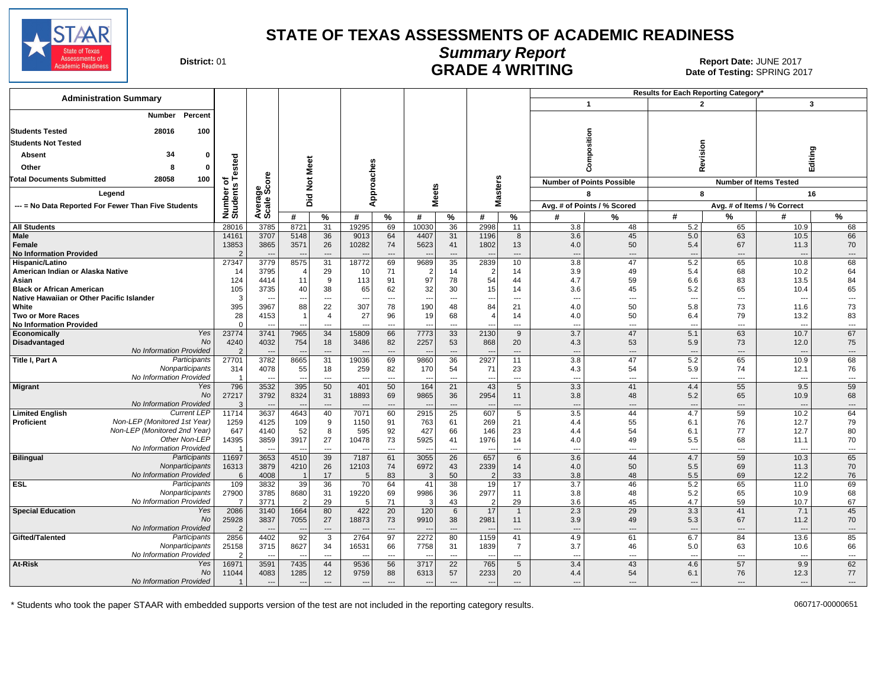

Date of Testing: SPRING 2017

| District: 01 |  |
|--------------|--|
|--------------|--|

# **Summary Report CONTROLLER SERVICE SERVICE SERVICE SERVICE SERVICE SERVICE SERVICE SERVICE SERVICE SERVICE SERVICE SERVICE SERVICE SPRING 2017<br>Date of Testing: SPRING 2017**

| <b>Administration Summary</b>                       |                      |                          |                          |                          |                          |                          |                          |                                |                                  |                          |                                 |                                  | Results for Each Reporting Category' |                              |                                  |                              |
|-----------------------------------------------------|----------------------|--------------------------|--------------------------|--------------------------|--------------------------|--------------------------|--------------------------|--------------------------------|----------------------------------|--------------------------|---------------------------------|----------------------------------|--------------------------------------|------------------------------|----------------------------------|------------------------------|
|                                                     |                      |                          |                          |                          |                          |                          |                          |                                |                                  |                          |                                 | $\mathbf{1}$                     | $\overline{2}$                       |                              | 3                                |                              |
| Percent<br>Number                                   |                      |                          |                          |                          |                          |                          |                          |                                |                                  |                          |                                 |                                  |                                      |                              |                                  |                              |
| <b>Students Tested</b><br>28016<br>100              |                      |                          |                          |                          |                          |                          |                          |                                |                                  |                          |                                 |                                  |                                      |                              |                                  |                              |
| <b>Students Not Tested</b>                          |                      |                          |                          |                          |                          |                          |                          |                                |                                  |                          |                                 | mposition                        |                                      |                              |                                  |                              |
| 34<br>Absent<br>o                                   |                      |                          |                          |                          |                          |                          |                          |                                |                                  |                          |                                 |                                  | Revision                             |                              | Editing                          |                              |
|                                                     | ested                |                          | Meet                     |                          |                          |                          |                          |                                |                                  |                          |                                 |                                  |                                      |                              |                                  |                              |
| Other<br>-8<br>o                                    |                      |                          |                          |                          |                          |                          |                          |                                |                                  |                          |                                 | 8                                |                                      |                              |                                  |                              |
| <b>Total Documents Submitted</b><br>28058<br>100    | <del>ءَ</del> ۽      | ge<br>Score              | $\frac{5}{2}$            |                          |                          |                          |                          |                                | <b>isters</b>                    |                          |                                 | <b>Number of Points Possible</b> |                                      |                              | <b>Number of Items Tested</b>    |                              |
| Legend                                              | Number o<br>Students |                          |                          |                          | Approaches               |                          | <b>Meets</b>             |                                |                                  |                          |                                 | 8                                | 8                                    |                              | 16                               |                              |
| --- = No Data Reported For Fewer Than Five Students |                      | Avera                    | Did                      |                          |                          |                          |                          |                                | ξ                                |                          |                                 | Avg. # of Points / % Scored      |                                      |                              | Avg. # of Items / % Correct      |                              |
|                                                     |                      |                          | #                        | $\frac{9}{6}$            | #                        | $\%$                     | #                        | $\%$                           | #                                | %                        | #                               | %                                | #                                    | %                            | #                                | $\%$                         |
| <b>All Students</b>                                 | 28016                | 3785                     | 8721                     | $\overline{31}$          | 19295                    | 69                       | 10030                    | 36                             | 2998                             | 11                       | 3.8                             | 48                               | 5.2                                  | 65                           | 10.9                             | 68                           |
| Male                                                | 14161                | 3707                     | 5148                     | 36                       | 9013                     | 64                       | 4407                     | 31                             | 1196                             | 8                        | 3.6                             | 45                               | 5.0                                  | 63                           | 10.5                             | 66                           |
| Female                                              | 13853                | 3865                     | 3571                     | 26                       | 10282                    | 74                       | 5623                     | 41                             | 1802                             | 13                       | 4.0                             | 50                               | 5.4                                  | 67                           | 11.3                             | 70                           |
| <b>No Information Provided</b>                      | 27347                | 3779                     | $\sim$<br>8575           | ---<br>31                | 18772                    | $\overline{a}$<br>69     | 9689                     | $\overline{\phantom{a}}$<br>35 | $\overline{\phantom{a}}$<br>2839 | $\overline{a}$<br>10     | $\overline{\phantom{a}}$<br>3.8 | $\overline{a}$<br>47             | $\overline{a}$<br>5.2                | $\overline{a}$<br>65         | ----<br>10.8                     | $---$<br>68                  |
| Hispanic/Latino<br>American Indian or Alaska Native | 14                   | 3795                     | $\sqrt{2}$               | 29                       | 10                       | 71                       | $\overline{2}$           | 14                             | $\overline{2}$                   | 14                       | 3.9                             | 49                               | 5.4                                  | 68                           | 10.2                             | 64                           |
| Asian                                               | 124                  | 4414                     | 11                       | 9                        | 113                      | 91                       | 97                       | 78                             | 54                               | 44                       | 4.7                             | 59                               | 6.6                                  | 83                           | 13.5                             | 84                           |
| <b>Black or African American</b>                    | 105                  | 3735                     | 40                       | 38                       | 65                       | 62                       | 32                       | 30                             | 15                               | 14                       | 3.6                             | 45                               | 5.2                                  | 65                           | 10.4                             | 65                           |
| Native Hawaiian or Other Pacific Islander           | $\mathbf{B}$         | $\overline{\phantom{a}}$ | $\overline{\phantom{a}}$ | $\overline{\phantom{a}}$ | $\overline{a}$           | ---                      | $\overline{\phantom{a}}$ | $\overline{\phantom{a}}$       | ---                              | ---                      | $\overline{\phantom{a}}$        | ---                              | $\overline{\phantom{a}}$             | ---                          | $\overline{\phantom{a}}$         | $\sim$ $\sim$                |
| White                                               | 395                  | 3967                     | 88                       | 22                       | 307                      | 78                       | 190                      | 48                             | 84                               | 21                       | 4.0                             | 50                               | 5.8                                  | 73                           | 11.6                             | 73                           |
| <b>Two or More Races</b>                            | 28                   | 4153                     | $\overline{1}$           | $\overline{4}$           | 27                       | 96                       | 19                       | 68                             | $\overline{4}$                   | 14                       | 4.0                             | 50                               | 6.4                                  | 79                           | 13.2                             | 83                           |
| <b>No Information Provided</b>                      | $\Omega$             | $\sim$                   | $-$                      | $\overline{a}$           | $\overline{a}$           | $---$                    | $\overline{\phantom{a}}$ | $\overline{a}$                 | $\overline{\phantom{a}}$         | $---$                    | ---                             | $---$                            | $---$                                | $\overline{a}$               | $\overline{\phantom{a}}$         | $---$                        |
| Yes<br>Economically                                 | 23774                | 3741                     | 7965                     | 34                       | 15809                    | 66                       | 7773                     | 33                             | 2130                             | 9                        | 3.7                             | 47                               | 5.1                                  | 63                           | 10.7                             | 67                           |
| <b>No</b><br><b>Disadvantaged</b>                   | 4240                 | 4032                     | 754                      | 18                       | 3486                     | 82                       | 2257                     | 53                             | 868                              | 20                       | 4.3                             | 53                               | 5.9                                  | 73                           | 12.0                             | 75                           |
| No Information Provided                             |                      | ---                      | $\overline{\phantom{a}}$ | $---$                    |                          | $---$                    | $\overline{\phantom{a}}$ | $---$                          | $\overline{\phantom{a}}$         | $\overline{\phantom{a}}$ | $\overline{\phantom{a}}$        | $---$                            | $---$                                | $\overline{\phantom{a}}$     | ---                              | $---$                        |
| Title I, Part A<br>Participants<br>Nonparticipants  | 27701<br>314         | 3782<br>4078             | 8665<br>55               | 31<br>18                 | 19036<br>259             | 69<br>82                 | 9860<br>170              | 36<br>54                       | 2927<br>71                       | 11<br>23                 | 3.8<br>4.3                      | 47<br>54                         | 5.2<br>5.9                           | 65<br>74                     | 10.9<br>12.1                     | 68<br>76                     |
| No Information Provided                             |                      | ---                      | $\overline{a}$           | $\overline{a}$           | $\sim$                   | $\overline{a}$           | $\sim$                   | $\overline{\phantom{a}}$       | $\overline{a}$                   | $\overline{\phantom{a}}$ | $\overline{\phantom{a}}$        | $---$                            | $\overline{a}$                       | $\overline{a}$               | $\overline{\phantom{a}}$         | $\sim$                       |
| <b>Migrant</b><br>Yes                               | 796                  | 3532                     | 395                      | 50                       | 401                      | 50                       | 164                      | 21                             | 43                               | 5                        | 3.3                             | 41                               | 4.4                                  | 55                           | 9.5                              | 59                           |
| <b>No</b>                                           | 27217                | 3792                     | 8324                     | 31                       | 18893                    | 69                       | 9865                     | 36                             | 2954                             | 11                       | 3.8                             | 48                               | 5.2                                  | 65                           | 10.9                             | 68                           |
| No Information Provided                             | 3                    |                          | $\overline{a}$           | $\overline{a}$           |                          | ---                      |                          | $---$                          | $\overline{\phantom{a}}$         | $\overline{\phantom{a}}$ | $\overline{\phantom{a}}$        | $\overline{a}$                   | $---$                                | ---                          | $\overline{\phantom{a}}$         | $---$                        |
| Current LEP<br><b>Limited English</b>               | 11714                | 3637                     | 4643                     | 40                       | 7071                     | 60                       | 2915                     | 25                             | 607                              | 5                        | 3.5                             | 44                               | 4.7                                  | 59                           | 10.2                             | 64                           |
| Non-LEP (Monitored 1st Year)<br><b>Proficient</b>   | 1259                 | 4125                     | 109                      | 9                        | 1150                     | 91                       | 763                      | 61                             | 269                              | 21                       | 4.4                             | 55                               | 6.1                                  | 76                           | 12.7                             | 79                           |
| Non-LEP (Monitored 2nd Year)                        | 647                  | 4140                     | 52                       | 8                        | 595                      | 92                       | 427                      | 66                             | 146                              | 23                       | 4.4                             | 54                               | 6.1                                  | 77                           | 12.7                             | 80                           |
| Other Non-LEP<br>No Information Provided            | 14395                | 3859<br>---              | 3917<br>$\overline{a}$   | 27<br>$\sim$             | 10478                    | 73<br>$\sim$             | 5925<br>$\sim$           | 41<br>$\overline{\phantom{a}}$ | 1976<br>$\sim$                   | 14<br>$-$                | 4.0<br>$\overline{\phantom{a}}$ | 49<br>$\overline{a}$             | 5.5<br>$\overline{a}$                | 68<br>$\overline{a}$         | 11.1<br>$\overline{\phantom{a}}$ | 70<br>$---$                  |
| <b>Bilingual</b><br>Participants                    | 11697                | 3653                     | 4510                     | 39                       | 7187                     | 61                       | 3055                     | $\overline{26}$                | 657                              | 6                        | $\overline{3.6}$                | 44                               | 4.7                                  | 59                           | 10.3                             | 65                           |
| Nonparticipants                                     | 16313                | 3879                     | 4210                     | 26                       | 12103                    | 74                       | 6972                     | 43                             | 2339                             | 14                       | 4.0                             | 50                               | 5.5                                  | 69                           | 11.3                             | 70                           |
| No Information Provided                             | 6                    | 4008                     | - 1                      | 17                       | 5                        | 83                       | $\mathcal{R}$            | 50                             | $\overline{2}$                   | 33                       | 3.8                             | 48                               | 5.5                                  | 69                           | 12.2                             | 76                           |
| <b>ESL</b><br>Participants                          | 109                  | 3832                     | 39                       | 36                       | 70                       | 64                       | 41                       | 38                             | 19                               | 17                       | 3.7                             | 46                               | 5.2                                  | 65                           | 11.0                             | 69                           |
| Nonparticipants                                     | 27900                | 3785                     | 8680                     | 31                       | 19220                    | 69                       | 9986                     | 36                             | 2977                             | 11                       | 3.8                             | 48                               | 5.2                                  | 65                           | 10.9                             | 68                           |
| No Information Provideo                             | $\overline{7}$       | 3771                     | $\overline{2}$           | 29                       | F                        | 71                       | 3                        | 43                             | $\mathcal{P}$                    | 29                       | 3.6                             | 45                               | 4.7                                  | 59                           | 10.7                             | 67                           |
| <b>Special Education</b><br>Yes                     | 2086                 | 3140                     | 1664                     | 80                       | 422                      | 20                       | 120                      | 6                              | 17                               | $\mathbf{1}$             | 2.3                             | 29                               | 3.3                                  | 41                           | 7.1                              | 45                           |
| <b>No</b>                                           | 25928                | 3837                     | 7055                     | 27                       | 18873                    | 73                       | 9910                     | 38                             | 2981                             | 11                       | 3.9                             | 49                               | 5.3                                  | 67                           | 11.2                             | 70                           |
| No Information Provided                             | $\mathcal{P}$        |                          | $\overline{\phantom{a}}$ | $---$                    |                          | $\overline{\phantom{a}}$ |                          | $\overline{\phantom{a}}$       |                                  | $---$                    | ---                             | $\overline{\phantom{a}}$         | $\overline{a}$                       | ---                          | $\overline{\phantom{a}}$         | $---$                        |
| Gifted/Talented<br>Participants                     | 2856                 | 4402                     | 92                       | $\overline{3}$           | 2764                     | 97                       | 2272                     | 80                             | 1159                             | 41                       | 4.9                             | 61                               | 6.7                                  | 84                           | 13.6                             | 85                           |
| Nonparticipants<br>No Information Provideo          | 25158                | 3715                     | 8627<br>$\sim$           | 34<br>$\sim$             | 16531                    | 66<br>---                | 7758                     | 31<br>---                      | 1839                             | 7<br>---                 | 3.7<br>---                      | 46<br>---                        | 5.0<br>$\overline{\phantom{a}}$      | 63<br>$\qquad \qquad \cdots$ | 10.6<br>--                       | 66<br>$\qquad \qquad \cdots$ |
| At-Risk<br>Yes                                      | 16971                | 3591                     | 7435                     | 44                       | 9536                     | 56                       | 3717                     | 22                             | 765                              | 5                        | 3.4                             | 43                               | 4.6                                  | 57                           | 9.9                              | 62                           |
| No                                                  | 11044                | 4083                     | 1285                     | 12                       | 9759                     | 88                       | 6313                     | 57                             | 2233                             | 20                       | 4.4                             | 54                               | 6.1                                  | 76                           | 12.3                             | 77                           |
| No Information Provided                             |                      | $\overline{\phantom{a}}$ | $\overline{\phantom{a}}$ | ---                      | $\overline{\phantom{a}}$ | ---                      | $\overline{\phantom{a}}$ | $---$                          | $\overline{\phantom{a}}$         | $\overline{\phantom{a}}$ | ---                             | ---                              | $\overline{\phantom{a}}$             | ---                          | ---                              |                              |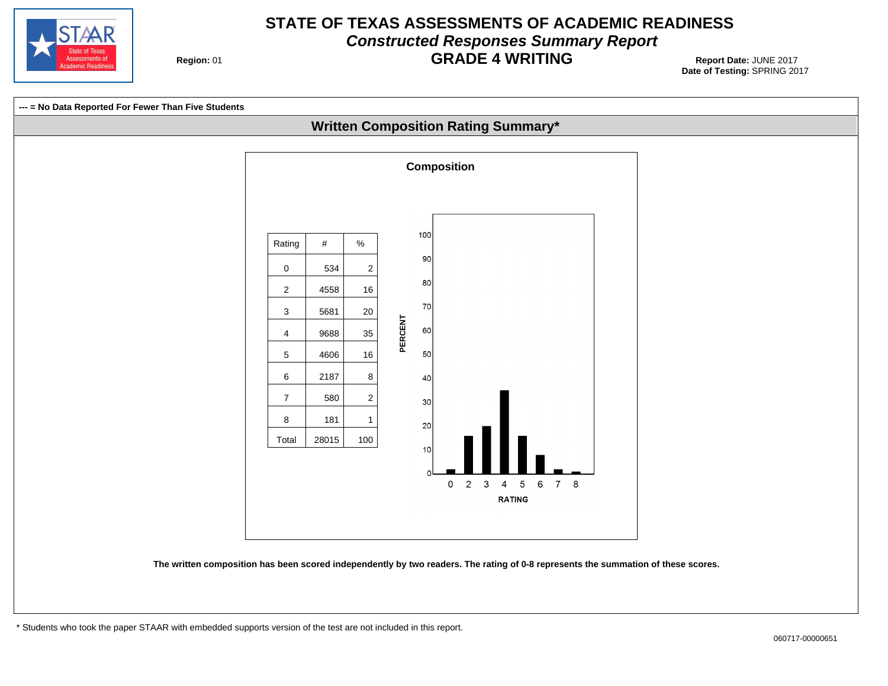

# **STATE OF TEXAS ASSESSMENTS OF ACADEMIC READINESS Constructed Responses Summary Report GRADE 4 WRITING** Report Date: JUNE 2017

**Region: 01** 

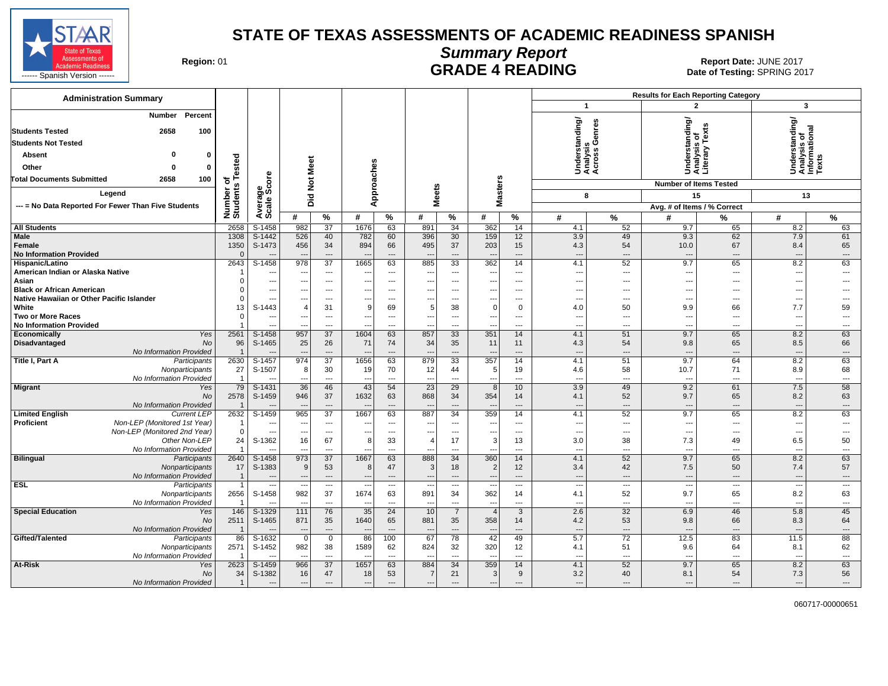

**Summary Report**

Region: 01 **Region: 01 CONTRIGGLATE 4 READING Report Date: JUNE 2017**<br>Date of Testing: SPRING 20

| <b>Administration Summary</b>                                                     |                         |                            |                                 |                                |                                  |                                |                          |                          |                                 |                                |                          | <b>Results for Each Reporting Category</b> |                                     |                          |                                                         |                          |
|-----------------------------------------------------------------------------------|-------------------------|----------------------------|---------------------------------|--------------------------------|----------------------------------|--------------------------------|--------------------------|--------------------------|---------------------------------|--------------------------------|--------------------------|--------------------------------------------|-------------------------------------|--------------------------|---------------------------------------------------------|--------------------------|
|                                                                                   |                         |                            |                                 |                                |                                  |                                |                          |                          |                                 |                                | $\mathbf{1}$             |                                            | $\overline{2}$                      |                          | $\mathbf{3}$                                            |                          |
| Percent<br>Number<br><b>Students Tested</b><br>2658<br><b>Students Not Tested</b> | 100                     |                            |                                 |                                |                                  |                                |                          |                          |                                 |                                | rstanding/               | Understanung,<br>Analysis<br>Across Genres | rrstanding/<br>ysis of<br>ary Texts |                          | Understanding/<br>Analysis of<br>Informational<br>Texts |                          |
|                                                                                   |                         |                            |                                 |                                |                                  |                                |                          |                          |                                 |                                |                          |                                            |                                     |                          |                                                         |                          |
| O<br>Absent                                                                       | $\bf{0}$                |                            |                                 |                                |                                  |                                |                          |                          |                                 |                                |                          |                                            | Under<br>Anaiya<br>Literal          |                          |                                                         |                          |
| Other<br>O                                                                        | ested                   |                            | Meet                            |                                |                                  |                                |                          |                          |                                 |                                |                          |                                            |                                     |                          |                                                         |                          |
| <b>Total Documents Submitted</b><br>2658                                          | 100<br>7ㅎ<br><b>SC</b>  | ge<br>Score                | $\breve{\mathbf{z}}$            |                                | Approaches                       |                                |                          |                          | <b>Masters</b>                  |                                |                          |                                            | <b>Number of Items Tested</b>       |                          |                                                         |                          |
| Legend                                                                            |                         |                            |                                 |                                |                                  |                                | <b>Meets</b>             |                          |                                 |                                | 8                        |                                            | 15                                  |                          | 13                                                      |                          |
| --- = No Data Reported For Fewer Than Five Students                               |                         |                            | pid                             |                                |                                  |                                |                          |                          |                                 |                                |                          |                                            | Avg. # of Items / % Correct         |                          |                                                         |                          |
|                                                                                   | Number<br>Student:      | Avera                      | #                               | $\%$                           | #                                | $\%$                           | #                        | ℅                        | #                               | %                              | #                        | $\%$                                       | #                                   | %                        | #                                                       | %                        |
| <b>All Students</b>                                                               | 2658                    | S-1458                     | 982                             | 37                             | 1676                             | 63                             | 891                      | 34                       | 362                             | 14                             | 4.1                      | 52                                         | 9.7                                 | 65                       | 8.2                                                     | 63                       |
| <b>Male</b>                                                                       | 1308                    | $S-1442$                   | 526                             | 40                             | 782                              | 60                             | 396                      | 30                       | 159                             | 12                             | 3.9                      | 49                                         | 9.3                                 | 62                       | 7.9                                                     | 61                       |
| Female                                                                            | 1350                    | S-1473                     | 456                             | 34                             | 894                              | 66                             | 495                      | 37                       | 203                             | 15                             | 4.3                      | 54                                         | 10.0                                | 67                       | 8.4                                                     | 65                       |
| <b>No Information Provided</b>                                                    | 2643                    | $\overline{a}$             | $\sim$<br>978                   | $---$<br>$\overline{37}$       | $\overline{\phantom{a}}$<br>1665 | $---$<br>63                    |                          | ---<br>$\overline{33}$   | $\overline{\phantom{a}}$<br>362 | $---$<br>14                    | $---$<br>4.1             | $---$<br>52                                | $\overline{\phantom{a}}$<br>9.7     | $---$                    | $\overline{\phantom{a}}$<br>8.2                         | $\cdots$<br>63           |
| Hispanic/Latino<br>American Indian or Alaska Native                               |                         | $S-1458$<br>$\overline{a}$ | $\overline{\phantom{a}}$        | $---$                          |                                  | $---$                          | 885                      | ---                      | $\overline{\phantom{a}}$        | $---$                          | $\ddotsc$                | $\overline{a}$                             | $\overline{\phantom{a}}$            | 65<br>$---$              | ---                                                     | $\overline{a}$           |
| Asian                                                                             |                         | $\qquad \qquad \cdots$     | $\sim$                          | ---                            |                                  | ---                            | ---                      | ---                      | $\qquad \qquad \cdots$          | $\overline{\phantom{a}}$       | ---                      | ---                                        | $\overline{\phantom{a}}$            | ---                      | ---                                                     |                          |
| <b>Black or African American</b>                                                  |                         | $\cdots$                   |                                 | $---$                          |                                  | $---$                          |                          | ---                      | ---                             | $---$                          | $\overline{\phantom{a}}$ | ---                                        | $\overline{\phantom{a}}$            | ---                      |                                                         |                          |
| Native Hawaiian or Other Pacific Islander                                         |                         | $---$                      | $\sim$                          | $---$                          | ---                              | $\overline{\phantom{a}}$       | $---$                    | ---                      | $\overline{a}$                  | $---$                          | $\overline{a}$           | $---$                                      | $---$                               | $---$                    | ---                                                     | $---$                    |
| White                                                                             | 13                      | S-1443                     | 4                               | 31                             | 9                                | 69                             | 5                        | 38                       | $\mathbf 0$                     | $\mathbf 0$                    | 4.0                      | 50                                         | 9.9                                 | 66                       | 7.7                                                     | 59                       |
| <b>Two or More Races</b>                                                          |                         | $\overline{\phantom{a}}$   | $\overline{\phantom{a}}$        | $\overline{\phantom{a}}$       | ---                              | $\overline{\phantom{a}}$       | $\qquad \qquad \cdots$   | $\hspace{0.05cm} \ldots$ | $\qquad \qquad \cdots$          | $\hspace{0.05cm} \ldots$       | $---$                    | $\qquad \qquad -$                          | $\overline{\phantom{a}}$            | ---                      | ---                                                     | ---                      |
| <b>No Information Provided</b>                                                    |                         |                            |                                 | $---$                          | $\sim$                           | $\overline{a}$                 | $\overline{a}$           | $\overline{a}$           | $\overline{a}$                  | $---$                          | $\overline{a}$           | $\overline{a}$                             | $\overline{a}$                      | $\overline{a}$           | $\overline{a}$                                          | $\overline{a}$           |
| Economically                                                                      | 2561<br>Yes             | S-1458                     | 957                             | $\overline{37}$                | 1604                             | 63                             | 857                      | 33                       | 351                             | 14                             | 4.1                      | 51                                         | 9.7                                 | 65                       | 8.2                                                     | 63                       |
| Disadvantaged                                                                     | <b>No</b><br>96         | S-1465                     | 25                              | 26                             | 71                               | 74<br>$---$                    | 34                       | 35<br>$\overline{a}$     | 11                              | 11                             | 4.3                      | 54<br>$---$                                | 9.8                                 | 65                       | 8.5                                                     | 66<br>$---$              |
| No Information Provided<br>Title I, Part A<br>Participants                        | 2630                    | S-1457                     | 974                             | $---$<br>$\overline{37}$       | 1656                             | 63                             | 879                      | 33                       | $\overline{a}$<br>357           | $---$<br>14                    | $---$<br>4.1             | 51                                         | $\overline{\phantom{a}}$<br>9.7     | $---$<br>64              | $\overline{\phantom{a}}$<br>8.2                         | 63                       |
| Nonparticipants                                                                   | 27                      | S-1507                     | 8                               | 30                             | 19                               | 70                             | 12                       | 44                       | 5                               | 19                             | 4.6                      | 58                                         | 10.7                                | 71                       | 8.9                                                     | 68                       |
| No Information Provided                                                           | $\overline{\mathbf{1}}$ |                            |                                 | $\overline{a}$                 |                                  | $\overline{\phantom{a}}$       |                          | $\overline{a}$           | $\overline{a}$                  | $---$                          | $\overline{a}$           | $\overline{a}$                             | $\overline{\phantom{a}}$            | $\overline{\phantom{a}}$ | $\overline{a}$                                          | $\overline{a}$           |
| <b>Migrant</b>                                                                    | 79<br>Yes               | S-1431                     | 36                              | 46                             | 43                               | 54                             | 23                       | 29                       | 8                               | 10 <sup>°</sup>                | 3.9                      | 49                                         | 9.2                                 | 61                       | 7.5                                                     | 58                       |
|                                                                                   | 2578<br><b>No</b>       | S-1459                     | 946                             | 37                             | 1632                             | 63                             | 868                      | 34                       | 354                             | 14                             | 4.1                      | 52                                         | 9.7                                 | 65                       | 8.2                                                     | 63                       |
| No Information Provided                                                           |                         |                            |                                 | $---$                          |                                  | $\overline{a}$                 |                          | $\overline{a}$           | $\overline{a}$                  | $---$                          | $---$                    | $\overline{a}$                             | $\overline{a}$                      | $\overline{\phantom{a}}$ | $\overline{\phantom{a}}$                                | $---$                    |
| <b>Limited English</b><br><b>Current LEP</b>                                      | 2632                    | S-1459                     | 965                             | $\overline{37}$                | 1667                             | 63                             | 887                      | 34                       | 359                             | 14                             | 4.1                      | 52                                         | 9.7                                 | 65                       | 8.2                                                     | 63                       |
| Proficient<br>Non-LEP (Monitored 1st Year)                                        |                         | $---$                      | ---                             | $---$                          | $- - -$                          | $---$                          | $---$                    | $\overline{a}$           | $---$                           | $---$                          | $- - -$                  | $---$                                      | $---$                               | $---$                    | ---                                                     | $\overline{a}$           |
| Non-LEP (Monitored 2nd Year)<br>Other Non-LEP                                     | $\Omega$<br>24          | S-1362                     | $\sim$<br>16                    | $\overline{\phantom{a}}$<br>67 | 8                                | ---<br>33                      | $\overline{4}$           | ---<br>17                | $\overline{\phantom{a}}$<br>3   | $\overline{\phantom{a}}$<br>13 | $---$<br>3.0             | ---<br>38                                  | $\overline{\phantom{a}}$<br>7.3     | ---<br>49                | ---<br>6.5                                              | ---<br>50                |
| No Information Provided                                                           |                         |                            | $\overline{\phantom{a}}$        | $---$                          |                                  | ---                            |                          | ---                      | ---                             | $\overline{\phantom{a}}$       | $\overline{\phantom{a}}$ | $---$                                      | $\overline{\phantom{a}}$            | $-$                      | $\overline{\phantom{a}}$                                | ---                      |
| <b>Bilingual</b><br>Participants                                                  | 2640                    | S-1458                     | 973                             | 37                             | 1667                             | 63                             | 888                      | 34                       | 360                             | 14                             | 4.1                      | 52                                         | 9.7                                 | 65                       | 8.2                                                     | 63                       |
| Nonparticipants                                                                   | 17                      | S-1383                     | 9                               | 53                             | 8                                | 47                             | 3                        | 18                       | $\overline{2}$                  | 12                             | 3.4                      | 42                                         | 7.5                                 | 50                       | 7.4                                                     | 57                       |
| No Information Provided                                                           |                         | $\overline{\phantom{a}}$   | ---                             | $\cdots$                       | $\overline{\phantom{a}}$         | $---$                          | ---                      | ---                      | $\cdots$                        | $\overline{\phantom{a}}$       | $---$                    | $\overline{\phantom{a}}$                   | $---$                               | $\cdots$                 | $---$                                                   | $\cdots$                 |
| <b>ESL</b><br>Participants                                                        | 1                       | $\overline{\phantom{a}}$   | $\overline{\phantom{a}}$        | $\hspace{0.05cm} \ldots$       |                                  | $\overline{\phantom{a}}$       | $\overline{\phantom{a}}$ | $\hspace{0.05cm} \ldots$ | $\overline{\phantom{a}}$        | $\hspace{0.05cm} \ldots$       | $---$                    | ---                                        | $\overline{\phantom{a}}$            | $\overline{\phantom{a}}$ | $\overline{\phantom{a}}$                                | $\overline{\phantom{a}}$ |
| Nonparticipants                                                                   | 2656                    | S-1458                     | 982                             | 37                             | 1674                             | 63                             | 891                      | 34                       | 362                             | 14                             | 4.1                      | 52                                         | 9.7                                 | 65                       | 8.2                                                     | 63                       |
| No Information Provided                                                           |                         |                            | ---                             | $---$                          | $\overline{\phantom{a}}$         | $\overline{\phantom{a}}$       | $\overline{a}$           | $\overline{a}$           | $\overline{\phantom{a}}$        | $---$                          | $- - -$                  | $---$                                      | $---$                               | $---$                    | $\overline{a}$                                          | ---                      |
| <b>Special Education</b>                                                          | 146<br>Yes              | S-1329                     | 111                             | 76                             | 35<br>1640                       | 24                             | 10                       | $\overline{7}$           | $\overline{4}$                  | 3                              | 2.6                      | 32                                         | 6.9                                 | 46<br>66                 | 5.8                                                     | 45                       |
| No Information Provided                                                           | 2511<br><b>No</b>       | S-1465<br>$\overline{a}$   | 871<br>$\overline{\phantom{a}}$ | 35<br>$---$                    | $\overline{\phantom{a}}$         | 65<br>$\overline{\phantom{a}}$ | 881<br>$\overline{a}$    | 35<br>$\overline{a}$     | 358<br>$---$                    | 14<br>$\overline{a}$           | 4.2<br>$---$             | 53<br>$---$                                | 9.8<br>$\overline{a}$               | $---$                    | 8.3<br>$\overline{\phantom{a}}$                         | 64<br>$---$              |
| Gifted/Talented<br>Participants                                                   | 86                      | $S-1632$                   | $\mathbf 0$                     | $\mathbf 0$                    | 86                               | 100                            | 67                       | 78                       | 42                              | 49                             | 5.7                      | $\overline{72}$                            | 12.5                                | 83                       | 11.5                                                    | 88                       |
| Nonparticipants                                                                   | 2571                    | S-1452                     | 982                             | 38                             | 1589                             | 62                             | 824                      | 32                       | 320                             | 12                             | 4.1                      | 51                                         | 9.6                                 | 64                       | 8.1                                                     | 62                       |
| No Information Provided                                                           |                         |                            | ---                             | $---$                          | $\sim$                           | $---$                          | $\overline{a}$           | $\overline{a}$           | $---$                           | $\overline{\phantom{a}}$       | $- - -$                  | $---$                                      | $---$                               | $---$                    | $\overline{a}$                                          | $---$                    |
| At-Risk                                                                           | 2623<br>Yes             | S-1459                     | 966                             | $\overline{37}$                | 1657                             | 63                             | 884                      | 34                       | 359                             | 14                             | 4.1                      | 52                                         | 9.7                                 | 65                       | 8.2                                                     | 63                       |
|                                                                                   | No<br>34                | S-1382                     | 16                              | 47                             | 18                               | 53                             | $\overline{7}$           | 21                       | 3                               | 9                              | 3.2                      | 40                                         | 8.1                                 | 54                       | 7.3                                                     | 56                       |
| No Information Provided                                                           | $\overline{\mathbf{1}}$ | $---$                      | $---$                           | $---$                          | $---$                            | $---$                          | $---$                    | $\overline{a}$           | $\overline{\phantom{a}}$        | $---$                          | $---$                    | $---$                                      | $\overline{a}$                      | $---$                    | $\overline{\phantom{a}}$                                | $\cdots$                 |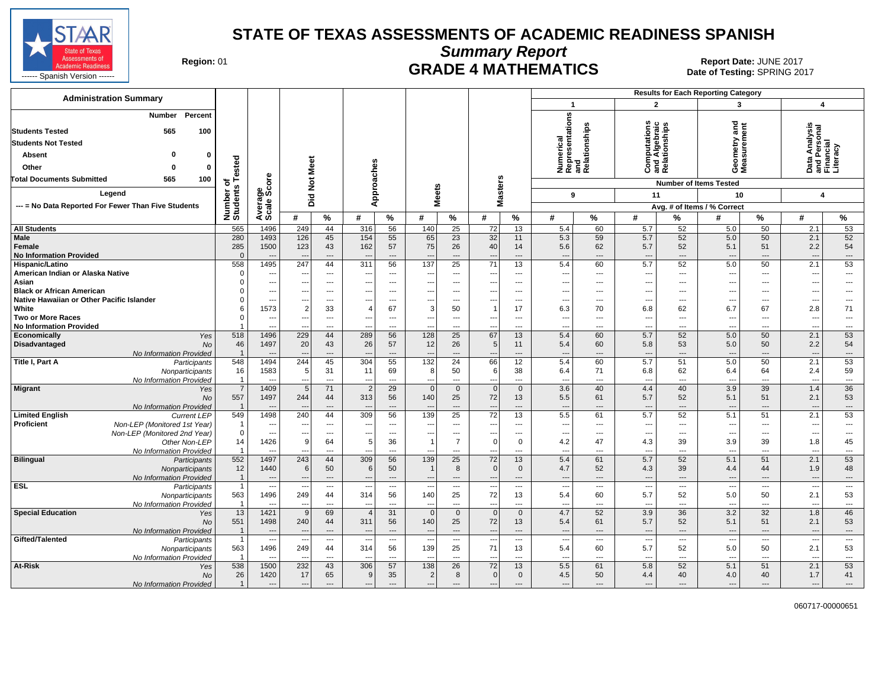

**Summary Report**

Region: 01 **Region: 01 CRADE 4 MATHEMATICS Date: JUNE 2017 Report Date: JUNE 2017** 

| <b>Administration Summary</b>                                                                                                                                                                                       |                        |                                  |                          |                          |                          |                            |                          |                                  |                                |                               |                                                      |                                      | <b>Results for Each Reporting Category</b> |                                              |                                        |                                                      |                                                        |                                                      |
|---------------------------------------------------------------------------------------------------------------------------------------------------------------------------------------------------------------------|------------------------|----------------------------------|--------------------------|--------------------------|--------------------------|----------------------------|--------------------------|----------------------------------|--------------------------------|-------------------------------|------------------------------------------------------|--------------------------------------|--------------------------------------------|----------------------------------------------|----------------------------------------|------------------------------------------------------|--------------------------------------------------------|------------------------------------------------------|
|                                                                                                                                                                                                                     |                        |                                  |                          |                          |                          |                            |                          |                                  |                                |                               | $\mathbf{1}$                                         |                                      | $\overline{2}$                             |                                              | 3                                      |                                                      | $\overline{4}$                                         |                                                      |
| Percent<br><b>Number</b><br><b>Students Tested</b><br>565<br>100<br><b>Students Not Tested</b><br>0<br>$\mathbf 0$<br>Absent<br>Other<br>$\mathbf{0}$<br>$\Omega$<br><b>Total Documents Submitted</b><br>565<br>100 | ested                  |                                  | Meet                     |                          | Approaches               |                            |                          |                                  |                                |                               | Numerical<br>Representations<br>and<br>Relationships |                                      |                                            | Computes<br>and Algebraic<br>  Relationships | Geometry and<br>Measurement            |                                                      | Data Analysis<br>and Personal<br>Financial<br>Literacy |                                                      |
|                                                                                                                                                                                                                     | ৳                      | ge<br>Score                      | $\frac{5}{2}$            |                          |                          |                            |                          |                                  |                                |                               |                                                      |                                      |                                            |                                              | <b>Number of Items Tested</b>          |                                                      |                                                        |                                                      |
| Legend                                                                                                                                                                                                              |                        |                                  | Did                      |                          |                          |                            | <b>Meets</b>             |                                  | <b>Masters</b>                 |                               | 9                                                    |                                      | 11                                         |                                              | 10                                     |                                                      | 4                                                      |                                                      |
| --- = No Data Reported For Fewer Than Five Students                                                                                                                                                                 | Number o<br>Students   | Average<br>Scale:                |                          |                          |                          |                            |                          |                                  |                                |                               |                                                      |                                      |                                            |                                              | Avg. # of Items / % Correct            |                                                      |                                                        |                                                      |
|                                                                                                                                                                                                                     |                        |                                  | #                        | %                        | #                        | $\%$                       | #                        | $\%$                             | #                              | $\%$                          | #                                                    | %                                    | #                                          | %                                            | #                                      | $\%$                                                 | #                                                      | %                                                    |
| <b>All Students</b>                                                                                                                                                                                                 | 565                    | 1496                             | 249                      | 44                       | 316                      | 56                         | 140                      | 25                               | 72                             | 13                            | 5.4                                                  | 60                                   | 5.7                                        | 52                                           | 5.0                                    | 50                                                   | 2.1                                                    | 53                                                   |
| Male<br>Female<br><b>No Information Provided</b>                                                                                                                                                                    | 280<br>285<br>$\Omega$ | 1493<br>1500                     | 126<br>123               | 45<br>43<br>---          | 154<br>162               | 55<br>57<br>$\overline{a}$ | 65<br>75                 | 23<br>26<br>---                  | 32<br>40                       | 11<br>14<br>---               | 5.3<br>5.6<br>$\overline{\phantom{a}}$               | 59<br>62<br>$\overline{\phantom{a}}$ | 5.7<br>5.7<br>$\overline{\phantom{a}}$     | 52<br>52<br>$\overline{a}$                   | 5.0<br>5.1<br>$\overline{\phantom{a}}$ | 50<br>51<br>$\cdots$                                 | 2.1<br>2.2<br>---                                      | 52<br>54<br>---                                      |
| Hispanic/Latino                                                                                                                                                                                                     | 558                    | 1495                             | 247                      | 44                       | 311                      | 56                         | 137                      | 25                               | 71                             | 13                            | 5.4                                                  | 60                                   | 5.7                                        | 52                                           | 5.0                                    | 50                                                   | 2.1                                                    | 53                                                   |
| American Indian or Alaska Native                                                                                                                                                                                    | $\Omega$               | $---$                            | $\overline{a}$           | $\overline{a}$           | $\sim$                   | $\overline{\phantom{a}}$   | ---                      | $\overline{a}$                   | ---                            | $\overline{a}$                | $\overline{\phantom{a}}$                             | $\overline{\phantom{a}}$             | $\sim$                                     | $\overline{a}$                               | $\overline{a}$                         | $\overline{a}$                                       | $\overline{\phantom{a}}$                               | ---                                                  |
| Asian<br><b>Black or African American</b>                                                                                                                                                                           | $\Omega$<br>$\Omega$   | $\qquad \qquad \cdots$<br>$---$  | --                       | ---<br>$\overline{a}$    | ---                      | ---<br>---                 | ---                      | ---<br>---                       | ---<br>---                     | ---<br>⊷                      | $\overline{\phantom{a}}$<br>$\overline{\phantom{a}}$ | $---$<br>$\overline{\phantom{a}}$    | $\overline{\phantom{a}}$<br>---            | ---<br>---                                   | ---<br>---                             | $\overline{\phantom{a}}$<br>$\overline{\phantom{a}}$ | ---<br>---                                             | ---<br>---                                           |
| Native Hawaiian or Other Pacific Islander                                                                                                                                                                           |                        | $---$                            | $\ddotsc$                | $\overline{\phantom{a}}$ | ---                      | $\overline{\phantom{a}}$   | ---                      | ---                              | ---                            | ---                           | $\ddotsc$                                            | ---                                  | $\overline{\phantom{a}}$                   | $---$                                        | ---                                    | $---$                                                | ---                                                    | ---                                                  |
| White                                                                                                                                                                                                               | 6                      | 1573                             | $\overline{2}$           | 33                       | $\overline{4}$           | 67                         | 3                        | 50                               | $\overline{1}$                 | 17                            | 6.3                                                  | 70                                   | 6.8                                        | 62                                           | 6.7                                    | 67                                                   | 2.8                                                    | 71                                                   |
| <b>Two or More Races</b>                                                                                                                                                                                            | $\Omega$               | $\hspace{0.05cm} \ldots$         | ---                      | $\overline{\phantom{a}}$ | $\hspace{0.05cm} \ldots$ | $\overline{\phantom{a}}$   | ---                      | ---                              | $\qquad \qquad \cdots$         | ---                           | $\overline{\phantom{a}}$                             | ---                                  | $\overline{\phantom{a}}$                   | $\overline{\phantom{a}}$                     | $\overline{\phantom{a}}$               | $\qquad \qquad \cdots$                               | $\overline{\phantom{a}}$                               | ---                                                  |
| <b>No Information Provided</b>                                                                                                                                                                                      |                        | $\sim$                           |                          | ---                      | $\sim$                   | ---                        |                          | ---                              | $\ddotsc$                      | ---                           | ---                                                  | $\overline{\phantom{a}}$             | $---$                                      | ---                                          | ---                                    | $\overline{\phantom{a}}$                             | ---                                                    | $\overline{\phantom{a}}$                             |
| Economically<br>Yes                                                                                                                                                                                                 | 518                    | 1496                             | 229                      | 44                       | 289                      | 56                         | 128                      | 25                               | 67                             | 13                            | 5.4                                                  | 60                                   | 5.7                                        | 52                                           | 5.0                                    | 50                                                   | 2.1                                                    | 53                                                   |
| <b>Disadvantaged</b><br><b>No</b>                                                                                                                                                                                   | 46                     | 1497                             | 20                       | 43                       | 26                       | 57                         | 12                       | 26                               | 5                              | 11                            | 5.4                                                  | 60                                   | 5.8                                        | 53                                           | 5.0                                    | 50                                                   | 2.2                                                    | 54                                                   |
| No Information Provided                                                                                                                                                                                             | $\overline{1}$         |                                  |                          | ---                      |                          | ---                        |                          | ---                              | ---                            | ---                           | $\overline{\phantom{a}}$                             | $\overline{\phantom{a}}$             | $\overline{\phantom{a}}$                   | $\overline{a}$                               | $\overline{\phantom{a}}$               | $\overline{\phantom{a}}$                             | $\overline{\phantom{a}}$                               | ---                                                  |
| Title I, Part A<br>Participants<br>Nonparticipants                                                                                                                                                                  | 548<br>16              | 1494<br>1583                     | 244<br>5                 | 45<br>31                 | 304<br>11                | 55<br>69                   | 132<br>8                 | 24<br>50                         | 66<br>6                        | 12<br>38                      | 5.4<br>6.4                                           | 60<br>71                             | 5.7<br>6.8                                 | 51<br>62                                     | 5.0<br>6.4                             | 50<br>64                                             | 2.1<br>2.4                                             | 53<br>59                                             |
| No Information Provided                                                                                                                                                                                             | $\overline{1}$         | $\overline{\phantom{a}}$         |                          | ---                      |                          | ---                        |                          | ---                              | ---                            | ---                           | $\sim$                                               | $\overline{\phantom{a}}$             | ---                                        | ---                                          | $\overline{\phantom{a}}$               | $\overline{\phantom{a}}$                             | ---                                                    | ---                                                  |
| <b>Migrant</b><br>Yes                                                                                                                                                                                               | $\overline{7}$         | 1409                             | 5                        | 71                       | $\overline{2}$           | 29                         | $\Omega$                 | $\overline{0}$                   | $\mathbf 0$                    | $\mathbf 0$                   | 3.6                                                  | 40                                   | 4.4                                        | 40                                           | 3.9                                    | 39                                                   | 1.4                                                    | 36                                                   |
| <b>No</b><br>No Information Provided                                                                                                                                                                                | 557<br>$\overline{1}$  | 1497<br>$\overline{\phantom{a}}$ | 244                      | 44<br>---                | 313                      | 56                         | 140                      | 25<br>---                        | 72<br>$\overline{\phantom{a}}$ | 13<br>---                     | 5.5<br>$\overline{\phantom{a}}$                      | 61<br>$\overline{\phantom{a}}$       | 5.7<br>$\overline{\phantom{a}}$            | 52<br>---                                    | 5.1<br>$\overline{\phantom{a}}$        | 51<br>$\overline{\phantom{a}}$                       | 2.1<br>$\overline{\phantom{a}}$                        | 53<br>---                                            |
| <b>Limited English</b><br><b>Current LEP</b>                                                                                                                                                                        | 549                    | 1498                             | 240                      | 44                       | 309                      | 56                         | 139                      | 25                               | $\overline{72}$                | 13                            | 5.5                                                  | 61                                   | 5.7                                        | 52                                           | 5.1                                    | 51                                                   | 2.1                                                    | 53                                                   |
| <b>Proficient</b><br>Non-LEP (Monitored 1st Year)                                                                                                                                                                   | -1                     | $---$                            | --                       | $---$                    | $---$                    | $\sim$                     | ---                      | $---$                            | ---                            | $---$                         | $\sim$                                               | $---$                                | $---$                                      | $\overline{a}$                               | $\sim$                                 | $---$                                                | ---                                                    | $\overline{\phantom{a}}$                             |
| Non-LEP (Monitored 2nd Year)                                                                                                                                                                                        | $\mathbf 0$            | $---$                            |                          | ---                      | ---                      | $\overline{\phantom{a}}$   |                          | ---                              |                                | ---                           | $\overline{\phantom{a}}$                             | $\overline{\phantom{a}}$             | $\overline{\phantom{a}}$                   | ---                                          | $\overline{\phantom{a}}$               | $\overline{\phantom{a}}$                             | Ξ.                                                     | ---                                                  |
| Other Non-LEP                                                                                                                                                                                                       | 14                     | 1426<br>$\overline{a}$           | 9                        | 64<br>$---$              | 5 <sup>5</sup><br>$---$  | 36<br>$\overline{a}$       | $\overline{1}$<br>$\sim$ | $\overline{7}$<br>$\overline{a}$ | 0                              | $\mathbf 0$<br>$\overline{a}$ | 4.2<br>---                                           | 47<br>$\overline{\phantom{a}}$       | 4.3<br>$\overline{\phantom{a}}$            | 39<br>$\overline{a}$                         | 3.9<br>$\overline{a}$                  | 39<br>$---$                                          | 1.8                                                    | 45<br>$\overline{a}$                                 |
| No Information Provided<br><b>Bilingual</b><br>Participants                                                                                                                                                         | 552                    | 1497                             | --<br>243                | 44                       | 309                      | 56                         | 139                      | 25                               | $- - -$<br>72                  | 13                            | 5.4                                                  | 61                                   | 5.7                                        | 52                                           | 5.1                                    | 51                                                   | $\overline{\phantom{a}}$<br>2.1                        | 53                                                   |
| Nonparticipants                                                                                                                                                                                                     | 12                     | 1440                             | $6 \mid$                 | 50                       | $6 \mid$                 | 50                         |                          | 8                                | $\mathbf 0$                    | $\overline{0}$                | 4.7                                                  | 52                                   | 4.3                                        | 39                                           | 4.4                                    | 44                                                   | 1.9                                                    | 48                                                   |
| No Information Provided                                                                                                                                                                                             | $\overline{1}$         | $---$                            | $\overline{\phantom{a}}$ | $---$                    | $---$                    | $---$                      | $\overline{\phantom{a}}$ | $\overline{\phantom{a}}$         | $---$                          | $---$                         | $\overline{\phantom{a}}$                             | $---$                                | $---$                                      | $---$                                        | $---$                                  | $\cdots$                                             | $\overline{\phantom{a}}$                               | $\hspace{0.05cm} \ldots$                             |
| <b>ESL</b><br>Participants                                                                                                                                                                                          | $\mathbf{1}$           | $\overline{\phantom{a}}$         |                          | ---                      |                          | ---                        |                          | ---                              | $\overline{\phantom{a}}$       | $\overline{\phantom{a}}$      | $\overline{\phantom{a}}$                             | $\overline{\phantom{a}}$             | $\overline{\phantom{a}}$                   | $\hspace{0.05cm} \ldots$                     | $\overline{\phantom{a}}$               | $\cdots$                                             | ---                                                    | $\overline{\phantom{a}}$                             |
| Nonparticipants                                                                                                                                                                                                     | 563                    | 1496                             | 249                      | 44                       | 314                      | 56                         | 140                      | 25                               | 72                             | 13                            | 5.4                                                  | 60                                   | 5.7                                        | 52                                           | 5.0                                    | 50                                                   | 2.1                                                    | 53                                                   |
| No Information Provided                                                                                                                                                                                             | -1                     | $\overline{\phantom{a}}$         | $\sim$                   | $\overline{a}$           | $---$                    | $\overline{\phantom{a}}$   | ---                      | ---                              | $\overline{\phantom{a}}$       | ---                           | $\overline{\phantom{a}}$                             | $\overline{\phantom{a}}$             | $\overline{\phantom{a}}$                   | $\overline{\phantom{a}}$                     | $\overline{\phantom{a}}$               | $\overline{\phantom{a}}$                             | $\overline{\phantom{a}}$                               | $\overline{\phantom{a}}$                             |
| <b>Special Education</b><br>Yes                                                                                                                                                                                     | 13                     | 1421                             | 9                        | 69                       | $\overline{4}$           | 31                         | $\Omega$                 | $\overline{0}$                   | $\overline{0}$                 | $\mathbf{0}$                  | 4.7                                                  | 52                                   | 3.9                                        | 36                                           | 3.2                                    | 32                                                   | 1.8                                                    | 46                                                   |
| <b>No</b>                                                                                                                                                                                                           | 551<br>$\overline{1}$  | 1498<br>$\overline{\phantom{a}}$ | 240                      | 44<br>$---$              | 311<br>$---$             | 56<br>$---$                | 140                      | 25<br>$\overline{a}$             | 72<br>$\overline{\phantom{a}}$ | 13<br>---                     | 5.4<br>$\overline{\phantom{a}}$                      | 61<br>$---$                          | 5.7<br>$---$                               | 52<br>$---$                                  | 5.1<br>$\overline{\phantom{a}}$        | 51<br>$---$                                          | 2.1                                                    | 53                                                   |
| No Information Provided<br>Gifted/Talented<br>Participants                                                                                                                                                          | $\mathbf{1}$           | $\overline{\phantom{a}}$         | $\sim$                   | $\overline{\phantom{a}}$ | $\overline{\phantom{a}}$ | ---                        | $-$                      | ---                              | ---                            | ---                           | $\overline{\phantom{a}}$                             | ---                                  | $\overline{\phantom{a}}$                   | $\overline{\phantom{a}}$                     | $\overline{\phantom{a}}$               | ---                                                  | $\overline{\phantom{a}}$<br>---                        | $\hspace{0.05cm} \ldots$<br>$\overline{\phantom{a}}$ |
| Nonparticipants                                                                                                                                                                                                     | 563                    | 1496                             | 249                      | 44                       | 314                      | 56                         | 139                      | 25                               | 71                             | 13                            | 5.4                                                  | 60                                   | 5.7                                        | 52                                           | 5.0                                    | 50                                                   | 2.1                                                    | 53                                                   |
| No Information Provided                                                                                                                                                                                             |                        | $\sim$                           | --                       | ---                      | $---$                    | $\overline{\phantom{a}}$   | $\overline{\phantom{a}}$ | ---                              | ---                            | ---                           | $\overline{\phantom{a}}$                             | $\overline{\phantom{a}}$             | $\overline{\phantom{a}}$                   | $\overline{\phantom{a}}$                     | $\overline{\phantom{a}}$               | $\overline{\phantom{a}}$                             | $\overline{\phantom{a}}$                               | $\overline{\phantom{a}}$                             |
| At-Risk<br>Yes                                                                                                                                                                                                      | 538                    | 1500                             | 232                      | 43                       | 306                      | 57                         | 138                      | 26                               | 72                             | 13                            | 5.5                                                  | 61                                   | 5.8                                        | 52                                           | 5.1                                    | 51                                                   | 2.1                                                    | 53                                                   |
| No                                                                                                                                                                                                                  | 26                     | 1420                             | 17                       | 65                       | 9                        | 35                         | $\overline{2}$           | 8                                | $\mathbf 0$                    | $\mathbf 0$                   | 4.5                                                  | 50                                   | 4.4                                        | 40                                           | 4.0                                    | 40                                                   | 1.7                                                    | 41                                                   |
| No Information Provided                                                                                                                                                                                             | $\overline{1}$         | $\cdots$                         | $\overline{\phantom{a}}$ | ---                      | $\overline{\phantom{a}}$ | $\cdots$                   | $\overline{a}$           | ---                              | $\overline{\phantom{a}}$       | ---                           | $\overline{\phantom{a}}$                             | $\overline{\phantom{a}}$             | $\overline{\phantom{a}}$                   | ---                                          | $\overline{a}$                         | $\hspace{1.5cm} \textbf{---}$                        | ---                                                    | $\cdots$                                             |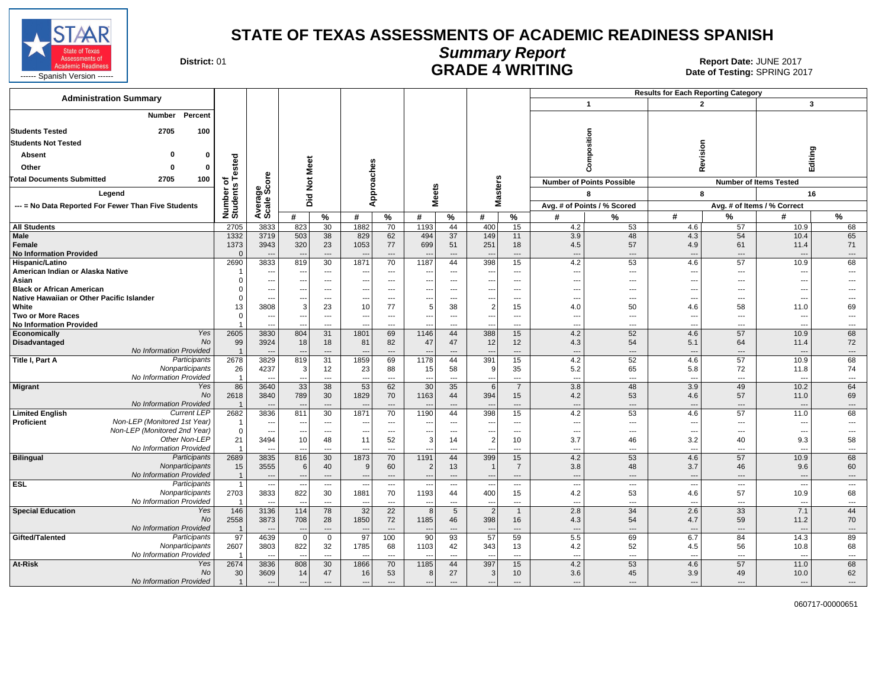

# **Summary Report**

**CONTROLLER SERVICE SERVICE SERVICE SERVICE SERVICE SERVICE SERVICE SERVICE SERVICE SERVICE SERVICE SERVICE SERVICE SPRING 2017<br>Date of Testing: SPRING 2017** 

| <b>Administration Summary</b>                                           |                                  |                                            |                                 |                                                      |                          |                                                      |                                  |                                                      |                          |                                                      |                                 |                                  | <b>Results for Each Reporting Category</b> |                        |                                                      |                                   |
|-------------------------------------------------------------------------|----------------------------------|--------------------------------------------|---------------------------------|------------------------------------------------------|--------------------------|------------------------------------------------------|----------------------------------|------------------------------------------------------|--------------------------|------------------------------------------------------|---------------------------------|----------------------------------|--------------------------------------------|------------------------|------------------------------------------------------|-----------------------------------|
|                                                                         |                                  |                                            |                                 |                                                      |                          |                                                      |                                  |                                                      |                          |                                                      |                                 | $\overline{1}$                   | $\overline{2}$                             |                        | $\overline{\mathbf{3}}$                              |                                   |
| Percent<br>Number                                                       |                                  |                                            |                                 |                                                      |                          |                                                      |                                  |                                                      |                          |                                                      |                                 |                                  |                                            |                        |                                                      |                                   |
| 2705<br><b>Students Tested</b><br>100                                   |                                  |                                            |                                 |                                                      |                          |                                                      |                                  |                                                      |                          |                                                      |                                 |                                  |                                            |                        |                                                      |                                   |
|                                                                         |                                  |                                            |                                 |                                                      |                          |                                                      |                                  |                                                      |                          |                                                      |                                 | mposition                        |                                            |                        |                                                      |                                   |
| <b>Students Not Tested</b>                                              |                                  |                                            |                                 |                                                      |                          |                                                      |                                  |                                                      |                          |                                                      |                                 |                                  | Revision                                   |                        |                                                      |                                   |
| Absent<br>0                                                             |                                  |                                            |                                 |                                                      |                          |                                                      |                                  |                                                      |                          |                                                      |                                 |                                  |                                            |                        | Editing                                              |                                   |
| Other<br>$\Omega$                                                       | ested                            |                                            | Meet                            |                                                      |                          |                                                      |                                  |                                                      |                          |                                                      |                                 | රි                               |                                            |                        |                                                      |                                   |
| <b>Total Documents Submitted</b><br>2705<br>100                         | ৳                                | <b>ore</b>                                 | $\frac{5}{2}$                   |                                                      |                          |                                                      |                                  |                                                      | sters                    |                                                      |                                 | <b>Number of Points Possible</b> |                                            |                        | <b>Number of Items Tested</b>                        |                                   |
| Legend                                                                  | Number o<br>Students             | క్తిం                                      | Did                             |                                                      |                          | pproaches                                            | leets                            |                                                      | $\overline{\omega}$      |                                                      |                                 | 8                                | 8                                          |                        | 16                                                   |                                   |
| --- = No Data Reported For Fewer Than Five Students                     |                                  | Avera                                      |                                 |                                                      |                          | ⋖                                                    | Σ                                |                                                      | Σ                        |                                                      |                                 | Avg. # of Points / % Scored      |                                            |                        | Avg. # of Items / % Correct                          |                                   |
|                                                                         |                                  |                                            | #                               | $\%$                                                 | #                        | $\%$                                                 | #                                | $\%$                                                 | #                        | %                                                    | #                               | %                                | #                                          | %                      | #                                                    | %                                 |
| <b>All Students</b>                                                     | 2705                             | 3833                                       | 823                             | 30                                                   | 1882                     | 70                                                   | 1193                             | 44                                                   | 400                      | 15                                                   | 4.2                             | 53                               | 4.6                                        | 57                     | 10.9                                                 | 68                                |
| Male                                                                    | 1332                             | 3719                                       | 503                             | 38                                                   | 829                      | 62                                                   | 494                              | 37                                                   | 149                      | 11                                                   | 3.9                             | 48                               | 4.3                                        | 54                     | 10.4                                                 | 65                                |
| Female                                                                  | 1373                             | 3943                                       | 320                             | 23                                                   | 1053                     | 77                                                   | 699                              | 51                                                   | 251                      | 18                                                   | 4.5                             | 57                               | 4.9                                        | 61                     | 11.4                                                 | 71                                |
| <b>No Information Provided</b><br>Hispanic/Latino                       | $\Omega$<br>2690                 | ---<br>3833                                | $\overline{\phantom{a}}$<br>819 | $\overline{\phantom{a}}$<br>30                       | 1871                     | $---$<br>70                                          | н.<br>1187                       | $---$<br>44                                          | 398                      | $\overline{\phantom{a}}$<br>15                       | $\overline{\phantom{a}}$<br>4.2 | $\overline{a}$<br>53             | $\overline{a}$<br>4.6                      | ---<br>57              | $\overline{\phantom{a}}$<br>10.9                     | $---$<br>68                       |
| American Indian or Alaska Native                                        |                                  | $\qquad \qquad \cdots$                     | $\sim$                          | ---                                                  |                          | $\overline{\phantom{a}}$                             | $\sim$                           | ---                                                  |                          | $\qquad \qquad \cdots$                               | $\overline{\phantom{a}}$        | ---                              | $\hspace{0.05cm} \ldots$                   | ---                    | $\overline{\phantom{a}}$                             | $\overline{\phantom{a}}$          |
| Asian                                                                   | $\Omega$                         | ---                                        | $-$                             | $---$                                                | $\overline{\phantom{a}}$ | $---$                                                | $---$                            | $---$                                                | $\sim$                   | $---$                                                | $\sim$                          | $---$                            | $---$                                      | $\overline{a}$         | ---                                                  | $\overline{a}$                    |
| <b>Black or African American</b>                                        | $\Omega$                         | ---                                        | $\overline{\phantom{a}}$        | $---$                                                | $\overline{\phantom{a}}$ | ---                                                  | ---                              | $---$                                                | $\sim$                   | ---                                                  | $\overline{\phantom{a}}$        | $\overline{a}$                   | $\overline{\phantom{a}}$                   | ---                    | ---                                                  |                                   |
| Native Hawaiian or Other Pacific Islander                               | $\Omega$                         | ---                                        |                                 | ---                                                  |                          | ---                                                  | ---                              | ---                                                  |                          | ---                                                  | $\overline{\phantom{a}}$        | ---                              | ---                                        | ---                    | ---                                                  |                                   |
| White                                                                   | 13                               | 3808                                       | 3                               | 23                                                   | 10                       | 77                                                   | 5                                | 38                                                   | $\overline{2}$           | 15                                                   | 4.0                             | 50                               | 4.6                                        | 58                     | 11.0                                                 | 69                                |
| <b>Two or More Races</b>                                                | $\mathbf 0$                      | ---                                        | $\sim$                          | $\overline{a}$                                       | $\sim$                   | $---$                                                | ---                              | $\overline{\phantom{a}}$                             | $\overline{\phantom{a}}$ | $---$                                                | $\overline{\phantom{a}}$        | $---$                            | $---$                                      | $\overline{a}$         | ---                                                  | $---$                             |
| <b>No Information Provided</b><br>Yes                                   |                                  | $\overline{\phantom{a}}$                   |                                 | $\overline{\phantom{a}}$                             | $\overline{a}$           | ---                                                  |                                  | $\overline{a}$                                       | $\overline{\phantom{a}}$ | $\overline{a}$                                       | $\overline{\phantom{a}}$        | $\overline{a}$                   | $\overline{a}$                             | ---                    | ---                                                  | $---$                             |
| Economically<br>No<br>Disadvantaged                                     | 2605<br>99                       | 3830<br>3924                               | 804<br>18                       | 31<br>18                                             | 1801<br>81               | 69<br>82                                             | 1146<br>47                       | 44<br>47                                             | 388<br>12                | 15<br>12                                             | 4.2<br>4.3                      | 52<br>54                         | 4.6<br>5.1                                 | 57<br>64               | 10.9<br>11.4                                         | 68<br>72                          |
| No Information Provided                                                 | $\overline{1}$                   |                                            |                                 | $\overline{\phantom{a}}$                             |                          | ---                                                  |                                  | ---                                                  |                          | $\overline{\phantom{a}}$                             | $\overline{\phantom{a}}$        | ---                              | $\overline{a}$                             | ---                    | $\overline{\phantom{a}}$                             | $\cdots$                          |
| Participants<br>Title I, Part A                                         | 2678                             | 3829                                       | 819                             | 31                                                   | 1859                     | 69                                                   | 1178                             | 44                                                   | 391                      | 15                                                   | 4.2                             | 52                               | 4.6                                        | 57                     | 10.9                                                 | 68                                |
| Nonparticipants                                                         | 26                               | 4237                                       | 3                               | 12                                                   | 23                       | 88                                                   | 15                               | 58                                                   | 9                        | 35                                                   | 5.2                             | 65                               | 5.8                                        | 72                     | 11.8                                                 | 74                                |
| No Information Provided                                                 | $\overline{1}$                   |                                            |                                 | ---                                                  | $\overline{\phantom{a}}$ | ---                                                  |                                  | ---                                                  | $\overline{\phantom{a}}$ | $\overline{\phantom{a}}$                             | $\overline{\phantom{a}}$        | ---                              | $\overline{\phantom{a}}$                   | ---                    | ---                                                  | $\overline{\phantom{a}}$          |
| <b>Migrant</b><br>Yes                                                   | 86                               | 3640                                       | 33                              | 38                                                   | 53                       | 62                                                   | 30                               | 35                                                   | 6                        | $\overline{7}$                                       | 3.8                             | 48                               | 3.9                                        | 49                     | 10.2                                                 | 64                                |
| <b>No</b>                                                               | 2618                             | 3840                                       | 789                             | 30                                                   | 1829                     | 70                                                   | 1163                             | 44                                                   | 394                      | 15                                                   | 4.2                             | 53                               | 4.6                                        | 57                     | 11.0                                                 | 69                                |
| No Information Provided<br><b>Current LEP</b><br><b>Limited English</b> | $\overline{1}$<br>2682           | 3836                                       | 811                             | $---$<br>30                                          | 1871                     | $---$<br>70                                          | 1190                             | $---$<br>44                                          | 398                      | $---$<br>15                                          | $\overline{\phantom{a}}$<br>4.2 | $\overline{a}$<br>53             | $---$<br>4.6                               | ---<br>57              | $\overline{\phantom{a}}$<br>11.0                     | $\cdots$<br>68                    |
| Non-LEP (Monitored 1st Year)<br>Proficient                              | $\overline{1}$                   | ---                                        | $\overline{\phantom{a}}$        | ---                                                  |                          | ---                                                  |                                  | ---                                                  | $\overline{\phantom{a}}$ | $\qquad \qquad \cdots$                               | $\overline{\phantom{a}}$        | ---                              | $\overline{\phantom{a}}$                   | ---                    | ---                                                  | $\overline{a}$                    |
| Non-LEP (Monitored 2nd Year)                                            | $\mathbf 0$                      | $\hspace{0.05cm} \ldots$                   | $\sim$                          | $\hspace{0.05cm} \ldots$                             | $\sim$                   | $\hspace{0.05cm} \ldots$                             | ---                              | $\hspace{0.05cm} \ldots$                             | $\sim$                   | $\hspace{0.05cm} \ldots$                             | $\overline{\phantom{a}}$        | $\qquad \qquad -$                | $\hspace{0.05cm} \ldots$                   | $\qquad \qquad \cdots$ | $\overline{\phantom{a}}$                             | $\hspace{0.05cm} \ldots$          |
| Other Non-LEP                                                           | 21                               | 3494                                       | 10                              | 48                                                   | 11                       | 52                                                   | 3                                | 14                                                   | $\overline{2}$           | 10                                                   | 3.7                             | 46                               | 3.2                                        | 40                     | 9.3                                                  | 58                                |
| No Information Provided                                                 | -1                               |                                            | $\overline{a}$                  | $\overline{a}$                                       |                          | $---$                                                |                                  | $\sim$                                               |                          | $\overline{a}$                                       | $\overline{\phantom{a}}$        | $---$                            | $---$                                      | $\overline{a}$         | $\overline{a}$                                       | $---$                             |
| <b>Bilingual</b><br>Participants                                        | 2689                             | 3835                                       | 816                             | 30                                                   | 1873                     | 70                                                   | 1191                             | 44                                                   | 399                      | 15                                                   | 4.2                             | 53                               | 4.6                                        | 57                     | 10.9                                                 | 68                                |
| Nonparticipants                                                         | 15                               | 3555                                       | 6                               | 40                                                   | 9                        | 60                                                   | 2                                | 13                                                   |                          | $\overline{7}$                                       | 3.8                             | 48                               | 3.7                                        | 46                     | 9.6                                                  | 60                                |
| No Information Provided<br><b>ESL</b><br>Participants                   | $\overline{1}$<br>$\overline{1}$ | $\overline{a}$<br>$\overline{\phantom{a}}$ | $\overline{\phantom{a}}$        | $\overline{\phantom{a}}$<br>$\overline{\phantom{a}}$ | $\overline{\phantom{a}}$ | $\overline{\phantom{a}}$<br>$\overline{\phantom{a}}$ | $\sim$                           | $\overline{\phantom{a}}$<br>$\overline{\phantom{a}}$ | $\overline{\phantom{a}}$ | $\overline{\phantom{a}}$<br>$\overline{\phantom{a}}$ | $\overline{a}$<br>---           | ---<br>---                       | $\overline{a}$<br>                         | ---<br>                | $\overline{\phantom{a}}$<br>$\overline{\phantom{a}}$ | $---$<br>$\overline{\phantom{a}}$ |
| Nonparticipants                                                         | 2703                             | 3833                                       | 822                             | 30                                                   | 1881                     | 70                                                   | 1193                             | 44                                                   | 400                      | 15                                                   | 4.2                             | 53                               | 4.6                                        | 57                     | 10.9                                                 | 68                                |
| No Information Provided                                                 | -1                               | $\overline{a}$                             | $\overline{\phantom{a}}$        | ---                                                  |                          | ---                                                  | -44                              | ---                                                  | --                       | $\overline{\phantom{a}}$                             | $\overline{\phantom{a}}$        | $\hspace{0.05cm} \ldots$         | $\overline{\phantom{a}}$                   | ---                    | $\overline{\phantom{a}}$                             | $\cdots$                          |
| <b>Special Education</b><br>Yes                                         | 146                              | 3136                                       | 114                             | 78                                                   | 32                       | 22                                                   | 8                                | $5\overline{)}$                                      | $\overline{2}$           | $\mathbf{1}$                                         | 2.8                             | 34                               | 2.6                                        | 33                     | 7.1                                                  | 44                                |
| <b>No</b>                                                               | 2558                             | 3873                                       | 708                             | 28                                                   | 1850                     | 72                                                   | 1185                             | 46                                                   | 398                      | 16                                                   | 4.3                             | 54                               | 4.7                                        | 59                     | 11.2                                                 | 70                                |
| No Information Provided                                                 | $\overline{\mathbf{1}}$          | $\overline{\phantom{a}}$                   | $\sim$                          | $---$                                                |                          | $---$                                                |                                  | $\overline{a}$                                       | $\overline{\phantom{a}}$ | $---$                                                | $\overline{\phantom{a}}$        | $\overline{a}$                   | $-$                                        | ---                    | $\overline{\phantom{a}}$                             | $---$                             |
| Participants<br>Gifted/Talented                                         | 97                               | 4639                                       | $\mathbf 0$                     | $\overline{0}$                                       | $\overline{97}$          | 100                                                  | 90                               | 93                                                   | 57                       | 59                                                   | 5.5                             | 69                               | 6.7                                        | 84                     | 14.3                                                 | 89                                |
| Nonparticipants                                                         | 2607                             | 3803                                       | 822                             | 32                                                   | 1785                     | 68                                                   | 1103                             | 42                                                   | 343                      | 13                                                   | 4.2                             | 52                               | 4.5                                        | 56                     | 10.8                                                 | 68                                |
| No Information Provided<br>At-Risk<br>Yes                               | -1<br>2674                       | $\overline{\phantom{a}}$<br>3836           | $\sim$<br>808                   | ---<br>30                                            | 1866                     | ---<br>70                                            | $\overline{\phantom{a}}$<br>1185 | ---<br>44                                            | 397                      | ---<br>15                                            | ---<br>4.2                      | ---<br>53                        | $\overline{\phantom{a}}$<br>4.6            | ---<br>57              | $\overline{\phantom{a}}$<br>11.0                     | $\overline{\phantom{a}}$<br>68    |
| No                                                                      | 30                               | 3609                                       | 14                              | 47                                                   | 16                       | 53                                                   | 8                                | 27                                                   | 3                        | 10                                                   | 3.6                             | 45                               | 3.9                                        | 49                     | 10.0                                                 | 62                                |
| No Information Provided                                                 | $\overline{1}$                   | $\overline{a}$                             | $\overline{\phantom{a}}$        | $\overline{\phantom{a}}$                             | $\overline{\phantom{a}}$ | $\overline{\phantom{a}}$                             | $\overline{a}$                   | $\overline{\phantom{a}}$                             | $\overline{\phantom{a}}$ | $\overline{\phantom{a}}$                             | $\overline{\phantom{a}}$        | ---                              | $\overline{a}$                             | ---                    | $\overline{\phantom{a}}$                             | $\cdots$                          |
|                                                                         |                                  |                                            |                                 |                                                      |                          |                                                      |                                  |                                                      |                          |                                                      |                                 |                                  |                                            |                        |                                                      |                                   |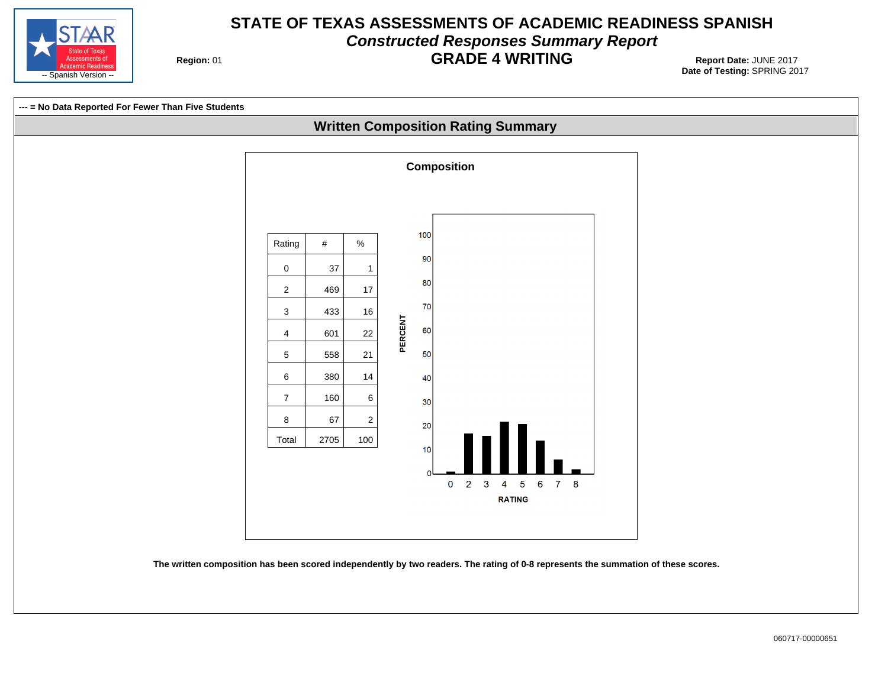

# **STATE OF TEXAS ASSESSMENTS OF ACADEMIC READINESS SPANISH Constructed Responses Summary Report GRADE 4 WRITING** Report Date: JUNE 2017

**Region: 01** 



**The written composition has been scored independently by two readers. The rating of 0-8 represents the summation of these scores.**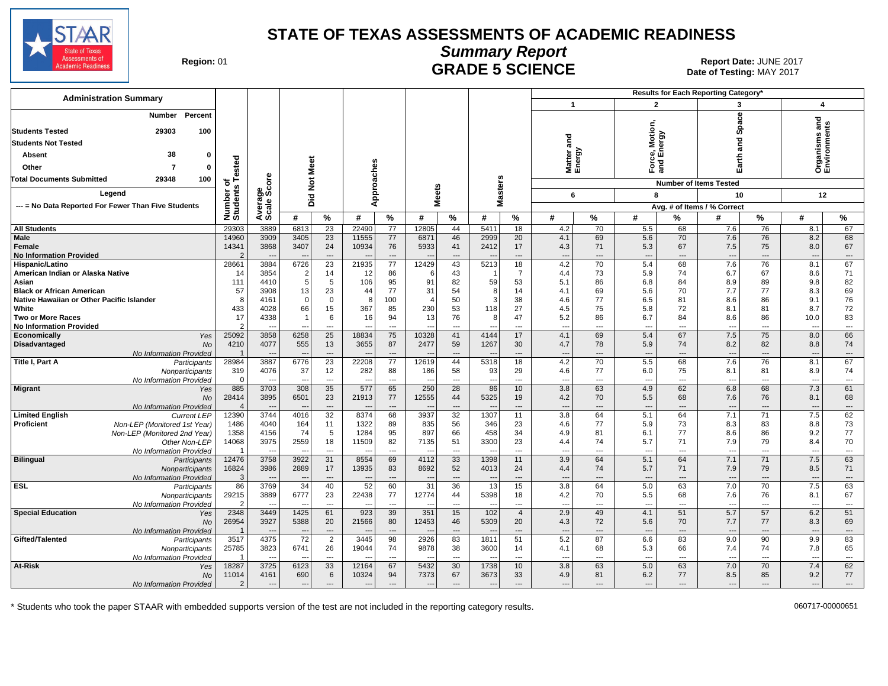

Date of Testing: MAY 2017

| Region: 01 |  |
|------------|--|
|------------|--|

# **Summary Report** Region: 01 **Region: 01 CRADE 5 SCIENCE Date: JUNE 2017**<br>Date of Testing: MAY 2017

| <b>Administration Summary</b>                                                                                                                                          |                                  |                                                |                                         |                               |                                                           |                                      |                                |                                      |                                              |                                        |                                               |                                            |                                        |                                        | <b>Results for Each Reporting Category'</b>   |                                  |                                                      |                                                  |
|------------------------------------------------------------------------------------------------------------------------------------------------------------------------|----------------------------------|------------------------------------------------|-----------------------------------------|-------------------------------|-----------------------------------------------------------|--------------------------------------|--------------------------------|--------------------------------------|----------------------------------------------|----------------------------------------|-----------------------------------------------|--------------------------------------------|----------------------------------------|----------------------------------------|-----------------------------------------------|----------------------------------|------------------------------------------------------|--------------------------------------------------|
|                                                                                                                                                                        |                                  |                                                |                                         |                               |                                                           |                                      |                                |                                      |                                              |                                        | $\mathbf{1}$                                  |                                            | $\overline{2}$                         |                                        | 3                                             |                                  | $\overline{\mathbf{4}}$                              |                                                  |
| Percent<br><b>Number</b><br>100<br><b>Students Tested</b><br>29303<br><b>Students Not Tested</b><br>38<br>Absent<br>$\Omega$                                           |                                  |                                                |                                         |                               |                                                           |                                      |                                |                                      |                                              |                                        | 2 Le<br>Matter<br>Energy                      |                                            | ce, Motion,<br>I Energy                |                                        | <b>Space</b><br>and                           |                                  | and<br>U)<br>anism:<br>'ironme                       |                                                  |
| Other<br>ŋ                                                                                                                                                             | ested                            |                                                | Meet                                    |                               |                                                           |                                      |                                |                                      |                                              |                                        |                                               |                                            | <u>កិ</u> ត្ត                          |                                        | Earth                                         |                                  | ος<br>Επ                                             |                                                  |
| <b>Total Documents Submitted</b><br>29348<br>100                                                                                                                       | ৳                                | <b>ore</b>                                     | $\frac{5}{2}$                           |                               | Approaches                                                |                                      |                                |                                      |                                              |                                        |                                               |                                            |                                        |                                        | <b>Number of Items Tested</b>                 |                                  |                                                      |                                                  |
| Legend                                                                                                                                                                 | $\boldsymbol{a}$                 | န္တပ္ကိ                                        | Did                                     |                               |                                                           |                                      | <b>Meets</b>                   |                                      | <b>Masters</b>                               |                                        | 6                                             |                                            | 8                                      |                                        | 10                                            |                                  | 12                                                   |                                                  |
| --- = No Data Reported For Fewer Than Five Students                                                                                                                    |                                  |                                                |                                         |                               |                                                           |                                      |                                |                                      |                                              |                                        |                                               |                                            |                                        |                                        | Avg. # of Items / % Correct                   |                                  |                                                      |                                                  |
|                                                                                                                                                                        | Number<br>Students               | Average<br>Scale:                              | #                                       | %                             | #                                                         | %                                    | #                              | %                                    | #                                            | %                                      | #                                             | $\%$                                       | #                                      | %                                      | #                                             | %                                | #                                                    | %                                                |
| <b>All Students</b>                                                                                                                                                    | 29303                            | 3889                                           | 6813                                    | $\overline{23}$               | 22490                                                     | $\overline{77}$                      | 12805                          | 44                                   | 5411                                         | 18                                     | 4.2                                           | 70                                         | 5.5                                    | 68                                     | 7.6                                           | 76                               | 8.1                                                  | 67                                               |
| <b>Male</b><br>Female<br><b>No Information Provided</b>                                                                                                                | 14960<br>14341<br>$\mathcal{D}$  | 3909<br>3868                                   | 3405<br>3407                            | 23<br>24<br>$\sim$            | 11555<br>10934                                            | 77<br>76<br>$\sim$                   | 6871<br>5933                   | 46<br>41<br>$\overline{a}$           | 2999<br>2412                                 | 20<br>17<br>$\sim$                     | 4.1<br>4.3<br>$\sim$                          | 69<br>71<br>$\overline{\phantom{a}}$       | 5.6<br>5.3<br>$\overline{a}$           | 70<br>67<br>$\sim$                     | 7.6<br>7.5<br>$\overline{a}$                  | 76<br>75<br>$\sim$               | 8.2<br>8.0<br>$\sim$                                 | 68<br>67<br>$\qquad \qquad \cdots$               |
| Hispanic/Latino<br>American Indian or Alaska Native<br>Asian<br><b>Black or African American</b>                                                                       | 28661<br>14<br>111<br>57         | 3884<br>3854<br>4410<br>3908                   | 6726<br>$\overline{2}$<br>5<br>13       | 23<br>14<br>5<br>23           | 21935<br>12<br>106<br>44                                  | 77<br>86<br>95<br>77                 | 12429<br>6<br>91<br>31         | 43<br>43<br>82<br>54                 | 5213<br>-1<br>59<br>8                        | 18<br>7<br>53<br>14                    | 4.2<br>4.4<br>5.1<br>4.1                      | 70<br>73<br>86<br>69                       | 5.4<br>5.9<br>6.8<br>5.6               | 68<br>74<br>84<br>70                   | 7.6<br>6.7<br>8.9<br>7.7                      | 76<br>67<br>89<br>77             | 8.1<br>8.6<br>9.8<br>8.3                             | 67<br>71<br>82<br>69                             |
| Native Hawaiian or Other Pacific Islander<br>White<br><b>Two or More Races</b><br><b>No Information Provided</b>                                                       | 8<br>433<br>17<br>$\overline{2}$ | 4161<br>4028<br>4338                           | $\Omega$<br>66                          | $\mathbf 0$<br>15<br>6<br>--- | 8<br>367<br>16<br>$- - -$                                 | 100<br>85<br>94<br>---               | 4<br>230<br>13                 | 50<br>53<br>76<br>$\overline{a}$     | 3<br>118<br>8<br>$\sim$                      | 38<br>27<br>47<br>$\overline{a}$       | 4.6<br>4.5<br>5.2<br>$\overline{\phantom{a}}$ | 77<br>75<br>86<br>$\overline{\phantom{a}}$ | 6.5<br>5.8<br>6.7<br>---               | 81<br>72<br>84<br>$\overline{a}$       | 8.6<br>8.1<br>8.6<br>$\overline{\phantom{a}}$ | 86<br>81<br>86<br>$\overline{a}$ | 9.1<br>8.7<br>10.0<br>$\overline{\phantom{a}}$       | 76<br>72<br>83<br>$\cdots$                       |
| Economically<br>Yes<br><b>Disadvantaged</b><br><b>No</b><br>No Information Provided                                                                                    | 25092<br>4210                    | 3858<br>4077<br>$\overline{a}$                 | 6258<br>555                             | 25<br>13<br>---               | 18834<br>3655                                             | 75<br>87<br>$\overline{a}$           | 10328<br>2477                  | 41<br>59<br>$\overline{\phantom{a}}$ | 4144<br>1267                                 | 17<br>30<br>---                        | 4.1<br>4.7<br>--                              | 69<br>78<br>$\overline{\phantom{a}}$       | 5.4<br>5.9<br>---                      | 67<br>74<br>---                        | 7.5<br>8.2<br>$\overline{\phantom{a}}$        | 75<br>82<br>---                  | 8.0<br>8.8<br>$\overline{\phantom{a}}$               | 66<br>74<br>$\cdots$                             |
| Title I, Part A<br>Participants<br>Nonparticipants<br>No Information Provided                                                                                          | 28984<br>319<br>$\mathbf 0$      | 3887<br>4076<br>---                            | 6776<br>37                              | $\overline{23}$<br>12<br>---  | 22208<br>282<br>$\overline{\phantom{a}}$                  | 77<br>88<br>---                      | 12619<br>186                   | 44<br>58<br>$\overline{\phantom{a}}$ | 5318<br>93<br>$\qquad \qquad \cdots$         | 18<br>29<br>---                        | 4.2<br>4.6<br>$\overline{\phantom{a}}$        | 70<br>77<br>---                            | 5.5<br>6.0<br>---                      | 68<br>75<br>---                        | 7.6<br>8.1<br>$\overline{\phantom{a}}$        | 76<br>81<br>---                  | 8.1<br>8.9<br>$\overline{\phantom{a}}$               | 67<br>74<br>$\hspace{0.05cm} \ldots$             |
| <b>Migrant</b><br>Yes<br><b>No</b><br>No Information Provided                                                                                                          | 885<br>28414<br>$\overline{4}$   | 3703<br>3895                                   | 308<br>6501                             | 35<br>23<br>---               | 577<br>21913                                              | 65<br>77<br>---                      | 250<br>12555                   | 28<br>44<br>$---$                    | 86<br>5325                                   | 10<br>19<br>---                        | 3.8<br>4.2<br>$\sim$                          | 63<br>70<br>$---$                          | 4.9<br>5.5<br>---                      | 62<br>68<br>---                        | 6.8<br>7.6<br>$\overline{a}$                  | 68<br>76<br>---                  | 7.3<br>8.1<br>$\overline{\phantom{a}}$               | 61<br>68<br>$\cdots$                             |
| <b>Limited English</b><br><b>Current LEP</b><br>Proficient<br>Non-LEP (Monitored 1st Year)<br>Non-LEP (Monitored 2nd Year)<br>Other Non-LEP<br>No Information Provided | 12390<br>1486<br>1358<br>14068   | 3744<br>4040<br>4156<br>3975<br>$\overline{a}$ | 4016<br>164<br>74<br>2559<br>--         | 32<br>11<br>5<br>18<br>---    | 8374<br>1322<br>1284<br>11509<br>$\overline{\phantom{a}}$ | 68<br>89<br>95<br>82<br>$---$        | 3937<br>835<br>897<br>7135     | 32<br>56<br>66<br>51<br>$---$        | 1307<br>346<br>458<br>3300<br>$\overline{a}$ | 11<br>23<br>34<br>23<br>$\overline{a}$ | 3.8<br>4.6<br>4.9<br>4.4<br>---               | 64<br>77<br>81<br>74<br>$\sim$             | 5.1<br>5.9<br>6.1<br>5.7<br>---        | 64<br>73<br>77<br>71<br>$\overline{a}$ | 7.1<br>8.3<br>8.6<br>7.9<br>$---$             | 71<br>83<br>86<br>79<br>---      | 7.5<br>8.8<br>9.2<br>8.4<br>$\overline{\phantom{a}}$ | 62<br>73<br>77<br>70<br>$\hspace{0.05cm} \ldots$ |
| <b>Bilingual</b><br>Participants<br>Nonparticipants<br>No Information Provided                                                                                         | 12476<br>16824<br>3              | 3758<br>3986                                   | 3922<br>2889                            | 31<br>17<br>---               | 8554<br>13935<br>$\overline{\phantom{a}}$                 | 69<br>83<br>$\overline{\phantom{a}}$ | 4112<br>8692                   | 33<br>52<br>$\overline{\phantom{a}}$ | 1398<br>4013                                 | 11<br>24<br>$\overline{a}$             | 3.9<br>4.4                                    | 64<br>74<br>$\overline{\phantom{a}}$       | 5.1<br>5.7<br>---                      | 64<br>71<br>---                        | 7.1<br>7.9<br>$\overline{\phantom{a}}$        | 71<br>79<br>---                  | 7.5<br>8.5<br>$\overline{\phantom{a}}$               | 63<br>71<br>$\hspace{0.05cm} \ldots$             |
| <b>ESL</b><br>Participants<br>Nonparticipants<br>No Information Provided                                                                                               | 86<br>29215<br>$\mathcal{P}$     | 3769<br>3889<br>$\overline{a}$                 | 34<br>6777<br>--                        | 40<br>23<br>$\overline{a}$    | 52<br>22438<br>$\overline{\phantom{a}}$                   | 60<br>77<br>$---$                    | 31<br>12774                    | 36<br>44<br>$\overline{a}$           | 13<br>5398<br>$\overline{a}$                 | 15<br>18<br>---                        | 3.8<br>4.2<br>$\overline{a}$                  | 64<br>70<br>$\sim$                         | 5.0<br>5.5<br>$\overline{a}$           | 63<br>68<br>$\overline{a}$             | 7.0<br>7.6<br>$\overline{a}$                  | 70<br>76<br>$\overline{a}$       | 7.5<br>8.1<br>$\overline{\phantom{a}}$               | 63<br>67<br>$\hspace{0.05cm} \ldots$             |
| <b>Special Education</b><br>Yes<br><b>No</b><br>No Information Provided                                                                                                | 2348<br>26954                    | 3449<br>3927                                   | 1425<br>5388                            | 61<br>20<br>---               | 923<br>21566                                              | 39<br>80<br>$\overline{\phantom{a}}$ | 351<br>12453                   | 15<br>46<br>---                      | 102<br>5309                                  | $\overline{4}$<br>20<br>$\overline{a}$ | 2.9<br>4.3                                    | 49<br>72<br>$\overline{\phantom{a}}$       | 4.1<br>5.6<br>---                      | 51<br>70<br>---                        | 5.7<br>7.7<br>$\overline{\phantom{a}}$        | 57<br>77<br>---                  | 6.2<br>8.3                                           | 51<br>69<br>$\hspace{0.05cm} \ldots$             |
| Gifted/Talented<br>Participants<br>Nonparticipants<br>No Information Provided                                                                                          | 3517<br>25785                    | 4375<br>3823<br>$\sim$                         | 72<br>6741                              | 2<br>26<br>$\overline{a}$     | 3445<br>19044                                             | 98<br>74<br>$---$                    | 2926<br>9878                   | 83<br>38<br>$---$                    | 1811<br>3600<br>$\sim$                       | 51<br>14<br>$\overline{a}$             | 5.2<br>4.1<br>$\overline{a}$                  | 87<br>68<br>$\overline{\phantom{a}}$       | 6.6<br>5.3<br>$-$ --                   | 83<br>66<br>$\overline{a}$             | 9.0<br>7.4<br>$\overline{a}$                  | 90<br>74<br>$---$                | 9.9<br>7.8<br>$\overline{\phantom{a}}$               | 83<br>65<br>$\cdots$                             |
| At-Risk<br>Yes<br>No<br>No Information Provided                                                                                                                        | 18287<br>11014<br>$\mathcal{P}$  | 3725<br>4161<br>$---$                          | 6123<br>690<br>$\overline{\phantom{a}}$ | 33<br>$\,6\,$<br>$---$        | 12164<br>10324<br>$\overline{\phantom{a}}$                | 67<br>94<br>$---$                    | 5432<br>7373<br>$\overline{a}$ | 30<br>67<br>$\overline{a}$           | 1738<br>3673<br>$---$                        | 10<br>33<br>$---$                      | 3.8<br>4.9<br>$\overline{\phantom{a}}$        | 63<br>81<br>$---$                          | 5.0<br>6.2<br>$\overline{\phantom{a}}$ | 63<br>77<br>$---$                      | 7.0<br>8.5<br>$---$                           | 70<br>85<br>$---$                | 7.4<br>9.2<br>$\overline{\phantom{a}}$               | 62<br>77<br>$---$                                |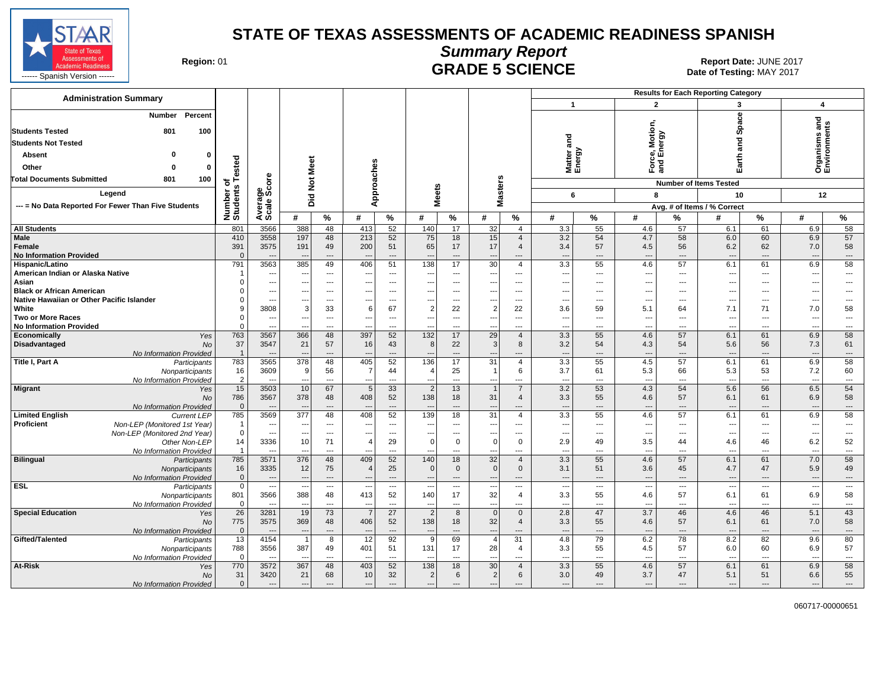

#### **Summary Report** Region: 01 **Region: 01 CRADE 5 SCIENCE Date: JUNE 2017**<br>Date of Testing: MAY 2017

| <b>Administration Summary</b>                                           |                               |                                                      |                                 |                                    |                                                      |                          |                                 |                                                      |                                |                               |                                                      | <b>Results for Each Reporting Category</b> |                                 |                      |                               |                                      |                                 |                                |
|-------------------------------------------------------------------------|-------------------------------|------------------------------------------------------|---------------------------------|------------------------------------|------------------------------------------------------|--------------------------|---------------------------------|------------------------------------------------------|--------------------------------|-------------------------------|------------------------------------------------------|--------------------------------------------|---------------------------------|----------------------|-------------------------------|--------------------------------------|---------------------------------|--------------------------------|
|                                                                         |                               |                                                      |                                 |                                    |                                                      |                          |                                 |                                                      |                                |                               | $\overline{1}$                                       |                                            | $\overline{2}$                  |                      | 3                             |                                      | $\overline{\mathbf{4}}$         |                                |
| <b>Number</b><br>Percent<br><b>Students Tested</b><br>801<br>100        |                               |                                                      |                                 |                                    |                                                      |                          |                                 |                                                      |                                |                               |                                                      |                                            | Motion,<br>ergy                 |                      | Space                         |                                      | and<br>s                        |                                |
| <b>Students Not Tested</b>                                              |                               |                                                      |                                 |                                    |                                                      |                          |                                 |                                                      |                                |                               | na<br>and                                            |                                            |                                 |                      | and                           |                                      |                                 |                                |
| $\Omega$<br>Absent<br>0                                                 |                               |                                                      |                                 |                                    |                                                      |                          |                                 |                                                      |                                |                               | Matter<br>Energy                                     |                                            | ှ<br>8 ம்                       |                      |                               |                                      | anism:<br>ironme                |                                |
| Other<br>$\Omega$<br>0                                                  | ested                         |                                                      |                                 |                                    |                                                      |                          |                                 |                                                      |                                |                               |                                                      |                                            | Ford<br>and                     |                      | Earth                         |                                      | ë≧<br>⊾                         |                                |
| 100<br><b>Total Documents Submitted</b><br>801                          | ⊢                             | ore                                                  |                                 |                                    |                                                      |                          |                                 |                                                      |                                |                               |                                                      |                                            |                                 |                      |                               |                                      |                                 |                                |
|                                                                         | ৳                             |                                                      | Not Meet                        |                                    | Approaches                                           |                          |                                 |                                                      | Masters                        |                               |                                                      |                                            |                                 |                      | <b>Number of Items Tested</b> |                                      |                                 |                                |
| Legend                                                                  |                               |                                                      | Did                             |                                    |                                                      |                          |                                 | <b>Meets</b>                                         |                                |                               | 6                                                    |                                            | 8                               |                      | 10                            |                                      | 12                              |                                |
| --- = No Data Reported For Fewer Than Five Students                     | Number of<br>Students         | Average<br>Scale Scc                                 |                                 |                                    |                                                      |                          |                                 |                                                      |                                |                               |                                                      |                                            |                                 |                      | Avg. # of Items / % Correct   |                                      |                                 |                                |
|                                                                         |                               |                                                      | #                               | %                                  | #                                                    | %                        | #                               | %                                                    | #                              | $\%$                          | #                                                    | $\%$                                       | #                               | %                    | #                             | %                                    | #                               | %                              |
| <b>All Students</b>                                                     | 801                           | 3566                                                 | 388                             | 48                                 | 413                                                  | 52                       | 140                             | 17                                                   | 32                             | $\overline{4}$                | 3.3                                                  | 55                                         | 4.6                             | 57                   | 6.1                           | 61                                   | 6.9                             | 58                             |
| Male                                                                    | 410                           | 3558                                                 | 197                             | 48                                 | 213                                                  | 52                       | 75                              | 18                                                   | 15                             | $\overline{4}$                | 3.2                                                  | 54                                         | 4.7                             | 58                   | 6.0                           | 60                                   | 6.9                             | 57                             |
| Female                                                                  | 391                           | 3575                                                 | 191                             | 49                                 | 200                                                  | 51                       | 65                              | 17                                                   | 17                             | $\overline{4}$                | 3.4                                                  | 57                                         | 4.5                             | 56                   | 6.2                           | 62                                   | 7.0                             | 58                             |
| <b>No Information Provided</b><br>Hispanic/Latino                       | $\Omega$<br>791               | $\overline{a}$<br>3563                               | $\overline{\phantom{a}}$<br>385 | $---$<br>49                        | $\overline{\phantom{a}}$<br>406                      | $\overline{a}$<br>51     | $\overline{\phantom{a}}$<br>138 | $---$<br>17                                          | $---$<br>30                    | $---$<br>$\overline{4}$       | $\overline{\phantom{a}}$<br>3.3                      | $\overline{\phantom{a}}$<br>55             | $\overline{\phantom{a}}$<br>4.6 | $\overline{a}$<br>57 | $---$<br>6.1                  | $---$<br>61                          | $\overline{\phantom{a}}$<br>6.9 | $\cdots$<br>58                 |
| American Indian or Alaska Native                                        |                               | ---                                                  |                                 | $\overline{\phantom{a}}$           | $\overline{\phantom{a}}$                             | ---                      | ---                             | $\overline{\phantom{a}}$                             | ---                            | ---                           | $\overline{\phantom{a}}$                             | $\overline{\phantom{a}}$                   | $\overline{\phantom{a}}$        | ---                  | $\overline{a}$                | ---                                  | $\overline{\phantom{a}}$        | $\overline{\phantom{a}}$       |
| Asian                                                                   |                               | ---                                                  | ---                             | $\cdots$                           | $\overline{\phantom{a}}$                             | ---                      | $\overline{\phantom{a}}$        | $\overline{\phantom{a}}$                             | ---                            | $\overline{\phantom{a}}$      | ---                                                  | ---                                        | ---                             | ---                  | $---$                         | ---                                  | ---                             | $\overline{\phantom{a}}$       |
| <b>Black or African American</b>                                        | $\Omega$                      | $\overline{a}$                                       | $\sim$                          | $---$                              | $\sim$                                               | $-$                      | $\sim$                          | $---$                                                | $\sim$                         | $\overline{a}$                | $---$                                                | $\sim$                                     | ---                             | $---$                | $---$                         | ---                                  | $\sim$                          | $\sim$                         |
| Native Hawaiian or Other Pacific Islander                               |                               | $\overline{\phantom{a}}$                             |                                 | ---                                | $\overline{\phantom{a}}$                             | ---                      | ---                             | $\hspace{0.05cm} \ldots$                             | ---                            | $\overline{\phantom{a}}$      | ---                                                  | ---                                        | ---                             | ---                  | $\overline{\phantom{a}}$      | ---                                  | $\overline{\phantom{a}}$        | $\hspace{0.05cm} \ldots$       |
| White                                                                   |                               | 3808                                                 | 3                               | 33                                 | 6                                                    | 67                       | $\overline{2}$                  | 22                                                   | $\overline{c}$                 | 22                            | 3.6                                                  | 59                                         | 5.1                             | 64                   | 7.1                           | 71                                   | 7.0                             | 58                             |
| <b>Two or More Races</b>                                                | $\mathbf 0$                   | ---                                                  | $\overline{\phantom{a}}$        | $---$                              | $\overline{\phantom{a}}$                             | $---$                    | $\overline{\phantom{a}}$        | $---$                                                | ---                            | $---$                         | $\sim$                                               | $---$                                      | $\overline{\phantom{a}}$        | $\overline{a}$       | $---$                         | $---$                                | $\sim$                          | $\sim$                         |
| <b>No Information Provided</b>                                          | $\Omega$                      | -−                                                   |                                 | ---                                |                                                      | ---                      |                                 | $\overline{a}$                                       | ---                            | $\overline{\phantom{a}}$      | $\overline{a}$                                       | ---                                        | ---                             | ---                  | $\overline{a}$                | ---                                  |                                 | $\hspace{0.05cm} \ldots$       |
| Economically<br>Yes<br>Disadvantaged<br><b>No</b>                       | 763<br>37                     | 3567<br>3547                                         | 366<br>21                       | 48<br>57                           | 397<br>16                                            | 52<br>43                 | 132<br>8                        | 17<br>22                                             | 29<br>3                        | $\overline{4}$<br>8           | 3.3<br>3.2                                           | 55<br>54                                   | 4.6<br>4.3                      | 57<br>54             | 6.1<br>5.6                    | 61<br>56                             | 6.9<br>7.3                      | 58<br>61                       |
| No Information Provided                                                 | $\overline{1}$                |                                                      |                                 | ---                                |                                                      | $\overline{a}$           |                                 | $\overline{a}$                                       | $\overline{a}$                 | $\overline{a}$                | $\sim$                                               | $\overline{a}$                             | ---                             | ---                  | $\overline{a}$                | ---                                  |                                 | $\qquad \qquad \cdots$         |
| Title I, Part A<br>Participants                                         | 783                           | 3565                                                 | 378                             | 48                                 | 405                                                  | 52                       | 136                             | 17                                                   | $\overline{31}$                | 4                             | 3.3                                                  | 55                                         | 4.5                             | 57                   | 6.1                           | 61                                   | 6.9                             | 58                             |
| Nonparticipants                                                         | 16                            | 3609                                                 | 9                               | 56                                 | -7                                                   | 44                       | $\overline{4}$                  | 25                                                   | $\overline{1}$                 | 6                             | 3.7                                                  | 61                                         | 5.3                             | 66                   | 5.3                           | 53                                   | 7.2                             | 60                             |
| No Information Provided                                                 | $\overline{2}$                | $\overline{a}$                                       | $\overline{\phantom{a}}$        | $\overline{a}$                     | $\overline{\phantom{a}}$                             | $\overline{a}$           | $\overline{a}$                  | $\overline{a}$                                       | $\overline{\phantom{a}}$       | $---$                         | $\overline{\phantom{a}}$                             | $\overline{\phantom{a}}$                   | $\overline{a}$                  | $\overline{a}$       | $---$                         | $\overline{a}$                       | $\overline{\phantom{a}}$        | $\overline{\phantom{a}}$       |
| Migrant<br>Yes                                                          | 15                            | 3503                                                 | 10                              | 67                                 | 5                                                    | 33                       | $\overline{2}$                  | 13                                                   | $\overline{1}$                 | $\overline{7}$                | 3.2                                                  | 53                                         | 4.3                             | 54                   | 5.6                           | 56                                   | 6.5                             | 54                             |
| <b>No</b>                                                               | 786                           | 3567                                                 | 378                             | 48                                 | 408                                                  | 52                       | 138                             | 18                                                   | 31                             | $\overline{4}$                | 3.3                                                  | 55                                         | 4.6                             | 57                   | 6.1                           | 61                                   | 6.9                             | 58                             |
| No Information Provided<br><b>Limited English</b><br><b>Current LEP</b> | $\overline{0}$<br>785         | 3569                                                 | 377                             | $\overline{a}$<br>48               | 408                                                  | $\overline{a}$<br>52     | 139                             | $---$<br>18                                          | $\overline{\phantom{a}}$<br>31 | $---$<br>4                    | $\overline{\phantom{a}}$<br>3.3                      | $\overline{\phantom{a}}$<br>55             | ---<br>4.6                      | $\overline{a}$<br>57 | $\overline{a}$<br>6.1         | ---<br>61                            | $\overline{\phantom{a}}$<br>6.9 | $\hspace{0.05cm} \ldots$<br>58 |
| <b>Proficient</b><br>Non-LEP (Monitored 1st Year)                       | -1                            | ---                                                  |                                 | ---                                | $\ddotsc$                                            | ---                      | ---                             | $\hspace{0.05cm} \ldots$                             | $---$                          | $\overline{a}$                | $\overline{\phantom{a}}$                             | $\overline{a}$                             | ---                             | ---                  | $---$                         | $---$                                | $\sim$                          | $\hspace{0.05cm} \cdots$       |
| Non-LEP (Monitored 2nd Year)                                            | $\mathbf 0$                   | $\overline{a}$                                       | $\sim$                          | $---$                              | $\overline{\phantom{a}}$                             | $---$                    | $\sim$                          | $---$                                                | ---                            | $---$                         | $\overline{\phantom{a}}$                             | $\sim$                                     | ---                             | $\overline{a}$       | $---$                         | $---$                                | $\sim$                          | $\overline{\phantom{a}}$       |
| Other Non-LEP                                                           | 14                            | 3336                                                 | 10                              | 71                                 | $\overline{4}$                                       | 29                       | $\Omega$                        | $\Omega$                                             | $\mathbf 0$                    | $\mathbf 0$                   | 2.9                                                  | 49                                         | 3.5                             | 44                   | 4.6                           | 46                                   | 6.2                             | 52                             |
| No Information Provided                                                 | $\overline{1}$                | $\overline{a}$                                       |                                 | ---                                | $\overline{\phantom{a}}$                             | ---                      |                                 | ---                                                  | ---                            | ---                           | ---                                                  | ---                                        | ---                             | ---                  | $\overline{a}$                | ---                                  | $\overline{\phantom{a}}$        | $\overline{\phantom{a}}$       |
| <b>Bilingual</b><br>Participants                                        | 785                           | 3571                                                 | 376                             | 48                                 | 409                                                  | 52                       | 140                             | 18                                                   | 32                             | $\overline{4}$                | 3.3                                                  | 55                                         | 4.6                             | 57                   | 6.1                           | 61                                   | 7.0                             | 58                             |
| Nonparticipants                                                         | 16                            | 3335                                                 | 12                              | 75                                 | $\overline{4}$                                       | 25                       | $\mathbf{0}$                    | $\mathbf{0}$                                         | $\mathbf 0$                    | $\mathbf{0}$                  | 3.1                                                  | 51                                         | 3.6                             | 45                   | 4.7                           | 47                                   | 5.9                             | 49                             |
| No Information Provided<br><b>ESL</b>                                   | $\overline{0}$<br>$\mathbf 0$ | $\overline{\phantom{a}}$<br>$\overline{\phantom{a}}$ | ---                             | $\qquad \qquad \cdots$<br>$\cdots$ | $\overline{\phantom{a}}$<br>$\overline{\phantom{a}}$ | $\overline{\phantom{a}}$ | $\overline{\phantom{a}}$        | $\overline{\phantom{a}}$<br>$\overline{\phantom{a}}$ | $\overline{\phantom{a}}$       | $\overline{\phantom{a}}$      | $\overline{\phantom{a}}$<br>$\overline{\phantom{a}}$ | $\overline{\phantom{a}}$                   | ---                             | ---<br>---           | $\overline{\phantom{a}}$      | $\cdots$<br>$\overline{\phantom{a}}$ | $\overline{\phantom{a}}$        | $\cdots$<br>$\cdots$           |
| Participants<br>Nonparticipants                                         | 801                           | 3566                                                 | $\ddotsc$<br>388                | 48                                 | 413                                                  | $---$<br>52              | $\overline{\phantom{a}}$<br>140 | 17                                                   | $\overline{\phantom{a}}$<br>32 | $\overline{\phantom{a}}$<br>4 | 3.3                                                  | 55                                         | ---<br>4.6                      | 57                   | $---$<br>6.1                  | 61                                   | $\sim$<br>6.9                   | 58                             |
| No Information Provided                                                 | $\mathbf 0$                   | $\overline{\phantom{a}}$                             | $\overline{\phantom{a}}$        | ---                                | $\overline{\phantom{a}}$                             | $\overline{\phantom{a}}$ | $\overline{\phantom{a}}$        | $\overline{\phantom{a}}$                             | $\hspace{0.05cm} \ldots$       | $\hspace{0.05cm} \ldots$      | $\sim$                                               | ---                                        | ---                             | ---                  | $\overline{\phantom{a}}$      | ---                                  | $\sim$                          | $\hspace{0.05cm} \ldots$       |
| <b>Special Education</b><br>Yes                                         | $\overline{26}$               | 3281                                                 | 19                              | 73                                 | $\overline{7}$                                       | $\overline{27}$          | $\overline{2}$                  | 8                                                    | $\mathbf{0}$                   | $\mathbf{0}$                  | 2.8                                                  | 47                                         | $\overline{3.7}$                | 46                   | 4.6                           | 46                                   | 5.1                             | 43                             |
| <b>No</b>                                                               | 775                           | 3575                                                 | 369                             | 48                                 | 406                                                  | 52                       | 138                             | 18                                                   | 32                             | $\overline{4}$                | 3.3                                                  | 55                                         | 4.6                             | 57                   | 6.1                           | 61                                   | 7.0                             | 58                             |
| No Information Provided                                                 | $\overline{0}$                | $\overline{a}$                                       |                                 | ---                                |                                                      | ---                      |                                 | $\overline{a}$                                       | $\overline{\phantom{a}}$       |                               |                                                      |                                            | ---                             | ---                  |                               | ---                                  |                                 | $\qquad \qquad \cdots$         |
| Gifted/Talented<br>Participants                                         | 13                            | 4154                                                 | $\overline{\mathbf{1}}$         | 8                                  | $\overline{12}$                                      | 92                       | 9                               | 69                                                   | $\overline{4}$                 | 31                            | 4.8                                                  | 79                                         | 6.2                             | 78                   | 8.2                           | 82                                   | 9.6                             | 80                             |
| Nonparticipants                                                         | 788                           | 3556                                                 | 387                             | 49                                 | 401                                                  | 51                       | 131                             | 17                                                   | 28                             | $\overline{4}$                | 3.3                                                  | 55                                         | 4.5                             | 57                   | 6.0                           | 60                                   | 6.9                             | 57                             |
| No Information Provided<br><b>At-Risk</b>                               | $\Omega$<br>770               | 3572                                                 | 367                             | ---<br>48                          | 403                                                  | ---<br>52                | 138                             | ---<br>18                                            | ---<br>30                      | ---<br>$\overline{4}$         | $\sim$<br>3.3                                        | ---<br>55                                  | ---<br>4.6                      | ---<br>57            | ---<br>6.1                    | ---<br>61                            | $\overline{\phantom{a}}$<br>6.9 | $\hspace{0.05cm} \ldots$<br>58 |
| Yes<br>No                                                               | 31                            | 3420                                                 | 21                              | 68                                 | 10                                                   | 32                       | $\overline{c}$                  | 6                                                    | $\overline{2}$                 | 6                             | 3.0                                                  | 49                                         | 3.7                             | 47                   | 5.1                           | 51                                   | 6.6                             | 55                             |
| No Information Provided                                                 | $\mathbf 0$                   | $\overline{\phantom{a}}$                             | $\overline{\phantom{a}}$        | $\overline{a}$                     | $\overline{\phantom{a}}$                             | $\overline{a}$           | $\qquad \qquad \cdots$          | $---$                                                | $\overline{a}$                 | $\overline{\phantom{a}}$      | $\overline{\phantom{a}}$                             | $---$                                      | ---                             | $\overline{a}$       | $---$                         | $---$                                | $\overline{\phantom{a}}$        | $\cdots$                       |
|                                                                         |                               |                                                      |                                 |                                    |                                                      |                          |                                 |                                                      |                                |                               |                                                      |                                            |                                 |                      |                               |                                      |                                 |                                |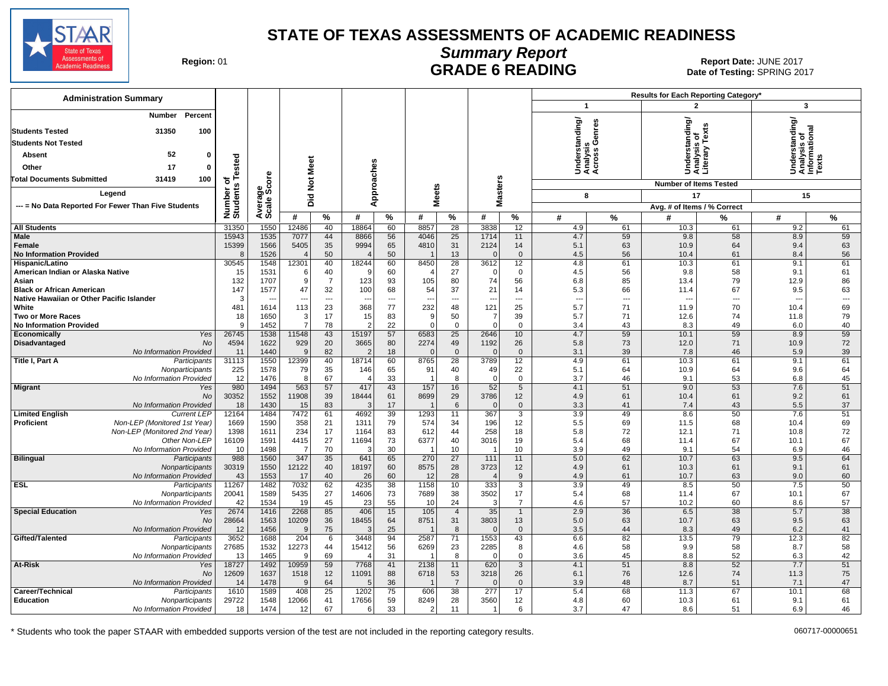

# **Summary Report** Region: 01 **Region: 01 CONTRIGGLATE 6 READING Report Date: JUNE 2017**<br>Date of Testing: SPRING 20

Date of Testing: SPRING 2017

| <b>Administration Summary</b>                               |                       |                |                          |                |                        |               |                  |                      |                          |                    |                          |          | Results for Each Reporting Category* |                          |                                                    |               |
|-------------------------------------------------------------|-----------------------|----------------|--------------------------|----------------|------------------------|---------------|------------------|----------------------|--------------------------|--------------------|--------------------------|----------|--------------------------------------|--------------------------|----------------------------------------------------|---------------|
|                                                             |                       |                |                          |                |                        |               |                  |                      |                          |                    | $\mathbf{1}$             |          | $\overline{\mathbf{c}}$              |                          | 3                                                  |               |
| Percent<br>Number<br>31350<br>100<br><b>Students Tested</b> |                       |                |                          |                |                        |               |                  |                      |                          |                    | derstanding/             | enres    | nderstanding/<br>nalysis_of          |                          | nderstanding/<br>nalysis of<br>formational<br>эxts |               |
| <b>Students Not Tested</b>                                  |                       |                |                          |                |                        |               |                  |                      |                          |                    |                          |          |                                      | Tex                      |                                                    |               |
| 52<br>Absent<br>0                                           |                       |                |                          |                |                        |               |                  |                      |                          |                    | alysis<br>ross G         |          |                                      | 2                        |                                                    |               |
| 17<br>Other<br>$\mathbf{0}$                                 | of<br>s Tested        |                |                          |                |                        |               |                  |                      |                          |                    |                          |          |                                      | nais<br>terai            |                                                    |               |
|                                                             |                       | <b>ore</b>     |                          |                |                        |               |                  |                      |                          |                    | र्ड ई ई                  |          | ŠËŠ                                  |                          | Säĕê                                               |               |
| <b>Total Documents Submitted</b><br>31419<br>100            |                       |                | Not Meet                 |                |                        |               |                  |                      |                          |                    |                          |          | <b>Number of Items Tested</b>        |                          |                                                    |               |
| Legend                                                      |                       | န္တပ္ကိ        |                          |                | Approaches             |               | <b>Meets</b>     |                      | <b>Masters</b>           |                    | 8                        |          | 17                                   |                          | 15                                                 |               |
| --- = No Data Reported For Fewer Than Five Students         |                       | Avera<br>Scale | Did                      |                |                        |               |                  |                      |                          |                    |                          |          | Avg. # of Items / % Correct          |                          |                                                    |               |
|                                                             | Number of<br>Students |                | #                        | %              | #                      | $\frac{9}{6}$ | #                | $\%$                 | #                        | $\%$               | #                        | $\%$     | #                                    | %                        | #                                                  | $\frac{9}{6}$ |
| <b>All Students</b>                                         | 31350                 | 1550           | 12486                    | 40             | 18864                  | 60            | 8857             | 28                   | 3838                     | 12                 | 4.9                      | 61       | 10.3                                 | 61                       | 9.2                                                | 61            |
| Male                                                        | 15943                 | 1535           | 7077                     | 44             | 8866                   | 56            | 4046             | 25                   | 1714                     | 11                 | 4.7                      | 59       | 9.8                                  | 58                       | 8.9                                                | 59            |
| Female                                                      | 15399                 | 1566           | 5405                     | 35             | 9994                   | 65            | 4810             | 31                   | 2124                     | 14                 | 5.1                      | 63       | 10.9                                 | 64                       | 9.4                                                | 63            |
| <b>No Information Provided</b>                              | 8                     | 1526           |                          | 50             |                        | 50            |                  | 13                   | $\Omega$                 | $\mathbf 0$        | 4.5                      | 56       | 10.4                                 | 61                       | 8.4                                                | 56            |
| Hispanic/Latino<br>American Indian or Alaska Native         | 30545<br>15           | 1548<br>1531   | 12301<br>-6              | 40<br>40       | 18244<br><b>C</b>      | 60<br>60      | 8450             | 28<br>27             | 3612<br>$\Omega$         | 12<br>0            | 4.8<br>4.5               | 61<br>56 | 10.3<br>9.8                          | 61<br>58                 | 9.1<br>9.1                                         | 61<br>61      |
| Asian                                                       | 132                   | 1707           | -9                       | $\overline{7}$ | 123                    | 93            | 105              | 80                   | 74                       | 56                 | 6.8                      | 85       | 13.4                                 | 79                       | 12.9                                               | 86            |
| <b>Black or African American</b>                            | 147                   | 1577           | 47                       | 32             | 100                    | 68            | 54               | 37                   | 21                       | 14                 | 5.3                      | 66       | 11.4                                 | 67                       | 9.5                                                | 63            |
| Native Hawaiian or Other Pacific Islander                   | 3                     |                | $\overline{\phantom{a}}$ | $\overline{a}$ | ---                    | ---           | ---              | ---                  | $\overline{\phantom{a}}$ | ---                | $\overline{\phantom{a}}$ | ---      | ---                                  | $\overline{\phantom{a}}$ | $\overline{\phantom{a}}$                           | ---           |
| White                                                       | 481                   | 1614           | 113                      | 23             | 368                    | 77            | 232              | 48                   | 121                      | 25                 | 5.7                      | 71       | 11.9                                 | 70                       | 10.4                                               | 69            |
| <b>Two or More Races</b>                                    | 18                    | 1650           | 3                        | 17             | 15                     | 83            | g                | 50                   | $\overline{7}$           | 39                 | 5.7                      | 71       | 12.6                                 | 74                       | 11.8                                               | 79            |
| <b>No Information Provided</b><br>Yes<br>Economically       | $\mathbf{Q}$<br>26745 | 1452<br>1538   | $\overline{7}$<br>11548  | 78<br>43       | 2<br>15197             | 22<br>57      | $\Omega$<br>6583 | $\mathbf{0}$<br>25   | $\Omega$<br>2646         | $\Omega$<br>10     | 3.4<br>4.7               | 43<br>59 | 8.3<br>10.1                          | 49<br>59                 | 6.0<br>8.9                                         | 40<br>59      |
| No<br>Disadvantaged                                         | 4594                  | 1622           | 929                      | 20             | 3665                   | 80            | 2274             | 49                   | 1192                     | 26                 | 5.8                      | 73       | 12.0                                 | 71                       | 10.9                                               | 72            |
| No Information Provided                                     | 11                    | 1440           | 9                        | 82             |                        | 18            | $\Omega$         | $\mathbf 0$          | $\mathbf{0}$             | $\mathbf 0$        | 3.1                      | 39       | 7.8                                  | 46                       | 5.9                                                | 39            |
| Title I, Part A<br>Participants                             | 31113                 | 1550           | 12399                    | 40             | 18714                  | 60            | 8765             | 28                   | 3789                     | 12                 | 4.9                      | 61       | 10.3                                 | 61                       | 9.1                                                | 61            |
| Nonparticipants                                             | 225                   | 1578           | 79                       | 35             | 146                    | 65            | 91               | 40                   | 49                       | 22                 | 5.1                      | 64       | 10.9                                 | 64                       | 9.6                                                | 64            |
| No Information Provided                                     | 12                    | 1476           | 8                        | 67             |                        | 33            |                  | 8                    | $\Omega$                 | $\mathbf 0$        | 3.7                      | 46       | 9.1                                  | 53                       | 6.8                                                | 45            |
| <b>Migrant</b><br>Yes<br><b>No</b>                          | 980<br>30352          | 1494<br>1552   | 563<br>11908             | 57<br>39       | 417<br>18444           | 43<br>61      | 157<br>8699      | 16<br>29             | 52<br>3786               | 5<br>12            | 4.1<br>4.9               | 51<br>61 | 9.0<br>10.4                          | 53<br>61                 | 7.6<br>9.2                                         | 51<br>61      |
| No Information Provided                                     | 18                    | 1430           | 15                       | 83             | -3                     | 17            |                  | 6                    | $\overline{0}$           | $\mathbf{0}$       | 3.3                      | 41       | 7.4                                  | 43                       | 5.5                                                | 37            |
| <b>Limited English</b><br><b>Current LEP</b>                | 12164                 | 1484           | 7472                     | 61             | 4692                   | 39            | 1293             | 11                   | 367                      | $\overline{3}$     | 3.9                      | 49       | 8.6                                  | 50                       | 7.6                                                | 51            |
| Non-LEP (Monitored 1st Year)<br><b>Proficient</b>           | 1669                  | 1590           | 358                      | 21             | 1311                   | 79            | 574              | 34                   | 196                      | 12                 | 5.5                      | 69       | 11.5                                 | 68                       | 10.4                                               | 69            |
| Non-LEP (Monitored 2nd Year)                                | 1398                  | 1611           | 234                      | 17             | 1164                   | 83            | 612              | 44                   | 258                      | 18                 | 5.8                      | 72       | 12.1                                 | 71                       | 10.8                                               | 72            |
| Other Non-LEP                                               | 16109                 | 1591           | 4415                     | 27             | 11694                  | 73            | 6377             | 40                   | 3016                     | 19                 | 5.4                      | 68       | 11.4                                 | 67                       | 10.1                                               | 67            |
| No Information Provided<br><b>Bilingual</b><br>Participants | 10<br>988             | 1498<br>1560   | -7<br>347                | 70<br>35       | -3<br>641              | 30<br>65      | - 1<br>270       | 10<br>27             | $\overline{1}$<br>111    | 10<br>11           | 3.9<br>5.0               | 49<br>62 | 9.1<br>10.7                          | 54<br>63                 | 6.9<br>9.5                                         | 46<br>64      |
| Nonparticipants                                             | 30319                 | 1550           | 12122                    | 40             | 18197                  | 60            | 8575             | 28                   | 3723                     | 12                 | 4.9                      | 61       | 10.3                                 | 61                       | 9.1                                                | 61            |
| No Information Provided                                     | 43                    | 1553           | 17                       | 40             | 26                     | 60            | 12               | 28                   | $\sqrt{2}$               | 9                  | 4.9                      | 61       | 10.7                                 | 63                       | 9.0                                                | 60            |
| <b>ESL</b><br>Participants                                  | 11267                 | 1482           | 7032                     | 62             | 4235                   | 38            | 1158             | 10                   | 333                      | 3                  | 3.9                      | 49       | 8.5                                  | 50                       | 7.5                                                | 50            |
| Nonparticipants                                             | 20041                 | 1589           | 5435                     | 27             | 14606                  | 73            | 7689             | 38                   | 3502                     | 17                 | 5.4                      | 68       | 11.4                                 | 67                       | 10.1                                               | 67            |
| No Information Provided                                     | 42                    | 1534           | 19                       | 45             | 23                     | 55            | 10               | 24                   | -3                       | $\overline{7}$     | 4.6                      | 57       | 10.2                                 | 60                       | 8.6                                                | 57            |
| <b>Special Education</b><br>Yes<br>No                       | 2674                  | 1416           | 2268                     | 85             | 406<br>18455           | 15<br>64      | 105              | $\overline{4}$<br>31 | 35                       | $\mathbf{1}$<br>13 | 2.9<br>5.0               | 36<br>63 | 6.5<br>10.7                          | 38<br>63                 | 5.7<br>9.5                                         | 38<br>63      |
| No Information Provided                                     | 28664<br>12           | 1563<br>1456   | 10209<br>9               | 36<br>75       | ß                      | 25            | 8751             | 8                    | 3803<br>$\Omega$         | $\mathbf 0$        | 3.5                      | 44       | 8.3                                  | 49                       | 6.2                                                | 41            |
| Gifted/Talented<br>Participants                             | 3652                  | 1688           | 204                      | 6              | 3448                   | 94            | 2587             | 71                   | 1553                     | 43                 | 6.6                      | 82       | 13.5                                 | 79                       | 12.3                                               | 82            |
| Nonparticipants                                             | 27685                 | 1532           | 12273                    | 44             | 15412                  | 56            | 6269             | 23                   | 2285                     | 8                  | 4.6                      | 58       | 9.9                                  | 58                       | 8.7                                                | 58            |
| No Information Provided                                     | 13                    | 1465           | 9                        | 69             |                        | 31            |                  | 8                    | $\Omega$                 | 0                  | 3.6                      | 45       | 8.8                                  | 52                       | 6.3                                                | 42            |
| At-Risk<br>Yes                                              | 18727                 | 1492           | 10959                    | 59             | 7768                   | 41            | 2138             | 11                   | 620                      | 3                  | 4.1                      | 51       | 8.8                                  | 52                       | 7.7                                                | 51            |
| <b>No</b>                                                   | 12609                 | 1637           | 1518                     | 12             | 11091                  | 88            | 6718             | 53                   | 3218                     | 26                 | 6.1                      | 76       | 12.6                                 | 74                       | 11.3                                               | 75            |
| No Information Provided<br>Career/Technical<br>Participants | 14<br>1610            | 1478<br>1589   | $\mathbf{q}$<br>408      | 64<br>25       | $\overline{5}$<br>1202 | 36<br>75      | 606              | $\overline{7}$<br>38 | $\Omega$<br>277          | $\mathbf{0}$<br>17 | 3.9<br>5.4               | 48<br>68 | 8.7<br>11.3                          | 51<br>67                 | 7.1<br>10.1                                        | 47<br>68      |
| <b>Education</b><br>Nonparticipants                         | 29722                 | 1548           | 12066                    | 41             | 17656                  | 59            | 8249             | 28                   | 3560                     | 12 <sup>°</sup>    | 4.8                      | 60       | 10.3                                 | 61                       | 9.1                                                | 61            |
| No Information Provided                                     | 18                    | 1474           | 12                       | 67             | 6                      | 33            | $\overline{2}$   | 11                   | - 1                      | 6                  | 3.7                      | 47       | 8.6                                  | 51                       | 6.9                                                | 46            |
|                                                             |                       |                |                          |                |                        |               |                  |                      |                          |                    |                          |          |                                      |                          |                                                    |               |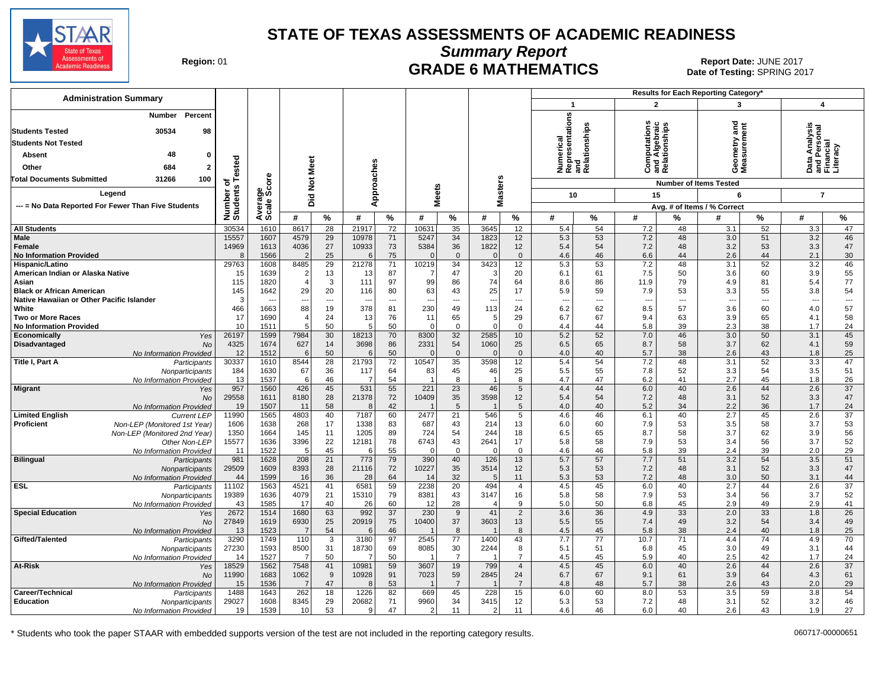

**Summary Report**

Region: 01 **Region: 01 CRADE 6 MATHEMATICS Date: JUNE 2017 Report Date: JUNE 2017** Date of Testing: SPRING 2017

| <b>Administration Summary</b>                                                                                                 |                     |                      |                               |                                |                     |                 |                                |                          |                                |                                  |                                                                                   | <b>Results for Each Reporting Category'</b> |                                                         |                |                                      |                      |                                                            |                                   |
|-------------------------------------------------------------------------------------------------------------------------------|---------------------|----------------------|-------------------------------|--------------------------------|---------------------|-----------------|--------------------------------|--------------------------|--------------------------------|----------------------------------|-----------------------------------------------------------------------------------|---------------------------------------------|---------------------------------------------------------|----------------|--------------------------------------|----------------------|------------------------------------------------------------|-----------------------------------|
|                                                                                                                               |                     |                      |                               |                                |                     |                 |                                |                          |                                |                                  | $\mathbf{1}$                                                                      |                                             | $\overline{2}$                                          |                | 3                                    |                      | 4                                                          |                                   |
| Percent<br>Number<br>30534<br><b>Students Tested</b><br>98<br><b>Students Not Tested</b><br>48<br>Absent<br>n<br>Other<br>684 | ested               |                      | ē<br>Ź                        |                                | pproaches           |                 |                                |                          |                                |                                  | umerical<br>epresentations<br>Numerical<br>Representatior<br>and<br>Relationships |                                             | Computations<br>Ind Algebraic<br>Relationships<br>ن ≌ ھ |                | ठ<br>Ē<br>eometry<br>leasuremo<br>ΟΣ | ēπ                   | nalysis<br>)ata Analysis<br>ınd Personal<br>'inancial<br>ó | and Pers<br>Financial<br>Literacy |
| <b>Total Documents Submitted</b><br>31266<br>100                                                                              | $\circ$<br>'n,      | δe                   | $\frac{5}{2}$                 |                                |                     |                 |                                |                          |                                |                                  |                                                                                   |                                             |                                                         |                | <b>Number of Items Tested</b>        |                      |                                                            |                                   |
| Legend                                                                                                                        | Number<br>Students  | န္မွဳ့မွဳ            | Did                           |                                |                     |                 | leets                          |                          | <b>Masters</b>                 |                                  | 10                                                                                |                                             | 15                                                      |                | 6                                    |                      | $\overline{7}$                                             |                                   |
| --- = No Data Reported For Fewer Than Five Students                                                                           |                     | Average:             |                               |                                | ⋖                   |                 | Σ                              |                          |                                |                                  |                                                                                   |                                             |                                                         |                | Avg. # of Items / % Correct          |                      |                                                            |                                   |
|                                                                                                                               |                     |                      | #                             | $\%$                           | #                   | $\%$            | #                              | $\%$                     | #                              | $\%$                             | #                                                                                 | $\%$                                        | #                                                       | %              | #                                    | $\%$                 | #                                                          | $\%$                              |
| <b>All Students</b>                                                                                                           | 30534               | 1610                 | 8617                          | $\overline{28}$                | 21917               | $\overline{72}$ | 1063'                          | 35                       | 3645                           | 12                               | 5.4                                                                               | 54                                          | 7.2                                                     | 48             | 3.1                                  | $\overline{52}$      | 3.3                                                        | 47                                |
| Male<br>Female<br><b>No Information Provided</b>                                                                              | 15557<br>14969<br>8 | 1607<br>1613<br>1566 | 4579<br>4036<br>$\mathcal{P}$ | 29<br>27<br>25                 | 10978<br>10933<br>6 | 71<br>73<br>75  | 5247<br>5384<br>$\Omega$       | 34<br>36<br>$\mathbf{0}$ | 1823<br>1822<br>$\Omega$       | 12<br>12<br>$\mathbf 0$          | 5.3<br>5.4<br>4.6                                                                 | 53<br>54<br>46                              | 7.2<br>7.2<br>6.6                                       | 48<br>48<br>44 | 3.0<br>3.2<br>2.6                    | 51<br>53<br>44       | 3.2<br>3.3<br>2.1                                          | 46<br>47<br>30                    |
| Hispanic/Latino                                                                                                               | 29763               | 1608                 | 8485                          | 29                             | 21278               | 71              | 10219                          | 34                       | 3423                           | 12                               | 5.3                                                                               | 53                                          | 7.2                                                     | 48             | 3.1                                  | 52                   | 3.2                                                        | 46                                |
| American Indian or Alaska Native<br>Asian                                                                                     | 15<br>115           | 1639<br>1820         | 2<br>$\overline{4}$           | 13<br>3                        | 13<br>111           | 87<br>97        | -7<br>99                       | 47<br>86                 | 3<br>74                        | 20<br>64                         | 6.1<br>8.6                                                                        | 61<br>86                                    | 7.5<br>11.9                                             | 50<br>79       | 3.6<br>4.9                           | 60<br>81             | 3.9<br>5.4                                                 | 55<br>77                          |
| <b>Black or African American</b><br>Native Hawaiian or Other Pacific Islander                                                 | 145<br>3            | 1642                 | 29<br>$\sim$                  | 20<br>$\overline{\phantom{a}}$ | 116<br>--           | 80<br>---       | 63<br>$\overline{\phantom{a}}$ | 43<br>---                | 25<br>$\overline{\phantom{a}}$ | 17<br>$\overline{\phantom{a}}$   | 5.9<br>--                                                                         | 59<br>---                                   | 7.9<br>$\overline{\phantom{a}}$                         | 53<br>---      | 3.3<br>$\sim$                        | 55<br>$\overline{a}$ | 3.8<br>$\overline{\phantom{a}}$                            | 54<br>$\hspace{0.05cm} \ldots$    |
| White                                                                                                                         | 466                 | 1663                 | 88                            | 19                             | 378                 | 81              | 230                            | 49                       | 113                            | 24                               | 6.2                                                                               | 62                                          | 8.5                                                     | 57             | 3.6                                  | 60                   | 4.0                                                        | 57                                |
| <b>Two or More Races</b>                                                                                                      | 17                  | 1690                 |                               | 24                             | 13                  | 76              | 11                             | 65                       | 5 <sup>5</sup>                 | 29                               | 6.7                                                                               | 67                                          | 9.4                                                     | 63             | 3.9                                  | 65                   | 4.1                                                        | 58                                |
| <b>No Information Provided</b><br>Yes<br>Economically                                                                         | 10<br>26197         | 1511<br>1599         | 7984                          | 50<br>30                       | 5<br>18213          | 50<br>70        | $\Omega$<br>8300               | $\overline{0}$<br>32     | $\overline{0}$<br>2585         | $\mathbf 0$<br>10                | 4.4<br>5.2                                                                        | 44<br>52                                    | 5.8<br>7.0                                              | 39<br>46       | 2.3<br>3.0                           | 38<br>50             | 1.7<br>3.1                                                 | 24<br>45                          |
| Disadvantaged<br>No                                                                                                           | 4325                | 1674                 | 627                           | 14                             | 3698                | 86              | 2331                           | 54                       | 1060                           | 25                               | 6.5                                                                               | 65                                          | 8.7                                                     | 58             | 3.7                                  | 62                   | 4.1                                                        | 59                                |
| No Information Provided                                                                                                       | 12                  | 1512                 | 6                             | 50                             | 6                   | 50              | $\Omega$                       | $\overline{0}$           | $\mathbf{0}$                   | $\mathbf{0}$                     | 4.0                                                                               | 40                                          | 5.7                                                     | 38             | 2.6                                  | 43                   | 1.8                                                        | 25                                |
| Title I, Part A<br>Participants                                                                                               | 30337               | 1610                 | 8544                          | 28                             | 21793               | 72              | 10547                          | 35                       | 3598                           | 12                               | 5.4                                                                               | 54                                          | 7.2                                                     | 48             | 3.1                                  | $\overline{52}$      | 3.3                                                        | 47                                |
| Nonparticipants<br>No Information Provided                                                                                    | 184<br>13           | 1630<br>1537         | 67<br>-6                      | 36<br>46                       | 117<br>- 7          | 64<br>54        | 83                             | 45<br>8                  | 46<br>-1                       | 25<br>8                          | 5.5<br>4.7                                                                        | 55<br>47                                    | 7.8<br>6.2                                              | 52<br>41       | 3.3<br>2.7                           | 54<br>45             | 3.5<br>1.8                                                 | 51<br>26                          |
| <b>Migrant</b><br>Yes                                                                                                         | 957                 | 1560                 | 426                           | 45                             | 531                 | 55              | 221                            | 23                       | 46                             | 5                                | 4.4                                                                               | 44                                          | 6.0                                                     | 40             | 2.6                                  | 44                   | 2.6                                                        | 37                                |
| No                                                                                                                            | 29558               | 1611                 | 8180                          | 28                             | 21378               | 72              | 10409                          | 35                       | 3598                           | 12                               | 5.4                                                                               | 54                                          | 7.2                                                     | 48             | 3.1                                  | 52                   | 3.3                                                        | 47                                |
| No Information Provided                                                                                                       | 19                  | 1507                 | 11                            | 58                             | 8                   | 42              |                                | 5                        |                                | 5                                | 4.0                                                                               | 40                                          | 5.2                                                     | 34             | 2.2                                  | 36                   | 1.7                                                        | 24                                |
| <b>Limited English</b><br><b>Current LEP</b><br>Proficient<br>Non-LEP (Monitored 1st Year)                                    | 11990<br>1606       | 1565<br>1638         | 4803<br>268                   | 40<br>17                       | 7187<br>1338        | 60<br>83        | 2477<br>687                    | 21<br>43                 | 546<br>214                     | 5<br>13                          | 4.6<br>6.0                                                                        | 46<br>60                                    | 6.1<br>7.9                                              | 40<br>53       | 2.7<br>3.5                           | 45<br>58             | 2.6<br>3.7                                                 | $\overline{37}$<br>53             |
| Non-LEP (Monitored 2nd Year)                                                                                                  | 1350                | 1664                 | 145                           | 11                             | 1205                | 89              | 724                            | 54                       | 244                            | 18                               | 6.5                                                                               | 65                                          | 8.7                                                     | 58             | 3.7                                  | 62                   | 3.9                                                        | 56                                |
| Other Non-LEP                                                                                                                 | 15577               | 1636                 | 3396                          | 22                             | 12181               | 78              | 6743                           | 43                       | 2641                           | 17                               | 5.8                                                                               | 58                                          | 7.9                                                     | 53             | 3.4                                  | 56                   | 3.7                                                        | 52                                |
| No Information Provided                                                                                                       | 11                  | 1522                 | 5                             | 45                             | 6                   | 55              | $\overline{0}$                 | $\overline{0}$           | $\mathbf 0$                    | $\mathbf 0$                      | 4.6                                                                               | 46                                          | 5.8                                                     | 39             | 2.4                                  | 39                   | 2.0                                                        | 29                                |
| <b>Bilingual</b><br>Participants                                                                                              | 981                 | 1628                 | 208                           | 21                             | 773                 | 79              | 390                            | 40                       | 126                            | 13                               | 5.7                                                                               | 57                                          | 7.7                                                     | 51             | 3.2                                  | 54                   | 3.5                                                        | 51                                |
| Nonparticipants<br>No Information Provideo                                                                                    | 29509<br>44         | 1609<br>1599         | 8393<br>16                    | 28<br>36                       | 21116<br>28         | 72<br>64        | 10227<br>14                    | 35<br>32                 | 3514<br>5                      | 12<br>11                         | 5.3<br>5.3                                                                        | 53<br>53                                    | 7.2<br>7.2                                              | 48<br>48       | 3.1<br>3.0                           | 52<br>50             | 3.3<br>3.1                                                 | 47<br>44                          |
| <b>ESL</b><br>Participants                                                                                                    | 11102               | 1563                 | 4521                          | 41                             | 6581                | 59              | 2238                           | 20                       | 494                            | $\overline{4}$                   | 4.5                                                                               | 45                                          | 6.0                                                     | 40             | 2.7                                  | 44                   | 2.6                                                        | 37                                |
| Nonparticipants                                                                                                               | 19389               | 1636                 | 4079                          | 21                             | 15310               | 79              | 8381                           | 43                       | 3147                           | 16                               | 5.8                                                                               | 58                                          | 7.9                                                     | 53             | 3.4                                  | 56                   | 3.7                                                        | 52                                |
| No Information Provided                                                                                                       | 43                  | 1585                 | 17                            | 40                             | 26                  | 60              | 12                             | 28                       | $\overline{4}$                 | 9                                | 5.0                                                                               | 50                                          | 6.8                                                     | 45             | 2.9                                  | 49                   | 2.9                                                        | 41                                |
| <b>Special Education</b><br>Yes<br>No                                                                                         | 2672<br>27849       | 1514<br>1619         | 1680<br>6930                  | 63<br>25                       | 992<br>20919        | 37<br>75        | 230<br>10400                   | 9<br>37                  | 41<br>3603                     | $\overline{2}$<br>13             | 3.6<br>5.5                                                                        | 36<br>55                                    | 4.9<br>7.4                                              | 33<br>49       | 2.0<br>3.2                           | 33<br>54             | 1.8<br>3.4                                                 | $\overline{26}$<br>49             |
| No Information Provided                                                                                                       | 13                  | 1523                 | $\overline{7}$                | 54                             | 6                   | 46              |                                | 8                        |                                | 8                                | 4.5                                                                               | 45                                          | 5.8                                                     | 38             | 2.4                                  | 40                   | 1.8                                                        | 25                                |
| Gifted/Talented<br>Participants                                                                                               | 3290                | 1749                 | 110                           | $\overline{3}$                 | 3180                | 97              | 2545                           | $\overline{77}$          | 1400                           | 43                               | 7.7                                                                               | 77                                          | 10.7                                                    | 71             | 4.4                                  | 74                   | 4.9                                                        | 70                                |
| Nonparticipants                                                                                                               | 27230               | 1593                 | 8500                          | 31                             | 18730               | 69              | 8085                           | 30                       | 2244                           | 8                                | 5.1                                                                               | 51                                          | 6.8                                                     | 45             | 3.0                                  | 49                   | 3.1                                                        | 44                                |
| No Information Provided<br>At-Risk                                                                                            | 14<br>18529         | 1527<br>1562         | -7<br>7548                    | 50<br>41                       | 10981               | 50<br>59        | 3607                           | $\overline{7}$<br>19     | 799                            | $\overline{7}$<br>$\overline{4}$ | 4.5<br>4.5                                                                        | 45<br>45                                    | 5.9<br>6.0                                              | 40<br>40       | 2.5<br>2.6                           | 42<br>44             | 1.7<br>2.6                                                 | 24<br>37                          |
| Yes<br>No                                                                                                                     | 11990               | 1683                 | 1062                          | 9                              | 10928               | 91              | 7023                           | 59                       | 2845                           | 24                               | 6.7                                                                               | 67                                          | 9.1                                                     | 61             | 3.9                                  | 64                   | 4.3                                                        | 61                                |
| No Information Provided                                                                                                       | 15                  | 1536                 | $\overline{7}$                | 47                             | 8                   | 53              |                                | $\overline{7}$           |                                | $\overline{7}$                   | 4.8                                                                               | 48                                          | 5.7                                                     | 38             | 2.6                                  | 43                   | 2.0                                                        | 29                                |
| Career/Technical<br>Participants                                                                                              | 1488                | 1643                 | 262                           | 18                             | 1226                | 82              | 669                            | 45                       | 228                            | 15                               | 6.0                                                                               | 60                                          | 8.0                                                     | 53             | 3.5                                  | 59                   | 3.8                                                        | 54                                |
| <b>Education</b><br>Nonparticipants                                                                                           | 29027               | 1608                 | 8345                          | 29                             | 20682               | 71              | 9960                           | 34                       | 3415                           | 12                               | 5.3                                                                               | 53                                          | 7.2                                                     | 48             | 3.1                                  | 52                   | 3.2                                                        | 46                                |
| No Information Provided                                                                                                       | 19                  | 1539                 | 10                            | 53                             | 9                   | 47              | $\overline{2}$                 | 11                       | $\overline{2}$                 | 11                               | 4.6                                                                               | 46                                          | 6.0                                                     | 40             | 2.6                                  | 43                   | 1.9                                                        | 27                                |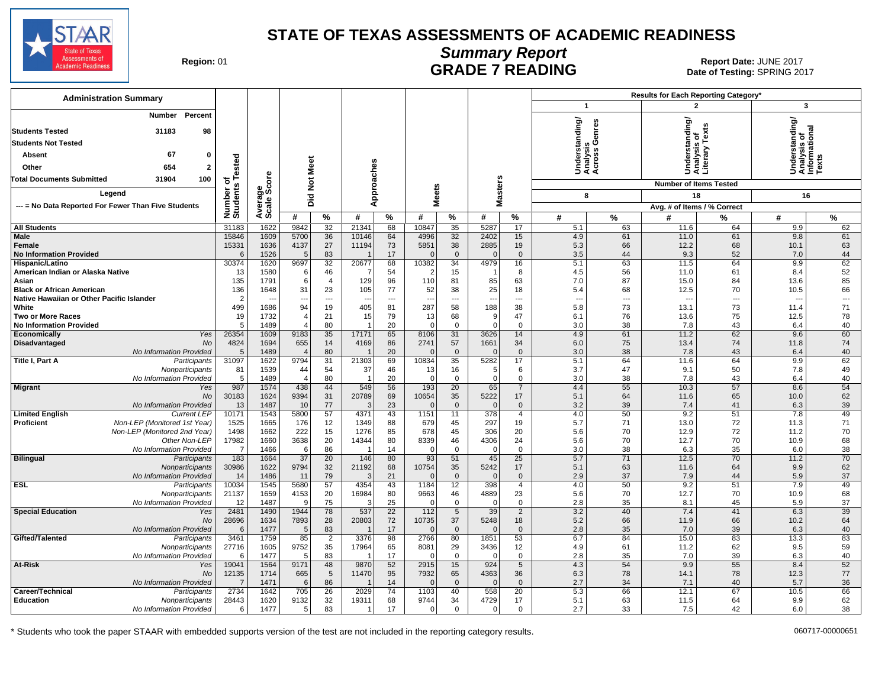

# **Summary Report**

Region: 01 **Region: 01 CALL CONSISTS AND EXAMPLE 7 READING Report Date: JUNE 2017**<br>Date of Testing: SPRING 20 Date of Testing: SPRING 2017

| <b>Administration Summary</b>                                           |                              |                      |                     |                          |                          |            |                         |                    |                          |                     | Results for Each Reporting Category'        |          |                                                 |          |                                                         |          |
|-------------------------------------------------------------------------|------------------------------|----------------------|---------------------|--------------------------|--------------------------|------------|-------------------------|--------------------|--------------------------|---------------------|---------------------------------------------|----------|-------------------------------------------------|----------|---------------------------------------------------------|----------|
|                                                                         |                              |                      |                     |                          |                          |            |                         |                    |                          |                     | $\mathbf{1}$                                |          | $\overline{\mathbf{z}}$                         |          | $\overline{\mathbf{3}}$                                 |          |
| Percent<br>Number                                                       |                              |                      |                     |                          |                          |            |                         |                    |                          |                     | Understanding/<br>Analysis<br>Across Genres |          | Understanding/<br>Analysis of<br>Literary Texts |          | Understanding/<br>Analysis of<br>Informational<br>Texts |          |
| 31183<br>98<br><b>Students Tested</b>                                   |                              |                      |                     |                          |                          |            |                         |                    |                          |                     |                                             |          |                                                 |          |                                                         |          |
| <b>Students Not Tested</b>                                              |                              |                      |                     |                          |                          |            |                         |                    |                          |                     |                                             | ្ធ ២ំ    |                                                 | ح ∰      |                                                         |          |
| 67<br>0<br>Absent                                                       |                              |                      |                     |                          |                          |            |                         |                    |                          |                     |                                             |          |                                                 |          |                                                         |          |
| Other<br>654<br>$\overline{2}$                                          |                              |                      |                     |                          |                          |            |                         |                    |                          |                     |                                             |          |                                                 |          |                                                         |          |
| <b>Total Documents Submitted</b><br>31904<br>100                        |                              | õ                    | Not Meet            |                          |                          |            |                         |                    |                          |                     |                                             |          |                                                 |          |                                                         |          |
| Legend                                                                  |                              |                      |                     |                          |                          | Approaches |                         | <b>Meets</b>       | <b>Masters</b>           |                     |                                             |          | <b>Number of Items Tested</b>                   |          |                                                         |          |
| --- = No Data Reported For Fewer Than Five Students                     |                              |                      | Did                 |                          |                          |            |                         |                    |                          |                     | 8                                           |          | 18                                              |          | 16                                                      |          |
|                                                                         | Number of<br>Students Tested | Average<br>Scale Sco | #                   | $\%$                     | #                        | $\%$       | #                       | %                  | #                        | $\%$                | #                                           | %        | Avg. # of Items / % Correct<br>#                | %        | #                                                       | $\%$     |
| <b>All Students</b>                                                     | 31183                        | 1622                 | 9842                | 32                       | 21341                    | 68         | 10847                   | 35                 | 5287                     | 17                  | 5.1                                         | 63       | 11.6                                            | 64       | 9.9                                                     | 62       |
| <b>Male</b>                                                             | 15846                        | 1609                 | 5700                | 36                       | 10146                    | 64         | 4996                    | 32                 | 2402                     | 15                  | 4.9                                         | 61       | 11.0                                            | 61       | 9.8                                                     | 61       |
| Female                                                                  | 15331                        | 1636                 | 4137                | 27                       | 11194                    | 73         | 5851                    | 38                 | 2885                     | 19                  | 5.3                                         | 66       | 12.2                                            | 68       | 10.1                                                    | 63       |
| <b>No Information Provided</b>                                          | 6                            | 1526                 | 5                   | 83                       |                          | 17         |                         | $\mathbf{0}$       | $\Omega$                 | $\mathbf{0}$        | 3.5                                         | 44       | 9.3                                             | 52       | 7.0                                                     | 44       |
| Hispanic/Latino<br>American Indian or Alaska Native                     | 30374                        | 1620<br>1580         | 9697                | $\overline{32}$<br>46    | 20677                    | 68<br>54   | 10382<br>$\overline{2}$ | 34<br>15           | 4979<br>- 1              | 16<br>8             | 5.1<br>4.5                                  | 63<br>56 | 11.5<br>11.0                                    | 64<br>61 | 9.9<br>8.4                                              | 62<br>52 |
| Asian                                                                   | 13<br>135                    | 1791                 | 6<br>6              | 4                        | 129                      | 96         | 110                     | 81                 | 85                       | 63                  | 7.0                                         | 87       | 15.0                                            | 84       | 13.6                                                    | 85       |
| <b>Black or African American</b>                                        | 136                          | 1648                 | 31                  | 23                       | 105                      | 77         | 52                      | 38                 | 25                       | 18                  | 5.4                                         | 68       | 12.5                                            | 70       | 10.5                                                    | 66       |
| Native Hawaiian or Other Pacific Islander                               | $\overline{2}$               |                      | ---                 | $\overline{\phantom{a}}$ | $\overline{\phantom{a}}$ | ---        | --                      | ---                | $\overline{\phantom{a}}$ | ---                 | $\overline{\phantom{a}}$                    | $---$    | ---                                             | ---      | $\overline{a}$                                          | ---      |
| White                                                                   | 499                          | 1686                 | 94                  | 19                       | 405                      | 81         | 287                     | 58                 | 188                      | 38                  | 5.8                                         | 73       | 13.1                                            | 73       | 11.4                                                    | 71       |
| <b>Two or More Races</b><br><b>No Information Provided</b>              | 19<br>5                      | 1732<br>1489         | $\overline{4}$<br>Δ | 21<br>80                 | 15<br>$\overline{1}$     | 79<br>20   | 13<br>$\Omega$          | 68<br>$\mathbf{0}$ | 9<br>$\Omega$            | 47<br>$\mathbf 0$   | 6.1<br>3.0                                  | 76<br>38 | 13.6<br>7.8                                     | 75<br>43 | 12.5<br>6.4                                             | 78<br>40 |
| Yes<br>Economically                                                     | 26354                        | 1609                 | 9183                | 35                       | 17171                    | 65         | 8106                    | 31                 | 3626                     | 14                  | 4.9                                         | 61       | 11.2                                            | 62       | 9.6                                                     | 60       |
| No<br>Disadvantaged                                                     | 4824                         | 1694                 | 655                 | 14                       | 4169                     | 86         | 2741                    | 57                 | 1661                     | 34                  | 6.0                                         | 75       | 13.4                                            | 74       | 11.8                                                    | 74       |
| No Information Provided                                                 | 5                            | 1489                 | $\overline{4}$      | 80                       |                          | 20         |                         | $\mathbf 0$        | $\Omega$                 | $\mathbf 0$         | 3.0                                         | 38       | 7.8                                             | 43       | 6.4                                                     | 40       |
| Title I, Part A<br>Participants<br>Nonparticipants                      | 31097<br>81                  | 1622<br>1539         | 9794<br>44          | 31<br>54                 | 21303<br>37              | 69<br>46   | 10834<br>13             | 35<br>16           | 5282<br>5                | 17<br>6             | 5.1<br>3.7                                  | 64<br>47 | 11.6<br>9.1                                     | 64<br>50 | 9.9<br>7.8                                              | 62<br>49 |
| No Information Provided                                                 | 5                            | 1489                 | $\overline{4}$      | 80                       | - 1                      | 20         | $\Omega$                | $\overline{0}$     | $\Omega$                 | 0                   | 3.0                                         | 38       | 7.8                                             | 43       | 6.4                                                     | 40       |
| <b>Migrant</b><br>Yes                                                   | 987                          | 1574                 | 438                 | 44                       | 549                      | 56         | 193                     | 20                 | 65                       | $\overline{7}$      | 4.4                                         | 55       | 10.3                                            | 57       | 8.6                                                     | 54       |
| No                                                                      | 30183                        | 1624                 | 9394                | 31                       | 20789                    | 69         | 10654                   | 35                 | 5222                     | 17                  | 5.1                                         | 64       | 11.6                                            | 65       | 10.0                                                    | 62       |
| No Information Provided<br><b>Limited English</b><br><b>Current LEP</b> | 13<br>10171                  | 1487<br>1543         | 10<br>5800          | 77<br>57                 | Ŀ.<br>4371               | 23<br>43   | 1151                    | $\mathbf 0$<br>11  | $\Omega$<br>378          | $\mathbf 0$<br>4    | 3.2<br>4.0                                  | 39<br>50 | 7.4<br>9.2                                      | 41<br>51 | 6.3<br>7.8                                              | 39<br>49 |
| Non-LEP (Monitored 1st Year)<br>Proficient                              | 1525                         | 1665                 | 176                 | 12                       | 1349                     | 88         | 679                     | 45                 | 297                      | 19                  | 5.7                                         | 71       | 13.0                                            | 72       | 11.3                                                    | 71       |
| Non-LEP (Monitored 2nd Year)                                            | 1498                         | 1662                 | 222                 | 15                       | 1276                     | 85         | 678                     | 45                 | 306                      | 20                  | 5.6                                         | 70       | 12.9                                            | 72       | 11.2                                                    | 70       |
| Other Non-LEP                                                           | 17982                        | 1660                 | 3638                | 20                       | 14344                    | 80         | 8339                    | 46                 | 4306                     | 24                  | 5.6                                         | 70       | 12.7                                            | 70       | 10.9                                                    | 68       |
| No Information Provided                                                 | $\overline{7}$               | 1466                 | 6                   | 86                       | - 1<br>146               | 14         | $\Omega$                | $\Omega$           | $\Omega$<br>45           | $\Omega$            | 3.0                                         | 38       | 6.3<br>12.5                                     | 35<br>70 | 6.0                                                     | 38       |
| <b>Bilingual</b><br>Participants<br>Nonparticipants                     | 183<br>30986                 | 1664<br>1622         | 37<br>9794          | 20<br>32                 | 21192                    | 80<br>68   | 93<br>10754             | 51<br>35           | 5242                     | 25<br>17            | 5.7<br>5.1                                  | 71<br>63 | 11.6                                            | 64       | 11.2<br>9.9                                             | 70<br>62 |
| No Information Provideo                                                 | 14                           | 1486                 | 11                  | 79                       | ÷.                       | 21         |                         | $\mathbf{0}$       | $\Omega$                 | $\mathbf{0}$        | 2.9                                         | 37       | 7.9                                             | 44       | 5.9                                                     | 37       |
| <b>ESL</b><br>Participants                                              | 10034                        | 1545                 | 5680                | 57                       | 4354                     | 43         | 1184                    | 12                 | 398                      | 4                   | 4.0                                         | 50       | 9.2                                             | 51       | 7.9                                                     | 49       |
| Nonparticipants                                                         | 21137                        | 1659                 | 4153                | 20                       | 16984                    | 80         | 9663                    | 46                 | 4889                     | 23                  | 5.6                                         | 70       | 12.7                                            | 70       | 10.9                                                    | 68       |
| No Information Provided<br><b>Special Education</b><br>Yes              | 12<br>2481                   | 1487<br>1490         | -9<br>1944          | 75<br>78                 | ಿ<br>537                 | 25<br>22   | $\Omega$<br>112         | $\mathbf 0$<br>5   | $\overline{0}$<br>39     | 0<br>$\overline{2}$ | 2.8<br>3.2                                  | 35<br>40 | 8.1<br>7.4                                      | 45<br>41 | 5.9<br>6.3                                              | 37<br>39 |
| No                                                                      | 28696                        | 1634                 | 7893                | 28                       | 20803                    | 72         | 10735                   | 37                 | 5248                     | 18                  | 5.2                                         | 66       | 11.9                                            | 66       | 10.2                                                    | 64       |
| No Information Provided                                                 | 6                            | 1477                 | 5                   | 83                       |                          | 17         | $\Omega$                | $\mathbf 0$        | $\Omega$                 | $\mathbf{0}$        | 2.8                                         | 35       | 7.0                                             | 39       | 6.3                                                     | 40       |
| Gifted/Talented<br>Participants                                         | 3461                         | 1759                 | 85                  | $\overline{2}$           | 3376                     | 98         | 2766                    | 80                 | 1851                     | 53                  | 6.7                                         | 84       | 15.0                                            | 83       | 13.3                                                    | 83       |
| Nonparticipants                                                         | 27716                        | 1605                 | 9752<br>5           | 35                       | 17964<br>- 1             | 65         | 8081<br>$\Omega$        | 29                 | 3436                     | 12 <sup>2</sup>     | 4.9                                         | 61       | 11.2                                            | 62       | 9.5                                                     | 59       |
| No Information Provided<br>At-Risk<br>Yes                               | 6<br>19041                   | 1477<br>1564         | 9171                | 83<br>48                 | 9870                     | 17<br>52   | 2915                    | $\mathbf{0}$<br>15 | $\overline{0}$<br>924    | 0<br>5              | 2.8<br>4.3                                  | 35<br>54 | 7.0<br>9.9                                      | 39<br>55 | 6.3<br>8.4                                              | 40<br>52 |
| No                                                                      | 12135                        | 1714                 | 665                 | $5\phantom{1}$           | 11470                    | 95         | 7932                    | 65                 | 4363                     | 36                  | 6.3                                         | 78       | 14.1                                            | 78       | 12.3                                                    | 77       |
| No Information Provided                                                 | $\overline{7}$               | 1471                 | 6                   | 86                       |                          | 14         | $\Omega$                | $\mathbf{0}$       | $\Omega$                 | $\mathbf{0}$        | 2.7                                         | 34       | 7.1                                             | 40       | 5.7                                                     | 36       |
| Career/Technical<br>Participants                                        | 2734                         | 1642                 | 705                 | 26                       | 2029                     | 74         | 1103                    | 40                 | 558                      | 20                  | 5.3                                         | 66       | 12.1                                            | 67       | 10.5                                                    | 66       |
| <b>Education</b><br>Nonparticipants<br>No Information Provided          | 28443<br>6                   | 1620<br>1477         | 9132<br>5           | 32<br>83                 | 19311<br>$\overline{1}$  | 68<br>17   | 9744<br>$\Omega$        | 34<br>$\mathbf{0}$ | 4729<br>$\Omega$         | 17<br>$\mathbf 0$   | 5.1<br>2.7                                  | 63<br>33 | 11.5<br>7.5                                     | 64<br>42 | 9.9<br>6.0                                              | 62<br>38 |
|                                                                         |                              |                      |                     |                          |                          |            |                         |                    |                          |                     |                                             |          |                                                 |          |                                                         |          |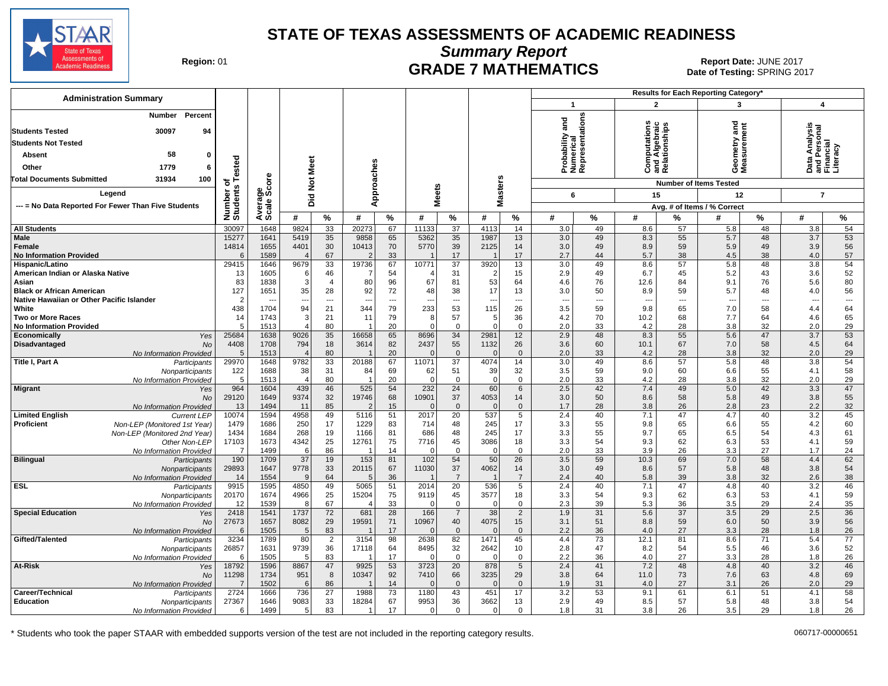

**Summary Report**

Region: 01 **Region: 01 CRADE 7 MATHEMATICS Date: JUNE 2017 Date: JUNE 2017 CRADE 7 MATHEMATICS** Date of Testing: SPRING 2017

| <b>Administration Summary</b>                              |                     |                      |                                |                      |                       |                |                   |                                 |                  |                                |                   | <b>Results for Each Reporting Category*</b> |                                                |                |                               |                 |                             |                |
|------------------------------------------------------------|---------------------|----------------------|--------------------------------|----------------------|-----------------------|----------------|-------------------|---------------------------------|------------------|--------------------------------|-------------------|---------------------------------------------|------------------------------------------------|----------------|-------------------------------|-----------------|-----------------------------|----------------|
|                                                            |                     |                      |                                |                      |                       |                |                   |                                 |                  |                                | $\mathbf{1}$      |                                             | $\overline{2}$                                 |                | 3                             |                 | $\boldsymbol{4}$            |                |
| Percent<br>Number<br><b>Students Tested</b><br>30097<br>94 |                     |                      |                                |                      |                       |                |                   |                                 |                  |                                | and               | entations                                   | Computations<br>Ind Algebraic<br>Relationships |                | ਠ<br>Ĕ<br>ā                   |                 |                             |                |
| <b>Students Not Tested</b>                                 |                     |                      |                                |                      |                       |                |                   |                                 |                  |                                | ී                 |                                             |                                                |                |                               |                 | nalysi                      |                |
| 58<br><b>Absent</b><br>$\bf{0}$                            |                     |                      |                                |                      |                       |                |                   |                                 |                  |                                | robability        | umeri<br>eprese                             |                                                |                | eometry<br>leasurem           |                 | a Analy<br>Persoi<br>Incial |                |
| Other<br>1779<br>6                                         | ested               |                      | Meet                           |                      |                       |                |                   |                                 |                  |                                |                   |                                             |                                                |                | ෂී                            |                 |                             |                |
| 31934<br>Total Documents Submitted<br>100                  |                     | <b>ore</b>           |                                |                      |                       |                |                   |                                 |                  |                                | ĀΖŘ               |                                             | ن ≌ ھ                                          |                | oΣ                            |                 | ᅀᄛᄕ                         |                |
|                                                            | † <del>ه</del><br>w |                      | $\frac{5}{2}$                  |                      |                       |                |                   |                                 |                  |                                |                   |                                             |                                                |                | <b>Number of Items Tested</b> |                 |                             |                |
| Legend                                                     | Number<br>Students  | န္တပ္ကိ              | Did                            |                      | Approaches            |                | <b>Meets</b>      |                                 | <b>Masters</b>   |                                | 6                 |                                             | 15                                             |                | 12                            |                 | $\overline{7}$              |                |
| --- = No Data Reported For Fewer Than Five Students        |                     | Avera<br>Scale       |                                |                      |                       |                |                   |                                 |                  |                                |                   |                                             |                                                |                | Avg. # of Items / % Correct   |                 |                             |                |
|                                                            |                     |                      | #                              | %                    | #                     | %              | #                 | %                               | #                | %                              | #                 | %                                           | #                                              | %              | #                             | %               | #                           | %              |
| <b>All Students</b>                                        | 30097               | 1648                 | 9824                           | 33                   | 20273                 | 67             | 11133             | $\overline{37}$                 | 4113             | 14                             | 3.0               | 49                                          | 8.6                                            | 57             | 5.8                           | 48              | 3.8                         | 54             |
| Male<br>Female<br><b>No Information Provided</b>           | 15277<br>14814<br>ĥ | 1641<br>1655<br>1589 | 5419<br>4401<br>$\overline{4}$ | 35<br>30<br>67       | 9858<br>10413         | 65<br>70<br>33 | 5362<br>5770      | 35<br>39<br>17                  | 1987<br>2125     | 13<br>14<br>17                 | 3.0<br>3.0<br>2.7 | 49<br>49<br>44                              | 8.3<br>8.9<br>5.7                              | 55<br>59<br>38 | 5.7<br>5.9<br>4.5             | 48<br>49<br>38  | 3.7<br>3.9<br>4.0           | 53<br>56<br>57 |
| Hispanic/Latino                                            | 29415               | 1646                 | 9679                           | 33                   | 19736                 | 67             | 10771             | 37                              | 3920             | 13                             | 3.0               | 49                                          | 8.6                                            | 57             | 5.8                           | 48              | 3.8                         | 54             |
| American Indian or Alaska Native                           | 13                  | 1605                 | -6                             | 46                   |                       | 54             |                   | 31                              | $\overline{2}$   | 15                             | 2.9               | 49                                          | 6.7                                            | 45             | 5.2                           | 43              | 3.6                         | 52             |
| Asian<br><b>Black or African American</b>                  | 83<br>127           | 1838<br>1651         | $\lvert 3 \rvert$<br>35        | $\overline{4}$<br>28 | 80<br>92              | 96<br>72       | 67<br>48          | 81<br>38                        | 53<br>17         | 64<br>13                       | 4.6<br>3.0        | 76<br>50                                    | 12.6<br>8.9                                    | 84<br>59       | 9.1<br>5.7                    | 76<br>48        | 5.6<br>4.0                  | 80<br>56       |
| Native Hawaiian or Other Pacific Islander                  | 2                   |                      | $\overline{\phantom{a}}$       | $---$                |                       | $---$          |                   | $---$                           | ---              | $\overline{\phantom{a}}$       | --                | ---                                         | $\overline{\phantom{a}}$                       | $---$          | $\sim$                        | $\overline{a}$  | $\overline{\phantom{a}}$    | $---$          |
| White                                                      | 438                 | 1704                 | 94                             | 21                   | 344                   | 79             | 233               | 53                              | 115              | 26                             | 3.5               | 59                                          | 9.8                                            | 65             | 7.0                           | 58              | 4.4                         | 64             |
| <b>Two or More Races</b><br><b>No Information Provided</b> | 14<br>5             | 1743<br>1513         | 3 <sup>1</sup><br>4            | 21<br>80             | 11                    | 79<br>20       | 8<br>$\Omega$     | 57<br>$\mathbf 0$               | 5<br>$\Omega$    | 36<br>$\mathbf 0$              | 4.2<br>2.0        | 70<br>33                                    | 10.2<br>4.2                                    | 68<br>28       | 7.7<br>3.8                    | 64<br>32        | 4.6<br>2.0                  | 65<br>29       |
| Economically<br>Yes                                        | 25684               | 1638                 | 9026                           | 35                   | 16658                 | 65             | 8696              | 34                              | 2981             | 12                             | 2.9               | 48                                          | 8.3                                            | 55             | 5.6                           | 47              | 3.7                         | 53             |
| Disadvantaged<br><b>No</b>                                 | 4408                | 1708                 | 794                            | 18                   | 3614                  | 82             | 2437              | 55                              | 1132             | 26                             | 3.6               | 60                                          | 10.1                                           | 67             | 7.0                           | 58              | 4.5                         | 64             |
| No Information Provided<br>Title I, Part A                 | 5<br>29970          | 1513<br>1648         | $\overline{4}$<br>9782         | 80<br>33             | 20188                 | 20<br>67       | $\Omega$<br>11071 | $\mathbf{0}$<br>$\overline{37}$ | $\Omega$<br>4074 | $\mathbf 0$<br>14              | 2.0<br>3.0        | 33<br>49                                    | 4.2<br>8.6                                     | 28<br>57       | 3.8<br>5.8                    | 32<br>48        | 2.0<br>3.8                  | 29<br>54       |
| Participants<br>Nonparticipants                            | 122                 | 1688                 | 38                             | 31                   | 84                    | 69             | 62                | 51                              | 39               | 32                             | 3.5               | 59                                          | 9.0                                            | 60             | 6.6                           | 55              | 4.1                         | 58             |
| No Information Provided                                    | 5                   | 1513                 | $\vert$ 4                      | 80                   | -1                    | 20             | $\mathbf 0$       | $\mathbf 0$                     | $\mathbf 0$      | $\mathsf 0$                    | 2.0               | 33                                          | 4.2                                            | 28             | 3.8                           | 32              | 2.0                         | 29             |
| <b>Migrant</b><br>Yes                                      | 964                 | 1604                 | 439                            | 46                   | 525                   | 54             | 232               | 24                              | 60               | $6\phantom{1}6$                | 2.5               | 42<br>50                                    | 7.4                                            | 49             | 5.0                           | 42              | 3.3                         | 47             |
| <b>No</b><br>No Information Provided                       | 29120<br>13         | 1649<br>1494         | 9374<br>11                     | 32<br>85             | 19746                 | 68<br>15       | 10901<br>$\Omega$ | 37<br>$\Omega$                  | 4053<br>$\Omega$ | 14<br>$\mathbf{0}$             | 3.0<br>1.7        | 28                                          | 8.6<br>3.8                                     | 58<br>26       | 5.8<br>2.8                    | 49<br>23        | 3.8<br>2.2                  | 55<br>32       |
| <b>Limited English</b><br><b>Current LEP</b>               | 10074               | 1594                 | 4958                           | 49                   | 5116                  | 51             | 2017              | 20                              | 537              | 5                              | 2.4               | 40                                          | 7.1                                            | 47             | 4.7                           | 40              | 3.2                         | 45             |
| <b>Proficient</b><br>Non-LEP (Monitored 1st Year)          | 1479                | 1686                 | 250                            | 17                   | 1229                  | 83             | 714               | 48                              | 245              | 17                             | 3.3               | 55                                          | 9.8                                            | 65             | 6.6                           | 55              | 4.2                         | 60             |
| Non-LEP (Monitored 2nd Year)<br>Other Non-LEP              | 1434<br>17103       | 1684<br>1673         | 268<br>4342                    | 19<br>25             | 1166<br>12761         | 81<br>75       | 686<br>7716       | 48<br>45                        | 245<br>3086      | 17<br>18                       | 3.3<br>3.3        | 55<br>54                                    | 9.7<br>9.3                                     | 65<br>62       | 6.5<br>6.3                    | 54<br>53        | 4.3<br>4.1                  | 61<br>59       |
| No Information Provided                                    | $\overline{7}$      | 1499                 | $6 \mid$                       | 86                   | -1                    | 14             | $\Omega$          | $\mathbf 0$                     | 0                | $\mathbf 0$                    | 2.0               | 33                                          | 3.9                                            | 26             | 3.3                           | 27              | 1.7                         | 24             |
| <b>Bilingual</b><br>Participants                           | 190                 | 1709                 | 37                             | 19                   | 153                   | 81             | 102               | 54                              | 50               | 26                             | 3.5               | 59                                          | 10.3                                           | 69             | 7.0                           | 58              | 4.4                         | 62             |
| Nonparticipants                                            | 29893               | 1647                 | 9778                           | 33                   | 20115                 | 67             | 11030             | 37                              | 4062             | 14                             | 3.0               | 49                                          | 8.6                                            | 57             | 5.8                           | 48              | 3.8                         | 54             |
| No Information Provided<br><b>ESL</b><br>Participants      | 14<br>9915          | 1554<br>1595         | 9<br>4850                      | 64<br>49             | 5<br>5065             | 36<br>51       | 2014              | $\overline{7}$<br>20            | 536              | $\overline{7}$<br>5            | 2.4<br>2.4        | 40<br>40                                    | 5.8<br>7.1                                     | 39<br>47       | 3.8<br>4.8                    | 32<br>40        | 2.6<br>3.2                  | 38<br>46       |
| Nonparticipants                                            | 20170               | 1674                 | 4966                           | 25                   | 15204                 | 75             | 9119              | 45                              | 3577             | 18                             | 3.3               | 54                                          | 9.3                                            | 62             | 6.3                           | 53              | 4.1                         | 59             |
| No Information Provided                                    | 12                  | 1539                 | 8                              | 67                   |                       | 33             | $\mathbf 0$       | $\mathbf 0$                     | $\mathbf 0$      | $\mathbf 0$                    | 2.3               | 39                                          | 5.3                                            | 36             | 3.5                           | 29              | 2.4                         | 35             |
| <b>Special Education</b><br>Yes                            | 2418                | 1541                 | 1737                           | 72                   | 681                   | 28             | 166               | $\overline{7}$                  | 38               | $\overline{2}$                 | 1.9               | 31                                          | 5.6                                            | 37             | 3.5                           | 29              | 2.5                         | 36             |
| <b>No</b><br>No Information Provided                       | 27673<br>6          | 1657<br>1505         | 8082<br>5                      | 29<br>83             | 19591                 | 71<br>17       | 10967<br>$\Omega$ | 40<br>$\mathbf 0$               | 4075<br>$\Omega$ | 15<br>$\mathbf 0$              | 3.1<br>2.2        | 51<br>36                                    | 8.8<br>4.0                                     | 59<br>27       | 6.0<br>3.3                    | 50<br>28        | 3.9<br>1.8                  | 56<br>26       |
| Gifted/Talented<br>Participants                            | 3234                | 1789                 | 80                             | $\overline{2}$       | 3154                  | 98             | 2638              | 82                              | 1471             | 45                             | 4.4               | 73                                          | 12.1                                           | 81             | 8.6                           | 71              | 5.4                         | 77             |
| Nonparticipants                                            | 26857               | 1631                 | 9739                           | 36                   | 17118                 | 64             | 8495              | 32                              | 2642             | 10                             | 2.8               | 47                                          | 8.2                                            | 54             | 5.5                           | 46              | 3.6                         | 52             |
| No Information Provided                                    | 6<br>18792          | 1505<br>1596         | 5 <sup>1</sup><br>8867         | 83<br>47             | -1<br>9925            | 17<br>53       | $\Omega$<br>3723  | $\mathbf{0}$<br>20              | 0<br>878         | $\mathbf 0$<br>$5\phantom{.0}$ | 2.2<br>2.4        | 36<br>41                                    | 4.0<br>7.2                                     | 27<br>48       | 3.3<br>4.8                    | 28<br>40        | 1.8<br>3.2                  | 26<br>46       |
| At-Risk<br>Yes<br><b>No</b>                                | 11298               | 1734                 | 951                            | 8                    | 10347                 | 92             | 7410              | 66                              | 3235             | 29                             | 3.8               | 64                                          | 11.0                                           | 73             | 7.6                           | 63              | 4.8                         | 69             |
| No Information Provided                                    | $\overline{7}$      | 1502                 | 6                              | 86                   |                       | 14             | $\Omega$          | $\overline{0}$                  | $\Omega$         | $\mathbf{0}$                   | 1.9               | 31                                          | 4.0                                            | 27             | 3.1                           | 26              | 2.0                         | 29             |
| Career/Technical<br>Participants                           | 2724                | 1666                 | 736                            | $\overline{27}$      | 1988                  | 73             | 1180              | 43                              | 451              | 17                             | 3.2               | $\overline{53}$                             | 9.1                                            | 61             | 6.1                           | $\overline{51}$ | 4.1                         | 58             |
| <b>Education</b><br>Nonparticipants                        | 27367               | 1646                 | 9083                           | 33                   | 18284<br>$\mathbf{1}$ | 67             | 9953              | 36                              | 3662             | 13                             | 2.9               | 49                                          | 8.5                                            | 57             | 5.8                           | 48              | 3.8                         | 54             |
| No Information Provided                                    | 6                   | 1499                 | 5 <sub>1</sub>                 | 83                   |                       | 17             | $\overline{0}$    | $\overline{0}$                  | $\mathbf 0$      | $\mathbf 0$                    | 1.8               | 31                                          | 3.8                                            | 26             | 3.5                           | 29              | 1.8                         | 26             |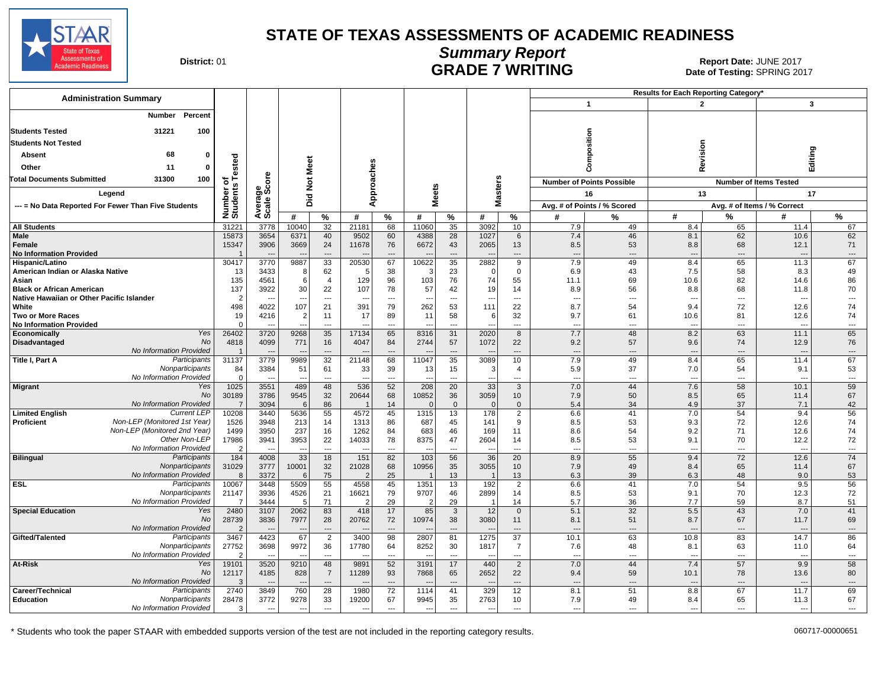

# **Summary Report CONTRIGE 2017**<br>Beport Date: JUNE 2017<br>Date of Testing: SPRING 2017<br>Date of Testing: SPRING 20

Date of Testing: SPRING 2017

| <b>Administration Summary</b>                                              |                         |                          |                        |                          |                         |                          |                                  |                          |                         |                                            |                                 |                                  | Results for Each Reporting Category' |                                |                                  |                                |
|----------------------------------------------------------------------------|-------------------------|--------------------------|------------------------|--------------------------|-------------------------|--------------------------|----------------------------------|--------------------------|-------------------------|--------------------------------------------|---------------------------------|----------------------------------|--------------------------------------|--------------------------------|----------------------------------|--------------------------------|
|                                                                            |                         |                          |                        |                          |                         |                          |                                  |                          |                         |                                            |                                 | $\mathbf{1}$                     |                                      | $\overline{2}$                 | $\mathbf{3}$                     |                                |
| Percent<br>Number                                                          |                         |                          |                        |                          |                         |                          |                                  |                          |                         |                                            |                                 |                                  |                                      |                                |                                  |                                |
| 31221<br>100<br><b>Students Tested</b>                                     |                         |                          |                        |                          |                         |                          |                                  |                          |                         |                                            |                                 |                                  |                                      |                                |                                  |                                |
| <b>Students Not Tested</b>                                                 |                         |                          |                        |                          |                         |                          |                                  |                          |                         |                                            |                                 | osition                          |                                      |                                |                                  |                                |
| 68<br>Absent<br>$\bf{0}$                                                   |                         |                          |                        |                          |                         |                          |                                  |                          |                         |                                            |                                 |                                  |                                      | Revision                       |                                  | Editing                        |
| Other<br>11<br>0                                                           | ested                   |                          |                        | Meet                     |                         |                          |                                  |                          |                         |                                            |                                 |                                  |                                      |                                |                                  |                                |
| 100<br><b>Total Documents Submitted</b><br>31300                           |                         | δ                        |                        |                          |                         | oaches                   |                                  |                          |                         |                                            |                                 |                                  |                                      |                                |                                  |                                |
|                                                                            | ৳                       | క్తింద్                  |                        | $\frac{1}{2}$            |                         |                          | eets                             |                          |                         |                                            |                                 | <b>Number of Points Possible</b> |                                      |                                | <b>Number of Items Tested</b>    |                                |
| Legend                                                                     | Number o<br>Students    |                          | Ъä                     |                          |                         | ğ                        | ż                                |                          | Masters                 |                                            |                                 | 16                               |                                      | 13                             |                                  | 17                             |
| --- = No Data Reported For Fewer Than Five Students                        |                         | Averas<br>Scale:         |                        |                          |                         | ⋖                        |                                  |                          |                         |                                            |                                 | Avg. # of Points / % Scored      |                                      |                                | Avg. # of Items / % Correct      |                                |
|                                                                            |                         |                          | #                      | $\%$                     | #                       | %                        | #                                | $\%$                     | #                       | %                                          | #                               | %                                | #                                    | $\%$                           | #                                | %                              |
| <b>All Students</b><br><b>Male</b>                                         | 31221<br>15873          | 3778<br>3654             | 10040<br>6371          | 32<br>40                 | 21181<br>9502           | 68<br>60                 | 11060<br>4388                    | 35<br>28                 | 3092<br>1027            | 10<br>6                                    | 7.9<br>7.4                      | 49<br>46                         | 8.4<br>8.1                           | 65<br>62                       | 11.4<br>10.6                     | 67<br>62                       |
| Female                                                                     | 15347                   | 3906                     | 3669                   | 24                       | 11678                   | 76                       | 6672                             | 43                       | 2065                    | 13                                         | 8.5                             | 53                               | 8.8                                  | 68                             | 12.1                             | 71                             |
| <b>No Information Provided</b>                                             |                         |                          |                        | $---$                    |                         | $---$                    |                                  | ---                      |                         | ---                                        | $\sim$                          | ---                              | $\overline{a}$                       | ---                            | $\overline{\phantom{a}}$         | $\cdots$                       |
| Hispanic/Latino<br>American Indian or Alaska Native                        | 30417                   | 3770<br>3433             | 9887                   | 33<br>62                 | 20530<br>5              | 67<br>38                 | 10622<br>3                       | 35<br>23                 | 2882<br>$\Omega$        | 9<br>$\mathbf 0$                           | 7.9<br>6.9                      | 49<br>43                         | 8.4<br>7.5                           | 65<br>58                       | 11.3<br>8.3                      | 67<br>49                       |
| Asian                                                                      | 13<br>135               | 4561                     | 8<br>$6 \overline{6}$  | $\overline{4}$           | 129                     | 96                       | 103                              | 76                       | 74                      | 55                                         | 11.1                            | 69                               | 10.6                                 | 82                             | 14.6                             | 86                             |
| <b>Black or African American</b>                                           | 137                     | 3922                     | 30 <sup>2</sup>        | 22                       | 107                     | 78                       | 57                               | 42                       | 19                      | 14                                         | 8.9                             | 56                               | 8.8                                  | 68                             | 11.8                             | 70                             |
| Native Hawaiian or Other Pacific Islander                                  | $\overline{2}$          |                          |                        | $\sim$                   |                         | $---$                    | $\overline{\phantom{a}}$         | $---$                    |                         | $---$                                      | $\overline{\phantom{a}}$        | $\overline{\phantom{a}}$         | $\overline{a}$                       | $---$                          | $\overline{\phantom{a}}$         | $\overline{a}$                 |
| White<br>Two or More Races                                                 | 498<br>19               | 4022<br>4216             | 107<br>$\overline{2}$  | 21<br>11                 | 391<br>17               | 79<br>89                 | 262<br>11                        | 53<br>58                 | 111<br>6                | 22<br>32                                   | 8.7<br>9.7                      | 54<br>61                         | 9.4<br>10.6                          | 72<br>81                       | 12.6<br>12.6                     | 74<br>74                       |
| <b>No Information Provided</b>                                             | $\Omega$                |                          |                        | $\overline{a}$           |                         | ---                      |                                  | ---                      |                         | ---                                        | $\overline{\phantom{a}}$        | ---                              | ---                                  | ---                            | $\overline{\phantom{a}}$         | $\cdots$                       |
| Yes<br>Economically                                                        | 26402                   | 3720                     | 9268                   | 35                       | 17134                   | 65                       | 8316                             | 31                       | 2020                    | 8                                          | 7.7                             | 48                               | 8.2                                  | 63                             | 11.1                             | 65                             |
| <b>No</b><br>Disadvantaged<br>No Information Provided                      | 4818                    | 4099                     | 771                    | 16<br>---                | 4047                    | 84<br>---                | 2744                             | 57<br>---                | 1072                    | 22<br>---                                  | 9.2<br>$\overline{\phantom{a}}$ | 57<br>---                        | 9.6<br>$\overline{a}$                | 74<br>---                      | 12.9<br>$\overline{\phantom{a}}$ | 76<br>$\cdots$                 |
| Title I, Part A<br>Participants                                            | 31137                   | 3779                     | 9989                   | 32                       | 21148                   | 68                       | 11047                            | 35                       | 3089                    | 10                                         | 7.9                             | 49                               | 8.4                                  | 65                             | 11.4                             | 67                             |
| Nonparticipants                                                            | 84                      | 3384                     | 51                     | 61                       | 33                      | 39                       | 13                               | 15                       | 3                       | $\overline{4}$                             | 5.9                             | 37                               | 7.0                                  | 54                             | 9.1                              | 53                             |
| No Information Provided<br>Yes                                             | $\mathbf 0$             | 3551                     | $\sim$<br>489          | $\overline{\phantom{a}}$ | 536                     | $\overline{\phantom{a}}$ | $\overline{a}$<br>208            | ---<br>20                |                         | $\overline{a}$                             | $\overline{\phantom{a}}$<br>7.0 | ---<br>44                        | ---<br>7.6                           | ---<br>58                      | $\overline{a}$<br>10.1           | $\overline{a}$<br>59           |
| Migrant<br><b>No</b>                                                       | 1025<br>30189           | 3786                     | 9545                   | 48<br>32                 | 20644                   | 52<br>68                 | 10852                            | 36                       | $\overline{33}$<br>3059 | 3<br>10                                    | 7.9                             | 50                               | 8.5                                  | 65                             | 11.4                             | 67                             |
| No Information Provided                                                    | $\overline{7}$          | 3094                     | 6                      | 86                       |                         | 14                       | $\Omega$                         | $\Omega$                 |                         | $\mathbf{0}$                               | 5.4                             | 34                               | 4.9                                  | 37                             | 7.1                              | 42                             |
| <b>Limited English</b><br><b>Current LEP</b>                               | 10208                   | 3440                     | 5636                   | 55                       | 4572                    | 45                       | 1315                             | 13                       | 178                     | $\overline{2}$                             | 6.6                             | 41                               | 7.0                                  | 54                             | 9.4                              | 56                             |
| Non-LEP (Monitored 1st Year)<br>Proficient<br>Non-LEP (Monitored 2nd Year) | 1526<br>1499            | 3948<br>3950             | 213<br>237             | 14<br>16                 | 1313<br>1262            | 86<br>84                 | 687<br>683                       | 45<br>46                 | 141<br>169              | 9<br>11                                    | 8.5<br>8.6                      | 53<br>54                         | 9.3<br>9.2                           | 72<br>71                       | 12.6<br>12.6                     | 74<br>74                       |
| Other Non-LEP                                                              | 17986                   | 3941                     | 3953                   | 22                       | 14033                   | 78                       | 8375                             | 47                       | 2604                    | 14                                         | 8.5                             | 53                               | 9.1                                  | 70                             | 12.2                             | 72                             |
| No Information Provided                                                    | $\overline{2}$          |                          | $\overline{a}$         | $\sim$                   |                         | $\sim$                   |                                  | $\overline{a}$           |                         | $-$                                        | $\overline{\phantom{a}}$        | ---                              | $\overline{a}$                       | $---$                          | $\overline{\phantom{a}}$         | $\overline{\phantom{a}}$       |
| <b>Bilingual</b><br>Participants                                           | 184                     | 4008                     | 33                     | 18                       | 151                     | 82                       | 103                              | 56                       | 36                      | 20                                         | 8.9                             | 55                               | 9.4                                  | 72                             | 12.6                             | 74                             |
| Nonparticipants<br>No Information Provided                                 | 31029<br>8              | 3777<br>3372             | 10001<br>6             | 32<br>75                 | 21028<br>$\overline{2}$ | 68<br>25                 | 10956                            | 35<br>13                 | 3055                    | 10<br>13                                   | 7.9<br>6.3                      | 49<br>39                         | 8.4<br>6.3                           | 65<br>48                       | 11.4<br>9.0                      | 67<br>53                       |
| <b>ESL</b><br>Participants                                                 | 10067                   | 3448                     | 5509                   | 55                       | 4558                    | 45                       | 1351                             | 13                       | 192                     | $\overline{2}$                             | 6.6                             | 41                               | 7.0                                  | 54                             | 9.5                              | 56                             |
| Nonparticipants                                                            | 21147                   | 3936                     | 4526                   | 21                       | 16621                   | 79                       | 9707                             | 46                       | 2899                    | 14                                         | 8.5                             | 53                               | 9.1                                  | 70                             | 12.3                             | 72                             |
| No Information Provided<br><b>Special Education</b><br>Yes                 | 7<br>2480               | 3444<br>3107             | 5 <sup>5</sup><br>2062 | 71<br>83                 | 418                     | 29<br>17                 | 2<br>85                          | 29<br>3                  | 12                      | 14<br>$\mathbf{0}$                         | 5.7<br>5.1                      | 36<br>32                         | 7.7<br>5.5                           | 59<br>43                       | 8.7<br>7.0                       | 51<br>41                       |
| <b>No</b>                                                                  | 28739                   | 3836                     | 7977                   | 28                       | 20762                   | 72                       | 10974                            | 38                       | 3080                    | 11                                         | 8.1                             | 51                               | 8.7                                  | 67                             | 11.7                             | 69                             |
| No Information Provided                                                    | $\overline{2}$          |                          | $\sim$                 | $\overline{a}$           |                         | $\overline{\phantom{a}}$ |                                  | $\overline{\phantom{a}}$ |                         | $\overline{\phantom{a}}$                   | --                              | $\overline{\phantom{a}}$         | $\overline{\phantom{a}}$             | $\overline{\phantom{a}}$       | ---                              | $\overline{\phantom{a}}$       |
| Participants<br>Gifted/Talented                                            | 3467                    | 4423                     | 67                     | $\overline{2}$           | 3400                    | 98                       | 2807                             | 81                       | 1275                    | $\overline{37}$                            | 10.1                            | 63                               | 10.8                                 | 83                             | 14.7                             | 86                             |
| Nonparticipants<br>No Information Provided                                 | 27752<br>$\overline{2}$ | 3698                     | 9972<br>$-$            | 36<br>$\sim$             | 17780                   | 64<br>$\overline{a}$     | 8252<br>$\overline{\phantom{a}}$ | 30<br>$-$                | 1817                    | $\overline{7}$<br>$\overline{\phantom{a}}$ | 7.6<br>$\overline{\phantom{a}}$ | 48<br>---                        | 8.1<br>$---$                         | 63<br>$---$                    | 11.0<br>$\sim$                   | 64<br>$\overline{\phantom{a}}$ |
| At-Risk<br>Yes                                                             | 19101                   | 3520                     | 9210                   | 48                       | 9891                    | 52                       | 3191                             | 17                       | 440                     | $\overline{2}$                             | 7.0                             | 44                               | 7.4                                  | 57                             | 9.9                              | 58                             |
| No                                                                         | 12117                   | 4185                     | 828                    | $\overline{7}$           | 11289                   | 93                       | 7868                             | 65                       | 2652                    | 22                                         | 9.4                             | 59                               | 10.1                                 | 78                             | 13.6                             | 80                             |
| No Information Provided<br>Participants                                    | 3<br>2740               | 3849                     | $\sim$                 | $\overline{a}$<br>28     | 1980                    | ---<br>72                |                                  | ---<br>41                | 329                     | $\overline{\phantom{a}}$                   | $\overline{\phantom{a}}$        | ---                              | 8.8                                  | $\overline{\phantom{a}}$<br>67 | $\overline{\phantom{a}}$<br>11.7 | $\cdots$                       |
| Career/Technical<br>Nonparticipants<br><b>Education</b>                    | 28478                   | 3772                     | 760<br>9278            | 33                       | 19200                   | 67                       | 1114<br>9945                     | 35                       | 2763                    | 12<br>10                                   | 8.1<br>7.9                      | 51<br>49                         | 8.4                                  | 65                             | 11.3                             | 69<br>67                       |
| No Information Provided                                                    | 3                       | $\overline{\phantom{a}}$ | $---$                  | ---                      | $\sim$                  | ---                      | $\overline{\phantom{a}}$         | ---                      | ---                     | $\overline{\phantom{a}}$                   | $\overline{\phantom{a}}$        | ---                              | $\overline{a}$                       | ---                            | $\sim$                           | $\overline{\phantom{a}}$       |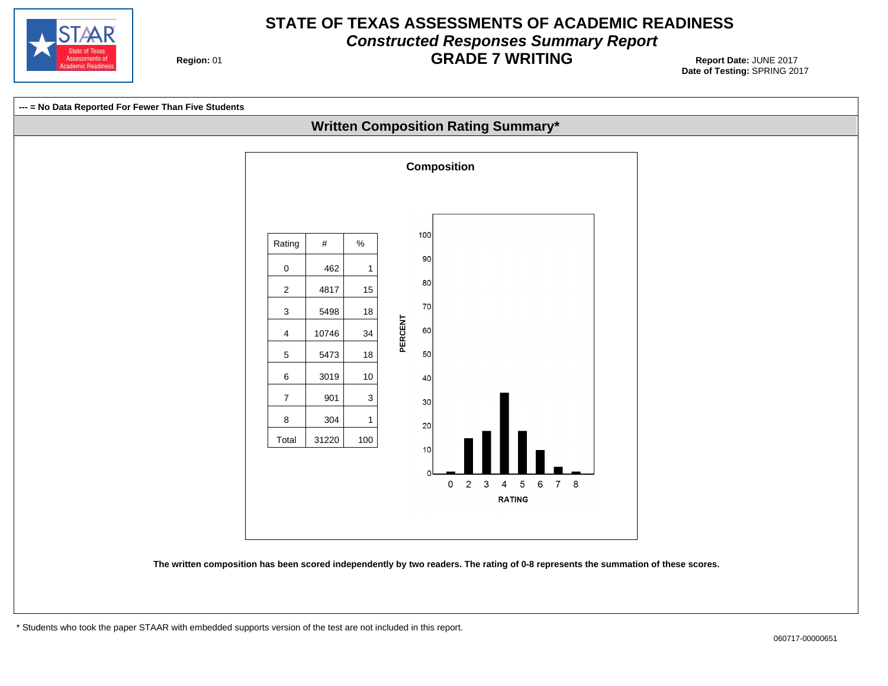

# **STATE OF TEXAS ASSESSMENTS OF ACADEMIC READINESS Constructed Responses Summary Report GRADE 7 WRITING** Report Date: JUNE 2017

**Region: 01** 

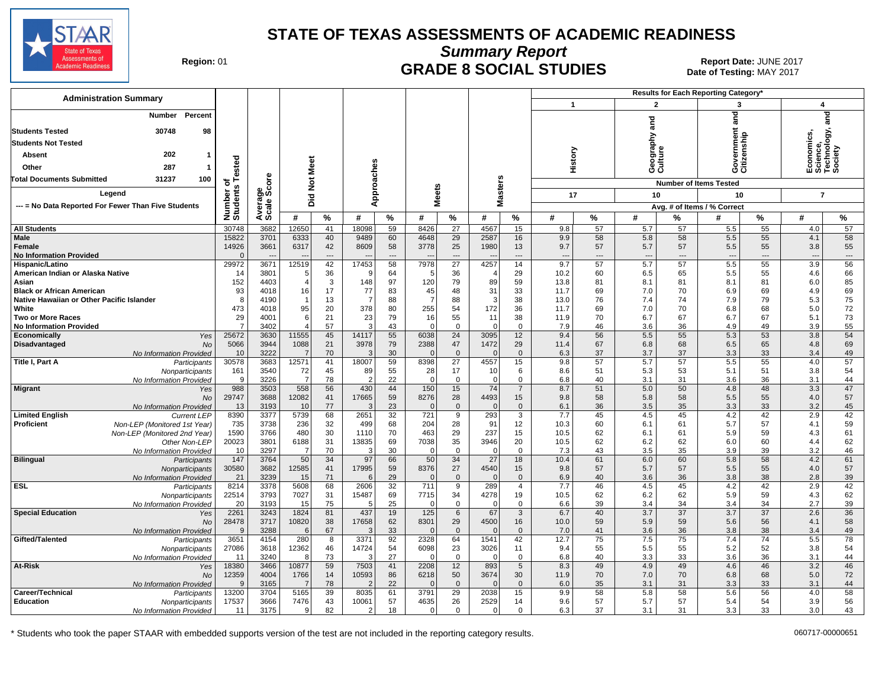

**Summary Report**

Region: 01 **Begion: 01 CRADE 8 SOCIAL STUDIES Report Date: JUNE 2017 Report Date: JUNE 2017** Date of Testing: MAY 2017

| <b>Administration Summary</b>                                           |                      |                      |                |               |                |             |                     |                                   |                  |                    |                                 |           | Results for Each Reporting Category' |                       |                               |                       |                                 |                |
|-------------------------------------------------------------------------|----------------------|----------------------|----------------|---------------|----------------|-------------|---------------------|-----------------------------------|------------------|--------------------|---------------------------------|-----------|--------------------------------------|-----------------------|-------------------------------|-----------------------|---------------------------------|----------------|
|                                                                         |                      |                      |                |               |                |             |                     |                                   |                  |                    | $\mathbf{1}$                    |           | $\overline{2}$                       |                       | 3                             |                       | $\overline{\mathbf{4}}$         |                |
| Percent<br>Number                                                       |                      |                      |                |               |                |             |                     |                                   |                  |                    |                                 |           |                                      |                       | and                           |                       |                                 | and            |
| 30748<br><b>Students Tested</b><br>98                                   |                      |                      |                |               |                |             |                     |                                   |                  |                    |                                 |           | and                                  |                       |                               |                       |                                 |                |
| <b>Students Not Tested</b>                                              |                      |                      |                |               |                |             |                     |                                   |                  |                    |                                 |           |                                      |                       |                               |                       |                                 | logy,          |
| 202                                                                     |                      |                      |                |               |                |             |                     |                                   |                  |                    |                                 |           | ieography:<br>:ulture                |                       | rernment<br>zenship           |                       | nomics,<br>cience,<br>echnolo   |                |
| <b>Absent</b>                                                           | ested                |                      |                |               |                |             |                     |                                   |                  |                    | History                         |           |                                      |                       | overn<br>itizen:              |                       |                                 |                |
| 287<br>Other                                                            |                      |                      | Meet           |               |                |             |                     |                                   |                  |                    |                                 |           | ဖပ                                   |                       | ဖပ                            |                       | ய் ம் ⊫ ம்                      |                |
| 31237<br><b>Total Documents Submitted</b><br>100                        | ⊢<br>Ö               | ö                    | $\frac{5}{2}$  |               |                |             |                     |                                   | <b>SD</b>        |                    |                                 |           |                                      |                       | <b>Number of Items Tested</b> |                       |                                 |                |
| Legend                                                                  |                      |                      |                |               | pproaches      |             | <b>Meets</b>        |                                   | laster:          |                    | 17                              |           | 10                                   |                       | 10                            |                       | $\overline{7}$                  |                |
| --- = No Data Reported For Fewer Than Five Students                     |                      |                      | Did            |               | ⋖              |             |                     |                                   | Σ                |                    |                                 |           |                                      |                       | Avg. # of Items / % Correct   |                       |                                 |                |
|                                                                         | Number o<br>Students | Average<br>Scale Scc | #              | $\frac{9}{6}$ | #              | %           | #                   | $\%$                              | #                | %                  | #                               | %         | #                                    | %                     | #                             | $\%$                  | #                               | %              |
| <b>All Students</b>                                                     | 30748                | 3682                 | 12650          | 41            | 18098          | 59          | 8426                | 27                                | 4567             | 15                 | 9.8                             | 57        | 5.7                                  | 57                    | 5.5                           | 55                    | 4.0                             | 57             |
| <b>Male</b>                                                             | 15822                | 3701                 | 6333           | 40            | 9489           | 60          | 4648                | 29                                | 2587             | 16                 | 9.9                             | 58        | 5.8                                  | 58                    | 5.5                           | 55                    | 4.1                             | 58             |
| Female                                                                  | 14926                | 3661                 | 6317           | 42            | 8609           | 58          | 3778                | 25                                | 1980             | 13                 | 9.7                             | 57        | 5.7                                  | 57                    | 5.5                           | 55                    | 3.8                             | 55             |
| <b>No Information Provided</b><br>Hispanic/Latino                       | $\Omega$<br>29972    | 3671                 | 12519          | $---$<br>42   | 17453          | $---$<br>58 | 7978                | $---$<br>$\overline{27}$          | 4257             | $---$<br>14        | $\overline{\phantom{a}}$<br>9.7 | ---<br>57 | $\overline{a}$<br>5.7                | $---$<br>57           | $\overline{a}$<br>5.5         | ---<br>55             | $\overline{\phantom{a}}$<br>3.9 | $\cdots$<br>56 |
| American Indian or Alaska Native                                        | 14                   | 3801                 |                | 36            | -9             | 64          | 5                   | 36                                |                  | 29                 | 10.2                            | 60        | 6.5                                  | 65                    | 5.5                           | 55                    | 4.6                             | 66             |
| Asian                                                                   | 152                  | 4403                 |                | 3             | 148            | 97          | 120                 | 79                                | 89               | 59                 | 13.8                            | 81        | 8.1                                  | 81                    | 8.1                           | 81                    | 6.0                             | 85             |
| <b>Black or African American</b>                                        | 93                   | 4018                 | 16             | 17            | 77             | 83          | 45                  | 48                                | 31               | 33                 | 11.7                            | 69        | 7.0                                  | 70                    | 6.9                           | 69                    | 4.9                             | 69             |
| Native Hawaiian or Other Pacific Islander                               | -8                   | 4190                 |                | 13            | $\overline{7}$ | 88          | $\overline{7}$      | 88                                | 3                | 38                 | 13.0                            | 76        | 7.4                                  | 74                    | 7.9                           | 79                    | 5.3                             | 75             |
| White<br><b>Two or More Races</b>                                       | 473<br>29            | 4018<br>4001         | 95<br>-6       | 20<br>21      | 378<br>23      | 80<br>79    | 255<br>16           | 54<br>55                          | 172<br>11        | 36<br>38           | 11.7<br>11.9                    | 69<br>70  | 7.0<br>6.7                           | 70<br>67              | 6.8<br>6.7                    | 68<br>67              | 5.0<br>5.1                      | 72<br>73       |
| <b>No Information Provided</b>                                          | $\overline{7}$       | 3402                 |                | 57            | 3              | 43          | $\Omega$            | $\mathbf 0$                       | $\Omega$         | $\Omega$           | 7.9                             | 46        | 3.6                                  | 36                    | 4.9                           | 49                    | 3.9                             | 55             |
| Economically<br>Yes                                                     | 25672                | 3630                 | 11555          | 45            | 14117          | 55          | 6038                | 24                                | 3095             | 12                 | 9.4                             | 56        | 5.5                                  | 55                    | 5.3                           | 53                    | 3.8                             | 54             |
| Disadvantaged<br><b>No</b>                                              | 5066                 | 3944                 | 1088           | 21            | 3978           | 79          | 2388                | 47                                | 1472             | 29                 | 11.4                            | 67        | 6.8                                  | 68                    | 6.5                           | 65                    | 4.8                             | 69             |
| No Information Provided<br>Title I, Part A<br>Participants              | 10<br>30578          | 3222<br>3683         | - 7<br>12571   | 70<br>41      | 3<br>18007     | 30<br>59    | 8398                | $\overline{0}$<br>$\overline{27}$ | $\Omega$<br>4557 | $\mathbf{0}$<br>15 | 6.3<br>9.8                      | 37<br>57  | 3.7<br>5.7                           | 37<br>57              | 3.3<br>5.5                    | 33<br>55              | 3.4<br>4.0                      | 49<br>57       |
| Nonparticipants                                                         | 161                  | 3540                 | 72             | 45            | 89             | 55          | 28                  | 17                                | 10               | 6                  | 8.6                             | 51        | 5.3                                  | 53                    | 5.1                           | 51                    | 3.8                             | 54             |
| No Information Provided                                                 | 9                    | 3226                 | - 7            | 78            | 2              | 22          | $\Omega$            | $\mathbf 0$                       | $\Omega$         | $\mathbf 0$        | 6.8                             | 40        | 3.1                                  | 31                    | 3.6                           | 36                    | 3.1                             | 44             |
| <b>Migrant</b><br>Yes                                                   | 988                  | 3503                 | 558            | 56            | 430            | 44          | 150                 | 15                                | 74               | $\overline{7}$     | 8.7                             | 51        | 5.0                                  | 50                    | 4.8                           | 48                    | 3.3                             | 47             |
| <b>No</b>                                                               | 29747                | 3688                 | 12082          | 41            | 17665          | 59          | 8276                | 28                                | 4493             | 15                 | 9.8                             | 58        | 5.8                                  | 58                    | 5.5                           | 55                    | 4.0                             | 57             |
| No Information Provided<br><b>Limited English</b><br><b>Current LEP</b> | 13<br>8390           | 3193<br>3377         | 10<br>5739     | 77<br>68      | 3<br>2651      | 23<br>32    | 721                 | $\overline{0}$<br>9               | 293              | $\mathbf{0}$<br>3  | 6.1<br>7.7                      | 36<br>45  | 3.5<br>4.5                           | 35<br>45              | 3.3<br>4.2                    | 33<br>42              | 3.2<br>2.9                      | 45<br>42       |
| Proficient<br>Non-LEP (Monitored 1st Year)                              | 735                  | 3738                 | 236            | 32            | 499            | 68          | 204                 | 28                                | 91               | 12                 | 10.3                            | 60        | 6.1                                  | 61                    | 5.7                           | 57                    | 4.1                             | 59             |
| Non-LEP (Monitored 2nd Year)                                            | 1590                 | 3766                 | 480            | 30            | 1110           | 70          | 463                 | 29                                | 237              | 15                 | 10.5                            | 62        | 6.1                                  | 61                    | 5.9                           | 59                    | 4.3                             | 61             |
| Other Non-LEP                                                           | 20023                | 3801                 | 6188           | 31            | 13835          | 69          | 7038                | 35                                | 3946             | 20                 | 10.5                            | 62        | 6.2                                  | 62                    | 6.0                           | 60                    | 4.4                             | 62             |
| No Information Provided<br><b>Bilingual</b>                             | 10<br>147            | 3297<br>3764         | -7<br>50       | 70<br>34      | 3<br>97        | 30<br>66    | $\Omega$<br>50      | $\mathbf 0$<br>34                 | $\Omega$<br>27   | $\mathbf 0$<br>18  | 7.3<br>10.4                     | 43<br>61  | 3.5<br>6.0                           | 35<br>60              | 3.9<br>5.8                    | 39<br>58              | 3.2<br>4.2                      | 46<br>61       |
| Participants<br>Nonparticipants                                         | 30580                | 3682                 | 12585          | 41            | 17995          | 59          | 8376                | 27                                | 4540             | 15                 | 9.8                             | 57        | 5.7                                  | 57                    | 5.5                           | 55                    | 4.0                             | 57             |
| No Information Provided                                                 | 21                   | 3239                 | 15             | 71            | 6              | 29          |                     | $\overline{0}$                    |                  | $\mathbf{0}$       | 6.9                             | 40        | 3.6                                  | 36                    | 3.8                           | 38                    | 2.8                             | 39             |
| <b>ESL</b><br>Participants                                              | 8214                 | 3378                 | 5608           | 68            | 2606           | 32          | 711                 | 9                                 | 289              | $\overline{4}$     | 7.7                             | 46        | 4.5                                  | 45                    | 4.2                           | 42                    | 2.9                             | 42             |
| Nonparticipants                                                         | 22514                | 3793                 | 7027           | 31            | 15487          | 69          | 7715                | 34                                | 4278             | 19                 | 10.5                            | 62        | 6.2                                  | 62                    | 5.9                           | 59                    | 4.3                             | 62             |
| No Information Provided<br><b>Special Education</b><br>Yes              | 20<br>2261           | 3193<br>3243         | 15<br>1824     | 75<br>81      | 5<br>437       | 25<br>19    | $\Omega$<br>125     | $\mathbf 0$<br>6                  | $\Omega$<br>67   | $\mathbf 0$<br>3   | 6.6<br>6.7                      | 39<br>40  | 3.4<br>3.7                           | 34<br>$\overline{37}$ | 3.4<br>3.7                    | 34<br>$\overline{37}$ | 2.7<br>2.6                      | 39<br>36       |
| <b>No</b>                                                               | 28478                | 3717                 | 10820          | 38            | 17658          | 62          | 8301                | 29                                | 4500             | 16                 | 10.0                            | 59        | 5.9                                  | 59                    | 5.6                           | 56                    | 4.1                             | 58             |
| No Information Provided                                                 | 9                    | 3288                 | 6              | 67            | 3              | 33          |                     | $\overline{0}$                    |                  | $\mathbf{0}$       | 7.0                             | 41        | 3.6                                  | 36                    | 3.8                           | 38                    | 3.4                             | 49             |
| Gifted/Talented<br>Participants                                         | 3651                 | 4154                 | 280            | 8             | 3371           | 92          | 2328                | 64                                | 1541             | 42                 | 12.7                            | 75        | 7.5                                  | 75                    | 7.4                           | 74                    | 5.5                             | 78             |
| Nonparticipants                                                         | 27086                | 3618                 | 12362          | 46<br>73      | 14724<br>3     | 54<br>27    | 6098                | 23<br>$\mathbf 0$                 | 3026             | 11<br>$\mathbf 0$  | 9.4                             | 55<br>40  | 5.5                                  | 55<br>33              | 5.2<br>3.6                    | 52<br>36              | 3.8                             | 54<br>44       |
| No Information Provided<br>At-Risk<br>Yes                               | 11<br>18380          | 3240<br>3466         | 10877          | 59            | 7503           | 41          | 2208                | 12                                | 893              | $\sqrt{5}$         | 6.8<br>8.3                      | 49        | 3.3<br>4.9                           | 49                    | 4.6                           | 46                    | 3.1<br>3.2                      | 46             |
| <b>No</b>                                                               | 12359                | 4004                 | 1766           | 14            | 10593          | 86          | 6218                | 50                                | 3674             | 30                 | 11.9                            | 70        | 7.0                                  | 70                    | 6.8                           | 68                    | 5.0                             | 72             |
| No Information Provided                                                 | -9                   | 3165                 | $\overline{7}$ | 78            | $\overline{2}$ | 22          |                     | $\overline{0}$                    |                  | $\Omega$           | 6.0                             | 35        | 3.1                                  | 31                    | 3.3                           | 33                    | 3.1                             | 44             |
| Career/Technical<br>Participants                                        | 13200                | 3704                 | 5165           | 39            | 8035           | 61          | 3791                | 29                                | 2038             | 15                 | 9.9                             | 58        | 5.8                                  | 58                    | 5.6                           | 56                    | 4.0                             | 58             |
| <b>Education</b><br>Nonparticipants<br>No Information Provided          | 17537<br>11          | 3666<br>3175         | 7476<br>9      | 43<br>82      | 10061<br>2     | 57<br>18    | 4635<br>$\mathbf 0$ | 26<br>$\mathbf 0$                 | 2529<br>$\Omega$ | 14<br>$\Omega$     | 9.6<br>6.3                      | 57<br>37  | 5.7<br>3.1                           | 57<br>31              | 5.4<br>3.3                    | 54<br>33              | 3.9<br>3.0                      | 56<br>43       |
|                                                                         |                      |                      |                |               |                |             |                     |                                   |                  |                    |                                 |           |                                      |                       |                               |                       |                                 |                |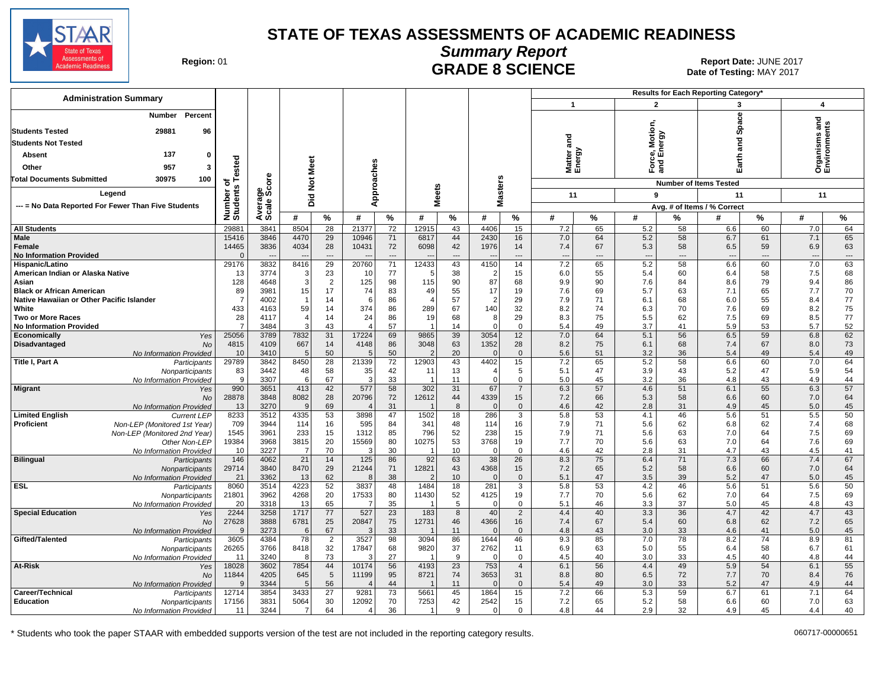

Date of Testing: MAY 2017

| Region: 01 |  |
|------------|--|
|------------|--|

# **Summary Report** Region: 01 **Region: 01 CRADE 8 SCIENCE Date: JUNE 2017**<br>Date of Testing: MAY 2017

| <b>Administration Summary</b>                                                            |                       |                          |                |                      |                             |                 |                |          |                      | <b>Results for Each Reporting Category</b> |                          |                          |                          |          |                               |          |                                   |                          |
|------------------------------------------------------------------------------------------|-----------------------|--------------------------|----------------|----------------------|-----------------------------|-----------------|----------------|----------|----------------------|--------------------------------------------|--------------------------|--------------------------|--------------------------|----------|-------------------------------|----------|-----------------------------------|--------------------------|
|                                                                                          |                       |                          |                |                      |                             |                 |                |          |                      |                                            | $\mathbf{1}$             |                          | $\overline{2}$           |          | 3                             |          | 4                                 |                          |
| Percent<br>Number<br>29881<br>96<br><b>Students Tested</b><br><b>Students Not Tested</b> |                       |                          |                |                      |                             |                 |                |          |                      |                                            | and                      |                          | ce, Motic<br>I Energy    |          | Space<br>and                  |          | g<br>Organisms ar<br>Environments |                          |
| 137<br>Absent<br>0                                                                       |                       |                          |                |                      |                             |                 |                |          |                      |                                            |                          |                          |                          |          |                               |          |                                   |                          |
| 957                                                                                      | ested                 |                          |                |                      |                             |                 |                |          |                      |                                            | Matter<br>Energy         |                          | $F$ orc                  |          | arth                          |          |                                   |                          |
| Other<br>3                                                                               |                       |                          |                |                      |                             |                 |                |          |                      |                                            |                          |                          |                          |          |                               |          |                                   |                          |
| 30975<br><b>Total Documents Submitted</b><br>100                                         | ৳                     | ზ<br>ნ                   | Not Meet       |                      |                             |                 |                |          |                      |                                            |                          |                          |                          |          | <b>Number of Items Tested</b> |          |                                   |                          |
| Legend                                                                                   |                       |                          |                |                      | Approaches                  |                 | <b>Meets</b>   |          | <b>Masters</b>       |                                            | 11                       |                          | 9                        |          | 11                            |          | 11                                |                          |
| --- = No Data Reported For Fewer Than Five Students                                      |                       |                          | Did            |                      |                             |                 |                |          |                      |                                            |                          |                          |                          |          | Avg. # of Items / % Correct   |          |                                   |                          |
|                                                                                          | Number of<br>Students | Average<br>Scale Scc     | #              | %                    | #                           | %               | #              | %        | #                    | %                                          | #                        | $\%$                     | #                        | %        | #                             | %        | #                                 | %                        |
| <b>All Students</b>                                                                      | 29881                 | 3841                     | 8504           | $\overline{28}$      | 21377                       | 72              | 12915          | 43       | 4406                 | 15                                         | 7.2                      | 65                       | 5.2                      | 58       | 6.6                           | 60       | 7.0                               | 64                       |
| <b>Male</b>                                                                              | 15416                 | 3846                     | 4470           | 29                   | 10946                       | 71              | 6817           | 44       | 2430                 | 16                                         | 7.0                      | 64                       | 5.2                      | 58       | 6.7                           | 61       | 7.1                               | 65                       |
| Female                                                                                   | 14465                 | 3836                     | 4034           | 28                   | 10431                       | 72              | 6098           | 42       | 1976                 | 14                                         | 7.4                      | 67                       | 5.3                      | 58       | 6.5                           | 59       | 6.9                               | 63                       |
| <b>No Information Provided</b>                                                           | $\Omega$              | $\overline{\phantom{a}}$ |                | ---                  |                             | $\overline{a}$  |                | ---      |                      | ---                                        | $\overline{\phantom{a}}$ | $\overline{\phantom{a}}$ | $\overline{\phantom{a}}$ | ---      | $\overline{\phantom{a}}$      | ---      | $\overline{\phantom{a}}$          | $\hspace{0.05cm} \ldots$ |
| Hispanic/Latino                                                                          | 29176<br>13           | 3832<br>3774             | 8416<br>3      | 29                   | 20760                       | 71<br>77        | 12433<br>5     | 43<br>38 | 4150                 | 14<br>15                                   | 7.2                      | 65<br>55                 | 5.2<br>5.4               | 58<br>60 | 6.6                           | 60<br>58 | 7.0<br>7.5                        | 63<br>68                 |
| American Indian or Alaska Native<br>Asian                                                | 128                   | 4648                     | 3              | 23<br>$\overline{2}$ | 10<br>125                   | 98              | 115            | 90       | $\overline{2}$<br>87 | 68                                         | 6.0<br>9.9               | 90                       | 7.6                      | 84       | 6.4<br>8.6                    | 79       | 9.4                               | 86                       |
| <b>Black or African American</b>                                                         | 89                    | 3981                     | 15             | 17                   | 74                          | 83              | 49             | 55       | 17                   | 19                                         | 7.6                      | 69                       | 5.7                      | 63       | 7.1                           | 65       | 7.7                               | 70                       |
| Native Hawaiian or Other Pacific Islander                                                | $\overline{7}$        | 4002                     | 1              | 14                   | 6                           | 86              | $\overline{4}$ | 57       | $\overline{2}$       | 29                                         | 7.9                      | 71                       | 6.1                      | 68       | 6.0                           | 55       | 8.4                               | 77                       |
| White                                                                                    | 433                   | 4163                     | 59             | 14                   | 374                         | 86              | 289            | 67       | 140                  | 32                                         | 8.2                      | 74                       | 6.3                      | 70       | 7.6                           | 69       | 8.2                               | 75                       |
| <b>Two or More Races</b>                                                                 | 28<br>$\overline{7}$  | 4117                     | 4<br>3         | 14                   | 24<br>$\boldsymbol{\Delta}$ | 86              | 19             | 68       | 8<br>$\Omega$        | 29                                         | 8.3                      | 75                       | 5.5                      | 62       | 7.5                           | 69       | 8.5                               | 77                       |
| <b>No Information Provided</b><br>Economically<br>Yes                                    | 25056                 | 3484<br>3789             | 7832           | 43<br>31             | 17224                       | 57<br>69        | 9865           | 14<br>39 | 3054                 | $\Omega$<br>12                             | 5.4<br>7.0               | 49<br>64                 | 3.7<br>5.1               | 41<br>56 | 5.9<br>6.5                    | 53<br>59 | 5.7<br>6.8                        | 52<br>62                 |
| Disadvantaged<br><b>No</b>                                                               | 4815                  | 4109                     | 667            | 14                   | 4148                        | 86              | 3048           | 63       | 1352                 | 28                                         | 8.2                      | 75                       | 6.1                      | 68       | 7.4                           | 67       | 8.0                               | 73                       |
| No Information Provided                                                                  | 10                    | 3410                     | 5              | 50                   |                             | 50              | $\overline{2}$ | 20       | $\Omega$             | $\mathbf{0}$                               | 5.6                      | 51                       | 3.2                      | 36       | 5.4                           | 49       | 5.4                               | 49                       |
| Title I, Part A<br>Participants                                                          | 29789                 | 3842                     | 8450           | 28                   | 21339                       | 72              | 12903          | 43       | 4402                 | 15                                         | 7.2                      | 65                       | 5.2                      | 58       | 6.6                           | 60       | 7.0                               | 64                       |
| Nonparticipants                                                                          | 83                    | 3442                     | 48             | 58                   | 35                          | 42              | 11             | 13       | 4                    | 5                                          | 5.1                      | 47                       | 3.9                      | 43       | 5.2                           | 47       | 5.9                               | 54                       |
| No Information Provided<br><b>Migrant</b>                                                | 9<br>990              | 3307<br>3651             | 6<br>413       | 67<br>42             | 3<br>577                    | 33<br>58        | 302            | 11<br>31 | $\Omega$<br>67       | $\mathbf 0$<br>$\overline{7}$              | 5.0<br>6.3               | 45<br>57                 | 3.2<br>4.6               | 36<br>51 | 4.8<br>6.1                    | 43<br>55 | 4.9<br>6.3                        | 44<br>57                 |
| Yes<br>No                                                                                | 28878                 | 3848                     | 8082           | 28                   | 20796                       | 72              | 12612          | 44       | 4339                 | 15                                         | 7.2                      | 66                       | 5.3                      | 58       | 6.6                           | 60       | 7.0                               | 64                       |
| No Information Provided                                                                  | 13                    | 3270                     | $\mathbf{Q}$   | 69                   |                             | 31              |                | 8        | $\mathbf{0}$         | $\mathbf{0}$                               | 4.6                      | 42                       | 2.8                      | 31       | 4.9                           | 45       | 5.0                               | 45                       |
| <b>Limited English</b><br><b>Current LEP</b>                                             | 8233                  | 3512                     | 4335           | 53                   | 3898                        | 47              | 1502           | 18       | 286                  | 3                                          | 5.8                      | 53                       | 4.1                      | 46       | 5.6                           | 51       | 5.5                               | 50                       |
| Proficient<br>Non-LEP (Monitored 1st Year)                                               | 709                   | 3944                     | 114            | 16                   | 595                         | 84              | 341            | 48       | 114                  | 16                                         | 7.9                      | 71                       | 5.6                      | 62       | 6.8                           | 62       | 7.4                               | 68                       |
| Non-LEP (Monitored 2nd Year)                                                             | 1545                  | 3961                     | 233            | 15                   | 1312                        | 85              | 796            | 52       | 238                  | 15                                         | 7.9                      | 71                       | 5.6                      | 63<br>63 | 7.0                           | 64<br>64 | 7.5                               | 69                       |
| Other Non-LEP<br>No Information Provided                                                 | 19384<br>10           | 3968<br>3227             | 3815<br>7      | 20<br>70             | 15569<br>3                  | 80<br>30        | 10275          | 53<br>10 | 3768<br>0            | 19<br>$\mathbf 0$                          | 7.7<br>4.6               | 70<br>42                 | 5.6<br>2.8               | 31       | 7.0<br>4.7                    | 43       | 7.6<br>4.5                        | 69<br>41                 |
| <b>Bilingual</b><br>Participants                                                         | 146                   | 4062                     | 21             | 14                   | 125                         | 86              | 92             | 63       | 38                   | 26                                         | 8.3                      | 75                       | 6.4                      | 71       | 7.3                           | 66       | $7.4$                             | 67                       |
| Nonparticipants                                                                          | 29714                 | 3840                     | 8470           | 29                   | 21244                       | 71              | 12821          | 43       | 4368                 | 15                                         | 7.2                      | 65                       | 5.2                      | 58       | 6.6                           | 60       | 7.0                               | 64                       |
| No Information Provided                                                                  | 21                    | 3362                     | 13             | 62                   |                             | 38              |                | 10       | $\mathbf{0}$         | $\mathbf{0}$                               | 5.1                      | 47                       | 3.5                      | 39       | 5.2                           | 47       | 5.0                               | 45                       |
| <b>ESL</b><br>Participants                                                               | 8060                  | 3514                     | 4223           | 52                   | 3837                        | 48              | 1484           | 18       | 281                  | 3                                          | 5.8                      | 53                       | 4.2                      | 46       | 5.6                           | 51       | 5.6                               | 50                       |
| Nonparticipants<br>No Information Provided                                               | 21801<br>20           | 3962<br>3318             | 4268<br>13     | 20<br>65             | 17533                       | 80<br>35        | 11430          | 52<br>5  | 4125<br>0            | 19<br>$\mathbf 0$                          | 7.7<br>5.1               | 70<br>46                 | 5.6<br>3.3               | 62<br>37 | 7.0<br>5.0                    | 64<br>45 | 7.5<br>4.8                        | 69<br>43                 |
| <b>Special Education</b><br>Yes                                                          | 2244                  | 3258                     | 1717           | 77                   | 527                         | $\overline{23}$ | 183            | 8        | 40                   | $\overline{2}$                             | 4.4                      | 40                       | 3.3                      | 36       | 4.7                           | 42       | 4.7                               | 43                       |
| No                                                                                       | 27628                 | 3888                     | 6781           | 25                   | 20847                       | 75              | 12731          | 46       | 4366                 | 16                                         | 7.4                      | 67                       | 5.4                      | 60       | 6.8                           | 62       | 7.2                               | 65                       |
| No Information Provided                                                                  | $\mathbf{Q}$          | 3273                     | 6              | 67                   |                             | 33              |                | 11       | $\Omega$             | $\Omega$                                   | 4.8                      | 43                       | 3.0                      | 33       | 4.6                           | 41       | 5.0                               | 45                       |
| Gifted/Talented<br>Participants                                                          | 3605                  | 4384                     | 78             | 2                    | 3527                        | 98              | 3094           | 86       | 1644                 | 46                                         | 9.3                      | 85                       | 7.0                      | 78       | 8.2                           | 74       | 8.9                               | 81                       |
| Nonparticipants                                                                          | 26265<br>11           | 3766<br>3240             | 8418<br>8      | 32<br>73             | 17847                       | 68<br>27        | 9820           | 37<br>9  | 2762<br>$\Omega$     | 11<br>$\mathbf 0$                          | 6.9<br>4.5               | 63<br>40                 | 5.0<br>3.0               | 55<br>33 | 6.4<br>4.5                    | 58<br>40 | 6.7<br>4.8                        | 61<br>44                 |
| No Information Provided<br>At-Risk<br>Yes                                                | 18028                 | 3602                     | 7854           | 44                   | 10174                       | 56              | 4193           | 23       | 753                  | $\overline{4}$                             | 6.1                      | 56                       | 4.4                      | 49       | 5.9                           | 54       | 6.1                               | 55                       |
| No                                                                                       | 11844                 | 4205                     | 645            | 5                    | 11199                       | 95              | 8721           | 74       | 3653                 | 31                                         | 8.8                      | 80                       | 6.5                      | 72       | 7.7                           | 70       | 8.4                               | 76                       |
| No Information Provided                                                                  | <b>q</b>              | 3344                     | 5              | 56                   |                             | 44              |                | 11       | $\Omega$             | $\mathbf{0}$                               | 5.4                      | 49                       | 3.0                      | 33       | 5.2                           | 47       | 4.9                               | 44                       |
| Career/Technical<br>Participants                                                         | 12714                 | 3854                     | 3433           | $\overline{27}$      | 9281                        | $\overline{73}$ | 5661           | 45       | 1864                 | 15                                         | 7.2                      | 66                       | 5.3                      | 59       | 6.7                           | 61       | 7.1                               | 64                       |
| <b>Education</b><br>Nonparticipants                                                      | 17156                 | 3831                     | 5064           | 30                   | 12092                       | 70              | 7253           | 42       | 2542                 | 15                                         | 7.2                      | 65                       | 5.2                      | 58       | 6.6                           | 60       | 7.0                               | 63                       |
| No Information Provided                                                                  | 11                    | 3244                     | $\overline{7}$ | 64                   | $\overline{4}$              | 36              | $\mathbf{1}$   | 9        | $\Omega$             | $\Omega$                                   | 4.8                      | 44                       | 2.9                      | 32       | 4.9                           | 45       | 4.4                               | 40                       |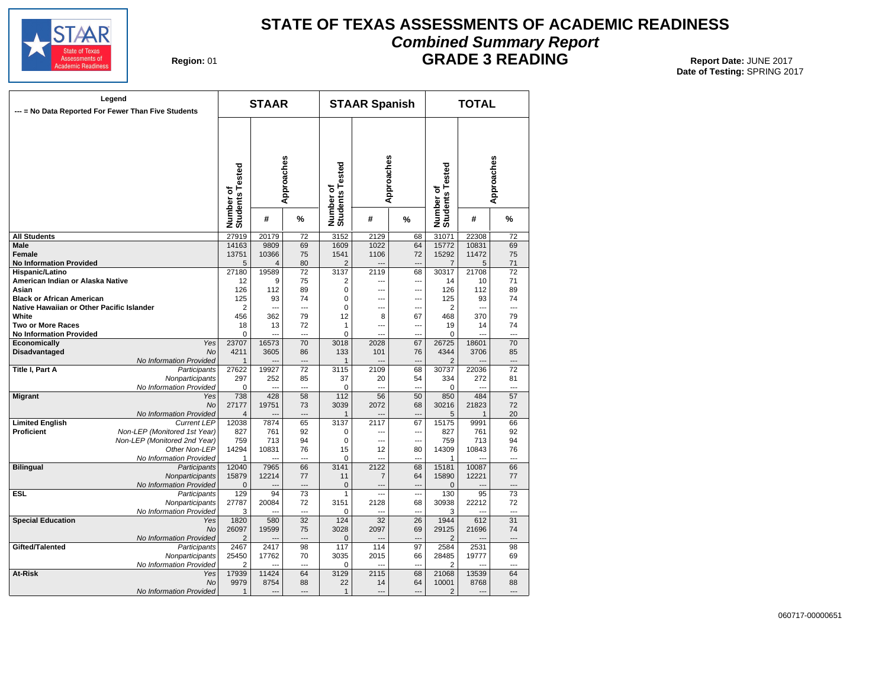

# **STATE OF TEXAS ASSESSMENTS OF ACADEMIC READINESS Combined Summary Report**

**Region: 01** 

**GRADE 3 READING** Report Date: JUNE 2017

| Legend<br>--- = No Data Reported For Fewer Than Five Students |                                            |                              | <b>STAAR</b>   |                      |                              | <b>STAAR Spanish</b> |                |                              | <b>TOTAL</b>   |                 |  |  |  |
|---------------------------------------------------------------|--------------------------------------------|------------------------------|----------------|----------------------|------------------------------|----------------------|----------------|------------------------------|----------------|-----------------|--|--|--|
|                                                               |                                            | Number of<br>Students Tested |                | Approaches           | Number of<br>Students Tested | Approaches           |                | Number of<br>Students Tested |                | Approaches      |  |  |  |
|                                                               |                                            |                              | #              | %                    |                              | #                    | %              |                              | #              | %               |  |  |  |
| <b>All Students</b>                                           |                                            | 27919                        | 20179          | $\overline{72}$      | 3152                         | 2129                 | 68             | 31071                        | 22308          | $\overline{72}$ |  |  |  |
| <b>Male</b>                                                   |                                            | 14163                        | 9809           | 69                   | 1609                         | 1022                 | 64             | 15772                        | 10831          | 69              |  |  |  |
| <b>Female</b>                                                 |                                            | 13751                        | 10366          | 75                   | 1541                         | 1106                 | 72             | 15292                        | 11472          | 75              |  |  |  |
| <b>No Information Provided</b>                                |                                            | 5                            | $\overline{4}$ | 80                   | $\overline{2}$               | $\overline{a}$       |                | $\overline{7}$               | 5              | 71              |  |  |  |
| Hispanic/Latino                                               |                                            | 27180                        | 19589          | 72                   | 3137                         | 2119                 | 68             | 30317                        | 21708          | 72              |  |  |  |
| American Indian or Alaska Native                              |                                            | 12                           | 9              | 75                   | 2                            | ---                  | ---            | 14                           | 10             | 71              |  |  |  |
| Asian                                                         |                                            | 126                          | 112            | 89                   | $\mathbf 0$                  | $\overline{a}$       | ---            | 126                          | 112            | 89              |  |  |  |
| <b>Black or African American</b>                              |                                            | 125                          | 93             | 74                   | 0                            | ---                  | ---            | 125                          | 93             | 74              |  |  |  |
| Native Hawaiian or Other Pacific Islander                     |                                            | $\overline{2}$               | ---            | ---                  | $\mathbf 0$<br>12            | ---                  | ---            | $\overline{2}$               | $\overline{a}$ | ---             |  |  |  |
| White<br><b>Two or More Races</b>                             |                                            | 456<br>18                    | 362<br>13      | 79<br>72             | 1                            | 8<br>---             | 67<br>---      | 468<br>19                    | 370<br>14      | 79<br>74        |  |  |  |
| <b>No Information Provided</b>                                |                                            | 0                            |                | $\overline{a}$       | $\mathbf 0$                  | ---                  | ---            | $\mathbf 0$                  |                | ---             |  |  |  |
| Economically                                                  | Yes                                        | 23707                        | 16573          | 70                   | 3018                         | 2028                 | 67             | 26725                        | 18601          | 70              |  |  |  |
| Disadvantaged                                                 | <b>No</b>                                  | 4211                         | 3605           | 86                   | 133                          | 101                  | 76             | 4344                         | 3706           | 85              |  |  |  |
|                                                               | No Information Provided                    | $\mathbf{1}$                 |                | ---                  | $\mathbf{1}$                 | $\overline{a}$       |                | 2                            |                | ---             |  |  |  |
| <b>Title I, Part A</b>                                        | Participants                               | 27622                        | 19927          | 72                   | 3115                         | 2109                 | 68             | 30737                        | 22036          | 72              |  |  |  |
|                                                               | Nonparticipants                            | 297                          | 252            | 85                   | 37                           | 20                   | 54             | 334                          | 272            | 81              |  |  |  |
|                                                               | No Information Provided                    | 0                            | ---            | $\overline{a}$       | 0                            | $\overline{a}$       | ---            | 0                            | $\sim$         | ---             |  |  |  |
| <b>Migrant</b>                                                | Yes                                        | 738                          | 428            | 58                   | 112                          | 56                   | 50             | 850                          | 484            | 57              |  |  |  |
|                                                               | No                                         | 27177                        | 19751          | 73                   | 3039                         | 2072                 | 68             | 30216                        | 21823          | 72              |  |  |  |
|                                                               | No Information Provided                    | $\overline{4}$               |                | $\overline{a}$       | 1                            | $\overline{a}$       | ---            | 5                            | 1              | 20              |  |  |  |
| <b>Limited English</b>                                        | <b>Current LEP</b>                         | 12038                        | 7874           | 65                   | 3137                         | 2117                 | 67             | 15175                        | 9991           | 66              |  |  |  |
| <b>Proficient</b>                                             | Non-LEP (Monitored 1st Year)               | 827                          | 761            | 92                   | $\mathbf 0$                  | ---                  | ---            | 827                          | 761            | 92              |  |  |  |
|                                                               | Non-LEP (Monitored 2nd Year)               | 759                          | 713            | 94                   | $\mathbf 0$                  | ---                  | ---            | 759                          | 713            | 94              |  |  |  |
|                                                               | Other Non-LEP                              | 14294                        | 10831          | 76                   | 15                           | 12                   | 80             | 14309                        | 10843          | 76              |  |  |  |
| <b>Bilingual</b>                                              | No Information Provided                    | 1<br>12040                   | 7965           | $\overline{a}$<br>66 | 0<br>3141                    | ---<br>2122          | ---<br>68      | 1<br>15181                   | 10087          | ---<br>66       |  |  |  |
|                                                               | Participants                               | 15879                        | 12214          | 77                   | 11                           | $\overline{7}$       | 64             |                              | 12221          | 77              |  |  |  |
|                                                               | Nonparticipants<br>No Information Provided | $\mathbf 0$                  |                | $---$                | $\mathbf 0$                  |                      | ---            | 15890<br>$\mathbf{0}$        |                |                 |  |  |  |
| <b>ESL</b>                                                    | Participants                               | 129                          | 94             | 73                   | $\mathbf{1}$                 | $\overline{a}$       | $\overline{a}$ | 130                          | 95             | 73              |  |  |  |
|                                                               | Nonparticipants                            | 27787                        | 20084          | 72                   | 3151                         | 2128                 | 68             | 30938                        | 22212          | 72              |  |  |  |
|                                                               | No Information Provided                    | 3                            |                | $\sim$               | 0                            | ---                  | ---            | 3                            |                | ---             |  |  |  |
| <b>Special Education</b>                                      | Yes                                        | 1820                         | 580            | 32                   | 124                          | 32                   | 26             | 1944                         | 612            | 31              |  |  |  |
|                                                               | <b>No</b>                                  | 26097                        | 19599          | 75                   | 3028                         | 2097                 | 69             | 29125                        | 21696          | 74              |  |  |  |
|                                                               | No Information Provided                    | $\overline{c}$               |                |                      | $\mathbf 0$                  |                      |                | 2                            |                |                 |  |  |  |
| Gifted/Talented                                               | Participants                               | 2467                         | 2417           | 98                   | 117                          | 114                  | 97             | 2584                         | 2531           | 98              |  |  |  |
|                                                               | Nonparticipants                            | 25450                        | 17762          | 70                   | 3035                         | 2015                 | 66             | 28485                        | 19777          | 69              |  |  |  |
|                                                               | No Information Provided                    | $\overline{2}$               |                | ---                  | $\Omega$                     | ---                  | ---            | 2                            |                | ---             |  |  |  |
| At-Risk                                                       | Yes                                        | 17939                        | 11424          | 64                   | 3129                         | 2115                 | 68             | 21068                        | 13539          | 64              |  |  |  |
|                                                               | <b>No</b>                                  | 9979                         | 8754           | 88                   | 22                           | 14                   | 64             | 10001                        | 8768           | 88              |  |  |  |
|                                                               | No Information Provided                    | $\mathbf{1}$                 | ---            | $---$                | $\mathbf{1}$                 | $\overline{a}$       | ---            | $\overline{2}$               | $\overline{a}$ | ---             |  |  |  |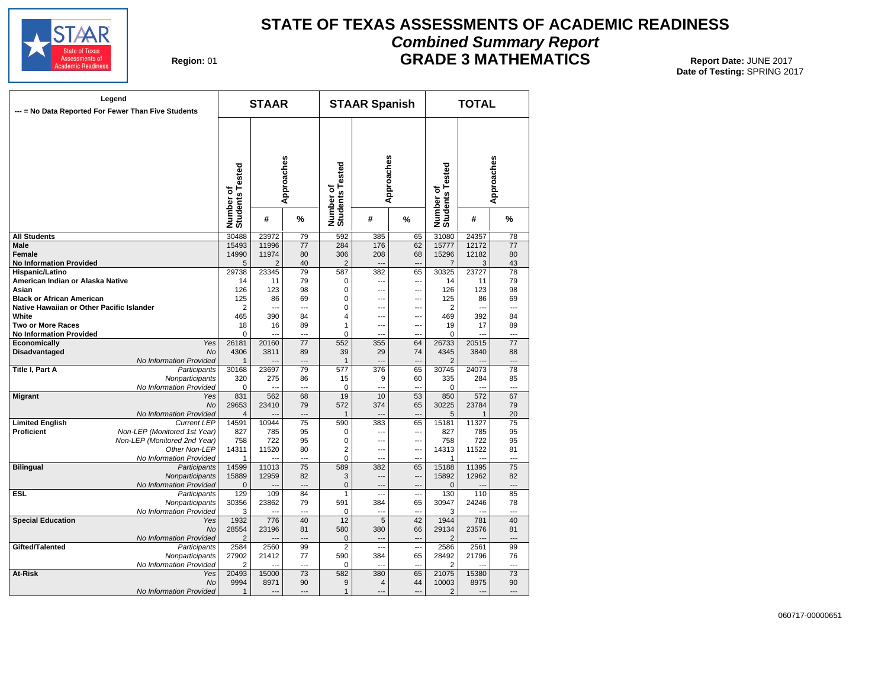

# **STATE OF TEXAS ASSESSMENTS OF ACADEMIC READINESS Combined Summary Report GRADE 3 MATHEMATICS** Report Date: JUNE 2017

**Region: 01** 

|                                           | Legend<br>--- = No Data Reported For Fewer Than Five Students |                              | <b>STAAR</b>   |                                   |                              | <b>STAAR Spanish</b>  |                                 |                              | <b>TOTAL</b>   |                                   |
|-------------------------------------------|---------------------------------------------------------------|------------------------------|----------------|-----------------------------------|------------------------------|-----------------------|---------------------------------|------------------------------|----------------|-----------------------------------|
|                                           |                                                               | Number of<br>Students Tested |                | Approaches                        | Number of<br>Students Tested | Approaches            |                                 | Number of<br>Students Tested |                | Approaches                        |
|                                           |                                                               |                              | #              | %                                 |                              | #                     | %                               |                              | #              | %                                 |
| <b>All Students</b>                       |                                                               | 30488                        | 23972          | 79                                | 592                          | 385                   | 65                              | 31080                        | 24357          | 78                                |
| Male                                      |                                                               | 15493                        | 11996          | 77                                | 284                          | 176                   | 62                              | 15777                        | 12172          | $\overline{77}$                   |
| <b>Female</b>                             |                                                               | 14990                        | 11974          | 80                                | 306                          | 208                   | 68                              | 15296                        | 12182          | 80                                |
| <b>No Information Provided</b>            |                                                               | 5                            | $\overline{2}$ | 40                                | $\overline{2}$               | ---                   | $\overline{a}$                  | 7                            | 3              | 43                                |
| Hispanic/Latino                           |                                                               | 29738                        | 23345          | 79                                | 587                          | 382                   | 65                              | 30325                        | 23727          | 78                                |
| American Indian or Alaska Native          |                                                               | 14                           | 11             | 79                                | 0                            | ---                   | $\overline{a}$                  | 14                           | 11             | 79                                |
| Asian                                     |                                                               | 126                          | 123            | 98                                | 0                            | $\sim$                | $---$                           | 126                          | 123            | 98                                |
| <b>Black or African American</b>          |                                                               | 125                          | 86             | 69                                | 0                            | ---                   | ---                             | 125                          | 86             | 69                                |
| Native Hawaiian or Other Pacific Islander |                                                               | 2                            | $\overline{a}$ | ---                               | 0                            | ---                   | ---                             | 2                            | ---            | ---                               |
| White                                     |                                                               | 465                          | 390            | 84                                | 4                            | ---                   | ---                             | 469                          | 392            | 84                                |
| <b>Two or More Races</b>                  |                                                               | 18                           | 16             | 89                                | 1                            | $\overline{a}$        | $\overline{a}$                  | 19                           | 17             | 89                                |
| <b>No Information Provided</b>            |                                                               | 0                            | $\overline{a}$ | $\overline{a}$                    | 0                            | $\sim$                | ---                             | 0                            | ÷-             | $\overline{a}$                    |
| Economically                              | Yes                                                           | 26181                        | 20160          | 77                                | 552                          | 355                   | 64                              | 26733                        | 20515          | 77                                |
| Disadvantaged                             | <b>No</b>                                                     | 4306                         | 3811           | 89                                | 39                           | 29                    | 74                              | 4345                         | 3840           | 88                                |
|                                           | No Information Provided                                       | $\mathbf{1}$                 |                | $\overline{a}$                    | $\mathbf{1}$                 | $\sim$                | $\overline{a}$                  | 2                            | $\overline{a}$ | ---                               |
| Title I, Part A                           | Participants                                                  | 30168                        | 23697          | 79                                | 577                          | 376                   | 65                              | 30745                        | 24073          | 78                                |
|                                           | Nonparticipants                                               | 320                          | 275            | 86                                | 15                           | 9                     | 60                              | 335                          | 284            | 85                                |
|                                           | No Information Provided                                       | 0                            | ---            | $\overline{a}$                    | 0                            | $\overline{a}$        | $\overline{a}$                  | $\Omega$                     | ---            | $\overline{a}$                    |
| <b>Migrant</b>                            | Yes                                                           | 831                          | 562            | 68                                | 19                           | 10                    | 53                              | 850                          | 572            | 67                                |
|                                           | <b>No</b>                                                     | 29653                        | 23410          | 79                                | 572                          | 374                   | 65                              | 30225                        | 23784          | 79                                |
|                                           | No Information Provided                                       | $\overline{4}$               |                | ---                               | $\mathbf 1$                  |                       | ---                             | 5                            | 1              | 20                                |
| <b>Limited English</b>                    | <b>Current LEP</b>                                            | 14591                        | 10944          | 75                                | 590                          | 383                   | 65                              | 15181                        | 11327          | 75                                |
| Proficient                                | Non-LEP (Monitored 1st Year)                                  | 827                          | 785            | 95                                | 0                            | $\overline{a}$        | $\overline{\phantom{a}}$        | 827                          | 785            | 95                                |
|                                           | Non-LEP (Monitored 2nd Year)                                  | 758                          | 722            | 95                                | $\mathbf 0$                  | ---                   | ---                             | 758                          | 722            | 95                                |
|                                           | Other Non-LEP                                                 | 14311                        | 11520          | 80                                | $\overline{2}$               | $\overline{a}$        | ---                             | 14313                        | 11522          | 81                                |
|                                           | No Information Provided                                       | 1                            |                | $\overline{a}$<br>$\overline{75}$ | 0                            | $\overline{a}$        | $\overline{\phantom{a}}$        | 1                            |                | $\overline{a}$<br>$\overline{75}$ |
| <b>Bilingual</b>                          | Participants                                                  | 14599                        | 11013          |                                   | 589                          | 382<br>$\overline{a}$ | 65                              | 15188<br>15892               | 11395          |                                   |
|                                           | Nonparticipants<br>No Information Provided                    | 15889                        | 12959          | 82<br>$\overline{a}$              | 3<br>$\mathbf 0$             | $\overline{a}$        | ---<br>$\overline{\phantom{a}}$ | $\Omega$                     | 12962          | 82<br>$\overline{a}$              |
| ESL                                       | Participants                                                  | $\mathbf 0$<br>129           | 109            | 84                                | $\mathbf{1}$                 | Щ,                    | $\sim$                          | 130                          | 110            | 85                                |
|                                           | Nonparticipants                                               | 30356                        | 23862          | 79                                | 591                          | 384                   | 65                              | 30947                        | 24246          | 78                                |
|                                           | No Information Provided                                       | 3                            | $\overline{a}$ | $\overline{a}$                    | 0                            | ---                   | ---                             | 3                            |                | ---                               |
| <b>Special Education</b>                  | Yes                                                           | 1932                         | 776            | 40                                | 12                           | $\overline{5}$        | 42                              | 1944                         | 781            | 40                                |
|                                           | <b>No</b>                                                     | 28554                        | 23196          | 81                                | 580                          | 380                   | 66                              | 29134                        | 23576          | 81                                |
|                                           | No Information Provided                                       | $\overline{2}$               |                | $\sim$                            | $\mathbf 0$                  | $\sim$                | ---                             | $\overline{2}$               |                | ---                               |
| Gifted/Talented                           | Participants                                                  | 2584                         | 2560           | 99                                | $\overline{2}$               | $\overline{a}$        | ---                             | 2586                         | 2561           | 99                                |
|                                           | Nonparticipants                                               | 27902                        | 21412          | 77                                | 590                          | 384                   | 65                              | 28492                        | 21796          | 76                                |
|                                           | No Information Provided                                       | $\overline{2}$               |                | $\sim$                            | 0                            |                       | $\overline{a}$                  | $\overline{2}$               |                | $\overline{a}$                    |
| At-Risk                                   | Yes                                                           | 20493                        | 15000          | 73                                | 582                          | 380                   | 65                              | 21075                        | 15380          | 73                                |
|                                           | <b>No</b>                                                     | 9994                         | 8971           | 90                                | 9                            | $\overline{4}$        | 44                              | 10003                        | 8975           | 90                                |
|                                           | No Information Provided                                       | $\mathbf{1}$                 | $\sim$         |                                   | $\mathbf{1}$                 |                       | $\overline{a}$                  | 2                            | $\sim$         | $\sim$                            |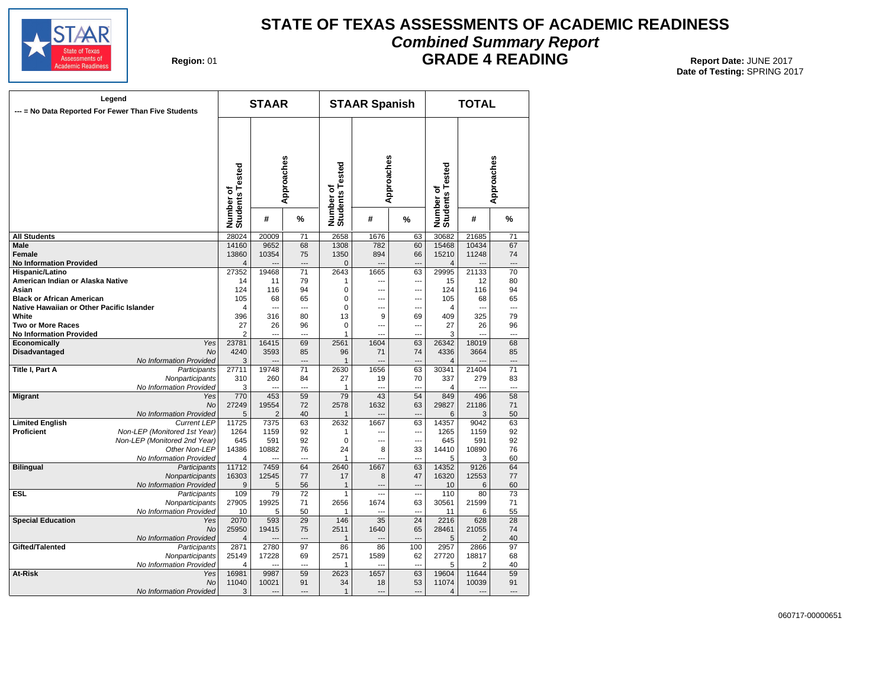

# **STATE OF TEXAS ASSESSMENTS OF ACADEMIC READINESS Combined Summary Report**

**Region: 01** 

# **GRADE 4 READING** Report Date: JUNE 2017

| Legend<br>--- = No Data Reported For Fewer Than Five Students |                                | <b>STAAR</b>                 |                       |                 |                              | <b>STAAR Spanish</b> |                          | <b>TOTAL</b>                 |            |                      |  |
|---------------------------------------------------------------|--------------------------------|------------------------------|-----------------------|-----------------|------------------------------|----------------------|--------------------------|------------------------------|------------|----------------------|--|
|                                                               |                                | Number of<br>Students Tested | Approaches            |                 | Number of<br>Students Tested | Approaches           |                          | Number of<br>Students Tested | Approaches |                      |  |
|                                                               |                                |                              | #                     | %               |                              | #                    | %                        |                              | #          | %                    |  |
| <b>All Students</b>                                           |                                | 28024                        | 20009                 | $\overline{71}$ | 2658                         | 1676                 | 63                       | 30682                        | 21685      | $\overline{71}$      |  |
| <b>Male</b>                                                   |                                | 14160                        | 9652                  | 68              | 1308                         | 782                  | 60                       | 15468                        | 10434      | 67                   |  |
| Female                                                        |                                | 13860                        | 10354                 | 75              | 1350                         | 894                  | 66                       | 15210                        | 11248      | 74                   |  |
| <b>No Information Provided</b>                                |                                | 4                            |                       | ---             | 0                            | $\overline{a}$       | ---                      | 4                            |            | ---                  |  |
| Hispanic/Latino                                               |                                | 27352                        | 19468                 | 71              | 2643                         | 1665                 | 63                       | 29995                        | 21133      | 70                   |  |
| American Indian or Alaska Native                              |                                | 14                           | 11                    | 79              | 1                            | ---                  | ---                      | 15                           | 12         | 80                   |  |
| Asian                                                         |                                | 124                          | 116                   | 94              | $\mathbf 0$                  | ---                  | ---                      | 124                          | 116        | 94                   |  |
| <b>Black or African American</b>                              |                                | 105                          | 68                    | 65              | 0                            | ---                  | ---                      | 105                          | 68         | 65                   |  |
| Native Hawaiian or Other Pacific Islander                     |                                | 4                            | ---                   | ---             | 0                            | ---                  | ---                      | 4                            | ---        | ---                  |  |
| White                                                         |                                | 396                          | 316                   | 80              | 13                           | 9                    | 69                       | 409                          | 325        | 79                   |  |
| <b>Two or More Races</b>                                      |                                | 27                           | 26                    | 96              | $\Omega$                     | ---                  | ---                      | 27                           | 26         | 96                   |  |
| <b>No Information Provided</b>                                |                                | 2                            |                       | ---             | 1                            | ---                  | ---                      | 3                            |            | ---                  |  |
| Economically                                                  | Yes                            | 23781                        | 16415                 | 69              | 2561                         | 1604                 | 63                       | 26342                        | 18019      | 68                   |  |
| <b>Disadvantaged</b>                                          | <b>No</b>                      | 4240                         | 3593                  | 85              | 96                           | 71                   | 74                       | 4336                         | 3664       | 85                   |  |
|                                                               | No Information Provided        | 3<br>27711                   | 19748                 | ---<br>71       | $\mathbf{1}$                 | ---                  | ---<br>63                | $\overline{4}$<br>30341      | 21404      | ---<br>71            |  |
| Title I, Part A                                               | Participants                   | 310                          |                       |                 | 2630                         | 1656                 |                          |                              | 279        |                      |  |
|                                                               | Nonparticipants                | 3                            | 260<br>$\overline{a}$ | 84<br>---       | 27<br>1                      | 19<br>$\sim$         | 70<br>---                | 337<br>4                     | ---        | 83<br>$\overline{a}$ |  |
| <b>Migrant</b>                                                | No Information Provided<br>Yes | 770                          | 453                   | 59              | 79                           | $\overline{43}$      | 54                       | 849                          | 496        | 58                   |  |
|                                                               | No                             | 27249                        | 19554                 | 72              | 2578                         | 1632                 | 63                       | 29827                        | 21186      | 71                   |  |
|                                                               | No Information Provided        | 5                            | $\overline{2}$        | 40              | 1                            | ---                  | ---                      | 6                            | 3          | 50                   |  |
| <b>Limited English</b>                                        | <b>Current LEP</b>             | 11725                        | 7375                  | 63              | 2632                         | 1667                 | 63                       | 14357                        | 9042       | 63                   |  |
| Proficient                                                    | Non-LEP (Monitored 1st Year)   | 1264                         | 1159                  | 92              | 1                            | ---                  | $\overline{a}$           | 1265                         | 1159       | 92                   |  |
|                                                               | Non-LEP (Monitored 2nd Year)   | 645                          | 591                   | 92              | $\mathbf 0$                  | ---                  | ---                      | 645                          | 591        | 92                   |  |
|                                                               | Other Non-LEP                  | 14386                        | 10882                 | 76              | 24                           | 8                    | 33                       | 14410                        | 10890      | 76                   |  |
|                                                               | No Information Provided        | 4                            |                       | ---             | 1                            | ---                  | ---                      | 5                            | 3          | 60                   |  |
| <b>Bilingual</b>                                              | Participants                   | 11712                        | 7459                  | 64              | 2640                         | 1667                 | 63                       | 14352                        | 9126       | 64                   |  |
|                                                               | Nonparticipants                | 16303                        | 12545                 | 77              | 17                           | 8                    | 47                       | 16320                        | 12553      | 77                   |  |
|                                                               | No Information Provided        | 9                            | 5                     | 56              | $\mathbf{1}$                 | ---                  | $\overline{a}$           | 10                           | 6          | 60                   |  |
| <b>ESL</b>                                                    | Participants                   | 109                          | 79                    | 72              | $\mathbf{1}$                 | $\overline{a}$       | $\overline{\phantom{a}}$ | 110                          | 80         | 73                   |  |
|                                                               | Nonparticipants                | 27905                        | 19925                 | 71              | 2656                         | 1674                 | 63                       | 30561                        | 21599      | 71                   |  |
|                                                               | No Information Provided        | 10                           | 5                     | 50              | 1                            | ---                  | ---                      | 11                           | 6          | 55                   |  |
| <b>Special Education</b>                                      | Yes                            | 2070                         | 593                   | 29              | 146                          | 35                   | 24                       | 2216                         | 628        | 28                   |  |
|                                                               | <b>No</b>                      | 25950                        | 19415                 | 75              | 2511                         | 1640                 | 65                       | 28461                        | 21055      | 74                   |  |
|                                                               | No Information Provided        | 4                            |                       |                 | $\mathbf{1}$                 |                      |                          | 5                            | 2          | 40                   |  |
| Gifted/Talented                                               | Participants                   | 2871                         | 2780                  | 97              | 86                           | 86                   | 100                      | 2957                         | 2866       | 97                   |  |
|                                                               | Nonparticipants                | 25149                        | 17228                 | 69              | 2571                         | 1589                 | 62                       | 27720                        | 18817      | 68                   |  |
|                                                               | No Information Provided        | 4                            |                       | ---             | 1                            | $\sim$               | ---                      | 5                            | 2          | 40                   |  |
| At-Risk                                                       | Yes                            | 16981                        | 9987                  | 59              | 2623                         | 1657                 | 63                       | 19604                        | 11644      | 59                   |  |
|                                                               | No                             | 11040                        | 10021                 | 91              | 34                           | 18                   | 53                       | 11074                        | 10039      | 91                   |  |
|                                                               | No Information Provided        | 3                            | $\sim$                | ---             | $\mathbf{1}$                 | $\overline{a}$       | ---                      | 4                            | ---        | ---                  |  |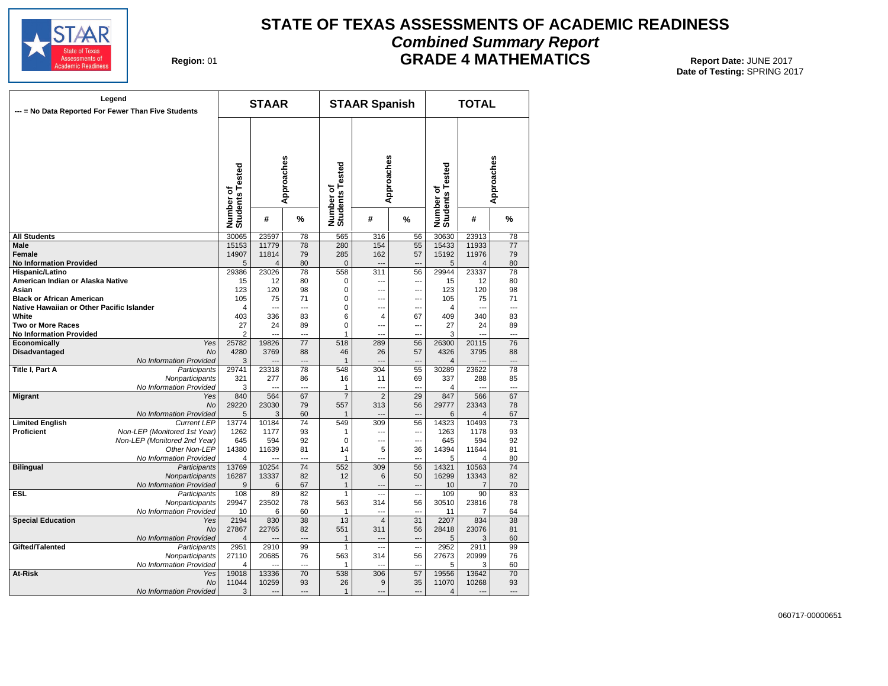

# **STATE OF TEXAS ASSESSMENTS OF ACADEMIC READINESS Combined Summary Report GRADE 4 MATHEMATICS** Report Date: JUNE 2017

**Region: 01** 

| Legend<br>--- = No Data Reported For Fewer Than Five Students |                                               | <b>STAAR</b>                 |            |                 |                              | <b>STAAR Spanish</b> |                                | <b>TOTAL</b>                 |                         |          |  |
|---------------------------------------------------------------|-----------------------------------------------|------------------------------|------------|-----------------|------------------------------|----------------------|--------------------------------|------------------------------|-------------------------|----------|--|
|                                                               |                                               | Number of<br>Students Tested | Approaches |                 | Number of<br>Students Tested | Approaches           |                                | Number of<br>Students Tested | Approaches              |          |  |
|                                                               |                                               |                              | #          | %               |                              | #                    | %                              |                              | #                       | %        |  |
| <b>All Students</b>                                           |                                               | 30065                        | 23597      | 78              | 565                          | 316                  | 56                             | 30630                        | 23913                   | 78       |  |
| Male                                                          |                                               | 15153                        | 11779      | 78              | 280                          | 154                  | 55                             | 15433                        | 11933                   | 77       |  |
| Female                                                        |                                               | 14907                        | 11814      | 79              | 285                          | 162                  | 57                             | 15192                        | 11976                   | 79       |  |
| <b>No Information Provided</b>                                |                                               | 5                            | 4          | 80              | $\overline{0}$               | $\overline{a}$       | $\overline{\phantom{a}}$       | 5                            | $\overline{\mathbf{4}}$ | 80       |  |
| Hispanic/Latino                                               |                                               | 29386                        | 23026      | 78              | 558                          | 311                  | 56                             | 29944                        | 23337                   | 78       |  |
| American Indian or Alaska Native                              |                                               | 15                           | 12         | 80              | 0                            | ---                  | ---                            | 15                           | 12                      | 80       |  |
| Asian                                                         |                                               | 123                          | 120        | 98              | $\Omega$                     | $\overline{a}$       | $\overline{a}$                 | 123                          | 120                     | 98       |  |
| <b>Black or African American</b>                              |                                               | 105                          | 75         | 71              | 0                            | ---                  | ---                            | 105                          | 75                      | 71       |  |
| Native Hawaiian or Other Pacific Islander                     |                                               | 4                            | ---        | ---             | 0                            | ---                  | ---                            | 4                            | ---                     | ---      |  |
| White                                                         |                                               | 403                          | 336        | 83              | 6                            | 4                    | 67                             | 409                          | 340                     | 83       |  |
| Two or More Races                                             |                                               | 27                           | 24         | 89              | 0                            | $\overline{a}$       | ---                            | 27                           | 24                      | 89       |  |
| <b>No Information Provided</b>                                |                                               | $\overline{2}$               | $\sim$     | $\overline{a}$  | 1                            | $\overline{a}$       | ---                            | 3                            | ---                     | ---      |  |
| Economically                                                  | Yes                                           | 25782                        | 19826      | 77              | 518                          | 289                  | 56                             | 26300                        | 20115                   | 76       |  |
| <b>Disadvantaged</b>                                          | <b>No</b>                                     | 4280                         | 3769       | 88              | 46                           | 26                   | 57                             | 4326                         | 3795                    | 88       |  |
|                                                               | No Information Provided                       | 3                            |            | $---$           | 1                            |                      | $\overline{a}$                 | 4                            |                         | ---      |  |
| Title I, Part A                                               | Participants                                  | 29741                        | 23318      | 78              | 548                          | 304                  | 55                             | 30289                        | 23622                   | 78       |  |
|                                                               | Nonparticipants                               | 321                          | 277        | 86              | 16                           | 11                   | 69                             | 337                          | 288                     | 85       |  |
|                                                               | No Information Provided                       | 3                            |            | $\overline{a}$  | 1                            | $\overline{a}$       | ---                            | 4                            |                         | ---      |  |
| <b>Migrant</b>                                                | Yes                                           | 840                          | 564        | 67              | $\overline{7}$               | $\overline{2}$       | 29                             | 847                          | 566                     | 67       |  |
|                                                               | No                                            | 29220                        | 23030      | 79              | 557                          | 313                  | 56                             | 29777                        | 23343                   | 78       |  |
| <b>Limited English</b>                                        | No Information Provided<br><b>Current LEP</b> | 5                            | 3<br>10184 | 60<br>74        | 1<br>549                     | 309                  | ---                            | 6                            | 4<br>10493              | 67<br>73 |  |
| Proficient                                                    | Non-LEP (Monitored 1st Year)                  | 13774<br>1262                | 1177       | 93              | 1                            | $\overline{a}$       | 56<br>$\overline{\phantom{a}}$ | 14323<br>1263                | 1178                    | 93       |  |
|                                                               | Non-LEP (Monitored 2nd Year)                  | 645                          | 594        | 92              | $\mathbf 0$                  | ---                  | ---                            | 645                          | 594                     | 92       |  |
|                                                               | Other Non-LEP                                 | 14380                        | 11639      | 81              | 14                           | 5                    | 36                             | 14394                        | 11644                   | 81       |  |
|                                                               | No Information Provided                       | 4                            |            | $\overline{a}$  | 1                            | $\overline{a}$       | ---                            | 5                            | 4                       | 80       |  |
| <b>Bilingual</b>                                              | Participants                                  | 13769                        | 10254      | $\overline{74}$ | 552                          | 309                  | 56                             | 14321                        | 10563                   | 74       |  |
|                                                               | Nonparticipants                               | 16287                        | 13337      | 82              | 12                           | 6                    | 50                             | 16299                        | 13343                   | 82       |  |
|                                                               | No Information Provided                       | 9                            | 6          | 67              | $\mathbf{1}$                 |                      | ---                            | 10                           | 7                       | 70       |  |
| ESL                                                           | Participants                                  | 108                          | 89         | 82              | $\mathbf{1}$                 | ---                  | ---                            | 109                          | 90                      | 83       |  |
|                                                               | Nonparticipants                               | 29947                        | 23502      | 78              | 563                          | 314                  | 56                             | 30510                        | 23816                   | 78       |  |
|                                                               | No Information Provided                       | 10                           | 6          | 60              | 1                            | ---                  | $\overline{\phantom{a}}$       | 11                           | 7                       | 64       |  |
| <b>Special Education</b>                                      | Yes                                           | 2194                         | 830        | 38              | 13                           | $\overline{4}$       | 31                             | 2207                         | 834                     | 38       |  |
|                                                               | <b>No</b>                                     | 27867                        | 22765      | 82              | 551                          | 311                  | 56                             | 28418                        | 23076                   | 81       |  |
|                                                               | No Information Provided                       | 4                            |            | $\sim$          | $\mathbf{1}$                 | $\sim$               | $\overline{a}$                 | 5                            | 3                       | 60       |  |
| Gifted/Talented                                               | Participants                                  | 2951                         | 2910       | 99              | 1                            | ---                  | ---                            | 2952                         | 2911                    | 99       |  |
|                                                               | Nonparticipants                               | 27110                        | 20685      | 76              | 563                          | 314                  | 56                             | 27673                        | 20999                   | 76       |  |
|                                                               | No Information Provided                       | 4                            |            | $\overline{a}$  | 1                            |                      | $\overline{a}$                 | 5                            | 3                       | 60       |  |
| At-Risk                                                       | Yes                                           | 19018                        | 13336      | 70              | 538                          | 306                  | 57                             | 19556                        | 13642                   | 70       |  |
|                                                               | <b>No</b>                                     | 11044                        | 10259      | 93              | 26                           | 9                    | 35                             | 11070                        | 10268                   | 93       |  |
|                                                               | No Information Provided                       | 3                            |            | $---$           | $\mathbf{1}$                 | $\overline{a}$       | $\overline{a}$                 | 4                            |                         | ---      |  |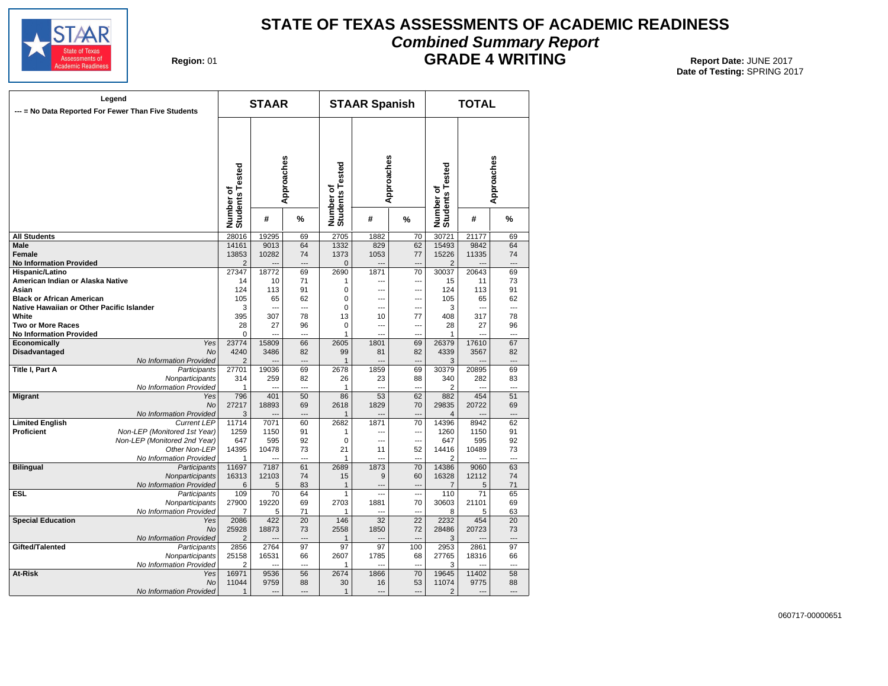

# **STATE OF TEXAS ASSESSMENTS OF ACADEMIC READINESS Combined Summary Report GRADE 4 WRITING** Report Date: JUNE 2017

**Region: 01** 

| Legend<br>--- = No Data Reported For Fewer Than Five Students |                              | <b>STAAR</b>                 |                |                 |                              | <b>STAAR Spanish</b> |                          | <b>TOTAL</b>                 |                |                |
|---------------------------------------------------------------|------------------------------|------------------------------|----------------|-----------------|------------------------------|----------------------|--------------------------|------------------------------|----------------|----------------|
|                                                               |                              | Number of<br>Students Tested | Approaches     |                 | Number of<br>Students Tested | Approaches           |                          | Number of<br>Students Tested | Approaches     |                |
|                                                               |                              |                              | #              | %               |                              | #                    | %                        |                              | #              | %              |
| <b>All Students</b>                                           |                              | 28016                        | 19295          | 69              | 2705                         | 1882                 | 70                       | 30721                        | 21177          | 69             |
| Male                                                          |                              | 14161                        | 9013           | 64              | 1332                         | 829                  | 62                       | 15493                        | 9842           | 64             |
| Female                                                        |                              | 13853                        | 10282          | 74              | 1373                         | 1053                 | 77                       | 15226                        | 11335          | 74             |
| <b>No Information Provided</b>                                |                              | $\overline{2}$               |                | ---             | $\mathbf 0$                  |                      | $\overline{a}$           | $\overline{2}$               |                |                |
| Hispanic/Latino                                               |                              | 27347                        | 18772          | 69              | 2690                         | 1871                 | 70                       | 30037                        | 20643          | 69             |
| American Indian or Alaska Native                              |                              | 14                           | 10             | 71              | 1                            | ---                  | ---                      | 15                           | 11             | 73             |
| Asian                                                         |                              | 124                          | 113            | 91              | $\mathbf 0$                  | $\overline{a}$       | $\overline{\phantom{a}}$ | 124                          | 113            | 91             |
| <b>Black or African American</b>                              |                              | 105                          | 65             | 62              | $\mathbf 0$                  | $\overline{a}$       | ---                      | 105                          | 65             | 62             |
| Native Hawaiian or Other Pacific Islander                     |                              | 3                            |                | ---             | $\mathbf 0$                  | $\overline{a}$       | ---                      | 3                            | $\overline{a}$ | ---            |
| White                                                         |                              | 395                          | 307            | 78              | 13                           | 10                   | 77                       | 408                          | 317            | 78             |
| <b>Two or More Races</b>                                      |                              | 28                           | 27             | 96              | $\mathbf 0$                  | $\overline{a}$       | ---                      | 28                           | 27             | 96             |
| <b>No Information Provided</b>                                |                              | 0                            | $\sim$         | $\overline{a}$  | 1                            | $\sim$               | ÷.,                      | 1                            | $\overline{a}$ | $\overline{a}$ |
| Economically                                                  | Yes                          | 23774                        | 15809          | 66              | 2605                         | 1801                 | 69                       | 26379                        | 17610          | 67             |
| <b>Disadvantaged</b>                                          | <b>No</b>                    | 4240                         | 3486           | 82              | 99                           | 81                   | 82                       | 4339                         | 3567           | 82             |
|                                                               | No Information Provided      | $\overline{2}$               |                | $\sim$          | 1                            | $\sim$               | $\overline{a}$           | 3                            |                | $\overline{a}$ |
| Title I, Part A                                               | Participants                 | 27701                        | 19036          | 69              | 2678                         | 1859                 | 69                       | 30379                        | 20895          | 69             |
|                                                               | Nonparticipants              | 314                          | 259            | 82              | 26                           | 23                   | 88                       | 340                          | 282            | 83             |
|                                                               | No Information Provided      | 1                            |                | ---             | 1                            | $\overline{a}$       | ---                      | 2                            |                | ---            |
| <b>Migrant</b>                                                | Yes                          | 796                          | 401            | 50              | 86                           | 53                   | 62                       | 882                          | 454            | 51             |
|                                                               | No                           | 27217                        | 18893          | 69              | 2618                         | 1829                 | 70                       | 29835                        | 20722          | 69             |
|                                                               | No Information Provided      | 3                            |                | ---             | 1                            |                      |                          | 4                            |                | ---            |
| <b>Limited English</b>                                        | <b>Current LEP</b>           | 11714                        | 7071           | 60              | 2682                         | 1871                 | 70                       | 14396                        | 8942           | 62             |
| Proficient                                                    | Non-LEP (Monitored 1st Year) | 1259                         | 1150           | 91              | 1                            | $\overline{a}$       | $\overline{\phantom{a}}$ | 1260                         | 1150           | 91             |
|                                                               | Non-LEP (Monitored 2nd Year) | 647                          | 595            | 92              | 0                            | $\overline{a}$       | $\sim$                   | 647                          | 595            | 92             |
|                                                               | Other Non-LEP                | 14395                        | 10478          | 73              | 21                           | 11                   | 52                       | 14416                        | 10489          | 73             |
|                                                               | No Information Provided      | 1                            | ---            | ---             | 1                            | $\overline{a}$       | ÷.,                      | 2                            |                | $\overline{a}$ |
| <b>Bilingual</b>                                              | Participants                 | 11697                        | 7187           | 61              | 2689                         | 1873                 | $\overline{70}$          | 14386                        | 9060           | 63             |
|                                                               | Nonparticipants              | 16313                        | 12103          | 74              | 15                           | 9                    | 60                       | 16328                        | 12112          | 74             |
|                                                               | No Information Provided      | 6                            | 5              | 83              | 1                            | $\sim$               | ---                      | $\overline{7}$               | 5              | 71             |
| <b>ESL</b>                                                    | Participants                 | 109                          | 70             | 64              | 1                            | $\overline{a}$       | $\overline{\phantom{a}}$ | 110                          | 71             | 65             |
|                                                               | Nonparticipants              | 27900                        | 19220          | 69              | 2703                         | 1881                 | 70                       | 30603                        | 21101          | 69             |
|                                                               | No Information Provided      | $\overline{7}$               | 5              | 71              | 1                            |                      | $\overline{a}$           | 8                            | 5              | 63             |
| <b>Special Education</b>                                      | Yes                          | 2086                         | 422            | 20              | 146                          | 32                   | $\overline{22}$          | 2232                         | 454            | 20             |
|                                                               | No                           | 25928                        | 18873          | 73              | 2558                         | 1850                 | 72                       | 28486                        | 20723          | 73             |
|                                                               | No Information Provided      | $\overline{2}$               |                | $\overline{a}$  | 1                            |                      | ---                      | 3                            |                | $\sim$         |
| Gifted/Talented                                               | Participants                 | 2856                         | 2764           | $\overline{97}$ | $\overline{97}$              | 97                   | 100                      | 2953                         | 2861           | 97             |
|                                                               |                              |                              |                |                 |                              |                      |                          |                              |                |                |
|                                                               | Nonparticipants              | 25158                        | 16531          | 66              | 2607                         | 1785                 | 68                       | 27765                        | 18316          | 66             |
|                                                               | No Information Provided      | 2                            |                | $\overline{a}$  | 1                            | $\sim$               | $\overline{\phantom{a}}$ | 3                            |                | ---            |
| At-Risk                                                       | Yes                          | 16971                        | 9536           | 56              | 2674                         | 1866                 | 70                       | 19645                        | 11402          | 58             |
|                                                               | <b>No</b>                    | 11044                        | 9759           | 88              | 30                           | 16                   | 53                       | 11074                        | 9775           | 88             |
|                                                               | No Information Provided      | $\mathbf{1}$                 | $\overline{a}$ | $\overline{a}$  | $\mathbf{1}$                 | $\overline{a}$       | $\overline{\phantom{a}}$ | 2                            | $\overline{a}$ | $\overline{a}$ |